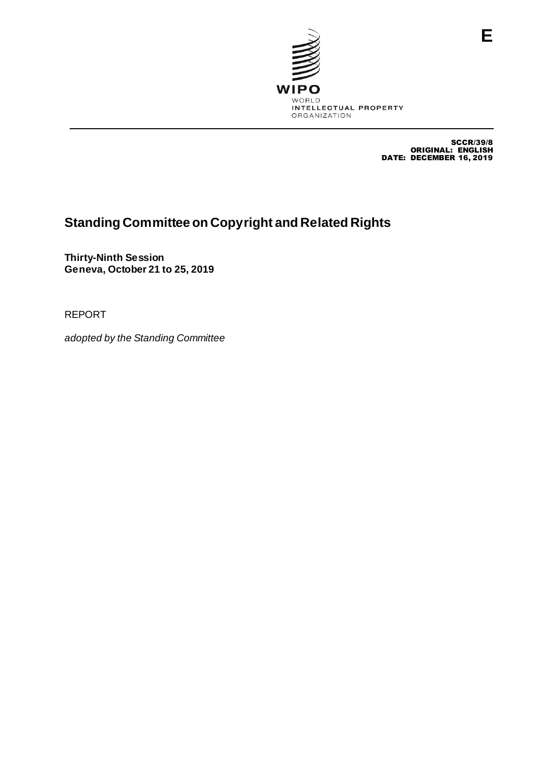

SCCR/39/8 ORIGINAL: ENGLISH DATE: DECEMBER 16, 2019

# **Standing Committee on Copyright and Related Rights**

**Thirty-Ninth Session Geneva, October 21 to 25, 2019**

REPORT

*adopted by the Standing Committee*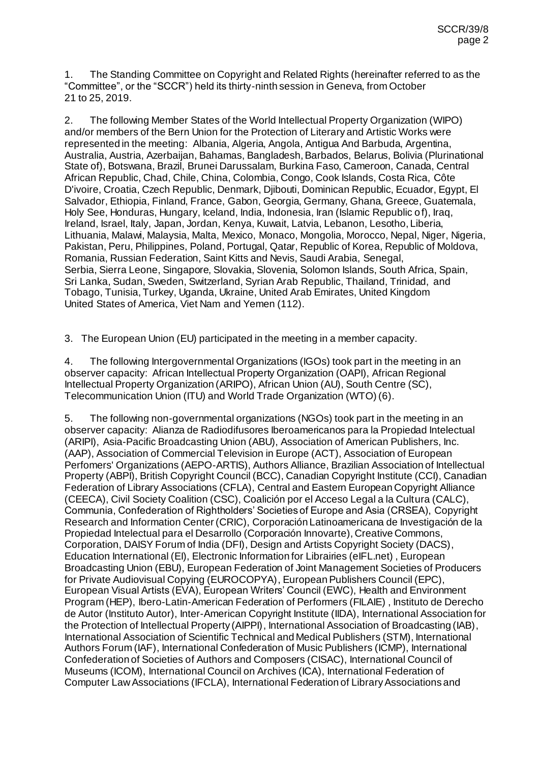1. The Standing Committee on Copyright and Related Rights (hereinafter referred to as the "Committee", or the "SCCR") held its thirty-ninth session in Geneva, from October 21 to 25, 2019.

2. The following Member States of the World Intellectual Property Organization (WIPO) and/or members of the Bern Union for the Protection of Literary and Artistic Works were represented in the meeting: Albania, Algeria, Angola, Antigua And Barbuda, Argentina, Australia, Austria, Azerbaijan, Bahamas, Bangladesh, Barbados, Belarus, Bolivia (Plurinational State of), Botswana, Brazil, Brunei Darussalam, Burkina Faso, Cameroon, Canada, Central African Republic, Chad, Chile, China, Colombia, Congo, Cook Islands, Costa Rica, Côte D'ivoire, Croatia, Czech Republic, Denmark, Djibouti, Dominican Republic, Ecuador, Egypt, El Salvador, Ethiopia, Finland, France, Gabon, Georgia, Germany, Ghana, Greece, Guatemala, Holy See, Honduras, Hungary, Iceland, India, Indonesia, Iran (Islamic Republic of), Iraq, Ireland, Israel, Italy, Japan, Jordan, Kenya, Kuwait, Latvia, Lebanon, Lesotho, Liberia, Lithuania, Malawi, Malaysia, Malta, Mexico, Monaco, Mongolia, Morocco, Nepal, Niger, Nigeria, Pakistan, Peru, Philippines, Poland, Portugal, Qatar, Republic of Korea, Republic of Moldova, Romania, Russian Federation, Saint Kitts and Nevis, Saudi Arabia, Senegal, Serbia, Sierra Leone, Singapore, Slovakia, Slovenia, Solomon Islands, South Africa, Spain, Sri Lanka, Sudan, Sweden, Switzerland, Syrian Arab Republic, Thailand, Trinidad, and Tobago, Tunisia, Turkey, Uganda, Ukraine, United Arab Emirates, United Kingdom United States of America, Viet Nam and Yemen (112).

3. The European Union (EU) participated in the meeting in a member capacity.

4. The following Intergovernmental Organizations (IGOs) took part in the meeting in an observer capacity: African Intellectual Property Organization (OAPI), African Regional Intellectual Property Organization (ARIPO), African Union (AU), South Centre (SC), Telecommunication Union (ITU) and World Trade Organization (WTO) (6).

5. The following non-governmental organizations (NGOs) took part in the meeting in an observer capacity: Alianza de Radiodifusores Iberoamericanos para la Propiedad Intelectual (ARIPI), Asia-Pacific Broadcasting Union (ABU), Association of American Publishers, Inc. (AAP), Association of Commercial Television in Europe (ACT), Association of European Perfomers' Organizations (AEPO-ARTIS), Authors Alliance, Brazilian Association of Intellectual Property (ABPI), British Copyright Council (BCC), Canadian Copyright Institute (CCI), Canadian Federation of Library Associations (CFLA), Central and Eastern European Copyright Alliance (CEECA), Civil Society Coalition (CSC), Coalición por el Acceso Legal a la Cultura (CALC), Communia, Confederation of Rightholders' Societies of Europe and Asia (CRSEA), Copyright Research and Information Center (CRIC), Corporación Latinoamericana de Investigación de la Propiedad Intelectual para el Desarrollo (Corporación Innovarte), Creative Commons, Corporation, DAISY Forum of India (DFI), Design and Artists Copyright Society (DACS), Education International (EI), Electronic Information for Librairies (eIFL.net) , European Broadcasting Union (EBU), European Federation of Joint Management Societies of Producers for Private Audiovisual Copying (EUROCOPYA), European Publishers Council (EPC), European Visual Artists (EVA), European Writers' Council (EWC), Health and Environment Program (HEP), Ibero-Latin-American Federation of Performers (FILAIE) , Instituto de Derecho de Autor (Instituto Autor), Inter-American Copyright Institute (IIDA), International Association for the Protection of Intellectual Property (AIPPI), International Association of Broadcasting (IAB), International Association of Scientific Technical and Medical Publishers (STM), International Authors Forum (IAF), International Confederation of Music Publishers (ICMP), International Confederation of Societies of Authors and Composers (CISAC), International Council of Museums (ICOM), International Council on Archives (ICA), International Federation of Computer Law Associations (IFCLA), International Federation of Library Associations and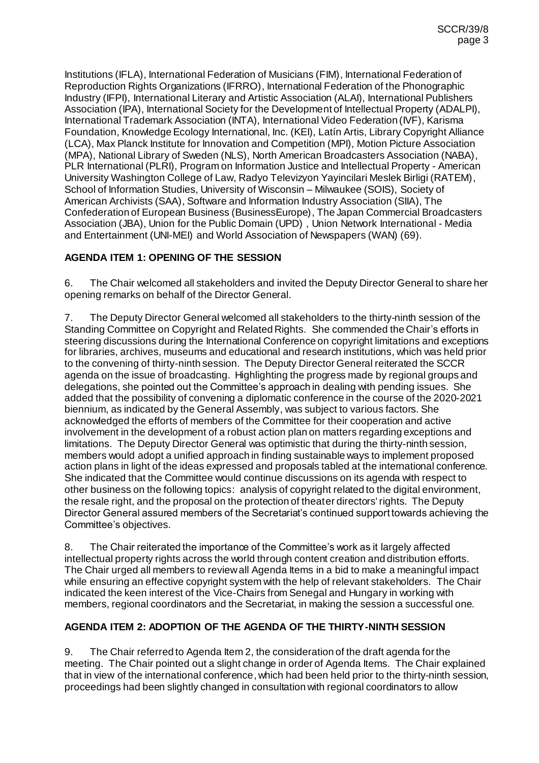Institutions (IFLA), International Federation of Musicians (FIM), International Federation of Reproduction Rights Organizations (IFRRO), International Federation of the Phonographic Industry (IFPI), International Literary and Artistic Association (ALAI), International Publishers Association (IPA), International Society for the Development of Intellectual Property (ADALPI), International Trademark Association (INTA), International Video Federation (IVF), Karisma Foundation, Knowledge Ecology International, Inc. (KEI), Latín Artis, Library Copyright Alliance (LCA), Max Planck Institute for Innovation and Competition (MPI), Motion Picture Association (MPA), National Library of Sweden (NLS), North American Broadcasters Association (NABA), PLR International (PLRI), Program on Information Justice and Intellectual Property - American University Washington College of Law, Radyo Televizyon Yayincilari Meslek Birligi (RATEM), School of Information Studies, University of Wisconsin – Milwaukee (SOIS), Society of American Archivists (SAA), Software and Information Industry Association (SIIA), The Confederation of European Business (BusinessEurope), The Japan Commercial Broadcasters Association (JBA), Union for the Public Domain (UPD) , Union Network International - Media and Entertainment (UNI-MEI) and World Association of Newspapers (WAN) (69).

# **AGENDA ITEM 1: OPENING OF THE SESSION**

6. The Chair welcomed all stakeholders and invited the Deputy Director General to share her opening remarks on behalf of the Director General.

7. The Deputy Director General welcomed all stakeholders to the thirty-ninth session of the Standing Committee on Copyright and Related Rights. She commended the Chair's efforts in steering discussions during the International Conference on copyright limitations and exceptions for libraries, archives, museums and educational and research institutions, which was held prior to the convening of thirty-ninth session. The Deputy Director General reiterated the SCCR agenda on the issue of broadcasting. Highlighting the progress made by regional groups and delegations, she pointed out the Committee's approach in dealing with pending issues. She added that the possibility of convening a diplomatic conference in the course of the 2020-2021 biennium, as indicated by the General Assembly, was subject to various factors. She acknowledged the efforts of members of the Committee for their cooperation and active involvement in the development of a robust action plan on matters regarding exceptions and limitations. The Deputy Director General was optimistic that during the thirty-ninth session, members would adopt a unified approach in finding sustainable ways to implement proposed action plans in light of the ideas expressed and proposals tabled at the international conference. She indicated that the Committee would continue discussions on its agenda with respect to other business on the following topics: analysis of copyright related to the digital environment, the resale right, and the proposal on the protection of theater directors' rights. The Deputy Director General assured members of the Secretariat's continued support towards achieving the Committee's objectives.

8. The Chair reiterated the importance of the Committee's work as it largely affected intellectual property rights across the world through content creation and distribution efforts. The Chair urged all members to review all Agenda Items in a bid to make a meaningful impact while ensuring an effective copyright system with the help of relevant stakeholders. The Chair indicated the keen interest of the Vice-Chairs from Senegal and Hungary in working with members, regional coordinators and the Secretariat, in making the session a successful one.

# **AGENDA ITEM 2: ADOPTION OF THE AGENDA OF THE THIRTY-NINTH SESSION**

9. The Chair referred to Agenda Item 2, the consideration of the draft agenda for the meeting. The Chair pointed out a slight change in order of Agenda Items. The Chair explained that in view of the international conference, which had been held prior to the thirty-ninth session, proceedings had been slightly changed in consultation with regional coordinators to allow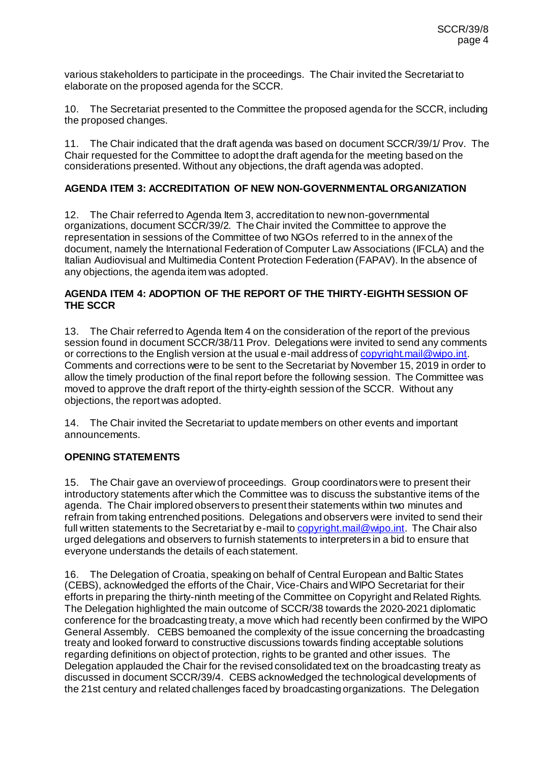various stakeholders to participate in the proceedings. The Chair invited the Secretariat to elaborate on the proposed agenda for the SCCR.

10. The Secretariat presented to the Committee the proposed agenda for the SCCR, including the proposed changes.

11. The Chair indicated that the draft agenda was based on document SCCR/39/1/ Prov. The Chair requested for the Committee to adopt the draft agenda for the meeting based on the considerations presented. Without any objections, the draft agenda was adopted.

## **AGENDA ITEM 3: ACCREDITATION OF NEW NON-GOVERNMENTAL ORGANIZATION**

12. The Chair referred to Agenda Item 3, accreditation to new non-governmental organizations, document SCCR/39/2. The Chair invited the Committee to approve the representation in sessions of the Committee of two NGOs referred to in the annex of the document, namely the International Federation of Computer Law Associations (IFCLA) and the Italian Audiovisual and Multimedia Content Protection Federation (FAPAV). In the absence of any objections, the agenda item was adopted.

#### **AGENDA ITEM 4: ADOPTION OF THE REPORT OF THE THIRTY-EIGHTH SESSION OF THE SCCR**

13. The Chair referred to Agenda Item 4 on the consideration of the report of the previous session found in document SCCR/38/11 Prov. Delegations were invited to send any comments or corrections to the English version at the usual e-mail address of copyright mail@wipo.int. Comments and corrections were to be sent to the Secretariat by November 15, 2019 in order to allow the timely production of the final report before the following session. The Committee was moved to approve the draft report of the thirty-eighth session of the SCCR. Without any objections, the report was adopted.

14. The Chair invited the Secretariat to update members on other events and important announcements.

#### **OPENING STATEMENTS**

15. The Chair gave an overview of proceedings. Group coordinators were to present their introductory statements after which the Committee was to discuss the substantive items of the agenda. The Chair implored observers to present their statements within two minutes and refrain from taking entrenched positions. Delegations and observers were invited to send their full written statements to the Secretariat by e-mail t[o copyright.mail@wipo.int](mailto:copyright.mail@wipo.int). The Chair also urged delegations and observers to furnish statements to interpreters in a bid to ensure that everyone understands the details of each statement.

16. The Delegation of Croatia, speaking on behalf of Central European and Baltic States (CEBS), acknowledged the efforts of the Chair, Vice-Chairs and WIPO Secretariat for their efforts in preparing the thirty-ninth meeting of the Committee on Copyright and Related Rights. The Delegation highlighted the main outcome of SCCR/38 towards the 2020-2021 diplomatic conference for the broadcasting treaty, a move which had recently been confirmed by the WIPO General Assembly. CEBS bemoaned the complexity of the issue concerning the broadcasting treaty and looked forward to constructive discussions towards finding acceptable solutions regarding definitions on object of protection, rights to be granted and other issues. The Delegation applauded the Chair for the revised consolidated text on the broadcasting treaty as discussed in document SCCR/39/4. CEBS acknowledged the technological developments of the 21st century and related challenges faced by broadcasting organizations. The Delegation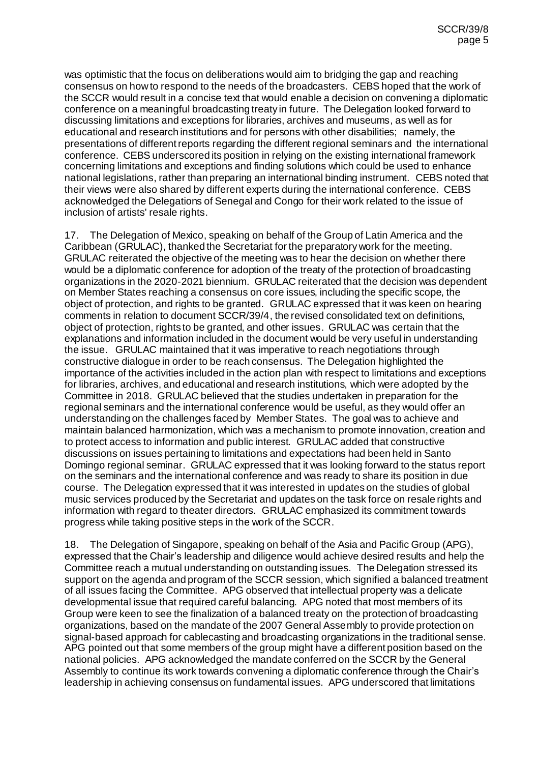was optimistic that the focus on deliberations would aim to bridging the gap and reaching consensus on how to respond to the needs of the broadcasters. CEBS hoped that the work of the SCCR would result in a concise text that would enable a decision on convening a diplomatic conference on a meaningful broadcasting treaty in future. The Delegation looked forward to discussing limitations and exceptions for libraries, archives and museums, as well as for educational and research institutions and for persons with other disabilities; namely, the presentations of different reports regarding the different regional seminars and the international conference. CEBS underscored its position in relying on the existing international framework concerning limitations and exceptions and finding solutions which could be used to enhance national legislations, rather than preparing an international binding instrument. CEBS noted that their views were also shared by different experts during the international conference. CEBS acknowledged the Delegations of Senegal and Congo for their work related to the issue of inclusion of artists' resale rights.

17. The Delegation of Mexico, speaking on behalf of the Group of Latin America and the Caribbean (GRULAC), thanked the Secretariat for the preparatory work for the meeting. GRULAC reiterated the objective of the meeting was to hear the decision on whether there would be a diplomatic conference for adoption of the treaty of the protection of broadcasting organizations in the 2020-2021 biennium. GRULAC reiterated that the decision was dependent on Member States reaching a consensus on core issues, including the specific scope, the object of protection, and rights to be granted. GRULAC expressed that it was keen on hearing comments in relation to document SCCR/39/4, the revised consolidated text on definitions, object of protection, rights to be granted, and other issues. GRULAC was certain that the explanations and information included in the document would be very useful in understanding the issue. GRULAC maintained that it was imperative to reach negotiations through constructive dialogue in order to be reach consensus. The Delegation highlighted the importance of the activities included in the action plan with respect to limitations and exceptions for libraries, archives, and educational and research institutions, which were adopted by the Committee in 2018. GRULAC believed that the studies undertaken in preparation for the regional seminars and the international conference would be useful, as they would offer an understanding on the challenges faced by Member States. The goal was to achieve and maintain balanced harmonization, which was a mechanism to promote innovation, creation and to protect access to information and public interest. GRULAC added that constructive discussions on issues pertaining to limitations and expectations had been held in Santo Domingo regional seminar. GRULAC expressed that it was looking forward to the status report on the seminars and the international conference and was ready to share its position in due course. The Delegation expressed that it was interested in updates on the studies of global music services produced by the Secretariat and updates on the task force on resale rights and information with regard to theater directors. GRULAC emphasized its commitment towards progress while taking positive steps in the work of the SCCR.

18. The Delegation of Singapore, speaking on behalf of the Asia and Pacific Group (APG), expressed that the Chair's leadership and diligence would achieve desired results and help the Committee reach a mutual understanding on outstanding issues. The Delegation stressed its support on the agenda and program of the SCCR session, which signified a balanced treatment of all issues facing the Committee. APG observed that intellectual property was a delicate developmental issue that required careful balancing. APG noted that most members of its Group were keen to see the finalization of a balanced treaty on the protection of broadcasting organizations, based on the mandate of the 2007 General Assembly to provide protection on signal-based approach for cablecasting and broadcasting organizations in the traditional sense. APG pointed out that some members of the group might have a different position based on the national policies. APG acknowledged the mandate conferred on the SCCR by the General Assembly to continue its work towards convening a diplomatic conference through the Chair's leadership in achieving consensus on fundamental issues. APG underscored that limitations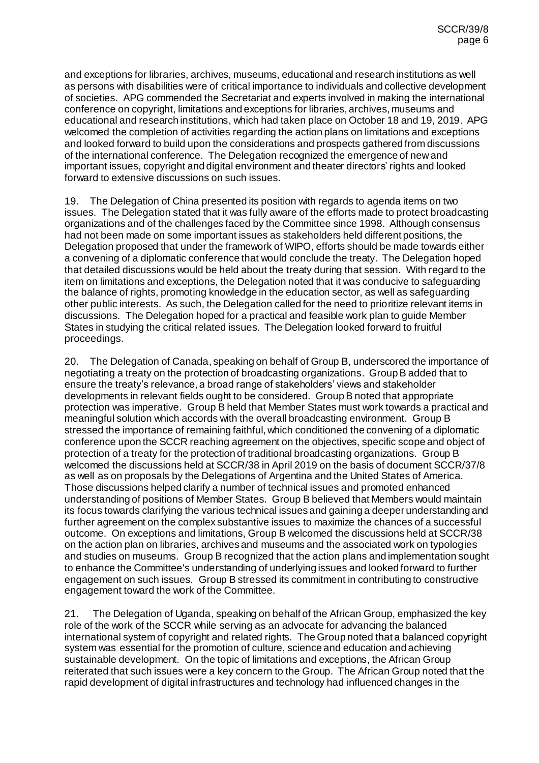and exceptions for libraries, archives, museums, educational and research institutions as well as persons with disabilities were of critical importance to individuals and collective development of societies. APG commended the Secretariat and experts involved in making the international conference on copyright, limitations and exceptions for libraries, archives, museums and educational and research institutions, which had taken place on October 18 and 19, 2019. APG welcomed the completion of activities regarding the action plans on limitations and exceptions and looked forward to build upon the considerations and prospects gathered from discussions of the international conference. The Delegation recognized the emergence of new and important issues, copyright and digital environment and theater directors' rights and looked forward to extensive discussions on such issues.

19. The Delegation of China presented its position with regards to agenda items on two issues. The Delegation stated that it was fully aware of the efforts made to protect broadcasting organizations and of the challenges faced by the Committee since 1998. Although consensus had not been made on some important issues as stakeholders held different positions, the Delegation proposed that under the framework of WIPO, efforts should be made towards either a convening of a diplomatic conference that would conclude the treaty. The Delegation hoped that detailed discussions would be held about the treaty during that session. With regard to the item on limitations and exceptions, the Delegation noted that it was conducive to safeguarding the balance of rights, promoting knowledge in the education sector, as well as safeguarding other public interests. As such, the Delegation called for the need to prioritize relevant items in discussions. The Delegation hoped for a practical and feasible work plan to guide Member States in studying the critical related issues. The Delegation looked forward to fruitful proceedings.

20. The Delegation of Canada, speaking on behalf of Group B, underscored the importance of negotiating a treaty on the protection of broadcasting organizations. Group B added that to ensure the treaty's relevance, a broad range of stakeholders' views and stakeholder developments in relevant fields ought to be considered. Group B noted that appropriate protection was imperative. Group B held that Member States must work towards a practical and meaningful solution which accords with the overall broadcasting environment. Group B stressed the importance of remaining faithful, which conditioned the convening of a diplomatic conference upon the SCCR reaching agreement on the objectives, specific scope and object of protection of a treaty for the protection of traditional broadcasting organizations. Group B welcomed the discussions held at SCCR/38 in April 2019 on the basis of document SCCR/37/8 as well as on proposals by the Delegations of Argentina and the United States of America. Those discussions helped clarify a number of technical issues and promoted enhanced understanding of positions of Member States. Group B believed that Members would maintain its focus towards clarifying the various technical issues and gaining a deeper understanding and further agreement on the complex substantive issues to maximize the chances of a successful outcome. On exceptions and limitations, Group B welcomed the discussions held at SCCR/38 on the action plan on libraries, archives and museums and the associated work on typologies and studies on museums. Group B recognized that the action plans and implementation sought to enhance the Committee's understanding of underlying issues and looked forward to further engagement on such issues. Group B stressed its commitment in contributing to constructive engagement toward the work of the Committee.

21. The Delegation of Uganda, speaking on behalf of the African Group, emphasized the key role of the work of the SCCR while serving as an advocate for advancing the balanced international system of copyright and related rights. The Group noted that a balanced copyright system was essential for the promotion of culture, science and education and achieving sustainable development. On the topic of limitations and exceptions, the African Group reiterated that such issues were a key concern to the Group. The African Group noted that the rapid development of digital infrastructures and technology had influenced changes in the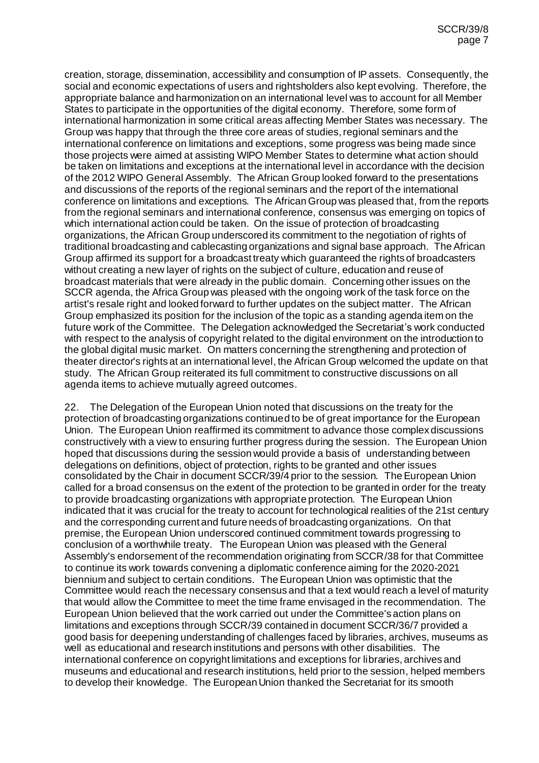creation, storage, dissemination, accessibility and consumption of IP assets. Consequently, the social and economic expectations of users and rightsholders also kept evolving. Therefore, the appropriate balance and harmonization on an international level was to account for all Member States to participate in the opportunities of the digital economy. Therefore, some form of international harmonization in some critical areas affecting Member States was necessary. The Group was happy that through the three core areas of studies, regional seminars and the international conference on limitations and exceptions, some progress was being made since those projects were aimed at assisting WIPO Member States to determine what action should be taken on limitations and exceptions at the international level in accordance with the decision of the 2012 WIPO General Assembly. The African Group looked forward to the presentations and discussions of the reports of the regional seminars and the report of the international conference on limitations and exceptions. The African Group was pleased that, from the reports from the regional seminars and international conference, consensus was emerging on topics of which international action could be taken. On the issue of protection of broadcasting organizations, the African Group underscored its commitment to the negotiation of rights of traditional broadcasting and cablecasting organizations and signal base approach. The African Group affirmed its support for a broadcast treaty which guaranteed the rights of broadcasters without creating a new layer of rights on the subject of culture, education and reuse of broadcast materials that were already in the public domain. Concerning other issues on the SCCR agenda, the Africa Group was pleased with the ongoing work of the task force on the artist's resale right and looked forward to further updates on the subject matter. The African Group emphasized its position for the inclusion of the topic as a standing agenda item on the future work of the Committee. The Delegation acknowledged the Secretariat's work conducted with respect to the analysis of copyright related to the digital environment on the introduction to the global digital music market. On matters concerning the strengthening and protection of theater director's rights at an international level, the African Group welcomed the update on that study. The African Group reiterated its full commitment to constructive discussions on all agenda items to achieve mutually agreed outcomes.

22. The Delegation of the European Union noted that discussions on the treaty for the protection of broadcasting organizations continued to be of great importance for the European Union. The European Union reaffirmed its commitment to advance those complex discussions constructively with a view to ensuring further progress during the session. The European Union hoped that discussions during the session would provide a basis of understanding between delegations on definitions, object of protection, rights to be granted and other issues consolidated by the Chair in document SCCR/39/4 prior to the session. The European Union called for a broad consensus on the extent of the protection to be granted in order for the treaty to provide broadcasting organizations with appropriate protection. The European Union indicated that it was crucial for the treaty to account for technological realities of the 21st century and the corresponding current and future needs of broadcasting organizations. On that premise, the European Union underscored continued commitment towards progressing to conclusion of a worthwhile treaty. The European Union was pleased with the General Assembly's endorsement of the recommendation originating from SCCR/38 for that Committee to continue its work towards convening a diplomatic conference aiming for the 2020-2021 biennium and subject to certain conditions. The European Union was optimistic that the Committee would reach the necessary consensus and that a text would reach a level of maturity that would allow the Committee to meet the time frame envisaged in the recommendation. The European Union believed that the work carried out under the Committee's action plans on limitations and exceptions through SCCR/39 contained in document SCCR/36/7 provided a good basis for deepening understanding of challenges faced by libraries, archives, museums as well as educational and research institutions and persons with other disabilities. The international conference on copyright limitations and exceptions for libraries, archives and museums and educational and research institutions, held prior to the session, helped members to develop their knowledge. The European Union thanked the Secretariat for its smooth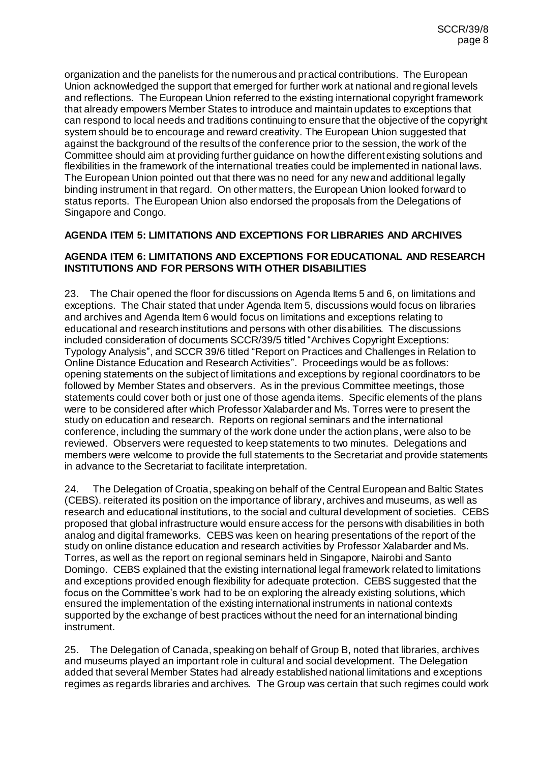organization and the panelists for the numerous and practical contributions. The European Union acknowledged the support that emerged for further work at national and regional levels and reflections. The European Union referred to the existing international copyright framework that already empowers Member States to introduce and maintain updates to exceptions that can respond to local needs and traditions continuing to ensure that the objective of the copyright system should be to encourage and reward creativity. The European Union suggested that against the background of the results of the conference prior to the session, the work of the Committee should aim at providing further guidance on how the different existing solutions and flexibilities in the framework of the international treaties could be implemented in national laws. The European Union pointed out that there was no need for any new and additional legally binding instrument in that regard. On other matters, the European Union looked forward to status reports. The European Union also endorsed the proposals from the Delegations of Singapore and Congo.

## **AGENDA ITEM 5: LIMITATIONS AND EXCEPTIONS FOR LIBRARIES AND ARCHIVES**

#### **AGENDA ITEM 6: LIMITATIONS AND EXCEPTIONS FOR EDUCATIONAL AND RESEARCH INSTITUTIONS AND FOR PERSONS WITH OTHER DISABILITIES**

23. The Chair opened the floor for discussions on Agenda Items 5 and 6, on limitations and exceptions. The Chair stated that under Agenda Item 5, discussions would focus on libraries and archives and Agenda Item 6 would focus on limitations and exceptions relating to educational and research institutions and persons with other disabilities. The discussions included consideration of documents SCCR/39/5 titled "Archives Copyright Exceptions: Typology Analysis", and SCCR 39/6 titled "Report on Practices and Challenges in Relation to Online Distance Education and Research Activities". Proceedings would be as follows: opening statements on the subject of limitations and exceptions by regional coordinators to be followed by Member States and observers. As in the previous Committee meetings, those statements could cover both or just one of those agenda items. Specific elements of the plans were to be considered after which Professor Xalabarder and Ms. Torres were to present the study on education and research. Reports on regional seminars and the international conference, including the summary of the work done under the action plans, were also to be reviewed. Observers were requested to keep statements to two minutes. Delegations and members were welcome to provide the full statements to the Secretariat and provide statements in advance to the Secretariat to facilitate interpretation.

24. The Delegation of Croatia, speaking on behalf of the Central European and Baltic States (CEBS). reiterated its position on the importance of library, archives and museums, as well as research and educational institutions, to the social and cultural development of societies. CEBS proposed that global infrastructure would ensure access for the persons with disabilities in both analog and digital frameworks. CEBS was keen on hearing presentations of the report of the study on online distance education and research activities by Professor Xalabarder and Ms. Torres, as well as the report on regional seminars held in Singapore, Nairobi and Santo Domingo. CEBS explained that the existing international legal framework related to limitations and exceptions provided enough flexibility for adequate protection. CEBS suggested that the focus on the Committee's work had to be on exploring the already existing solutions, which ensured the implementation of the existing international instruments in national contexts supported by the exchange of best practices without the need for an international binding instrument.

25. The Delegation of Canada, speaking on behalf of Group B, noted that libraries, archives and museums played an important role in cultural and social development. The Delegation added that several Member States had already established national limitations and exceptions regimes as regards libraries and archives. The Group was certain that such regimes could work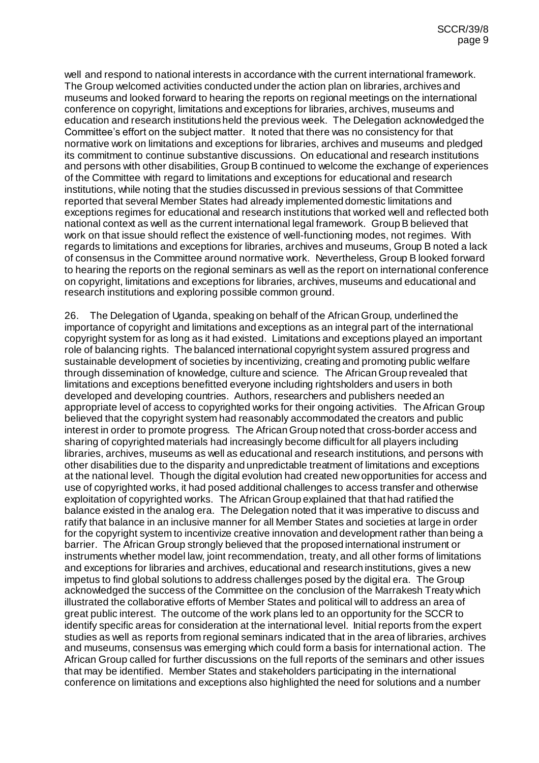well and respond to national interests in accordance with the current international framework. The Group welcomed activities conducted under the action plan on libraries, archives and museums and looked forward to hearing the reports on regional meetings on the international conference on copyright, limitations and exceptions for libraries, archives, museums and education and research institutions held the previous week. The Delegation acknowledged the Committee's effort on the subject matter. It noted that there was no consistency for that normative work on limitations and exceptions for libraries, archives and museums and pledged its commitment to continue substantive discussions. On educational and research institutions and persons with other disabilities, Group B continued to welcome the exchange of experiences of the Committee with regard to limitations and exceptions for educational and research institutions, while noting that the studies discussed in previous sessions of that Committee reported that several Member States had already implemented domestic limitations and exceptions regimes for educational and research institutions that worked well and reflected both national context as well as the current international legal framework. Group B believed that work on that issue should reflect the existence of well-functioning modes, not regimes. With regards to limitations and exceptions for libraries, archives and museums, Group B noted a lack of consensus in the Committee around normative work. Nevertheless, Group B looked forward to hearing the reports on the regional seminars as well as the report on international conference on copyright, limitations and exceptions for libraries, archives, museums and educational and research institutions and exploring possible common ground.

26. The Delegation of Uganda, speaking on behalf of the African Group, underlined the importance of copyright and limitations and exceptions as an integral part of the international copyright system for as long as it had existed. Limitations and exceptions played an important role of balancing rights. The balanced international copyright system assured progress and sustainable development of societies by incentivizing, creating and promoting public welfare through dissemination of knowledge, culture and science. The African Group revealed that limitations and exceptions benefitted everyone including rightsholders and users in both developed and developing countries. Authors, researchers and publishers needed an appropriate level of access to copyrighted works for their ongoing activities. The African Group believed that the copyright system had reasonably accommodated the creators and public interest in order to promote progress. The African Group noted that cross-border access and sharing of copyrighted materials had increasingly become difficult for all players including libraries, archives, museums as well as educational and research institutions, and persons with other disabilities due to the disparity and unpredictable treatment of limitations and exceptions at the national level. Though the digital evolution had created newopportunities for access and use of copyrighted works, it had posed additional challenges to access transfer and otherwise exploitation of copyrighted works. The African Group explained that that had ratified the balance existed in the analog era. The Delegation noted that it was imperative to discuss and ratify that balance in an inclusive manner for all Member States and societies at large in order for the copyright system to incentivize creative innovation and development rather than being a barrier. The African Group strongly believed that the proposed international instrument or instruments whether model law, joint recommendation, treaty, and all other forms of limitations and exceptions for libraries and archives, educational and research institutions, gives a new impetus to find global solutions to address challenges posed by the digital era. The Group acknowledged the success of the Committee on the conclusion of the Marrakesh Treaty which illustrated the collaborative efforts of Member States and political will to address an area of great public interest. The outcome of the work plans led to an opportunity for the SCCR to identify specific areas for consideration at the international level. Initial reports from the expert studies as well as reports from regional seminars indicated that in the area of libraries, archives and museums, consensus was emerging which could form a basis for international action. The African Group called for further discussions on the full reports of the seminars and other issues that may be identified. Member States and stakeholders participating in the international conference on limitations and exceptions also highlighted the need for solutions and a number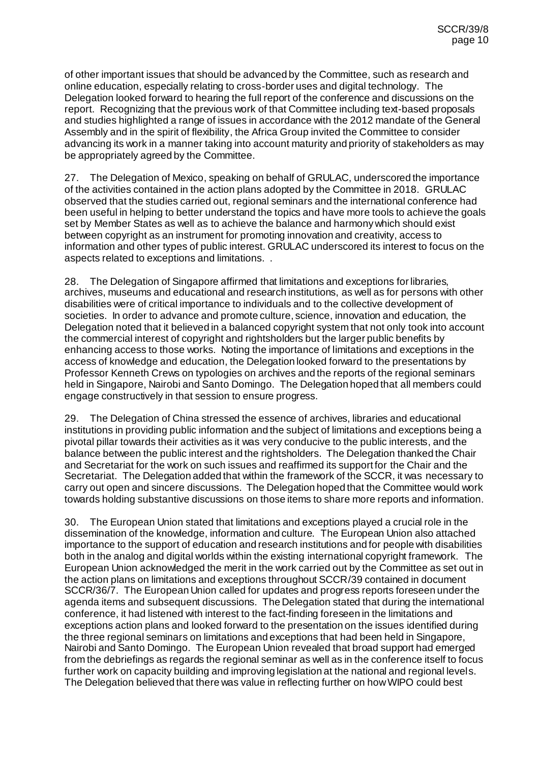of other important issues that should be advanced by the Committee, such as research and online education, especially relating to cross-border uses and digital technology. The Delegation looked forward to hearing the full report of the conference and discussions on the report. Recognizing that the previous work of that Committee including text-based proposals and studies highlighted a range of issues in accordance with the 2012 mandate of the General Assembly and in the spirit of flexibility, the Africa Group invited the Committee to consider advancing its work in a manner taking into account maturity and priority of stakeholders as may be appropriately agreed by the Committee.

27. The Delegation of Mexico, speaking on behalf of GRULAC, underscored the importance of the activities contained in the action plans adopted by the Committee in 2018. GRULAC observed that the studies carried out, regional seminars and the international conference had been useful in helping to better understand the topics and have more tools to achieve the goals set by Member States as well as to achieve the balance and harmony which should exist between copyright as an instrument for promoting innovation and creativity, access to information and other types of public interest. GRULAC underscored its interest to focus on the aspects related to exceptions and limitations. .

28. The Delegation of Singapore affirmed that limitations and exceptions for libraries, archives, museums and educational and research institutions, as well as for persons with other disabilities were of critical importance to individuals and to the collective development of societies. In order to advance and promote culture, science, innovation and education, the Delegation noted that it believed in a balanced copyright system that not only took into account the commercial interest of copyright and rightsholders but the larger public benefits by enhancing access to those works. Noting the importance of limitations and exceptions in the access of knowledge and education, the Delegation looked forward to the presentations by Professor Kenneth Crews on typologies on archives and the reports of the regional seminars held in Singapore, Nairobi and Santo Domingo. The Delegation hoped that all members could engage constructively in that session to ensure progress.

29. The Delegation of China stressed the essence of archives, libraries and educational institutions in providing public information and the subject of limitations and exceptions being a pivotal pillar towards their activities as it was very conducive to the public interests, and the balance between the public interest and the rightsholders. The Delegation thanked the Chair and Secretariat for the work on such issues and reaffirmed its support for the Chair and the Secretariat. The Delegation added that within the framework of the SCCR, it was necessary to carry out open and sincere discussions. The Delegation hoped that the Committee would work towards holding substantive discussions on those items to share more reports and information.

30. The European Union stated that limitations and exceptions played a crucial role in the dissemination of the knowledge, information and culture. The European Union also attached importance to the support of education and research institutions and for people with disabilities both in the analog and digital worlds within the existing international copyright framework. The European Union acknowledged the merit in the work carried out by the Committee as set out in the action plans on limitations and exceptions throughout SCCR/39 contained in document SCCR/36/7. The European Union called for updates and progress reports foreseen under the agenda items and subsequent discussions. The Delegation stated that during the international conference, it had listened with interest to the fact-finding foreseen in the limitations and exceptions action plans and looked forward to the presentation on the issues identified during the three regional seminars on limitations and exceptions that had been held in Singapore, Nairobi and Santo Domingo. The European Union revealed that broad support had emerged from the debriefings as regards the regional seminar as well as in the conference itself to focus further work on capacity building and improving legislation at the national and regional levels. The Delegation believed that there was value in reflecting further on how WIPO could best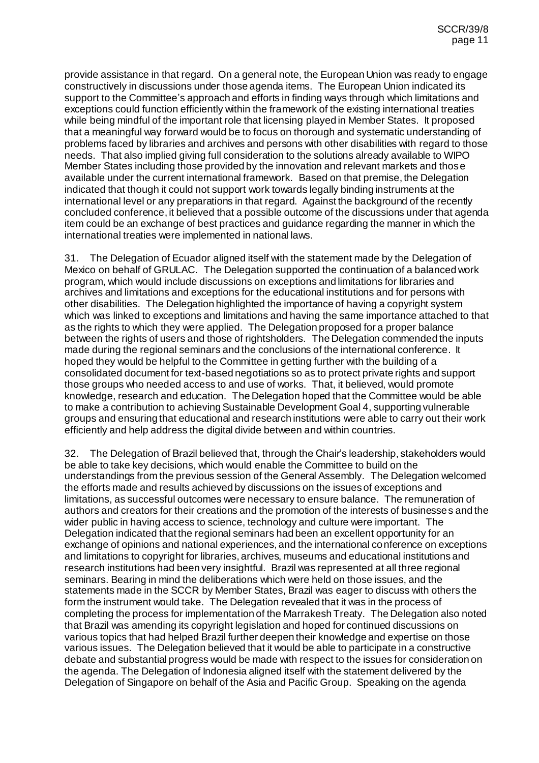provide assistance in that regard. On a general note, the European Union was ready to engage constructively in discussions under those agenda items. The European Union indicated its support to the Committee's approach and efforts in finding ways through which limitations and exceptions could function efficiently within the framework of the existing international treaties while being mindful of the important role that licensing played in Member States. It proposed that a meaningful way forward would be to focus on thorough and systematic understanding of problems faced by libraries and archives and persons with other disabilities with regard to those needs. That also implied giving full consideration to the solutions already available to WIPO Member States including those provided by the innovation and relevant markets and those available under the current international framework. Based on that premise, the Delegation indicated that though it could not support work towards legally binding instruments at the international level or any preparations in that regard. Against the background of the recently concluded conference, it believed that a possible outcome of the discussions under that agenda item could be an exchange of best practices and guidance regarding the manner in which the international treaties were implemented in national laws.

31. The Delegation of Ecuador aligned itself with the statement made by the Delegation of Mexico on behalf of GRULAC. The Delegation supported the continuation of a balanced work program, which would include discussions on exceptions and limitations for libraries and archives and limitations and exceptions for the educational institutions and for persons with other disabilities. The Delegation highlighted the importance of having a copyright system which was linked to exceptions and limitations and having the same importance attached to that as the rights to which they were applied. The Delegation proposed for a proper balance between the rights of users and those of rightsholders. The Delegation commended the inputs made during the regional seminars and the conclusions of the international conference. It hoped they would be helpful to the Committee in getting further with the building of a consolidated document for text-based negotiations so as to protect private rights and support those groups who needed access to and use of works. That, it believed, would promote knowledge, research and education. The Delegation hoped that the Committee would be able to make a contribution to achieving Sustainable Development Goal 4, supporting vulnerable groups and ensuring that educational and research institutions were able to carry out their work efficiently and help address the digital divide between and within countries.

32. The Delegation of Brazil believed that, through the Chair's leadership, stakeholders would be able to take key decisions, which would enable the Committee to build on the understandings from the previous session of the General Assembly. The Delegation welcomed the efforts made and results achieved by discussions on the issues of exceptions and limitations, as successful outcomes were necessary to ensure balance. The remuneration of authors and creators for their creations and the promotion of the interests of businesses and the wider public in having access to science, technology and culture were important. The Delegation indicated that the regional seminars had been an excellent opportunity for an exchange of opinions and national experiences, and the international conference on exceptions and limitations to copyright for libraries, archives, museums and educational institutions and research institutions had been very insightful. Brazil was represented at all three regional seminars. Bearing in mind the deliberations which were held on those issues, and the statements made in the SCCR by Member States, Brazil was eager to discuss with others the form the instrument would take. The Delegation revealed that it was in the process of completing the process for implementation of the Marrakesh Treaty. The Delegation also noted that Brazil was amending its copyright legislation and hoped for continued discussions on various topics that had helped Brazil further deepen their knowledge and expertise on those various issues. The Delegation believed that it would be able to participate in a constructive debate and substantial progress would be made with respect to the issues for consideration on the agenda. The Delegation of Indonesia aligned itself with the statement delivered by the Delegation of Singapore on behalf of the Asia and Pacific Group. Speaking on the agenda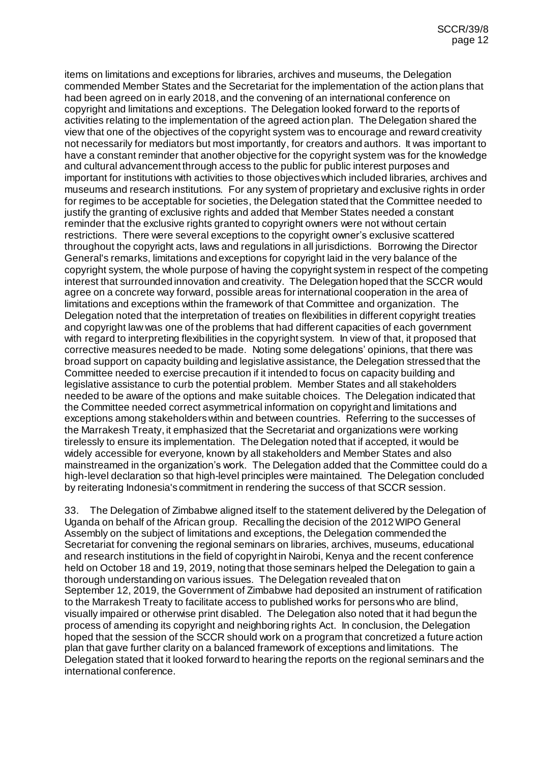items on limitations and exceptions for libraries, archives and museums, the Delegation commended Member States and the Secretariat for the implementation of the action plans that had been agreed on in early 2018, and the convening of an international conference on copyright and limitations and exceptions. The Delegation looked forward to the reports of activities relating to the implementation of the agreed action plan. The Delegation shared the view that one of the objectives of the copyright system was to encourage and reward creativity not necessarily for mediators but most importantly, for creators and authors. It was important to have a constant reminder that another objective for the copyright system was for the knowledge and cultural advancement through access to the public for public interest purposes and important for institutions with activities to those objectives which included libraries, archives and museums and research institutions. For any system of proprietary and exclusive rights in order for regimes to be acceptable for societies, the Delegation stated that the Committee needed to justify the granting of exclusive rights and added that Member States needed a constant reminder that the exclusive rights granted to copyright owners were not without certain restrictions. There were several exceptions to the copyright owner's exclusive scattered throughout the copyright acts, laws and regulations in all jurisdictions. Borrowing the Director General's remarks, limitations and exceptions for copyright laid in the very balance of the copyright system, the whole purpose of having the copyright system in respect of the competing interest that surrounded innovation and creativity. The Delegation hoped that the SCCR would agree on a concrete way forward, possible areas for international cooperation in the area of limitations and exceptions within the framework of that Committee and organization. The Delegation noted that the interpretation of treaties on flexibilities in different copyright treaties and copyright law was one of the problems that had different capacities of each government with regard to interpreting flexibilities in the copyright system. In view of that, it proposed that corrective measures needed to be made. Noting some delegations' opinions, that there was broad support on capacity building and legislative assistance, the Delegation stressed that the Committee needed to exercise precaution if it intended to focus on capacity building and legislative assistance to curb the potential problem. Member States and all stakeholders needed to be aware of the options and make suitable choices. The Delegation indicated that the Committee needed correct asymmetrical information on copyright and limitations and exceptions among stakeholders within and between countries. Referring to the successes of the Marrakesh Treaty, it emphasized that the Secretariat and organizations were working tirelessly to ensure its implementation. The Delegation noted that if accepted, it would be widely accessible for everyone, known by all stakeholders and Member States and also mainstreamed in the organization's work. The Delegation added that the Committee could do a high-level declaration so that high-level principles were maintained. The Delegation concluded by reiterating Indonesia's commitment in rendering the success of that SCCR session.

33. The Delegation of Zimbabwe aligned itself to the statement delivered by the Delegation of Uganda on behalf of the African group. Recalling the decision of the 2012 WIPO General Assembly on the subject of limitations and exceptions, the Delegation commended the Secretariat for convening the regional seminars on libraries, archives, museums, educational and research institutions in the field of copyright in Nairobi, Kenya and the recent conference held on October 18 and 19, 2019, noting that those seminars helped the Delegation to gain a thorough understanding on various issues. The Delegation revealed that on September 12, 2019, the Government of Zimbabwe had deposited an instrument of ratification to the Marrakesh Treaty to facilitate access to published works for persons who are blind, visually impaired or otherwise print disabled. The Delegation also noted that it had begun the process of amending its copyright and neighboring rights Act. In conclusion, the Delegation hoped that the session of the SCCR should work on a program that concretized a future action plan that gave further clarity on a balanced framework of exceptions and limitations. The Delegation stated that it looked forward to hearing the reports on the regional seminars and the international conference.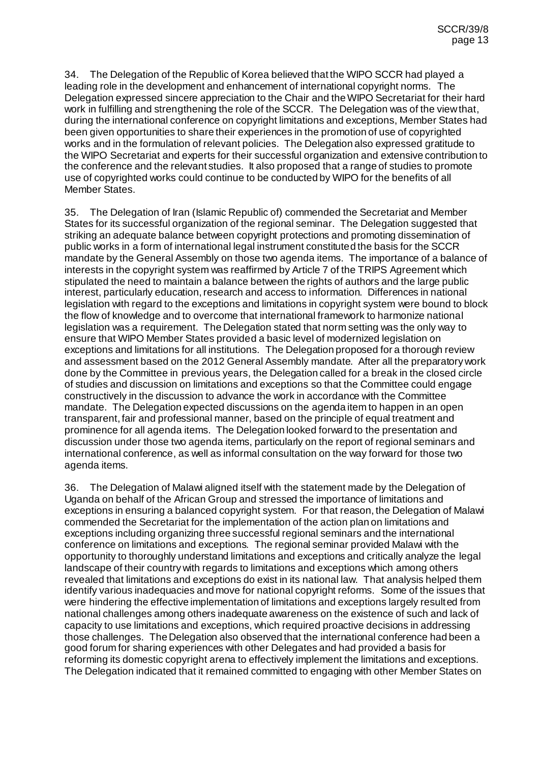34. The Delegation of the Republic of Korea believed that the WIPO SCCR had played a leading role in the development and enhancement of international copyright norms. The Delegation expressed sincere appreciation to the Chair and the WIPO Secretariat for their hard work in fulfilling and strengthening the role of the SCCR. The Delegation was of the view that, during the international conference on copyright limitations and exceptions, Member States had been given opportunities to share their experiences in the promotion of use of copyrighted works and in the formulation of relevant policies. The Delegation also expressed gratitude to the WIPO Secretariat and experts for their successful organization and extensive contribution to the conference and the relevant studies. It also proposed that a range of studies to promote use of copyrighted works could continue to be conducted by WIPO for the benefits of all Member States.

35. The Delegation of Iran (Islamic Republic of) commended the Secretariat and Member States for its successful organization of the regional seminar. The Delegation suggested that striking an adequate balance between copyright protections and promoting dissemination of public works in a form of international legal instrument constituted the basis for the SCCR mandate by the General Assembly on those two agenda items. The importance of a balance of interests in the copyright system was reaffirmed by Article 7 of the TRIPS Agreement which stipulated the need to maintain a balance between the rights of authors and the large public interest, particularly education, research and access to information. Differences in national legislation with regard to the exceptions and limitations in copyright system were bound to block the flow of knowledge and to overcome that international framework to harmonize national legislation was a requirement. The Delegation stated that norm setting was the only way to ensure that WIPO Member States provided a basic level of modernized legislation on exceptions and limitations for all institutions. The Delegation proposed for a thorough review and assessment based on the 2012 General Assembly mandate. After all the preparatory work done by the Committee in previous years, the Delegation called for a break in the closed circle of studies and discussion on limitations and exceptions so that the Committee could engage constructively in the discussion to advance the work in accordance with the Committee mandate. The Delegation expected discussions on the agenda item to happen in an open transparent, fair and professional manner, based on the principle of equal treatment and prominence for all agenda items. The Delegation looked forward to the presentation and discussion under those two agenda items, particularly on the report of regional seminars and international conference, as well as informal consultation on the way forward for those two agenda items.

36. The Delegation of Malawi aligned itself with the statement made by the Delegation of Uganda on behalf of the African Group and stressed the importance of limitations and exceptions in ensuring a balanced copyright system. For that reason, the Delegation of Malawi commended the Secretariat for the implementation of the action plan on limitations and exceptions including organizing three successful regional seminars and the international conference on limitations and exceptions. The regional seminar provided Malawi with the opportunity to thoroughly understand limitations and exceptions and critically analyze the legal landscape of their country with regards to limitations and exceptions which among others revealed that limitations and exceptions do exist in its national law. That analysis helped them identify various inadequacies and move for national copyright reforms. Some of the issues that were hindering the effective implementation of limitations and exceptions largely resulted from national challenges among others inadequate awareness on the existence of such and lack of capacity to use limitations and exceptions, which required proactive decisions in addressing those challenges. The Delegation also observed that the international conference had been a good forum for sharing experiences with other Delegates and had provided a basis for reforming its domestic copyright arena to effectively implement the limitations and exceptions. The Delegation indicated that it remained committed to engaging with other Member States on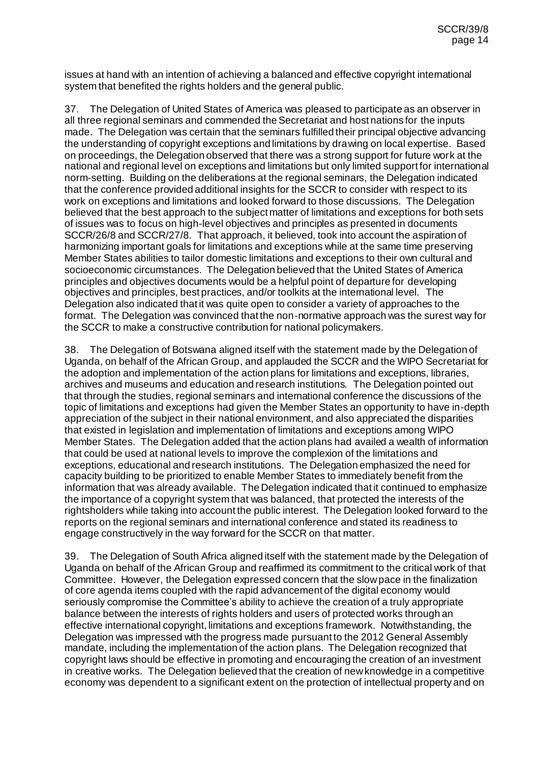issues at hand with an intention of achieving a balanced and effective copyright international system that benefited the rights holders and the general public.

37. The Delegation of United States of America was pleased to participate as an observer in all three regional seminars and commended the Secretariat and host nations for the inputs made. The Delegation was certain that the seminars fulfilled their principal objective advancing the understanding of copyright exceptions and limitations by drawing on local expertise. Based on proceedings, the Delegation observed that there was a strong support for future work at the national and regional level on exceptions and limitations but only limited support for international norm-setting. Building on the deliberations at the regional seminars, the Delegation indicated that the conference provided additional insights for the SCCR to consider with respect to its work on exceptions and limitations and looked forward to those discussions. The Delegation believed that the best approach to the subject matter of limitations and exceptions for both sets of issues was to focus on high-level objectives and principles as presented in documents SCCR/26/8 and SCCR/27/8. That approach, it believed, took into account the aspiration of harmonizing important goals for limitations and exceptions while at the same time preserving Member States abilities to tailor domestic limitations and exceptions to their own cultural and socioeconomic circumstances. The Delegation believed that the United States of America principles and objectives documents would be a helpful point of departure for developing objectives and principles, best practices, and/or toolkits at the international level. The Delegation also indicated that it was quite open to consider a variety of approaches to the format. The Delegation was convinced that the non-normative approach was the surest way for the SCCR to make a constructive contribution for national policymakers.

38. The Delegation of Botswana aligned itself with the statement made by the Delegation of Uganda, on behalf of the African Group, and applauded the SCCR and the WIPO Secretariat for the adoption and implementation of the action plans for limitations and exceptions, libraries, archives and museums and education and research institutions. The Delegation pointed out that through the studies, regional seminars and international conference the discussions of the topic of limitations and exceptions had given the Member States an opportunity to have in-depth appreciation of the subject in their national environment, and also appreciated the disparities that existed in legislation and implementation of limitations and exceptions among WIPO Member States. The Delegation added that the action plans had availed a wealth of information that could be used at national levels to improve the complexion of the limitations and exceptions, educational and research institutions. The Delegation emphasized the need for capacity building to be prioritized to enable Member States to immediately benefit from the information that was already available. The Delegation indicated that it continued to emphasize the importance of a copyright system that was balanced, that protected the interests of the rightsholders while taking into account the public interest. The Delegation looked forward to the reports on the regional seminars and international conference and stated its readiness to engage constructively in the way forward for the SCCR on that matter.

39. The Delegation of South Africa aligned itself with the statement made by the Delegation of Uganda on behalf of the African Group and reaffirmed its commitment to the critical work of that Committee. However, the Delegation expressed concern that the slow pace in the finalization of core agenda items coupled with the rapid advancement of the digital economy would seriously compromise the Committee's ability to achieve the creation of a truly appropriate balance between the interests of rights holders and users of protected works through an effective international copyright, limitations and exceptions framework. Notwithstanding, the Delegation was impressed with the progress made pursuant to the 2012 General Assembly mandate, including the implementation of the action plans. The Delegation recognized that copyright laws should be effective in promoting and encouraging the creation of an investment in creative works. The Delegation believed that the creation of new knowledge in a competitive economy was dependent to a significant extent on the protection of intellectual property and on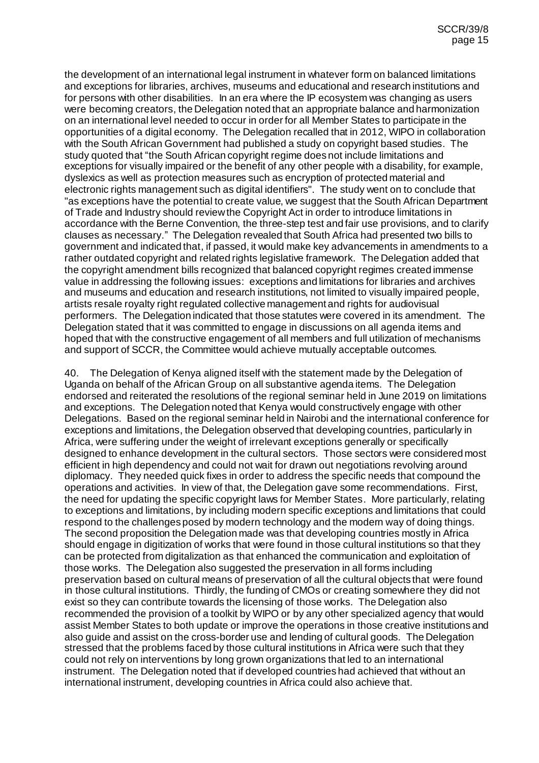the development of an international legal instrument in whatever form on balanced limitations and exceptions for libraries, archives, museums and educational and research institutions and for persons with other disabilities. In an era where the IP ecosystem was changing as users were becoming creators, the Delegation noted that an appropriate balance and harmonization on an international level needed to occur in order for all Member States to participate in the opportunities of a digital economy. The Delegation recalled that in 2012, WIPO in collaboration with the South African Government had published a study on copyright based studies. The study quoted that "the South African copyright regime does not include limitations and exceptions for visually impaired or the benefit of any other people with a disability, for example, dyslexics as well as protection measures such as encryption of protected material and electronic rights management such as digital identifiers". The study went on to conclude that "as exceptions have the potential to create value, we suggest that the South African Department of Trade and Industry should review the Copyright Act in order to introduce limitations in accordance with the Berne Convention, the three-step test and fair use provisions, and to clarify clauses as necessary." The Delegation revealed that South Africa had presented two bills to government and indicated that, if passed, it would make key advancements in amendments to a rather outdated copyright and related rights legislative framework. The Delegation added that the copyright amendment bills recognized that balanced copyright regimes created immense value in addressing the following issues: exceptions and limitations for libraries and archives and museums and education and research institutions, not limited to visually impaired people, artists resale royalty right regulated collective management and rights for audiovisual performers. The Delegation indicated that those statutes were covered in its amendment. The Delegation stated that it was committed to engage in discussions on all agenda items and hoped that with the constructive engagement of all members and full utilization of mechanisms and support of SCCR, the Committee would achieve mutually acceptable outcomes.

40. The Delegation of Kenya aligned itself with the statement made by the Delegation of Uganda on behalf of the African Group on all substantive agenda items. The Delegation endorsed and reiterated the resolutions of the regional seminar held in June 2019 on limitations and exceptions. The Delegation noted that Kenya would constructively engage with other Delegations. Based on the regional seminar held in Nairobi and the international conference for exceptions and limitations, the Delegation observed that developing countries, particularly in Africa, were suffering under the weight of irrelevant exceptions generally or specifically designed to enhance development in the cultural sectors. Those sectors were considered most efficient in high dependency and could not wait for drawn out negotiations revolving around diplomacy. They needed quick fixes in order to address the specific needs that compound the operations and activities. In view of that, the Delegation gave some recommendations. First, the need for updating the specific copyright laws for Member States. More particularly, relating to exceptions and limitations, by including modern specific exceptions and limitations that could respond to the challenges posed by modern technology and the modern way of doing things. The second proposition the Delegation made was that developing countries mostly in Africa should engage in digitization of works that were found in those cultural institutions so that they can be protected from digitalization as that enhanced the communication and exploitation of those works. The Delegation also suggested the preservation in all forms including preservation based on cultural means of preservation of all the cultural objects that were found in those cultural institutions. Thirdly, the funding of CMOs or creating somewhere they did not exist so they can contribute towards the licensing of those works. The Delegation also recommended the provision of a toolkit by WIPO or by any other specialized agency that would assist Member States to both update or improve the operations in those creative institutions and also guide and assist on the cross-border use and lending of cultural goods. The Delegation stressed that the problems faced by those cultural institutions in Africa were such that they could not rely on interventions by long grown organizations that led to an international instrument. The Delegation noted that if developed countries had achieved that without an international instrument, developing countries in Africa could also achieve that.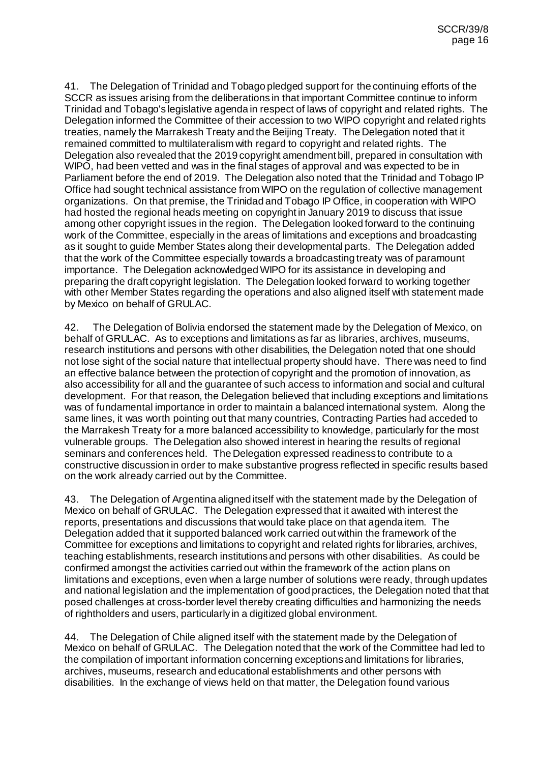41. The Delegation of Trinidad and Tobago pledged support for the continuing efforts of the SCCR as issues arising from the deliberations in that important Committee continue to inform Trinidad and Tobago's legislative agenda in respect of laws of copyright and related rights. The Delegation informed the Committee of their accession to two WIPO copyright and related rights treaties, namely the Marrakesh Treaty and the Beijing Treaty. The Delegation noted that it remained committed to multilateralism with regard to copyright and related rights. The Delegation also revealed that the 2019 copyright amendment bill, prepared in consultation with WIPO, had been vetted and was in the final stages of approval and was expected to be in Parliament before the end of 2019. The Delegation also noted that the Trinidad and Tobago IP Office had sought technical assistance from WIPO on the regulation of collective management organizations. On that premise, the Trinidad and Tobago IP Office, in cooperation with WIPO had hosted the regional heads meeting on copyright in January 2019 to discuss that issue among other copyright issues in the region. The Delegation looked forward to the continuing work of the Committee, especially in the areas of limitations and exceptions and broadcasting as it sought to guide Member States along their developmental parts. The Delegation added that the work of the Committee especially towards a broadcasting treaty was of paramount importance. The Delegation acknowledged WIPO for its assistance in developing and preparing the draft copyright legislation. The Delegation looked forward to working together with other Member States regarding the operations and also aligned itself with statement made by Mexico on behalf of GRULAC.

42. The Delegation of Bolivia endorsed the statement made by the Delegation of Mexico, on behalf of GRULAC. As to exceptions and limitations as far as libraries, archives, museums, research institutions and persons with other disabilities, the Delegation noted that one should not lose sight of the social nature that intellectual property should have. There was need to find an effective balance between the protection of copyright and the promotion of innovation, as also accessibility for all and the guarantee of such access to information and social and cultural development. For that reason, the Delegation believed that including exceptions and limitations was of fundamental importance in order to maintain a balanced international system. Along the same lines, it was worth pointing out that many countries, Contracting Parties had acceded to the Marrakesh Treaty for a more balanced accessibility to knowledge, particularly for the most vulnerable groups. The Delegation also showed interest in hearing the results of regional seminars and conferences held. The Delegation expressed readiness to contribute to a constructive discussion in order to make substantive progress reflected in specific results based on the work already carried out by the Committee.

43. The Delegation of Argentina aligned itself with the statement made by the Delegation of Mexico on behalf of GRULAC. The Delegation expressed that it awaited with interest the reports, presentations and discussions that would take place on that agenda item. The Delegation added that it supported balanced work carried out within the framework of the Committee for exceptions and limitations to copyright and related rights for libraries, archives, teaching establishments, research institutions and persons with other disabilities. As could be confirmed amongst the activities carried out within the framework of the action plans on limitations and exceptions, even when a large number of solutions were ready, through updates and national legislation and the implementation of good practices, the Delegation noted that that posed challenges at cross-border level thereby creating difficulties and harmonizing the needs of rightholders and users, particularly in a digitized global environment.

44. The Delegation of Chile aligned itself with the statement made by the Delegation of Mexico on behalf of GRULAC. The Delegation noted that the work of the Committee had led to the compilation of important information concerning exceptions and limitations for libraries, archives, museums, research and educational establishments and other persons with disabilities. In the exchange of views held on that matter, the Delegation found various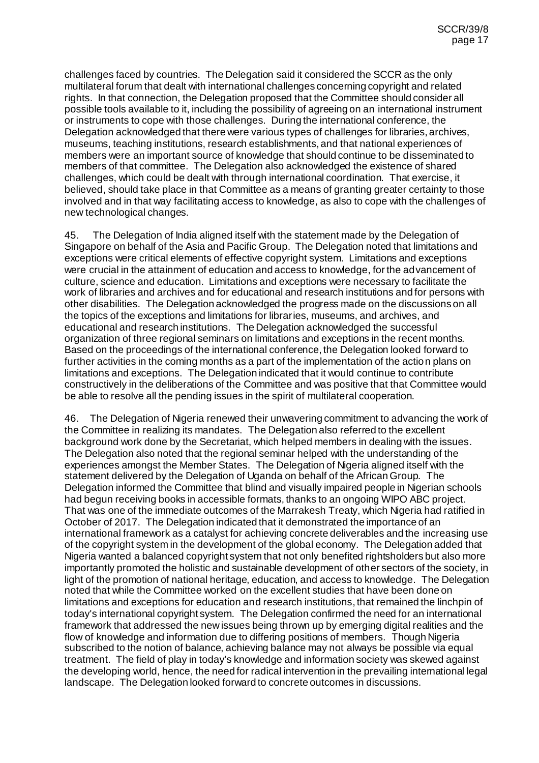challenges faced by countries. The Delegation said it considered the SCCR as the only multilateral forum that dealt with international challenges concerning copyright and related rights. In that connection, the Delegation proposed that the Committee should consider all possible tools available to it, including the possibility of agreeing on an international instrument or instruments to cope with those challenges. During the international conference, the Delegation acknowledged that there were various types of challenges for libraries, archives, museums, teaching institutions, research establishments, and that national experiences of members were an important source of knowledge that should continue to be disseminated to members of that committee. The Delegation also acknowledged the existence of shared challenges, which could be dealt with through international coordination. That exercise, it believed, should take place in that Committee as a means of granting greater certainty to those involved and in that way facilitating access to knowledge, as also to cope with the challenges of new technological changes.

45. The Delegation of India aligned itself with the statement made by the Delegation of Singapore on behalf of the Asia and Pacific Group. The Delegation noted that limitations and exceptions were critical elements of effective copyright system. Limitations and exceptions were crucial in the attainment of education and access to knowledge, for the advancement of culture, science and education. Limitations and exceptions were necessary to facilitate the work of libraries and archives and for educational and research institutions and for persons with other disabilities. The Delegation acknowledged the progress made on the discussions on all the topics of the exceptions and limitations for libraries, museums, and archives, and educational and research institutions. The Delegation acknowledged the successful organization of three regional seminars on limitations and exceptions in the recent months. Based on the proceedings of the international conference, the Delegation looked forward to further activities in the coming months as a part of the implementation of the action plans on limitations and exceptions. The Delegation indicated that it would continue to contribute constructively in the deliberations of the Committee and was positive that that Committee would be able to resolve all the pending issues in the spirit of multilateral cooperation.

46. The Delegation of Nigeria renewed their unwavering commitment to advancing the work of the Committee in realizing its mandates. The Delegation also referred to the excellent background work done by the Secretariat, which helped members in dealing with the issues. The Delegation also noted that the regional seminar helped with the understanding of the experiences amongst the Member States. The Delegation of Nigeria aligned itself with the statement delivered by the Delegation of Uganda on behalf of the African Group. The Delegation informed the Committee that blind and visually impaired people in Nigerian schools had begun receiving books in accessible formats, thanks to an ongoing WIPO ABC project. That was one of the immediate outcomes of the Marrakesh Treaty, which Nigeria had ratified in October of 2017. The Delegation indicated that it demonstrated the importance of an international framework as a catalyst for achieving concrete deliverables and the increasing use of the copyright system in the development of the global economy. The Delegation added that Nigeria wanted a balanced copyright system that not only benefited rightsholders but also more importantly promoted the holistic and sustainable development of other sectors of the society, in light of the promotion of national heritage, education, and access to knowledge. The Delegation noted that while the Committee worked on the excellent studies that have been done on limitations and exceptions for education and research institutions, that remained the linchpin of today's international copyright system. The Delegation confirmed the need for an international framework that addressed the new issues being thrown up by emerging digital realities and the flow of knowledge and information due to differing positions of members. Though Nigeria subscribed to the notion of balance, achieving balance may not always be possible via equal treatment. The field of play in today's knowledge and information society was skewed against the developing world, hence, the need for radical intervention in the prevailing international legal landscape. The Delegation looked forward to concrete outcomes in discussions.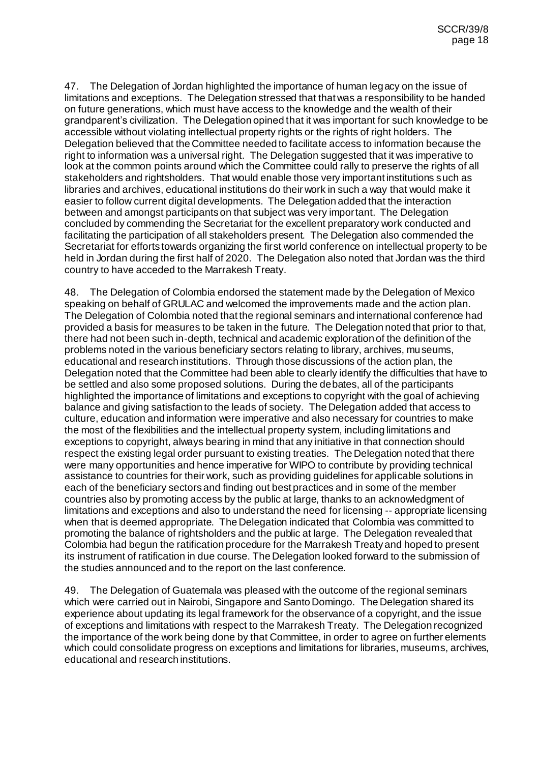47. The Delegation of Jordan highlighted the importance of human legacy on the issue of limitations and exceptions. The Delegation stressed that that was a responsibility to be handed on future generations, which must have access to the knowledge and the wealth of their grandparent's civilization. The Delegation opined that it was important for such knowledge to be accessible without violating intellectual property rights or the rights of right holders. The Delegation believed that the Committee needed to facilitate access to information because the right to information was a universal right. The Delegation suggested that it was imperative to look at the common points around which the Committee could rally to preserve the rights of all stakeholders and rightsholders. That would enable those very important institutions such as libraries and archives, educational institutions do their work in such a way that would make it easier to follow current digital developments. The Delegation added that the interaction between and amongst participants on that subject was very important. The Delegation concluded by commending the Secretariat for the excellent preparatory work conducted and facilitating the participation of all stakeholders present. The Delegation also commended the Secretariat for efforts towards organizing the first world conference on intellectual property to be held in Jordan during the first half of 2020. The Delegation also noted that Jordan was the third country to have acceded to the Marrakesh Treaty.

48. The Delegation of Colombia endorsed the statement made by the Delegation of Mexico speaking on behalf of GRULAC and welcomed the improvements made and the action plan. The Delegation of Colombia noted that the regional seminars and international conference had provided a basis for measures to be taken in the future. The Delegation noted that prior to that, there had not been such in-depth, technical and academic exploration of the definition of the problems noted in the various beneficiary sectors relating to library, archives, museums, educational and research institutions. Through those discussions of the action plan, the Delegation noted that the Committee had been able to clearly identify the difficulties that have to be settled and also some proposed solutions. During the debates, all of the participants highlighted the importance of limitations and exceptions to copyright with the goal of achieving balance and giving satisfaction to the leads of society. The Delegation added that access to culture, education and information were imperative and also necessary for countries to make the most of the flexibilities and the intellectual property system, including limitations and exceptions to copyright, always bearing in mind that any initiative in that connection should respect the existing legal order pursuant to existing treaties. The Delegation noted that there were many opportunities and hence imperative for WIPO to contribute by providing technical assistance to countries for their work, such as providing guidelines for applicable solutions in each of the beneficiary sectors and finding out best practices and in some of the member countries also by promoting access by the public at large, thanks to an acknowledgment of limitations and exceptions and also to understand the need for licensing -- appropriate licensing when that is deemed appropriate. The Delegation indicated that Colombia was committed to promoting the balance of rightsholders and the public at large. The Delegation revealed that Colombia had begun the ratification procedure for the Marrakesh Treaty and hoped to present its instrument of ratification in due course. The Delegation looked forward to the submission of the studies announced and to the report on the last conference.

49. The Delegation of Guatemala was pleased with the outcome of the regional seminars which were carried out in Nairobi, Singapore and Santo Domingo. The Delegation shared its experience about updating its legal framework for the observance of a copyright, and the issue of exceptions and limitations with respect to the Marrakesh Treaty. The Delegation recognized the importance of the work being done by that Committee, in order to agree on further elements which could consolidate progress on exceptions and limitations for libraries, museums, archives, educational and research institutions.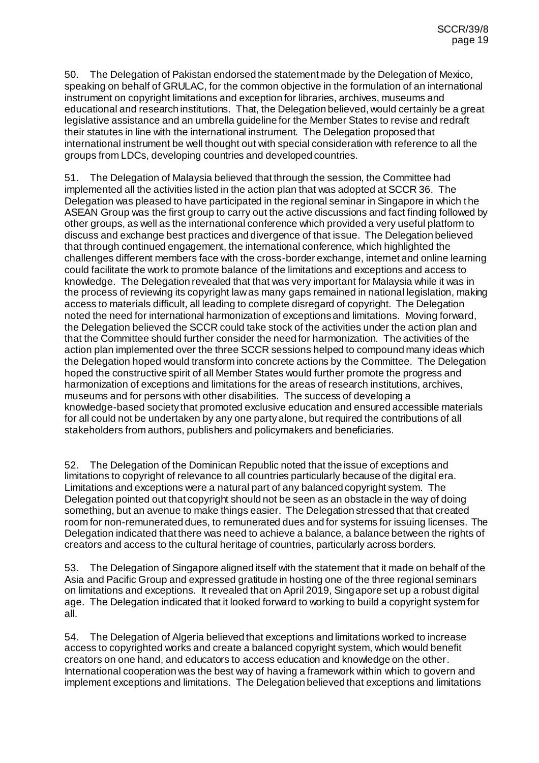50. The Delegation of Pakistan endorsed the statement made by the Delegation of Mexico, speaking on behalf of GRULAC, for the common objective in the formulation of an international instrument on copyright limitations and exception for libraries, archives, museums and educational and research institutions. That, the Delegation believed, would certainly be a great legislative assistance and an umbrella guideline for the Member States to revise and redraft their statutes in line with the international instrument. The Delegation proposed that international instrument be well thought out with special consideration with reference to all the groups from LDCs, developing countries and developed countries.

51. The Delegation of Malaysia believed that through the session, the Committee had implemented all the activities listed in the action plan that was adopted at SCCR 36. The Delegation was pleased to have participated in the regional seminar in Singapore in which the ASEAN Group was the first group to carry out the active discussions and fact finding followed by other groups, as well as the international conference which provided a very useful platform to discuss and exchange best practices and divergence of that issue. The Delegation believed that through continued engagement, the international conference, which highlighted the challenges different members face with the cross-border exchange, internet and online learning could facilitate the work to promote balance of the limitations and exceptions and access to knowledge. The Delegation revealed that that was very important for Malaysia while it was in the process of reviewing its copyright law as many gaps remained in national legislation, making access to materials difficult, all leading to complete disregard of copyright. The Delegation noted the need for international harmonization of exceptions and limitations. Moving forward, the Delegation believed the SCCR could take stock of the activities under the action plan and that the Committee should further consider the need for harmonization. The activities of the action plan implemented over the three SCCR sessions helped to compound many ideas which the Delegation hoped would transform into concrete actions by the Committee. The Delegation hoped the constructive spirit of all Member States would further promote the progress and harmonization of exceptions and limitations for the areas of research institutions, archives, museums and for persons with other disabilities. The success of developing a knowledge-based society that promoted exclusive education and ensured accessible materials for all could not be undertaken by any one party alone, but required the contributions of all stakeholders from authors, publishers and policymakers and beneficiaries.

52. The Delegation of the Dominican Republic noted that the issue of exceptions and limitations to copyright of relevance to all countries particularly because of the digital era. Limitations and exceptions were a natural part of any balanced copyright system. The Delegation pointed out that copyright should not be seen as an obstacle in the way of doing something, but an avenue to make things easier. The Delegation stressed that that created room for non-remunerated dues, to remunerated dues and for systems for issuing licenses. The Delegation indicated that there was need to achieve a balance, a balance between the rights of creators and access to the cultural heritage of countries, particularly across borders.

53. The Delegation of Singapore aligned itself with the statement that it made on behalf of the Asia and Pacific Group and expressed gratitude in hosting one of the three regional seminars on limitations and exceptions. It revealed that on April 2019, Singapore set up a robust digital age. The Delegation indicated that it looked forward to working to build a copyright system for all.

54. The Delegation of Algeria believed that exceptions and limitations worked to increase access to copyrighted works and create a balanced copyright system, which would benefit creators on one hand, and educators to access education and knowledge on the other. International cooperation was the best way of having a framework within which to govern and implement exceptions and limitations. The Delegation believed that exceptions and limitations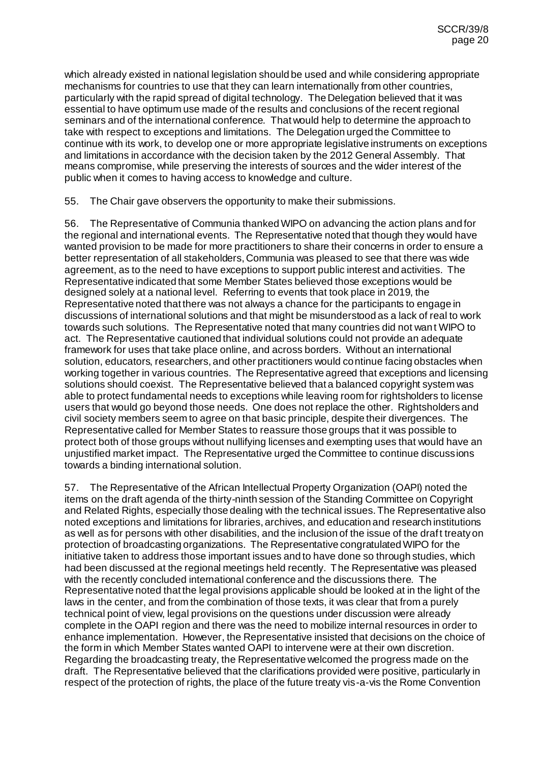which already existed in national legislation should be used and while considering appropriate mechanisms for countries to use that they can learn internationally from other countries, particularly with the rapid spread of digital technology. The Delegation believed that it was essential to have optimum use made of the results and conclusions of the recent regional seminars and of the international conference. That would help to determine the approach to take with respect to exceptions and limitations. The Delegation urged the Committee to continue with its work, to develop one or more appropriate legislative instruments on exceptions and limitations in accordance with the decision taken by the 2012 General Assembly. That means compromise, while preserving the interests of sources and the wider interest of the public when it comes to having access to knowledge and culture.

55. The Chair gave observers the opportunity to make their submissions.

56. The Representative of Communia thanked WIPO on advancing the action plans and for the regional and international events. The Representative noted that though they would have wanted provision to be made for more practitioners to share their concerns in order to ensure a better representation of all stakeholders, Communia was pleased to see that there was wide agreement, as to the need to have exceptions to support public interest and activities. The Representative indicated that some Member States believed those exceptions would be designed solely at a national level. Referring to events that took place in 2019, the Representative noted that there was not always a chance for the participants to engage in discussions of international solutions and that might be misunderstood as a lack of real to work towards such solutions. The Representative noted that many countries did not want WIPO to act. The Representative cautioned that individual solutions could not provide an adequate framework for uses that take place online, and across borders. Without an international solution, educators, researchers, and other practitioners would continue facing obstacles when working together in various countries. The Representative agreed that exceptions and licensing solutions should coexist. The Representative believed that a balanced copyright system was able to protect fundamental needs to exceptions while leaving room for rightsholders to license users that would go beyond those needs. One does not replace the other. Rightsholders and civil society members seem to agree on that basic principle, despite their divergences. The Representative called for Member States to reassure those groups that it was possible to protect both of those groups without nullifying licenses and exempting uses that would have an unjustified market impact. The Representative urged the Committee to continue discussions towards a binding international solution.

57. The Representative of the African Intellectual Property Organization (OAPI) noted the items on the draft agenda of the thirty-ninth session of the Standing Committee on Copyright and Related Rights, especially those dealing with the technical issues. The Representative also noted exceptions and limitations for libraries, archives, and education and research institutions as well as for persons with other disabilities, and the inclusion of the issue of the draft treaty on protection of broadcasting organizations. The Representative congratulated WIPO for the initiative taken to address those important issues and to have done so through studies, which had been discussed at the regional meetings held recently. The Representative was pleased with the recently concluded international conference and the discussions there. The Representative noted that the legal provisions applicable should be looked at in the light of the laws in the center, and from the combination of those texts, it was clear that from a purely technical point of view, legal provisions on the questions under discussion were already complete in the OAPI region and there was the need to mobilize internal resources in order to enhance implementation. However, the Representative insisted that decisions on the choice of the form in which Member States wanted OAPI to intervene were at their own discretion. Regarding the broadcasting treaty, the Representative welcomed the progress made on the draft. The Representative believed that the clarifications provided were positive, particularly in respect of the protection of rights, the place of the future treaty vis-a-vis the Rome Convention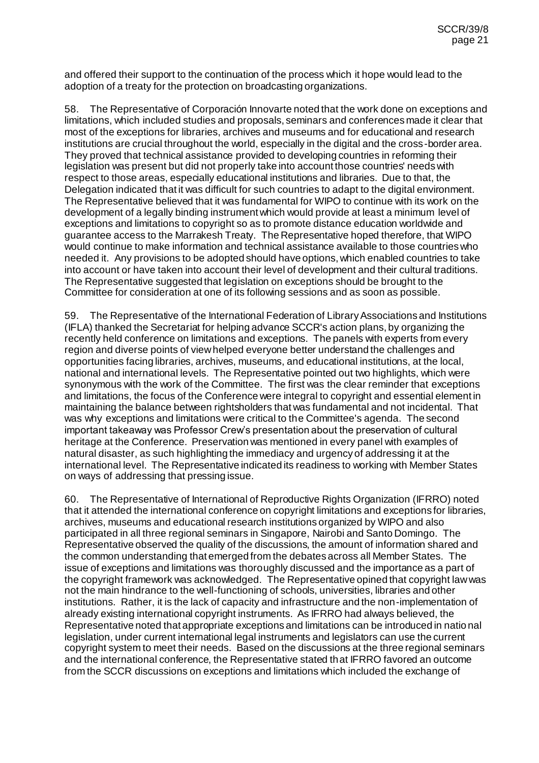and offered their support to the continuation of the process which it hope would lead to the adoption of a treaty for the protection on broadcasting organizations.

58. The Representative of Corporación Innovarte noted that the work done on exceptions and limitations, which included studies and proposals, seminars and conferences made it clear that most of the exceptions for libraries, archives and museums and for educational and research institutions are crucial throughout the world, especially in the digital and the cross-border area. They proved that technical assistance provided to developing countries in reforming their legislation was present but did not properly take into account those countries' needs with respect to those areas, especially educational institutions and libraries. Due to that, the Delegation indicated that it was difficult for such countries to adapt to the digital environment. The Representative believed that it was fundamental for WIPO to continue with its work on the development of a legally binding instrument which would provide at least a minimum level of exceptions and limitations to copyright so as to promote distance education worldwide and guarantee access to the Marrakesh Treaty. The Representative hoped therefore, that WIPO would continue to make information and technical assistance available to those countries who needed it. Any provisions to be adopted should have options, which enabled countries to take into account or have taken into account their level of development and their cultural traditions. The Representative suggested that legislation on exceptions should be brought to the Committee for consideration at one of its following sessions and as soon as possible.

59. The Representative of the International Federation of Library Associations and Institutions (IFLA) thanked the Secretariat for helping advance SCCR's action plans, by organizing the recently held conference on limitations and exceptions. The panels with experts from every region and diverse points of view helped everyone better understand the challenges and opportunities facing libraries, archives, museums, and educational institutions, at the local, national and international levels. The Representative pointed out two highlights, which were synonymous with the work of the Committee. The first was the clear reminder that exceptions and limitations, the focus of the Conference were integral to copyright and essential element in maintaining the balance between rightsholders that was fundamental and not incidental. That was why exceptions and limitations were critical to the Committee's agenda. The second important takeaway was Professor Crew's presentation about the preservation of cultural heritage at the Conference. Preservation was mentioned in every panel with examples of natural disaster, as such highlighting the immediacy and urgency of addressing it at the international level. The Representative indicated its readiness to working with Member States on ways of addressing that pressing issue.

60. The Representative of International of Reproductive Rights Organization (IFRRO) noted that it attended the international conference on copyright limitations and exceptions for libraries, archives, museums and educational research institutions organized by WIPO and also participated in all three regional seminars in Singapore, Nairobi and Santo Domingo. The Representative observed the quality of the discussions, the amount of information shared and the common understanding that emerged from the debates across all Member States. The issue of exceptions and limitations was thoroughly discussed and the importance as a part of the copyright framework was acknowledged. The Representative opined that copyright law was not the main hindrance to the well-functioning of schools, universities, libraries and other institutions. Rather, it is the lack of capacity and infrastructure and the non-implementation of already existing international copyright instruments. As IFRRO had always believed, the Representative noted that appropriate exceptions and limitations can be introduced in natio nal legislation, under current international legal instruments and legislators can use the current copyright system to meet their needs. Based on the discussions at the three regional seminars and the international conference, the Representative stated that IFRRO favored an outcome from the SCCR discussions on exceptions and limitations which included the exchange of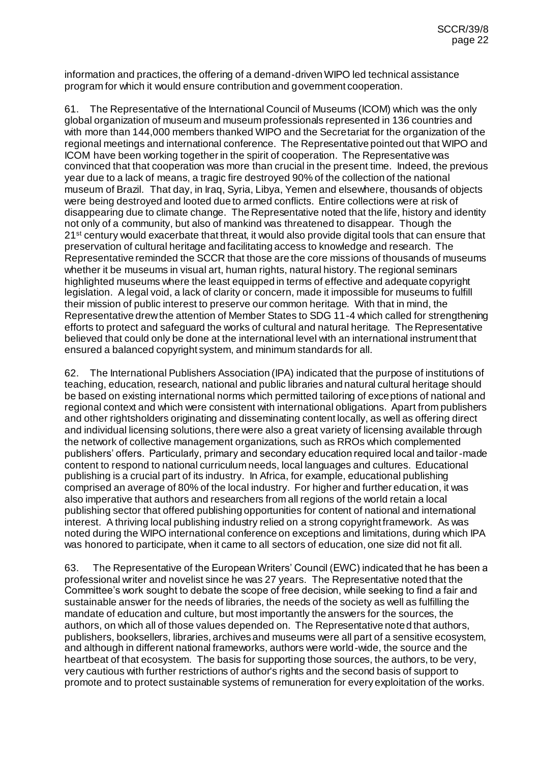information and practices, the offering of a demand-driven WIPO led technical assistance program for which it would ensure contribution and government cooperation.

61. The Representative of the International Council of Museums (ICOM) which was the only global organization of museum and museum professionals represented in 136 countries and with more than 144,000 members thanked WIPO and the Secretariat for the organization of the regional meetings and international conference. The Representative pointed out that WIPO and ICOM have been working together in the spirit of cooperation. The Representative was convinced that that cooperation was more than crucial in the present time. Indeed, the previous year due to a lack of means, a tragic fire destroyed 90% of the collection of the national museum of Brazil. That day, in Iraq, Syria, Libya, Yemen and elsewhere, thousands of objects were being destroyed and looted due to armed conflicts. Entire collections were at risk of disappearing due to climate change. The Representative noted that the life, history and identity not only of a community, but also of mankind was threatened to disappear. Though the 21<sup>st</sup> century would exacerbate that threat, it would also provide digital tools that can ensure that preservation of cultural heritage and facilitating access to knowledge and research. The Representative reminded the SCCR that those are the core missions of thousands of museums whether it be museums in visual art, human rights, natural history. The regional seminars highlighted museums where the least equipped in terms of effective and adequate copyright legislation. A legal void, a lack of clarity or concern, made it impossible for museums to fulfill their mission of public interest to preserve our common heritage. With that in mind, the Representative drew the attention of Member States to SDG 11-4 which called for strengthening efforts to protect and safeguard the works of cultural and natural heritage. The Representative believed that could only be done at the international level with an international instrument that ensured a balanced copyright system, and minimum standards for all.

62. The International Publishers Association (IPA) indicated that the purpose of institutions of teaching, education, research, national and public libraries and natural cultural heritage should be based on existing international norms which permitted tailoring of exceptions of national and regional context and which were consistent with international obligations. Apart from publishers and other rightsholders originating and disseminating content locally, as well as offering direct and individual licensing solutions, there were also a great variety of licensing available through the network of collective management organizations, such as RROs which complemented publishers' offers. Particularly, primary and secondary education required local and tailor-made content to respond to national curriculum needs, local languages and cultures. Educational publishing is a crucial part of its industry. In Africa, for example, educational publishing comprised an average of 80% of the local industry. For higher and further education, it was also imperative that authors and researchers from all regions of the world retain a local publishing sector that offered publishing opportunities for content of national and international interest. A thriving local publishing industry relied on a strong copyright framework. As was noted during the WIPO international conference on exceptions and limitations, during which IPA was honored to participate, when it came to all sectors of education, one size did not fit all.

63. The Representative of the European Writers' Council (EWC) indicated that he has been a professional writer and novelist since he was 27 years. The Representative noted that the Committee's work sought to debate the scope of free decision, while seeking to find a fair and sustainable answer for the needs of libraries, the needs of the society as well as fulfilling the mandate of education and culture, but most importantly the answers for the sources, the authors, on which all of those values depended on. The Representative noted that authors, publishers, booksellers, libraries, archives and museums were all part of a sensitive ecosystem, and although in different national frameworks, authors were world-wide, the source and the heartbeat of that ecosystem. The basis for supporting those sources, the authors, to be very, very cautious with further restrictions of author's rights and the second basis of support to promote and to protect sustainable systems of remuneration for every exploitation of the works.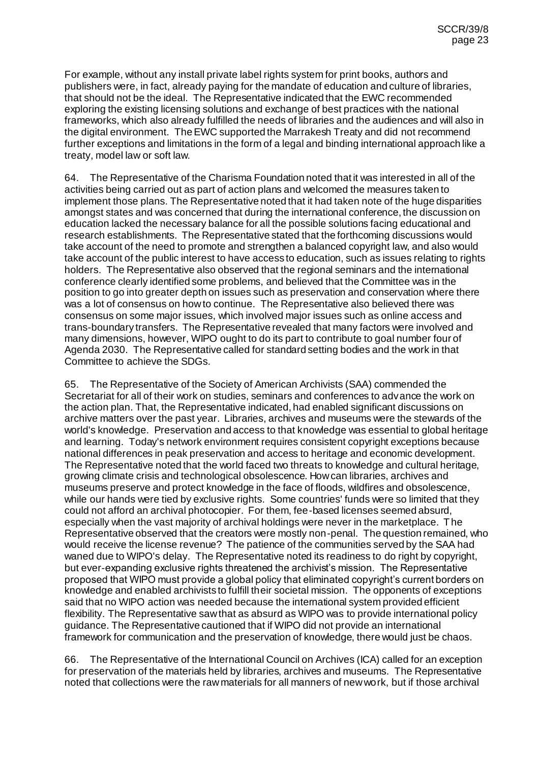For example, without any install private label rights system for print books, authors and publishers were, in fact, already paying for the mandate of education and culture of libraries, that should not be the ideal. The Representative indicated that the EWC recommended exploring the existing licensing solutions and exchange of best practices with the national frameworks, which also already fulfilled the needs of libraries and the audiences and will also in the digital environment. The EWC supported the Marrakesh Treaty and did not recommend further exceptions and limitations in the form of a legal and binding international approach like a treaty, model law or soft law.

64. The Representative of the Charisma Foundation noted that it was interested in all of the activities being carried out as part of action plans and welcomed the measures taken to implement those plans. The Representative noted that it had taken note of the huge disparities amongst states and was concerned that during the international conference, the discussion on education lacked the necessary balance for all the possible solutions facing educational and research establishments. The Representative stated that the forthcoming discussions would take account of the need to promote and strengthen a balanced copyright law, and also would take account of the public interest to have access to education, such as issues relating to rights holders. The Representative also observed that the regional seminars and the international conference clearly identified some problems, and believed that the Committee was in the position to go into greater depth on issues such as preservation and conservation where there was a lot of consensus on how to continue. The Representative also believed there was consensus on some major issues, which involved major issues such as online access and trans-boundary transfers. The Representative revealed that many factors were involved and many dimensions, however, WIPO ought to do its part to contribute to goal number four of Agenda 2030. The Representative called for standard setting bodies and the work in that Committee to achieve the SDGs.

65. The Representative of the Society of American Archivists (SAA) commended the Secretariat for all of their work on studies, seminars and conferences to advance the work on the action plan. That, the Representative indicated, had enabled significant discussions on archive matters over the past year. Libraries, archives and museums were the stewards of the world's knowledge. Preservation and access to that knowledge was essential to global heritage and learning. Today's network environment requires consistent copyright exceptions because national differences in peak preservation and access to heritage and economic development. The Representative noted that the world faced two threats to knowledge and cultural heritage, growing climate crisis and technological obsolescence. How can libraries, archives and museums preserve and protect knowledge in the face of floods, wildfires and obsolescence, while our hands were tied by exclusive rights. Some countries' funds were so limited that they could not afford an archival photocopier. For them, fee-based licenses seemed absurd, especially when the vast majority of archival holdings were never in the marketplace. The Representative observed that the creators were mostly non-penal. The question remained, who would receive the license revenue? The patience of the communities served by the SAA had waned due to WIPO's delay. The Representative noted its readiness to do right by copyright, but ever-expanding exclusive rights threatened the archivist's mission. The Representative proposed that WIPO must provide a global policy that eliminated copyright's current borders on knowledge and enabled archivists to fulfill their societal mission. The opponents of exceptions said that no WIPO action was needed because the international system provided efficient flexibility. The Representative saw that as absurd as WIPO was to provide international policy guidance. The Representative cautioned that if WIPO did not provide an international framework for communication and the preservation of knowledge, there would just be chaos.

66. The Representative of the International Council on Archives (ICA) called for an exception for preservation of the materials held by libraries, archives and museums. The Representative noted that collections were the raw materials for all manners of new work, but if those archival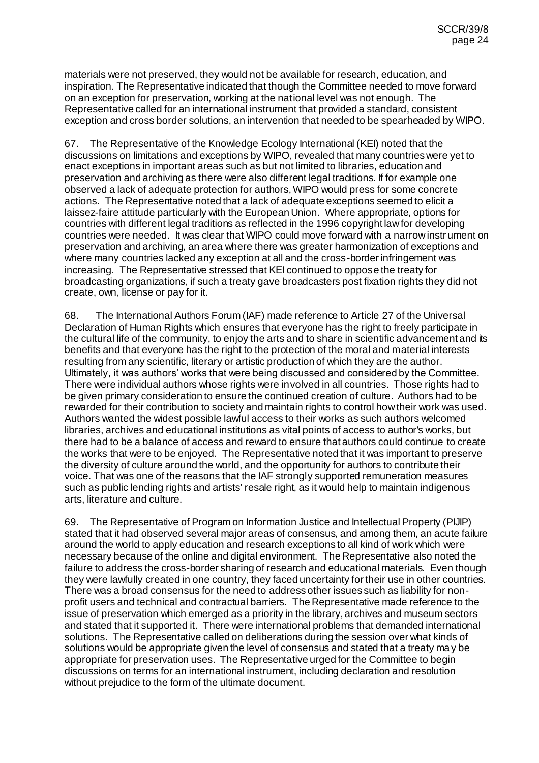materials were not preserved, they would not be available for research, education, and inspiration. The Representative indicated that though the Committee needed to move forward on an exception for preservation, working at the national level was not enough. The Representative called for an international instrument that provided a standard, consistent exception and cross border solutions, an intervention that needed to be spearheaded by WIPO.

67. The Representative of the Knowledge Ecology International (KEI) noted that the discussions on limitations and exceptions by WIPO, revealed that many countries were yet to enact exceptions in important areas such as but not limited to libraries, education and preservation and archiving as there were also different legal traditions. If for example one observed a lack of adequate protection for authors, WIPO would press for some concrete actions. The Representative noted that a lack of adequate exceptions seemed to elicit a laissez-faire attitude particularly with the European Union. Where appropriate, options for countries with different legal traditions as reflected in the 1996 copyright law for developing countries were needed. It was clear that WIPO could move forward with a narrow instrument on preservation and archiving, an area where there was greater harmonization of exceptions and where many countries lacked any exception at all and the cross-border infringement was increasing. The Representative stressed that KEI continued to oppose the treaty for broadcasting organizations, if such a treaty gave broadcasters post fixation rights they did not create, own, license or pay for it.

68. The International Authors Forum (IAF) made reference to Article 27 of the Universal Declaration of Human Rights which ensures that everyone has the right to freely participate in the cultural life of the community, to enjoy the arts and to share in scientific advancement and its benefits and that everyone has the right to the protection of the moral and material interests resulting from any scientific, literary or artistic production of which they are the author. Ultimately, it was authors' works that were being discussed and considered by the Committee. There were individual authors whose rights were involved in all countries. Those rights had to be given primary consideration to ensure the continued creation of culture. Authors had to be rewarded for their contribution to society and maintain rights to control how their work was used. Authors wanted the widest possible lawful access to their works as such authors welcomed libraries, archives and educational institutions as vital points of access to author's works, but there had to be a balance of access and reward to ensure that authors could continue to create the works that were to be enjoyed. The Representative noted that it was important to preserve the diversity of culture around the world, and the opportunity for authors to contribute their voice. That was one of the reasons that the IAF strongly supported remuneration measures such as public lending rights and artists' resale right, as it would help to maintain indigenous arts, literature and culture.

69. The Representative of Program on Information Justice and Intellectual Property (PIJIP) stated that it had observed several major areas of consensus, and among them, an acute failure around the world to apply education and research exceptions to all kind of work which were necessary because of the online and digital environment. The Representative also noted the failure to address the cross-border sharing of research and educational materials. Even though they were lawfully created in one country, they faced uncertainty for their use in other countries. There was a broad consensus for the need to address other issues such as liability for nonprofit users and technical and contractual barriers. The Representative made reference to the issue of preservation which emerged as a priority in the library, archives and museum sectors and stated that it supported it. There were international problems that demanded international solutions. The Representative called on deliberations during the session over what kinds of solutions would be appropriate given the level of consensus and stated that a treaty may be appropriate for preservation uses. The Representative urged for the Committee to begin discussions on terms for an international instrument, including declaration and resolution without prejudice to the form of the ultimate document.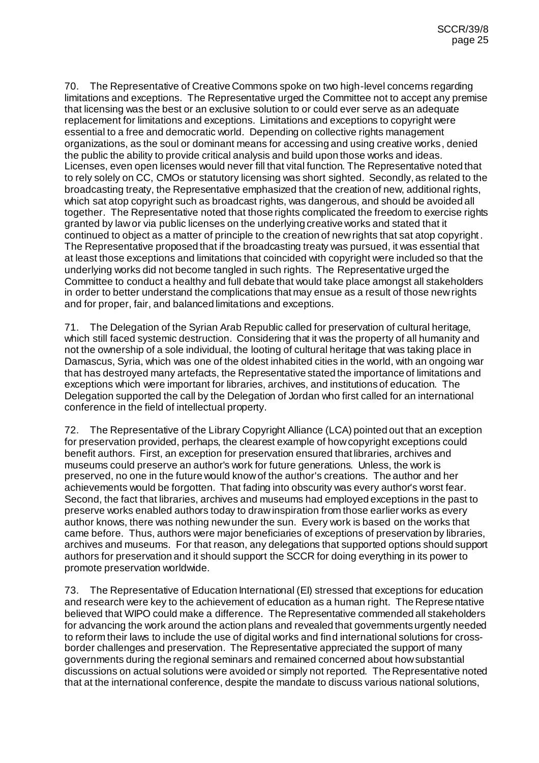70. The Representative of Creative Commons spoke on two high-level concerns regarding limitations and exceptions. The Representative urged the Committee not to accept any premise that licensing was the best or an exclusive solution to or could ever serve as an adequate replacement for limitations and exceptions. Limitations and exceptions to copyright were essential to a free and democratic world. Depending on collective rights management organizations, as the soul or dominant means for accessing and using creative works, denied the public the ability to provide critical analysis and build upon those works and ideas. Licenses, even open licenses would never fill that vital function. The Representative noted that to rely solely on CC, CMOs or statutory licensing was short sighted. Secondly, as related to the broadcasting treaty, the Representative emphasized that the creation of new, additional rights, which sat atop copyright such as broadcast rights, was dangerous, and should be avoided all together. The Representative noted that those rights complicated the freedom to exercise rights granted by law or via public licenses on the underlying creative works and stated that it continued to object as a matter of principle to the creation of new rights that sat atop copyright. The Representative proposed that if the broadcasting treaty was pursued, it was essential that at least those exceptions and limitations that coincided with copyright were included so that the underlying works did not become tangled in such rights. The Representative urged the Committee to conduct a healthy and full debate that would take place amongst all stakeholders in order to better understand the complications that may ensue as a result of those new rights and for proper, fair, and balanced limitations and exceptions.

71. The Delegation of the Syrian Arab Republic called for preservation of cultural heritage, which still faced systemic destruction. Considering that it was the property of all humanity and not the ownership of a sole individual, the looting of cultural heritage that was taking place in Damascus, Syria, which was one of the oldest inhabited cities in the world, with an ongoing war that has destroyed many artefacts, the Representative stated the importance of limitations and exceptions which were important for libraries, archives, and institutions of education. The Delegation supported the call by the Delegation of Jordan who first called for an international conference in the field of intellectual property.

72. The Representative of the Library Copyright Alliance (LCA) pointed out that an exception for preservation provided, perhaps, the clearest example of how copyright exceptions could benefit authors. First, an exception for preservation ensured that libraries, archives and museums could preserve an author's work for future generations. Unless, the work is preserved, no one in the future would know of the author's creations. The author and her achievements would be forgotten. That fading into obscurity was every author's worst fear. Second, the fact that libraries, archives and museums had employed exceptions in the past to preserve works enabled authors today to draw inspiration from those earlier works as every author knows, there was nothing new under the sun. Every work is based on the works that came before. Thus, authors were major beneficiaries of exceptions of preservation by libraries, archives and museums. For that reason, any delegations that supported options should support authors for preservation and it should support the SCCR for doing everything in its power to promote preservation worldwide.

73. The Representative of Education International (EI) stressed that exceptions for education and research were key to the achievement of education as a human right. The Representative believed that WIPO could make a difference. The Representative commended all stakeholders for advancing the work around the action plans and revealed that governments urgently needed to reform their laws to include the use of digital works and find international solutions for crossborder challenges and preservation. The Representative appreciated the support of many governments during the regional seminars and remained concerned about how substantial discussions on actual solutions were avoided or simply not reported. The Representative noted that at the international conference, despite the mandate to discuss various national solutions,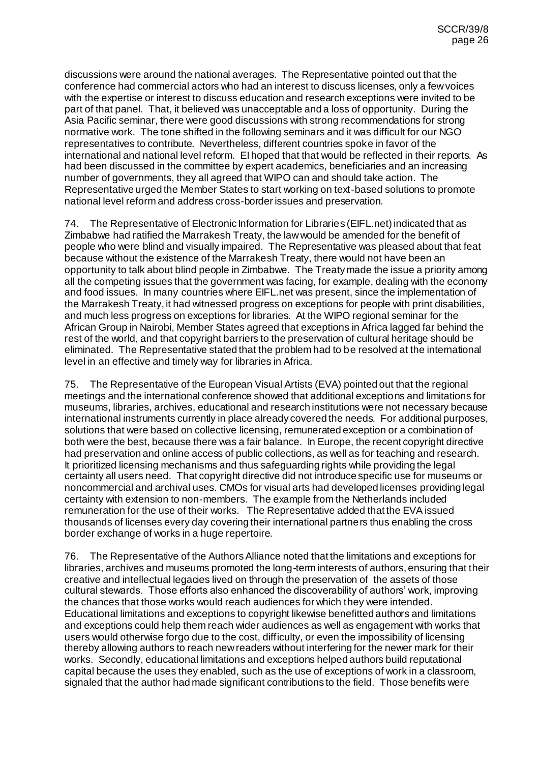discussions were around the national averages. The Representative pointed out that the conference had commercial actors who had an interest to discuss licenses, only a few voices with the expertise or interest to discuss education and research exceptions were invited to be part of that panel. That, it believed was unacceptable and a loss of opportunity. During the Asia Pacific seminar, there were good discussions with strong recommendations for strong normative work. The tone shifted in the following seminars and it was difficult for our NGO representatives to contribute. Nevertheless, different countries spoke in favor of the international and national level reform. EI hoped that that would be reflected in their reports. As had been discussed in the committee by expert academics, beneficiaries and an increasing number of governments, they all agreed that WIPO can and should take action. The Representative urged the Member States to start working on text-based solutions to promote national level reform and address cross-border issues and preservation.

74. The Representative of Electronic Information for Libraries (EIFL.net) indicated that as Zimbabwe had ratified the Marrakesh Treaty, the law would be amended for the benefit of people who were blind and visually impaired. The Representative was pleased about that feat because without the existence of the Marrakesh Treaty, there would not have been an opportunity to talk about blind people in Zimbabwe. The Treaty made the issue a priority among all the competing issues that the government was facing, for example, dealing with the economy and food issues. In many countries where EIFL.net was present, since the implementation of the Marrakesh Treaty, it had witnessed progress on exceptions for people with print disabilities, and much less progress on exceptions for libraries. At the WIPO regional seminar for the African Group in Nairobi, Member States agreed that exceptions in Africa lagged far behind the rest of the world, and that copyright barriers to the preservation of cultural heritage should be eliminated. The Representative stated that the problem had to be resolved at the international level in an effective and timely way for libraries in Africa.

75. The Representative of the European Visual Artists (EVA) pointed out that the regional meetings and the international conference showed that additional exceptions and limitations for museums, libraries, archives, educational and research institutions were not necessary because international instruments currently in place already covered the needs. For additional purposes, solutions that were based on collective licensing, remunerated exception or a combination of both were the best, because there was a fair balance. In Europe, the recent copyright directive had preservation and online access of public collections, as well as for teaching and research. It prioritized licensing mechanisms and thus safeguarding rights while providing the legal certainty all users need. That copyright directive did not introduce specific use for museums or noncommercial and archival uses. CMOs for visual arts had developed licenses providing legal certainty with extension to non-members. The example from the Netherlands included remuneration for the use of their works. The Representative added that the EVA issued thousands of licenses every day covering their international partners thus enabling the cross border exchange of works in a huge repertoire.

76. The Representative of the Authors Alliance noted that the limitations and exceptions for libraries, archives and museums promoted the long-term interests of authors, ensuring that their creative and intellectual legacies lived on through the preservation of the assets of those cultural stewards. Those efforts also enhanced the discoverability of authors' work, improving the chances that those works would reach audiences for which they were intended. Educational limitations and exceptions to copyright likewise benefitted authors and limitations and exceptions could help them reach wider audiences as well as engagement with works that users would otherwise forgo due to the cost, difficulty, or even the impossibility of licensing thereby allowing authors to reach new readers without interfering for the newer mark for their works. Secondly, educational limitations and exceptions helped authors build reputational capital because the uses they enabled, such as the use of exceptions of work in a classroom, signaled that the author had made significant contributions to the field. Those benefits were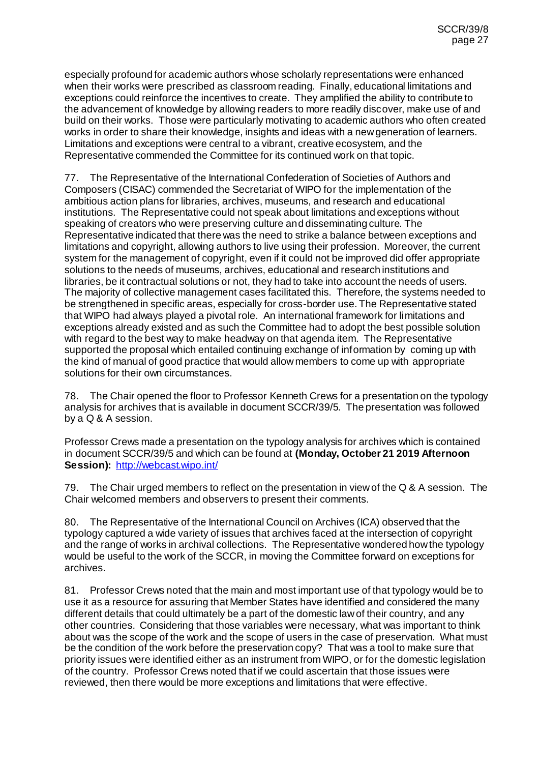especially profound for academic authors whose scholarly representations were enhanced when their works were prescribed as classroom reading. Finally, educational limitations and exceptions could reinforce the incentives to create. They amplified the ability to contribute to the advancement of knowledge by allowing readers to more readily discover, make use of and build on their works. Those were particularly motivating to academic authors who often created works in order to share their knowledge, insights and ideas with a new generation of learners. Limitations and exceptions were central to a vibrant, creative ecosystem, and the Representative commended the Committee for its continued work on that topic.

77. The Representative of the International Confederation of Societies of Authors and Composers (CISAC) commended the Secretariat of WIPO for the implementation of the ambitious action plans for libraries, archives, museums, and research and educational institutions. The Representative could not speak about limitations and exceptions without speaking of creators who were preserving culture and disseminating culture. The Representative indicated that there was the need to strike a balance between exceptions and limitations and copyright, allowing authors to live using their profession. Moreover, the current system for the management of copyright, even if it could not be improved did offer appropriate solutions to the needs of museums, archives, educational and research institutions and libraries, be it contractual solutions or not, they had to take into account the needs of users. The majority of collective management cases facilitated this. Therefore, the systems needed to be strengthened in specific areas, especially for cross-border use. The Representative stated that WIPO had always played a pivotal role. An international framework for limitations and exceptions already existed and as such the Committee had to adopt the best possible solution with regard to the best way to make headway on that agenda item. The Representative supported the proposal which entailed continuing exchange of information by coming up with the kind of manual of good practice that would allow members to come up with appropriate solutions for their own circumstances.

78. The Chair opened the floor to Professor Kenneth Crews for a presentation on the typology analysis for archives that is available in document SCCR/39/5. The presentation was followed by a Q & A session.

Professor Crews made a presentation on the typology analysis for archives which is contained in document SCCR/39/5 and which can be found at **(Monday, October 21 2019 Afternoon Session):** <http://webcast.wipo.int/>

79. The Chair urged members to reflect on the presentation in view of the Q & A session. The Chair welcomed members and observers to present their comments.

80. The Representative of the International Council on Archives (ICA) observed that the typology captured a wide variety of issues that archives faced at the intersection of copyright and the range of works in archival collections. The Representative wondered how the typology would be useful to the work of the SCCR, in moving the Committee forward on exceptions for archives.

81. Professor Crews noted that the main and most important use of that typology would be to use it as a resource for assuring that Member States have identified and considered the many different details that could ultimately be a part of the domestic law of their country, and any other countries. Considering that those variables were necessary, what was important to think about was the scope of the work and the scope of users in the case of preservation. What must be the condition of the work before the preservation copy? That was a tool to make sure that priority issues were identified either as an instrument from WIPO, or for the domestic legislation of the country. Professor Crews noted that if we could ascertain that those issues were reviewed, then there would be more exceptions and limitations that were effective.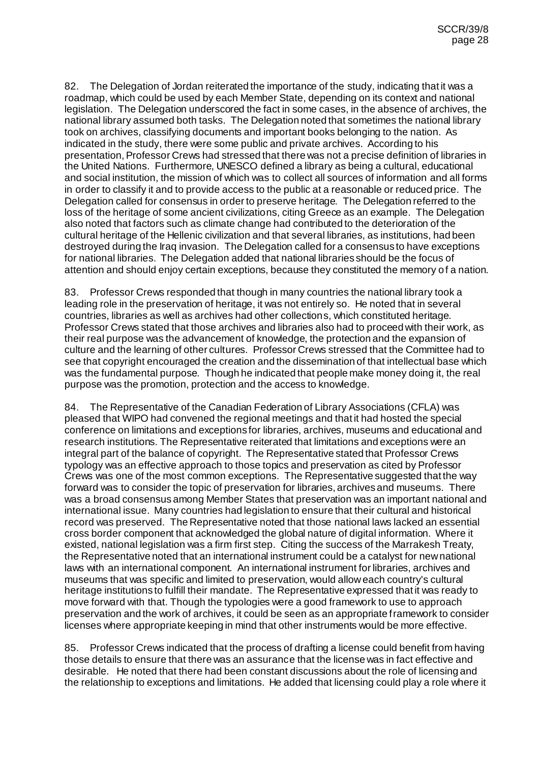82. The Delegation of Jordan reiterated the importance of the study, indicating that it was a roadmap, which could be used by each Member State, depending on its context and national legislation. The Delegation underscored the fact in some cases, in the absence of archives, the national library assumed both tasks. The Delegation noted that sometimes the national library took on archives, classifying documents and important books belonging to the nation. As indicated in the study, there were some public and private archives. According to his presentation, Professor Crews had stressed that there was not a precise definition of libraries in the United Nations. Furthermore, UNESCO defined a library as being a cultural, educational and social institution, the mission of which was to collect all sources of information and all forms in order to classify it and to provide access to the public at a reasonable or reduced price. The Delegation called for consensus in order to preserve heritage. The Delegation referred to the loss of the heritage of some ancient civilizations, citing Greece as an example. The Delegation also noted that factors such as climate change had contributed to the deterioration of the cultural heritage of the Hellenic civilization and that several libraries, as institutions, had been destroyed during the Iraq invasion. The Delegation called for a consensus to have exceptions for national libraries. The Delegation added that national libraries should be the focus of attention and should enjoy certain exceptions, because they constituted the memory of a nation.

83. Professor Crews responded that though in many countries the national library took a leading role in the preservation of heritage, it was not entirely so. He noted that in several countries, libraries as well as archives had other collections, which constituted heritage. Professor Crews stated that those archives and libraries also had to proceed with their work, as their real purpose was the advancement of knowledge, the protection and the expansion of culture and the learning of other cultures. Professor Crews stressed that the Committee had to see that copyright encouraged the creation and the dissemination of that intellectual base which was the fundamental purpose. Though he indicated that people make money doing it, the real purpose was the promotion, protection and the access to knowledge.

84. The Representative of the Canadian Federation of Library Associations (CFLA) was pleased that WIPO had convened the regional meetings and that it had hosted the special conference on limitations and exceptions for libraries, archives, museums and educational and research institutions. The Representative reiterated that limitations and exceptions were an integral part of the balance of copyright. The Representative stated that Professor Crews typology was an effective approach to those topics and preservation as cited by Professor Crews was one of the most common exceptions. The Representative suggested that the way forward was to consider the topic of preservation for libraries, archives and museums. There was a broad consensus among Member States that preservation was an important national and international issue. Many countries had legislation to ensure that their cultural and historical record was preserved. The Representative noted that those national laws lacked an essential cross border component that acknowledged the global nature of digital information. Where it existed, national legislation was a firm first step. Citing the success of the Marrakesh Treaty, the Representative noted that an international instrument could be a catalyst for new national laws with an international component. An international instrument for libraries, archives and museums that was specific and limited to preservation, would allow each country's cultural heritage institutions to fulfill their mandate. The Representative expressed that it was ready to move forward with that. Though the typologies were a good framework to use to approach preservation and the work of archives, it could be seen as an appropriate framework to consider licenses where appropriate keeping in mind that other instruments would be more effective.

85. Professor Crews indicated that the process of drafting a license could benefit from having those details to ensure that there was an assurance that the license was in fact effective and desirable. He noted that there had been constant discussions about the role of licensing and the relationship to exceptions and limitations. He added that licensing could play a role where it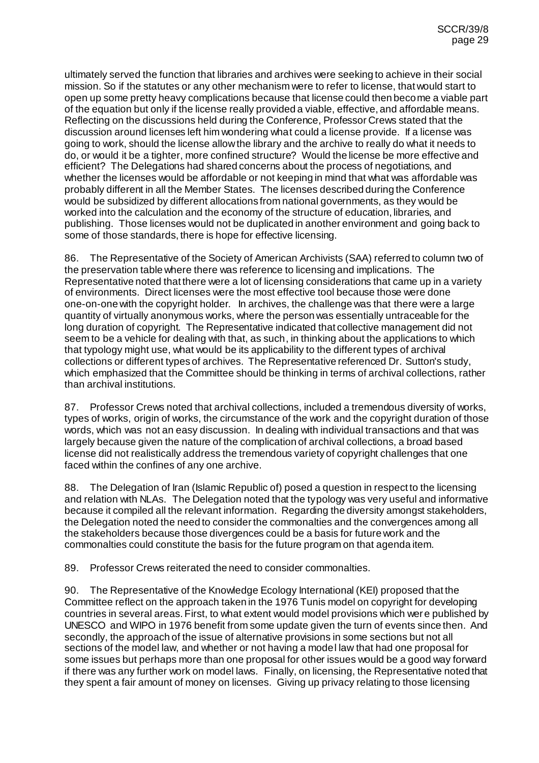ultimately served the function that libraries and archives were seeking to achieve in their social mission. So if the statutes or any other mechanism were to refer to license, that would start to open up some pretty heavy complications because that license could then become a viable part of the equation but only if the license really provided a viable, effective, and affordable means. Reflecting on the discussions held during the Conference, Professor Crews stated that the discussion around licenses left him wondering what could a license provide. If a license was going to work, should the license allow the library and the archive to really do what it needs to do, or would it be a tighter, more confined structure? Would the license be more effective and efficient? The Delegations had shared concerns about the process of negotiations, and whether the licenses would be affordable or not keeping in mind that what was affordable was probably different in all the Member States. The licenses described during the Conference would be subsidized by different allocations from national governments, as they would be worked into the calculation and the economy of the structure of education, libraries, and publishing. Those licenses would not be duplicated in another environment and going back to some of those standards, there is hope for effective licensing.

86. The Representative of the Society of American Archivists (SAA) referred to column two of the preservation table where there was reference to licensing and implications. The Representative noted that there were a lot of licensing considerations that came up in a variety of environments. Direct licenses were the most effective tool because those were done one-on-one with the copyright holder. In archives, the challenge was that there were a large quantity of virtually anonymous works, where the person was essentially untraceable for the long duration of copyright. The Representative indicated that collective management did not seem to be a vehicle for dealing with that, as such, in thinking about the applications to which that typology might use, what would be its applicability to the different types of archival collections or different types of archives. The Representative referenced Dr. Sutton's study, which emphasized that the Committee should be thinking in terms of archival collections, rather than archival institutions.

87. Professor Crews noted that archival collections, included a tremendous diversity of works, types of works, origin of works, the circumstance of the work and the copyright duration of those words, which was not an easy discussion. In dealing with individual transactions and that was largely because given the nature of the complication of archival collections, a broad based license did not realistically address the tremendous variety of copyright challenges that one faced within the confines of any one archive.

88. The Delegation of Iran (Islamic Republic of) posed a question in respect to the licensing and relation with NLAs. The Delegation noted that the typology was very useful and informative because it compiled all the relevant information. Regarding the diversity amongst stakeholders, the Delegation noted the need to consider the commonalties and the convergences among all the stakeholders because those divergences could be a basis for future work and the commonalties could constitute the basis for the future program on that agenda item.

89. Professor Crews reiterated the need to consider commonalties.

90. The Representative of the Knowledge Ecology International (KEI) proposed that the Committee reflect on the approach taken in the 1976 Tunis model on copyright for developing countries in several areas. First, to what extent would model provisions which were published by UNESCO and WIPO in 1976 benefit from some update given the turn of events since then. And secondly, the approach of the issue of alternative provisions in some sections but not all sections of the model law, and whether or not having a model law that had one proposal for some issues but perhaps more than one proposal for other issues would be a good way forward if there was any further work on model laws. Finally, on licensing, the Representative noted that they spent a fair amount of money on licenses. Giving up privacy relating to those licensing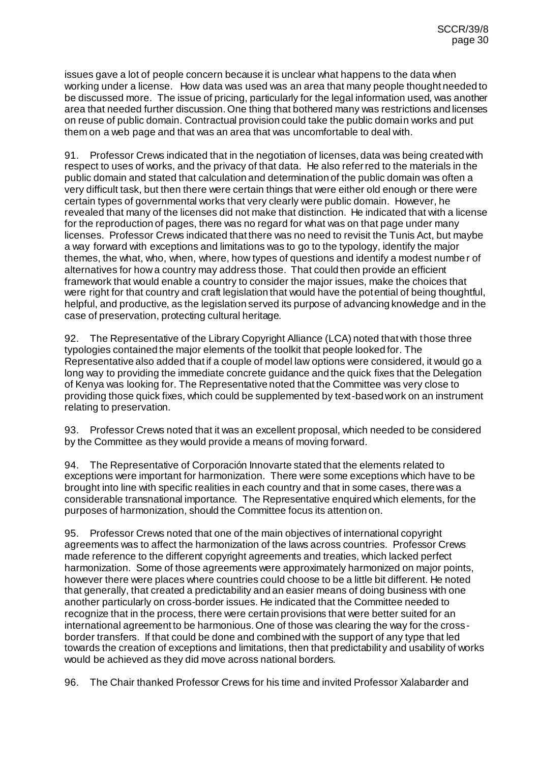issues gave a lot of people concern because it is unclear what happens to the data when working under a license. How data was used was an area that many people thought needed to be discussed more. The issue of pricing, particularly for the legal information used, was another area that needed further discussion. One thing that bothered many was restrictions and licenses on reuse of public domain. Contractual provision could take the public domain works and put them on a web page and that was an area that was uncomfortable to deal with.

91. Professor Crews indicated that in the negotiation of licenses, data was being created with respect to uses of works, and the privacy of that data. He also referred to the materials in the public domain and stated that calculation and determination of the public domain was often a very difficult task, but then there were certain things that were either old enough or there were certain types of governmental works that very clearly were public domain. However, he revealed that many of the licenses did not make that distinction. He indicated that with a license for the reproduction of pages, there was no regard for what was on that page under many licenses. Professor Crews indicated that there was no need to revisit the Tunis Act, but maybe a way forward with exceptions and limitations was to go to the typology, identify the major themes, the what, who, when, where, how types of questions and identify a modest number of alternatives for how a country may address those. That could then provide an efficient framework that would enable a country to consider the major issues, make the choices that were right for that country and craft legislation that would have the potential of being thoughtful, helpful, and productive, as the legislation served its purpose of advancing knowledge and in the case of preservation, protecting cultural heritage.

92. The Representative of the Library Copyright Alliance (LCA) noted that with those three typologies contained the major elements of the toolkit that people looked for. The Representative also added that if a couple of model law options were considered, it would go a long way to providing the immediate concrete guidance and the quick fixes that the Delegation of Kenya was looking for. The Representative noted that the Committee was very close to providing those quick fixes, which could be supplemented by text-based work on an instrument relating to preservation.

93. Professor Crews noted that it was an excellent proposal, which needed to be considered by the Committee as they would provide a means of moving forward.

94. The Representative of Corporación Innovarte stated that the elements related to exceptions were important for harmonization. There were some exceptions which have to be brought into line with specific realities in each country and that in some cases, there was a considerable transnational importance. The Representative enquired which elements, for the purposes of harmonization, should the Committee focus its attention on.

95. Professor Crews noted that one of the main objectives of international copyright agreements was to affect the harmonization of the laws across countries. Professor Crews made reference to the different copyright agreements and treaties, which lacked perfect harmonization. Some of those agreements were approximately harmonized on major points, however there were places where countries could choose to be a little bit different. He noted that generally, that created a predictability and an easier means of doing business with one another particularly on cross-border issues. He indicated that the Committee needed to recognize that in the process, there were certain provisions that were better suited for an international agreement to be harmonious. One of those was clearing the way for the crossborder transfers. If that could be done and combined with the support of any type that led towards the creation of exceptions and limitations, then that predictability and usability of works would be achieved as they did move across national borders.

96. The Chair thanked Professor Crews for his time and invited Professor Xalabarder and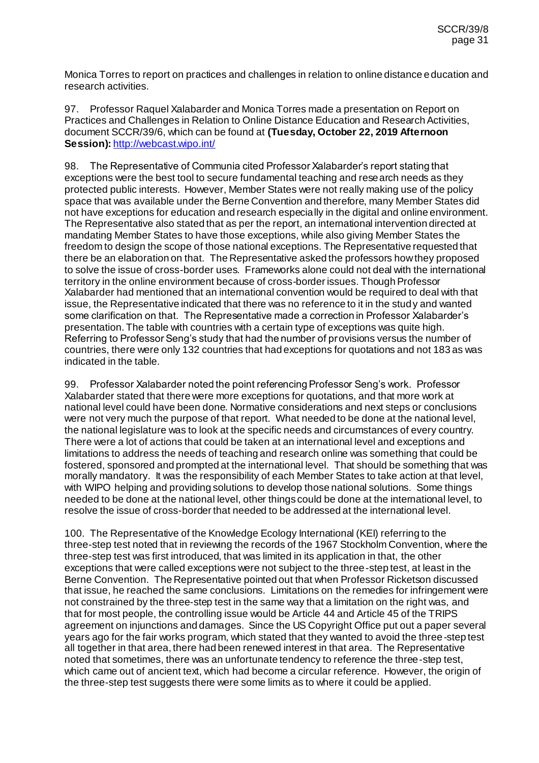Monica Torres to report on practices and challenges in relation to online distance education and research activities.

97. Professor Raquel Xalabarder and Monica Torres made a presentation on Report on Practices and Challenges in Relation to Online Distance Education and Research Activities, document SCCR/39/6, which can be found at **(Tuesday, October 22, 2019 Afternoon**  Session): <http://webcast.wipo.int/>

98. The Representative of Communia cited Professor Xalabarder's report stating that exceptions were the best tool to secure fundamental teaching and research needs as they protected public interests. However, Member States were not really making use of the policy space that was available under the Berne Convention and therefore, many Member States did not have exceptions for education and research especially in the digital and online environment. The Representative also stated that as per the report, an international intervention directed at mandating Member States to have those exceptions, while also giving Member States the freedom to design the scope of those national exceptions. The Representative requested that there be an elaboration on that. The Representative asked the professors how they proposed to solve the issue of cross-border uses. Frameworks alone could not deal with the international territory in the online environment because of cross-border issues. Though Professor Xalabarder had mentioned that an international convention would be required to deal with that issue, the Representative indicated that there was no reference to it in the study and wanted some clarification on that. The Representative made a correction in Professor Xalabarder's presentation. The table with countries with a certain type of exceptions was quite high. Referring to Professor Seng's study that had the number of provisions versus the number of countries, there were only 132 countries that had exceptions for quotations and not 183 as was indicated in the table.

99. Professor Xalabarder noted the point referencing Professor Seng's work. Professor Xalabarder stated that there were more exceptions for quotations, and that more work at national level could have been done. Normative considerations and next steps or conclusions were not very much the purpose of that report. What needed to be done at the national level, the national legislature was to look at the specific needs and circumstances of every country. There were a lot of actions that could be taken at an international level and exceptions and limitations to address the needs of teaching and research online was something that could be fostered, sponsored and prompted at the international level. That should be something that was morally mandatory. It was the responsibility of each Member States to take action at that level, with WIPO helping and providing solutions to develop those national solutions. Some things needed to be done at the national level, other things could be done at the international level, to resolve the issue of cross-border that needed to be addressed at the international level.

100. The Representative of the Knowledge Ecology International (KEI) referring to the three-step test noted that in reviewing the records of the 1967 Stockholm Convention, where the three-step test was first introduced, that was limited in its application in that, the other exceptions that were called exceptions were not subject to the three-step test, at least in the Berne Convention. The Representative pointed out that when Professor Ricketson discussed that issue, he reached the same conclusions. Limitations on the remedies for infringement were not constrained by the three-step test in the same way that a limitation on the right was, and that for most people, the controlling issue would be Article 44 and Article 45 of the TRIPS agreement on injunctions and damages. Since the US Copyright Office put out a paper several years ago for the fair works program, which stated that they wanted to avoid the three-step test all together in that area, there had been renewed interest in that area. The Representative noted that sometimes, there was an unfortunate tendency to reference the three-step test, which came out of ancient text, which had become a circular reference. However, the origin of the three-step test suggests there were some limits as to where it could be applied.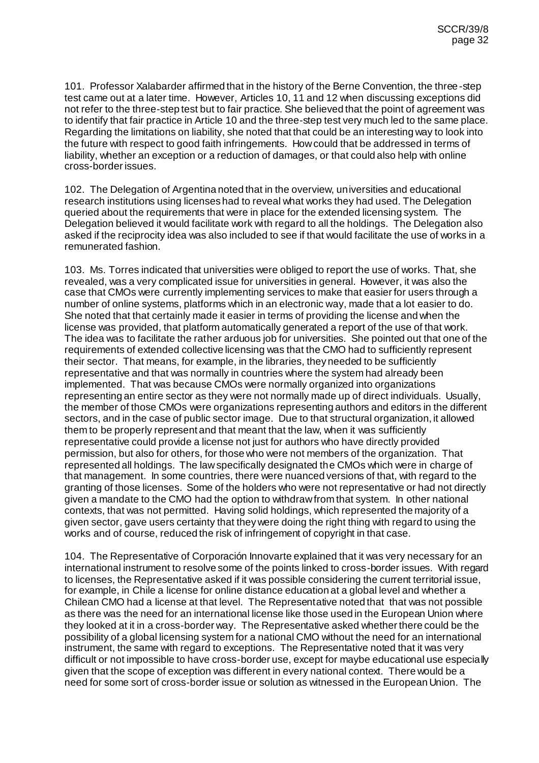101. Professor Xalabarder affirmed that in the history of the Berne Convention, the three-step test came out at a later time. However, Articles 10, 11 and 12 when discussing exceptions did not refer to the three-step test but to fair practice. She believed that the point of agreement was to identify that fair practice in Article 10 and the three-step test very much led to the same place. Regarding the limitations on liability, she noted that that could be an interesting way to look into the future with respect to good faith infringements. How could that be addressed in terms of liability, whether an exception or a reduction of damages, or that could also help with online cross-border issues.

102. The Delegation of Argentina noted that in the overview, universities and educational research institutions using licenses had to reveal what works they had used. The Delegation queried about the requirements that were in place for the extended licensing system. The Delegation believed it would facilitate work with regard to all the holdings. The Delegation also asked if the reciprocity idea was also included to see if that would facilitate the use of works in a remunerated fashion.

103. Ms. Torres indicated that universities were obliged to report the use of works. That, she revealed, was a very complicated issue for universities in general. However, it was also the case that CMOs were currently implementing services to make that easier for users through a number of online systems, platforms which in an electronic way, made that a lot easier to do. She noted that that certainly made it easier in terms of providing the license and when the license was provided, that platform automatically generated a report of the use of that work. The idea was to facilitate the rather arduous job for universities. She pointed out that one of the requirements of extended collective licensing was that the CMO had to sufficiently represent their sector. That means, for example, in the libraries, they needed to be sufficiently representative and that was normally in countries where the system had already been implemented. That was because CMOs were normally organized into organizations representing an entire sector as they were not normally made up of direct individuals. Usually, the member of those CMOs were organizations representing authors and editors in the different sectors, and in the case of public sector image. Due to that structural organization, it allowed them to be properly represent and that meant that the law, when it was sufficiently representative could provide a license not just for authors who have directly provided permission, but also for others, for those who were not members of the organization. That represented all holdings. The law specifically designated the CMOs which were in charge of that management. In some countries, there were nuanced versions of that, with regard to the granting of those licenses. Some of the holders who were not representative or had not directly given a mandate to the CMO had the option to withdraw from that system. In other national contexts, that was not permitted. Having solid holdings, which represented the majority of a given sector, gave users certainty that they were doing the right thing with regard to using the works and of course, reduced the risk of infringement of copyright in that case.

104. The Representative of Corporación Innovarte explained that it was very necessary for an international instrument to resolve some of the points linked to cross-border issues. With regard to licenses, the Representative asked if it was possible considering the current territorial issue, for example, in Chile a license for online distance education at a global level and whether a Chilean CMO had a license at that level. The Representative noted that that was not possible as there was the need for an international license like those used in the European Union where they looked at it in a cross-border way. The Representative asked whether there could be the possibility of a global licensing system for a national CMO without the need for an international instrument, the same with regard to exceptions. The Representative noted that it was very difficult or not impossible to have cross-border use, except for maybe educational use especially given that the scope of exception was different in every national context. There would be a need for some sort of cross-border issue or solution as witnessed in the European Union. The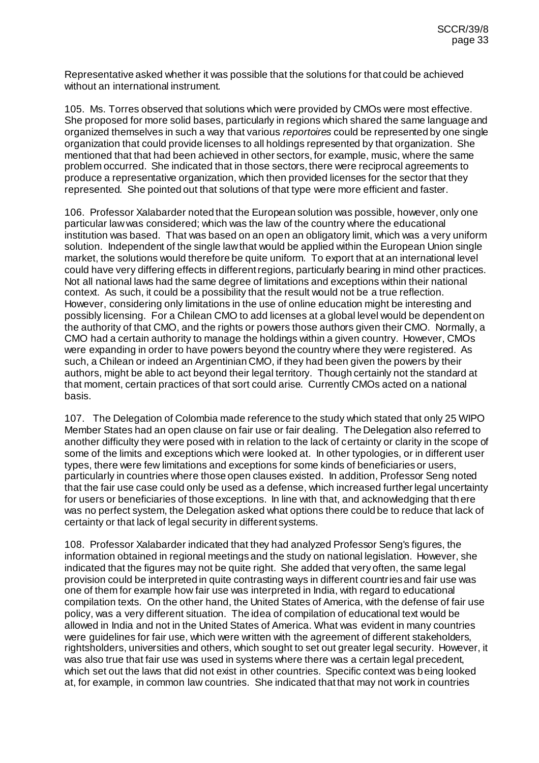Representative asked whether it was possible that the solutions for that could be achieved without an international instrument.

105. Ms. Torres observed that solutions which were provided by CMOs were most effective. She proposed for more solid bases, particularly in regions which shared the same language and organized themselves in such a way that various *reportoires* could be represented by one single organization that could provide licenses to all holdings represented by that organization. She mentioned that that had been achieved in other sectors, for example, music, where the same problem occurred. She indicated that in those sectors, there were reciprocal agreements to produce a representative organization, which then provided licenses for the sector that they represented. She pointed out that solutions of that type were more efficient and faster.

106. Professor Xalabarder noted that the European solution was possible, however, only one particular law was considered; which was the law of the country where the educational institution was based. That was based on an open an obligatory limit, which was a very uniform solution. Independent of the single law that would be applied within the European Union single market, the solutions would therefore be quite uniform. To export that at an international level could have very differing effects in different regions, particularly bearing in mind other practices. Not all national laws had the same degree of limitations and exceptions within their national context. As such, it could be a possibility that the result would not be a true reflection. However, considering only limitations in the use of online education might be interesting and possibly licensing. For a Chilean CMO to add licenses at a global level would be dependent on the authority of that CMO, and the rights or powers those authors given their CMO. Normally, a CMO had a certain authority to manage the holdings within a given country. However, CMOs were expanding in order to have powers beyond the country where they were registered. As such, a Chilean or indeed an Argentinian CMO, if they had been given the powers by their authors, might be able to act beyond their legal territory. Though certainly not the standard at that moment, certain practices of that sort could arise. Currently CMOs acted on a national basis.

107. The Delegation of Colombia made reference to the study which stated that only 25 WIPO Member States had an open clause on fair use or fair dealing. The Delegation also referred to another difficulty they were posed with in relation to the lack of certainty or clarity in the scope of some of the limits and exceptions which were looked at. In other typologies, or in different user types, there were few limitations and exceptions for some kinds of beneficiaries or users, particularly in countries where those open clauses existed. In addition, Professor Seng noted that the fair use case could only be used as a defense, which increased further legal uncertainty for users or beneficiaries of those exceptions. In line with that, and acknowledging that th ere was no perfect system, the Delegation asked what options there could be to reduce that lack of certainty or that lack of legal security in different systems.

108. Professor Xalabarder indicated that they had analyzed Professor Seng's figures, the information obtained in regional meetings and the study on national legislation. However, she indicated that the figures may not be quite right. She added that very often, the same legal provision could be interpreted in quite contrasting ways in different countries and fair use was one of them for example how fair use was interpreted in India, with regard to educational compilation texts. On the other hand, the United States of America, with the defense of fair use policy, was a very different situation. The idea of compilation of educational text would be allowed in India and not in the United States of America. What was evident in many countries were guidelines for fair use, which were written with the agreement of different stakeholders, rightsholders, universities and others, which sought to set out greater legal security. However, it was also true that fair use was used in systems where there was a certain legal precedent, which set out the laws that did not exist in other countries. Specific context was being looked at, for example, in common law countries. She indicated that that may not work in countries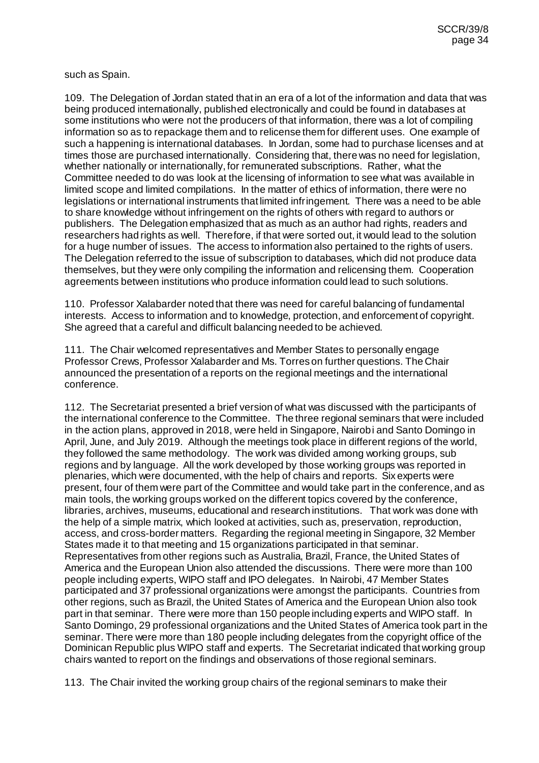such as Spain.

109. The Delegation of Jordan stated that in an era of a lot of the information and data that was being produced internationally, published electronically and could be found in databases at some institutions who were not the producers of that information, there was a lot of compiling information so as to repackage them and to relicense them for different uses. One example of such a happening is international databases. In Jordan, some had to purchase licenses and at times those are purchased internationally. Considering that, there was no need for legislation, whether nationally or internationally, for remunerated subscriptions. Rather, what the Committee needed to do was look at the licensing of information to see what was available in limited scope and limited compilations. In the matter of ethics of information, there were no legislations or international instruments that limited infringement. There was a need to be able to share knowledge without infringement on the rights of others with regard to authors or publishers. The Delegation emphasized that as much as an author had rights, readers and researchers had rights as well. Therefore, if that were sorted out, it would lead to the solution for a huge number of issues. The access to information also pertained to the rights of users. The Delegation referred to the issue of subscription to databases, which did not produce data themselves, but they were only compiling the information and relicensing them. Cooperation agreements between institutions who produce information could lead to such solutions.

110. Professor Xalabarder noted that there was need for careful balancing of fundamental interests. Access to information and to knowledge, protection, and enforcement of copyright. She agreed that a careful and difficult balancing needed to be achieved.

111. The Chair welcomed representatives and Member States to personally engage Professor Crews, Professor Xalabarder and Ms. Torres on further questions. The Chair announced the presentation of a reports on the regional meetings and the international conference.

112. The Secretariat presented a brief version of what was discussed with the participants of the international conference to the Committee. The three regional seminars that were included in the action plans, approved in 2018, were held in Singapore, Nairobi and Santo Domingo in April, June, and July 2019. Although the meetings took place in different regions of the world, they followed the same methodology. The work was divided among working groups, sub regions and by language. All the work developed by those working groups was reported in plenaries, which were documented, with the help of chairs and reports. Six experts were present, four of them were part of the Committee and would take part in the conference, and as main tools, the working groups worked on the different topics covered by the conference, libraries, archives, museums, educational and research institutions. That work was done with the help of a simple matrix, which looked at activities, such as, preservation, reproduction, access, and cross-border matters. Regarding the regional meeting in Singapore, 32 Member States made it to that meeting and 15 organizations participated in that seminar. Representatives from other regions such as Australia, Brazil, France, the United States of America and the European Union also attended the discussions. There were more than 100 people including experts, WIPO staff and IPO delegates. In Nairobi, 47 Member States participated and 37 professional organizations were amongst the participants. Countries from other regions, such as Brazil, the United States of America and the European Union also took part in that seminar. There were more than 150 people including experts and WIPO staff. In Santo Domingo, 29 professional organizations and the United States of America took part in the seminar. There were more than 180 people including delegates from the copyright office of the Dominican Republic plus WIPO staff and experts. The Secretariat indicated that working group chairs wanted to report on the findings and observations of those regional seminars.

113. The Chair invited the working group chairs of the regional seminars to make their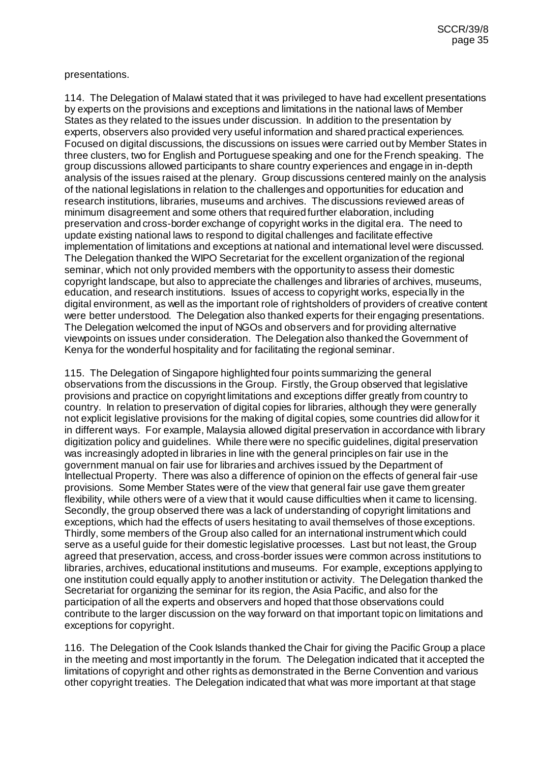#### presentations.

114. The Delegation of Malawi stated that it was privileged to have had excellent presentations by experts on the provisions and exceptions and limitations in the national laws of Member States as they related to the issues under discussion. In addition to the presentation by experts, observers also provided very useful information and shared practical experiences. Focused on digital discussions, the discussions on issues were carried out by Member States in three clusters, two for English and Portuguese speaking and one for the French speaking. The group discussions allowed participants to share country experiences and engage in in-depth analysis of the issues raised at the plenary. Group discussions centered mainly on the analysis of the national legislations in relation to the challenges and opportunities for education and research institutions, libraries, museums and archives. The discussions reviewed areas of minimum disagreement and some others that required further elaboration, including preservation and cross-border exchange of copyright works in the digital era. The need to update existing national laws to respond to digital challenges and facilitate effective implementation of limitations and exceptions at national and international level were discussed. The Delegation thanked the WIPO Secretariat for the excellent organization of the regional seminar, which not only provided members with the opportunity to assess their domestic copyright landscape, but also to appreciate the challenges and libraries of archives, museums, education, and research institutions. Issues of access to copyright works, especially in the digital environment, as well as the important role of rightsholders of providers of creative content were better understood. The Delegation also thanked experts for their engaging presentations. The Delegation welcomed the input of NGOs and observers and for providing alternative viewpoints on issues under consideration. The Delegation also thanked the Government of Kenya for the wonderful hospitality and for facilitating the regional seminar.

115. The Delegation of Singapore highlighted four points summarizing the general observations from the discussions in the Group. Firstly, the Group observed that legislative provisions and practice on copyright limitations and exceptions differ greatly from country to country. In relation to preservation of digital copies for libraries, although they were generally not explicit legislative provisions for the making of digital copies, some countries did allow for it in different ways. For example, Malaysia allowed digital preservation in accordance with library digitization policy and guidelines. While there were no specific guidelines, digital preservation was increasingly adopted in libraries in line with the general principles on fair use in the government manual on fair use for libraries and archives issued by the Department of Intellectual Property. There was also a difference of opinion on the effects of general fair-use provisions. Some Member States were of the view that general fair use gave them greater flexibility, while others were of a view that it would cause difficulties when it came to licensing. Secondly, the group observed there was a lack of understanding of copyright limitations and exceptions, which had the effects of users hesitating to avail themselves of those exceptions. Thirdly, some members of the Group also called for an international instrument which could serve as a useful guide for their domestic legislative processes. Last but not least, the Group agreed that preservation, access, and cross-border issues were common across institutions to libraries, archives, educational institutions and museums. For example, exceptions applying to one institution could equally apply to another institution or activity. The Delegation thanked the Secretariat for organizing the seminar for its region, the Asia Pacific, and also for the participation of all the experts and observers and hoped that those observations could contribute to the larger discussion on the way forward on that important topic on limitations and exceptions for copyright.

116. The Delegation of the Cook Islands thanked the Chair for giving the Pacific Group a place in the meeting and most importantly in the forum. The Delegation indicated that it accepted the limitations of copyright and other rights as demonstrated in the Berne Convention and various other copyright treaties. The Delegation indicated that what was more important at that stage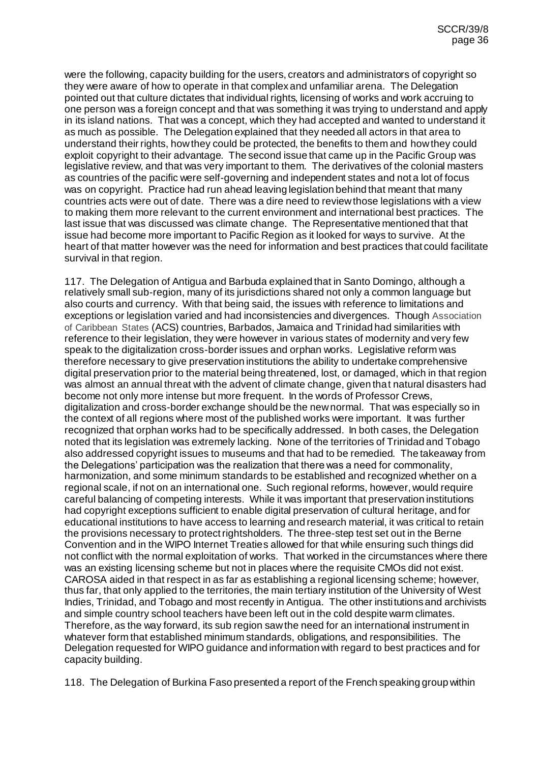were the following, capacity building for the users, creators and administrators of copyright so they were aware of how to operate in that complex and unfamiliar arena. The Delegation pointed out that culture dictates that individual rights, licensing of works and work accruing to one person was a foreign concept and that was something it was trying to understand and apply in its island nations. That was a concept, which they had accepted and wanted to understand it as much as possible. The Delegation explained that they needed all actors in that area to understand their rights, how they could be protected, the benefits to them and how they could exploit copyright to their advantage. The second issue that came up in the Pacific Group was legislative review, and that was very important to them. The derivatives of the colonial masters as countries of the pacific were self-governing and independent states and not a lot of focus was on copyright. Practice had run ahead leaving legislation behind that meant that many countries acts were out of date. There was a dire need to review those legislations with a view to making them more relevant to the current environment and international best practices. The last issue that was discussed was climate change. The Representative mentioned that that issue had become more important to Pacific Region as it looked for ways to survive. At the heart of that matter however was the need for information and best practices that could facilitate survival in that region.

117. The Delegation of Antigua and Barbuda explained that in Santo Domingo, although a relatively small sub-region, many of its jurisdictions shared not only a common language but also courts and currency. With that being said, the issues with reference to limitations and exceptions or legislation varied and had inconsistencies and divergences. Though Association of Caribbean States (ACS) countries, Barbados, Jamaica and Trinidad had similarities with reference to their legislation, they were however in various states of modernity and very few speak to the digitalization cross-border issues and orphan works. Legislative reform was therefore necessary to give preservation institutions the ability to undertake comprehensive digital preservation prior to the material being threatened, lost, or damaged, which in that region was almost an annual threat with the advent of climate change, given that natural disasters had become not only more intense but more frequent. In the words of Professor Crews, digitalization and cross-border exchange should be the new normal. That was especially so in the context of all regions where most of the published works were important. It was further recognized that orphan works had to be specifically addressed. In both cases, the Delegation noted that its legislation was extremely lacking. None of the territories of Trinidad and Tobago also addressed copyright issues to museums and that had to be remedied. The takeaway from the Delegations' participation was the realization that there was a need for commonality, harmonization, and some minimum standards to be established and recognized whether on a regional scale, if not on an international one. Such regional reforms, however, would require careful balancing of competing interests. While it was important that preservation institutions had copyright exceptions sufficient to enable digital preservation of cultural heritage, and for educational institutions to have access to learning and research material, it was critical to retain the provisions necessary to protect rightsholders. The three-step test set out in the Berne Convention and in the WIPO Internet Treaties allowed for that while ensuring such things did not conflict with the normal exploitation of works. That worked in the circumstances where there was an existing licensing scheme but not in places where the requisite CMOs did not exist. CAROSA aided in that respect in as far as establishing a regional licensing scheme; however, thus far, that only applied to the territories, the main tertiary institution of the University of West Indies, Trinidad, and Tobago and most recently in Antigua. The other institutions and archivists and simple country school teachers have been left out in the cold despite warm climates. Therefore, as the way forward, its sub region saw the need for an international instrument in whatever form that established minimum standards, obligations, and responsibilities. The Delegation requested for WIPO guidance and information with regard to best practices and for capacity building.

118. The Delegation of Burkina Faso presented a report of the French speaking group within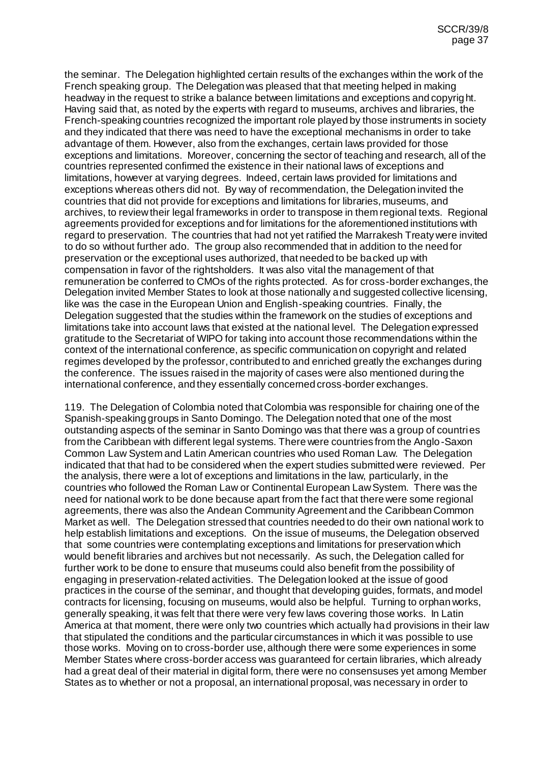the seminar. The Delegation highlighted certain results of the exchanges within the work of the French speaking group. The Delegation was pleased that that meeting helped in making headway in the request to strike a balance between limitations and exceptions and copyright. Having said that, as noted by the experts with regard to museums, archives and libraries, the French-speaking countries recognized the important role played by those instruments in society and they indicated that there was need to have the exceptional mechanisms in order to take advantage of them. However, also from the exchanges, certain laws provided for those exceptions and limitations. Moreover, concerning the sector of teaching and research, all of the countries represented confirmed the existence in their national laws of exceptions and limitations, however at varying degrees. Indeed, certain laws provided for limitations and exceptions whereas others did not. By way of recommendation, the Delegation invited the countries that did not provide for exceptions and limitations for libraries, museums, and archives, to review their legal frameworks in order to transpose in them regional texts. Regional agreements provided for exceptions and for limitations for the aforementioned institutions with regard to preservation. The countries that had not yet ratified the Marrakesh Treaty were invited to do so without further ado. The group also recommended that in addition to the need for preservation or the exceptional uses authorized, that needed to be backed up with compensation in favor of the rightsholders. It was also vital the management of that remuneration be conferred to CMOs of the rights protected. As for cross-border exchanges, the Delegation invited Member States to look at those nationally and suggested collective licensing, like was the case in the European Union and English-speaking countries. Finally, the Delegation suggested that the studies within the framework on the studies of exceptions and limitations take into account laws that existed at the national level. The Delegation expressed gratitude to the Secretariat of WIPO for taking into account those recommendations within the context of the international conference, as specific communication on copyright and related regimes developed by the professor, contributed to and enriched greatly the exchanges during the conference. The issues raised in the majority of cases were also mentioned during the international conference, and they essentially concerned cross-border exchanges.

119. The Delegation of Colombia noted that Colombia was responsible for chairing one of the Spanish-speaking groups in Santo Domingo. The Delegation noted that one of the most outstanding aspects of the seminar in Santo Domingo was that there was a group of countries from the Caribbean with different legal systems. There were countries from the Anglo-Saxon Common Law System and Latin American countries who used Roman Law. The Delegation indicated that that had to be considered when the expert studies submitted were reviewed. Per the analysis, there were a lot of exceptions and limitations in the law, particularly, in the countries who followed the Roman Law or Continental European Law System. There was the need for national work to be done because apart from the fact that there were some regional agreements, there was also the Andean Community Agreement and the Caribbean Common Market as well. The Delegation stressed that countries needed to do their own national work to help establish limitations and exceptions. On the issue of museums, the Delegation observed that some countries were contemplating exceptions and limitations for preservation which would benefit libraries and archives but not necessarily. As such, the Delegation called for further work to be done to ensure that museums could also benefit from the possibility of engaging in preservation-related activities. The Delegation looked at the issue of good practices in the course of the seminar, and thought that developing guides, formats, and model contracts for licensing, focusing on museums, would also be helpful. Turning to orphan works, generally speaking, it was felt that there were very few laws covering those works. In Latin America at that moment, there were only two countries which actually had provisions in their law that stipulated the conditions and the particular circumstances in which it was possible to use those works. Moving on to cross-border use, although there were some experiences in some Member States where cross-border access was guaranteed for certain libraries, which already had a great deal of their material in digital form, there were no consensuses yet among Member States as to whether or not a proposal, an international proposal, was necessary in order to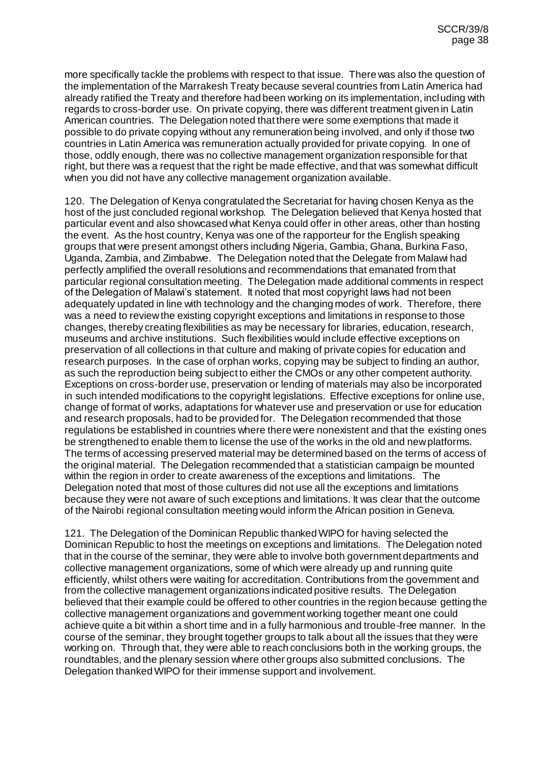more specifically tackle the problems with respect to that issue. There was also the question of the implementation of the Marrakesh Treaty because several countries from Latin America had already ratified the Treaty and therefore had been working on its implementation, including with regards to cross-border use. On private copying, there was different treatment given in Latin American countries. The Delegation noted that there were some exemptions that made it possible to do private copying without any remuneration being involved, and only if those two countries in Latin America was remuneration actually provided for private copying. In one of those, oddly enough, there was no collective management organization responsible for that right, but there was a request that the right be made effective, and that was somewhat difficult when you did not have any collective management organization available.

120. The Delegation of Kenya congratulated the Secretariat for having chosen Kenya as the host of the just concluded regional workshop. The Delegation believed that Kenya hosted that particular event and also showcased what Kenya could offer in other areas, other than hosting the event. As the host country, Kenya was one of the rapporteur for the English speaking groups that were present amongst others including Nigeria, Gambia, Ghana, Burkina Faso, Uganda, Zambia, and Zimbabwe. The Delegation noted that the Delegate from Malawi had perfectly amplified the overall resolutions and recommendations that emanated from that particular regional consultation meeting. The Delegation made additional comments in respect of the Delegation of Malawi's statement. It noted that most copyright laws had not been adequately updated in line with technology and the changing modes of work. Therefore, there was a need to review the existing copyright exceptions and limitations in response to those changes, thereby creating flexibilities as may be necessary for libraries, education, research, museums and archive institutions. Such flexibilities would include effective exceptions on preservation of all collections in that culture and making of private copies for education and research purposes. In the case of orphan works, copying may be subject to finding an author, as such the reproduction being subject to either the CMOs or any other competent authority. Exceptions on cross-border use, preservation or lending of materials may also be incorporated in such intended modifications to the copyright legislations. Effective exceptions for online use, change of format of works, adaptations for whatever use and preservation or use for education and research proposals, had to be provided for. The Delegation recommended that those regulations be established in countries where there were nonexistent and that the existing ones be strengthened to enable them to license the use of the works in the old and new platforms. The terms of accessing preserved material may be determined based on the terms of access of the original material. The Delegation recommended that a statistician campaign be mounted within the region in order to create awareness of the exceptions and limitations. The Delegation noted that most of those cultures did not use all the exceptions and limitations because they were not aware of such exceptions and limitations. It was clear that the outcome of the Nairobi regional consultation meeting would inform the African position in Geneva.

121. The Delegation of the Dominican Republic thanked WIPO for having selected the Dominican Republic to host the meetings on exceptions and limitations. The Delegation noted that in the course of the seminar, they were able to involve both government departments and collective management organizations, some of which were already up and running quite efficiently, whilst others were waiting for accreditation. Contributions from the government and from the collective management organizations indicated positive results. The Delegation believed that their example could be offered to other countries in the region because getting the collective management organizations and government working together meant one could achieve quite a bit within a short time and in a fully harmonious and trouble-free manner. In the course of the seminar, they brought together groups to talk about all the issues that they were working on. Through that, they were able to reach conclusions both in the working groups, the roundtables, and the plenary session where other groups also submitted conclusions. The Delegation thanked WIPO for their immense support and involvement.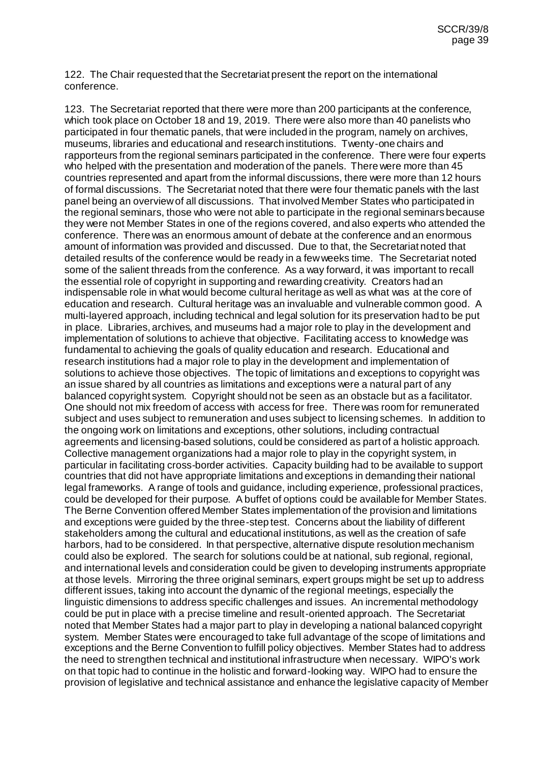122. The Chair requested that the Secretariat present the report on the international conference.

123. The Secretariat reported that there were more than 200 participants at the conference, which took place on October 18 and 19, 2019. There were also more than 40 panelists who participated in four thematic panels, that were included in the program, namely on archives, museums, libraries and educational and research institutions. Twenty-one chairs and rapporteurs from the regional seminars participated in the conference. There were four experts who helped with the presentation and moderation of the panels. There were more than 45 countries represented and apart from the informal discussions, there were more than 12 hours of formal discussions. The Secretariat noted that there were four thematic panels with the last panel being an overview of all discussions. That involved Member States who participated in the regional seminars, those who were not able to participate in the regional seminars because they were not Member States in one of the regions covered, and also experts who attended the conference. There was an enormous amount of debate at the conference and an enormous amount of information was provided and discussed. Due to that, the Secretariat noted that detailed results of the conference would be ready in a few weeks time. The Secretariat noted some of the salient threads from the conference. As a way forward, it was important to recall the essential role of copyright in supporting and rewarding creativity. Creators had an indispensable role in what would become cultural heritage as well as what was at the core of education and research. Cultural heritage was an invaluable and vulnerable common good. A multi-layered approach, including technical and legal solution for its preservation had to be put in place. Libraries, archives, and museums had a major role to play in the development and implementation of solutions to achieve that objective. Facilitating access to knowledge was fundamental to achieving the goals of quality education and research. Educational and research institutions had a major role to play in the development and implementation of solutions to achieve those objectives. The topic of limitations and exceptions to copyright was an issue shared by all countries as limitations and exceptions were a natural part of any balanced copyright system. Copyright should not be seen as an obstacle but as a facilitator. One should not mix freedom of access with access for free. There was room for remunerated subject and uses subject to remuneration and uses subject to licensing schemes. In addition to the ongoing work on limitations and exceptions, other solutions, including contractual agreements and licensing-based solutions, could be considered as part of a holistic approach. Collective management organizations had a major role to play in the copyright system, in particular in facilitating cross-border activities. Capacity building had to be available to support countries that did not have appropriate limitations and exceptions in demanding their national legal frameworks. A range of tools and guidance, including experience, professional practices, could be developed for their purpose. A buffet of options could be available for Member States. The Berne Convention offered Member States implementation of the provision and limitations and exceptions were guided by the three-step test. Concerns about the liability of different stakeholders among the cultural and educational institutions, as well as the creation of safe harbors, had to be considered. In that perspective, alternative dispute resolution mechanism could also be explored. The search for solutions could be at national, sub regional, regional, and international levels and consideration could be given to developing instruments appropriate at those levels. Mirroring the three original seminars, expert groups might be set up to address different issues, taking into account the dynamic of the regional meetings, especially the linguistic dimensions to address specific challenges and issues. An incremental methodology could be put in place with a precise timeline and result-oriented approach. The Secretariat noted that Member States had a major part to play in developing a national balanced copyright system. Member States were encouraged to take full advantage of the scope of limitations and exceptions and the Berne Convention to fulfill policy objectives. Member States had to address the need to strengthen technical and institutional infrastructure when necessary. WIPO's work on that topic had to continue in the holistic and forward-looking way. WIPO had to ensure the provision of legislative and technical assistance and enhance the legislative capacity of Member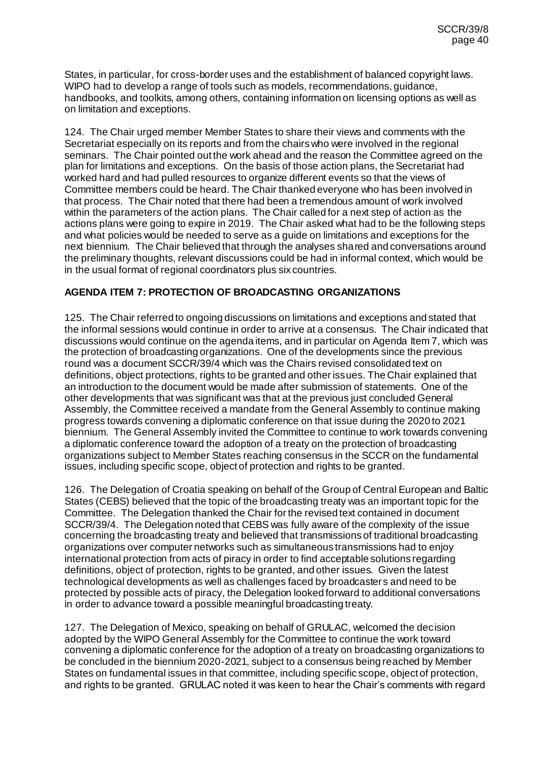States, in particular, for cross-border uses and the establishment of balanced copyright laws. WIPO had to develop a range of tools such as models, recommendations, guidance, handbooks, and toolkits, among others, containing information on licensing options as well as on limitation and exceptions.

124. The Chair urged member Member States to share their views and comments with the Secretariat especially on its reports and from the chairs who were involved in the regional seminars. The Chair pointed out the work ahead and the reason the Committee agreed on the plan for limitations and exceptions. On the basis of those action plans, the Secretariat had worked hard and had pulled resources to organize different events so that the views of Committee members could be heard. The Chair thanked everyone who has been involved in that process. The Chair noted that there had been a tremendous amount of work involved within the parameters of the action plans. The Chair called for a next step of action as the actions plans were going to expire in 2019. The Chair asked what had to be the following steps and what policies would be needed to serve as a guide on limitations and exceptions for the next biennium. The Chair believed that through the analyses shared and conversations around the preliminary thoughts, relevant discussions could be had in informal context, which would be in the usual format of regional coordinators plus six countries.

# **AGENDA ITEM 7: PROTECTION OF BROADCASTING ORGANIZATIONS**

125. The Chair referred to ongoing discussions on limitations and exceptions and stated that the informal sessions would continue in order to arrive at a consensus. The Chair indicated that discussions would continue on the agenda items, and in particular on Agenda Item 7, which was the protection of broadcasting organizations. One of the developments since the previous round was a document SCCR/39/4 which was the Chairs revised consolidated text on definitions, object protections, rights to be granted and other issues. The Chair explained that an introduction to the document would be made after submission of statements. One of the other developments that was significant was that at the previous just concluded General Assembly, the Committee received a mandate from the General Assembly to continue making progress towards convening a diplomatic conference on that issue during the 2020 to 2021 biennium. The General Assembly invited the Committee to continue to work towards convening a diplomatic conference toward the adoption of a treaty on the protection of broadcasting organizations subject to Member States reaching consensus in the SCCR on the fundamental issues, including specific scope, object of protection and rights to be granted.

126. The Delegation of Croatia speaking on behalf of the Group of Central European and Baltic States (CEBS) believed that the topic of the broadcasting treaty was an important topic for the Committee. The Delegation thanked the Chair for the revised text contained in document SCCR/39/4. The Delegation noted that CEBS was fully aware of the complexity of the issue concerning the broadcasting treaty and believed that transmissions of traditional broadcasting organizations over computer networks such as simultaneous transmissions had to enjoy international protection from acts of piracy in order to find acceptable solutions regarding definitions, object of protection, rights to be granted, and other issues. Given the latest technological developments as well as challenges faced by broadcasters and need to be protected by possible acts of piracy, the Delegation looked forward to additional conversations in order to advance toward a possible meaningful broadcasting treaty.

127. The Delegation of Mexico, speaking on behalf of GRULAC, welcomed the decision adopted by the WIPO General Assembly for the Committee to continue the work toward convening a diplomatic conference for the adoption of a treaty on broadcasting organizations to be concluded in the biennium 2020-2021, subject to a consensus being reached by Member States on fundamental issues in that committee, including specific scope, object of protection, and rights to be granted. GRULAC noted it was keen to hear the Chair's comments with regard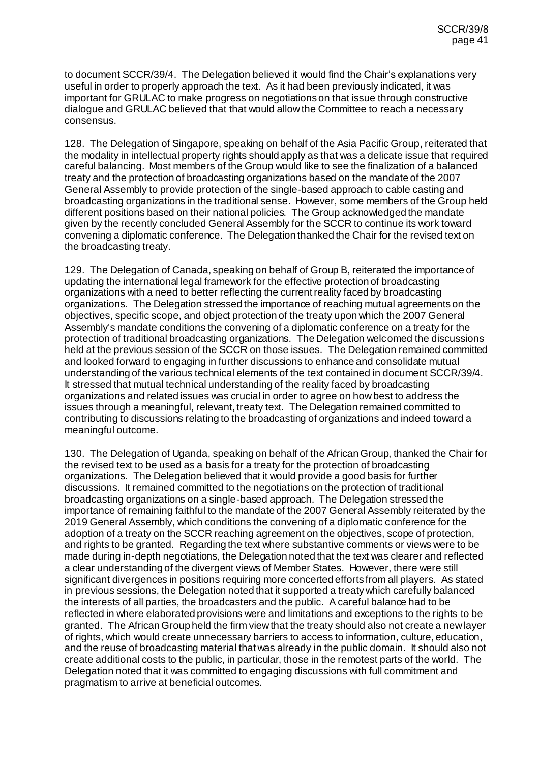to document SCCR/39/4. The Delegation believed it would find the Chair's explanations very useful in order to properly approach the text. As it had been previously indicated, it was important for GRULAC to make progress on negotiations on that issue through constructive dialogue and GRULAC believed that that would allow the Committee to reach a necessary consensus.

128. The Delegation of Singapore, speaking on behalf of the Asia Pacific Group, reiterated that the modality in intellectual property rights should apply as that was a delicate issue that required careful balancing. Most members of the Group would like to see the finalization of a balanced treaty and the protection of broadcasting organizations based on the mandate of the 2007 General Assembly to provide protection of the single-based approach to cable casting and broadcasting organizations in the traditional sense. However, some members of the Group held different positions based on their national policies. The Group acknowledged the mandate given by the recently concluded General Assembly for the SCCR to continue its work toward convening a diplomatic conference. The Delegation thanked the Chair for the revised text on the broadcasting treaty.

129. The Delegation of Canada, speaking on behalf of Group B, reiterated the importance of updating the international legal framework for the effective protection of broadcasting organizations with a need to better reflecting the current reality faced by broadcasting organizations. The Delegation stressed the importance of reaching mutual agreements on the objectives, specific scope, and object protection of the treaty upon which the 2007 General Assembly's mandate conditions the convening of a diplomatic conference on a treaty for the protection of traditional broadcasting organizations. The Delegation welcomed the discussions held at the previous session of the SCCR on those issues. The Delegation remained committed and looked forward to engaging in further discussions to enhance and consolidate mutual understanding of the various technical elements of the text contained in document SCCR/39/4. It stressed that mutual technical understanding of the reality faced by broadcasting organizations and related issues was crucial in order to agree on how best to address the issues through a meaningful, relevant, treaty text. The Delegation remained committed to contributing to discussions relating to the broadcasting of organizations and indeed toward a meaningful outcome.

130. The Delegation of Uganda, speaking on behalf of the African Group, thanked the Chair for the revised text to be used as a basis for a treaty for the protection of broadcasting organizations. The Delegation believed that it would provide a good basis for further discussions. It remained committed to the negotiations on the protection of traditional broadcasting organizations on a single-based approach. The Delegation stressed the importance of remaining faithful to the mandate of the 2007 General Assembly reiterated by the 2019 General Assembly, which conditions the convening of a diplomatic conference for the adoption of a treaty on the SCCR reaching agreement on the objectives, scope of protection, and rights to be granted. Regarding the text where substantive comments or views were to be made during in-depth negotiations, the Delegation noted that the text was clearer and reflected a clear understanding of the divergent views of Member States. However, there were still significant divergences in positions requiring more concerted efforts from all players. As stated in previous sessions, the Delegation noted that it supported a treaty which carefully balanced the interests of all parties, the broadcasters and the public. A careful balance had to be reflected in where elaborated provisions were and limitations and exceptions to the rights to be granted. The African Group held the firm view that the treaty should also not create a new layer of rights, which would create unnecessary barriers to access to information, culture, education, and the reuse of broadcasting material that was already in the public domain. It should also not create additional costs to the public, in particular, those in the remotest parts of the world. The Delegation noted that it was committed to engaging discussions with full commitment and pragmatism to arrive at beneficial outcomes.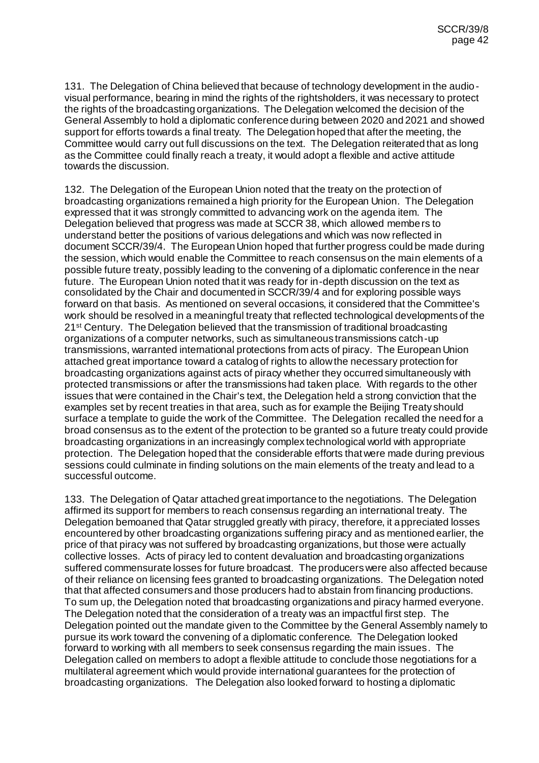131. The Delegation of China believed that because of technology development in the audiovisual performance, bearing in mind the rights of the rightsholders, it was necessary to protect the rights of the broadcasting organizations. The Delegation welcomed the decision of the General Assembly to hold a diplomatic conference during between 2020 and 2021 and showed support for efforts towards a final treaty. The Delegation hoped that after the meeting, the Committee would carry out full discussions on the text. The Delegation reiterated that as long as the Committee could finally reach a treaty, it would adopt a flexible and active attitude towards the discussion.

132. The Delegation of the European Union noted that the treaty on the protection of broadcasting organizations remained a high priority for the European Union. The Delegation expressed that it was strongly committed to advancing work on the agenda item. The Delegation believed that progress was made at SCCR 38, which allowed members to understand better the positions of various delegations and which was now reflected in document SCCR/39/4. The European Union hoped that further progress could be made during the session, which would enable the Committee to reach consensus on the main elements of a possible future treaty, possibly leading to the convening of a diplomatic conference in the near future. The European Union noted that it was ready for in-depth discussion on the text as consolidated by the Chair and documented in SCCR/39/4 and for exploring possible ways forward on that basis. As mentioned on several occasions, it considered that the Committee's work should be resolved in a meaningful treaty that reflected technological developments of the 21<sup>st</sup> Century. The Delegation believed that the transmission of traditional broadcasting organizations of a computer networks, such as simultaneous transmissions catch-up transmissions, warranted international protections from acts of piracy. The European Union attached great importance toward a catalog of rights to allow the necessary protection for broadcasting organizations against acts of piracy whether they occurred simultaneously with protected transmissions or after the transmissions had taken place. With regards to the other issues that were contained in the Chair's text, the Delegation held a strong conviction that the examples set by recent treaties in that area, such as for example the Beijing Treaty should surface a template to guide the work of the Committee. The Delegation recalled the need for a broad consensus as to the extent of the protection to be granted so a future treaty could provide broadcasting organizations in an increasingly complex technological world with appropriate protection. The Delegation hoped that the considerable efforts that were made during previous sessions could culminate in finding solutions on the main elements of the treaty and lead to a successful outcome.

133. The Delegation of Qatar attached great importance to the negotiations. The Delegation affirmed its support for members to reach consensus regarding an international treaty. The Delegation bemoaned that Qatar struggled greatly with piracy, therefore, it appreciated losses encountered by other broadcasting organizations suffering piracy and as mentioned earlier, the price of that piracy was not suffered by broadcasting organizations, but those were actually collective losses. Acts of piracy led to content devaluation and broadcasting organizations suffered commensurate losses for future broadcast. The producers were also affected because of their reliance on licensing fees granted to broadcasting organizations. The Delegation noted that that affected consumers and those producers had to abstain from financing productions. To sum up, the Delegation noted that broadcasting organizations and piracy harmed everyone. The Delegation noted that the consideration of a treaty was an impactful first step. The Delegation pointed out the mandate given to the Committee by the General Assembly namely to pursue its work toward the convening of a diplomatic conference. The Delegation looked forward to working with all members to seek consensus regarding the main issues. The Delegation called on members to adopt a flexible attitude to conclude those negotiations for a multilateral agreement which would provide international guarantees for the protection of broadcasting organizations. The Delegation also looked forward to hosting a diplomatic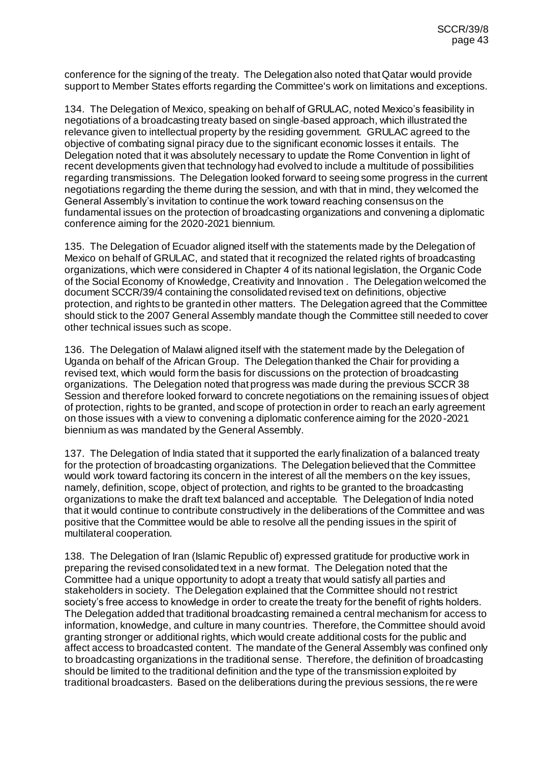conference for the signing of the treaty. The Delegation also noted that Qatar would provide support to Member States efforts regarding the Committee's work on limitations and exceptions.

134. The Delegation of Mexico, speaking on behalf of GRULAC, noted Mexico's feasibility in negotiations of a broadcasting treaty based on single-based approach, which illustrated the relevance given to intellectual property by the residing government. GRULAC agreed to the objective of combating signal piracy due to the significant economic losses it entails. The Delegation noted that it was absolutely necessary to update the Rome Convention in light of recent developments given that technology had evolved to include a multitude of possibilities regarding transmissions. The Delegation looked forward to seeing some progress in the current negotiations regarding the theme during the session, and with that in mind, they welcomed the General Assembly's invitation to continue the work toward reaching consensus on the fundamental issues on the protection of broadcasting organizations and convening a diplomatic conference aiming for the 2020-2021 biennium.

135. The Delegation of Ecuador aligned itself with the statements made by the Delegation of Mexico on behalf of GRULAC, and stated that it recognized the related rights of broadcasting organizations, which were considered in Chapter 4 of its national legislation, the Organic Code of the Social Economy of Knowledge, Creativity and Innovation . The Delegation welcomed the document SCCR/39/4 containing the consolidated revised text on definitions, objective protection, and rights to be granted in other matters. The Delegation agreed that the Committee should stick to the 2007 General Assembly mandate though the Committee still needed to cover other technical issues such as scope.

136. The Delegation of Malawi aligned itself with the statement made by the Delegation of Uganda on behalf of the African Group. The Delegation thanked the Chair for providing a revised text, which would form the basis for discussions on the protection of broadcasting organizations. The Delegation noted that progress was made during the previous SCCR 38 Session and therefore looked forward to concrete negotiations on the remaining issues of object of protection, rights to be granted, and scope of protection in order to reach an early agreement on those issues with a view to convening a diplomatic conference aiming for the 2020-2021 biennium as was mandated by the General Assembly.

137. The Delegation of India stated that it supported the early finalization of a balanced treaty for the protection of broadcasting organizations. The Delegation believed that the Committee would work toward factoring its concern in the interest of all the members on the key issues, namely, definition, scope, object of protection, and rights to be granted to the broadcasting organizations to make the draft text balanced and acceptable. The Delegation of India noted that it would continue to contribute constructively in the deliberations of the Committee and was positive that the Committee would be able to resolve all the pending issues in the spirit of multilateral cooperation.

138. The Delegation of Iran (Islamic Republic of) expressed gratitude for productive work in preparing the revised consolidated text in a new format. The Delegation noted that the Committee had a unique opportunity to adopt a treaty that would satisfy all parties and stakeholders in society. The Delegation explained that the Committee should not restrict society's free access to knowledge in order to create the treaty for the benefit of rights holders. The Delegation added that traditional broadcasting remained a central mechanism for access to information, knowledge, and culture in many countries. Therefore, the Committee should avoid granting stronger or additional rights, which would create additional costs for the public and affect access to broadcasted content. The mandate of the General Assembly was confined only to broadcasting organizations in the traditional sense. Therefore, the definition of broadcasting should be limited to the traditional definition and the type of the transmission exploited by traditional broadcasters. Based on the deliberations during the previous sessions, there were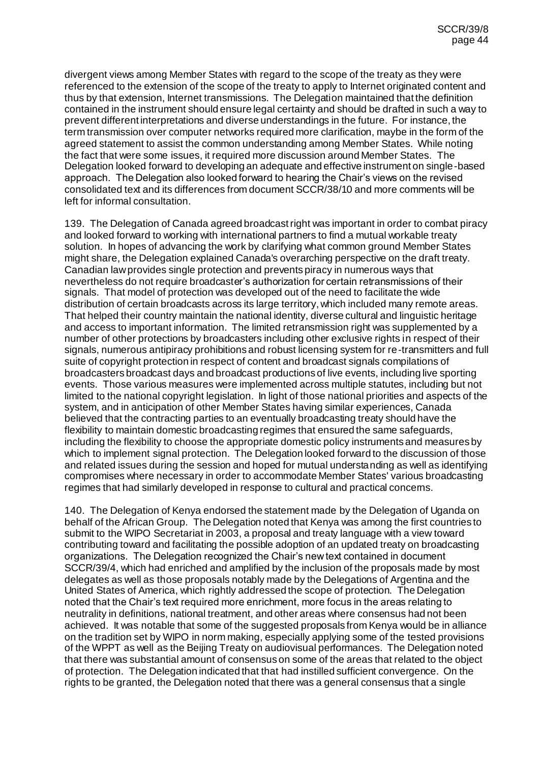divergent views among Member States with regard to the scope of the treaty as they were referenced to the extension of the scope of the treaty to apply to Internet originated content and thus by that extension, Internet transmissions. The Delegation maintained that the definition contained in the instrument should ensure legal certainty and should be drafted in such a way to prevent different interpretations and diverse understandings in the future. For instance, the term transmission over computer networks required more clarification, maybe in the form of the agreed statement to assist the common understanding among Member States. While noting the fact that were some issues, it required more discussion around Member States. The Delegation looked forward to developing an adequate and effective instrument on single-based approach. The Delegation also looked forward to hearing the Chair's views on the revised consolidated text and its differences from document SCCR/38/10 and more comments will be left for informal consultation.

139. The Delegation of Canada agreed broadcast right was important in order to combat piracy and looked forward to working with international partners to find a mutual workable treaty solution. In hopes of advancing the work by clarifying what common ground Member States might share, the Delegation explained Canada's overarching perspective on the draft treaty. Canadian law provides single protection and prevents piracy in numerous ways that nevertheless do not require broadcaster's authorization for certain retransmissions of their signals. That model of protection was developed out of the need to facilitate the wide distribution of certain broadcasts across its large territory, which included many remote areas. That helped their country maintain the national identity, diverse cultural and linguistic heritage and access to important information. The limited retransmission right was supplemented by a number of other protections by broadcasters including other exclusive rights in respect of their signals, numerous antipiracy prohibitions and robust licensing system for re-transmitters and full suite of copyright protection in respect of content and broadcast signals compilations of broadcasters broadcast days and broadcast productions of live events, including live sporting events. Those various measures were implemented across multiple statutes, including but not limited to the national copyright legislation. In light of those national priorities and aspects of the system, and in anticipation of other Member States having similar experiences, Canada believed that the contracting parties to an eventually broadcasting treaty should have the flexibility to maintain domestic broadcasting regimes that ensured the same safeguards, including the flexibility to choose the appropriate domestic policy instruments and measures by which to implement signal protection. The Delegation looked forward to the discussion of those and related issues during the session and hoped for mutual understanding as well as identifying compromises where necessary in order to accommodate Member States' various broadcasting regimes that had similarly developed in response to cultural and practical concerns.

140. The Delegation of Kenya endorsed the statement made by the Delegation of Uganda on behalf of the African Group. The Delegation noted that Kenya was among the first countries to submit to the WIPO Secretariat in 2003, a proposal and treaty language with a view toward contributing toward and facilitating the possible adoption of an updated treaty on broadcasting organizations. The Delegation recognized the Chair's new text contained in document SCCR/39/4, which had enriched and amplified by the inclusion of the proposals made by most delegates as well as those proposals notably made by the Delegations of Argentina and the United States of America, which rightly addressed the scope of protection. The Delegation noted that the Chair's text required more enrichment, more focus in the areas relating to neutrality in definitions, national treatment, and other areas where consensus had not been achieved. It was notable that some of the suggested proposals from Kenya would be in alliance on the tradition set by WIPO in norm making, especially applying some of the tested provisions of the WPPT as well as the Beijing Treaty on audiovisual performances. The Delegation noted that there was substantial amount of consensus on some of the areas that related to the object of protection. The Delegation indicated that that had instilled sufficient convergence. On the rights to be granted, the Delegation noted that there was a general consensus that a single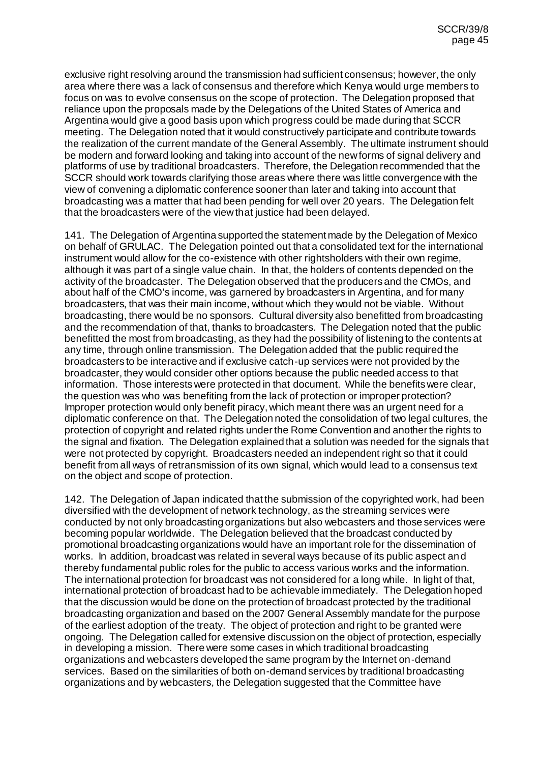exclusive right resolving around the transmission had sufficient consensus; however, the only area where there was a lack of consensus and therefore which Kenya would urge members to focus on was to evolve consensus on the scope of protection. The Delegation proposed that reliance upon the proposals made by the Delegations of the United States of America and Argentina would give a good basis upon which progress could be made during that SCCR meeting. The Delegation noted that it would constructively participate and contribute towards the realization of the current mandate of the General Assembly. The ultimate instrument should be modern and forward looking and taking into account of the new forms of signal delivery and platforms of use by traditional broadcasters. Therefore, the Delegation recommended that the SCCR should work towards clarifying those areas where there was little convergence with the view of convening a diplomatic conference sooner than later and taking into account that broadcasting was a matter that had been pending for well over 20 years. The Delegation felt that the broadcasters were of the view that justice had been delayed.

141. The Delegation of Argentina supported the statement made by the Delegation of Mexico on behalf of GRULAC. The Delegation pointed out that a consolidated text for the international instrument would allow for the co-existence with other rightsholders with their own regime, although it was part of a single value chain. In that, the holders of contents depended on the activity of the broadcaster. The Delegation observed that the producers and the CMOs, and about half of the CMO's income, was garnered by broadcasters in Argentina, and for many broadcasters, that was their main income, without which they would not be viable. Without broadcasting, there would be no sponsors. Cultural diversity also benefitted from broadcasting and the recommendation of that, thanks to broadcasters. The Delegation noted that the public benefitted the most from broadcasting, as they had the possibility of listening to the contents at any time, through online transmission. The Delegation added that the public required the broadcasters to be interactive and if exclusive catch-up services were not provided by the broadcaster, they would consider other options because the public needed access to that information. Those interests were protected in that document. While the benefits were clear, the question was who was benefiting from the lack of protection or improper protection? Improper protection would only benefit piracy, which meant there was an urgent need for a diplomatic conference on that. The Delegation noted the consolidation of two legal cultures, the protection of copyright and related rights under the Rome Convention and another the rights to the signal and fixation. The Delegation explained that a solution was needed for the signals that were not protected by copyright. Broadcasters needed an independent right so that it could benefit from all ways of retransmission of its own signal, which would lead to a consensus text on the object and scope of protection.

142. The Delegation of Japan indicated that the submission of the copyrighted work, had been diversified with the development of network technology, as the streaming services were conducted by not only broadcasting organizations but also webcasters and those services were becoming popular worldwide. The Delegation believed that the broadcast conducted by promotional broadcasting organizations would have an important role for the dissemination of works. In addition, broadcast was related in several ways because of its public aspect and thereby fundamental public roles for the public to access various works and the information. The international protection for broadcast was not considered for a long while. In light of that, international protection of broadcast had to be achievable immediately. The Delegation hoped that the discussion would be done on the protection of broadcast protected by the traditional broadcasting organization and based on the 2007 General Assembly mandate for the purpose of the earliest adoption of the treaty. The object of protection and right to be granted were ongoing. The Delegation called for extensive discussion on the object of protection, especially in developing a mission. There were some cases in which traditional broadcasting organizations and webcasters developed the same program by the Internet on-demand services. Based on the similarities of both on-demand services by traditional broadcasting organizations and by webcasters, the Delegation suggested that the Committee have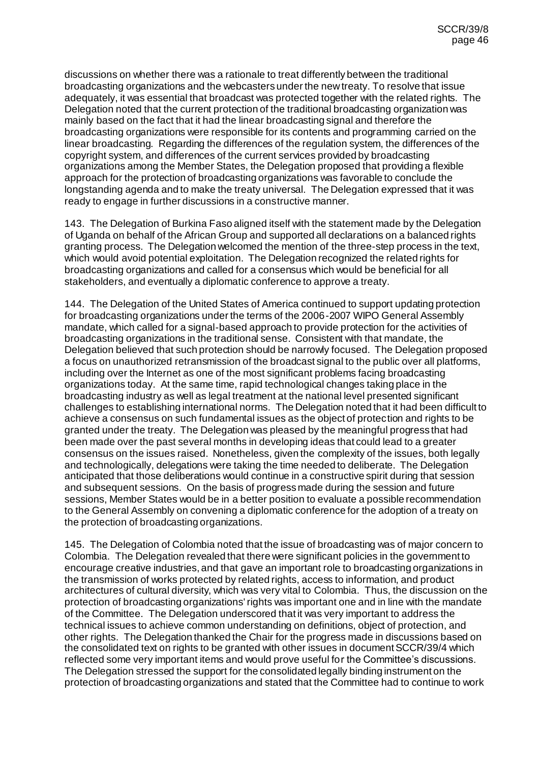discussions on whether there was a rationale to treat differently between the traditional broadcasting organizations and the webcasters under the new treaty. To resolve that issue adequately, it was essential that broadcast was protected together with the related rights. The Delegation noted that the current protection of the traditional broadcasting organization was mainly based on the fact that it had the linear broadcasting signal and therefore the broadcasting organizations were responsible for its contents and programming carried on the linear broadcasting. Regarding the differences of the regulation system, the differences of the copyright system, and differences of the current services provided by broadcasting organizations among the Member States, the Delegation proposed that providing a flexible approach for the protection of broadcasting organizations was favorable to conclude the longstanding agenda and to make the treaty universal. The Delegation expressed that it was ready to engage in further discussions in a constructive manner.

143. The Delegation of Burkina Faso aligned itself with the statement made by the Delegation of Uganda on behalf of the African Group and supported all declarations on a balanced rights granting process. The Delegation welcomed the mention of the three-step process in the text, which would avoid potential exploitation. The Delegation recognized the related rights for broadcasting organizations and called for a consensus which would be beneficial for all stakeholders, and eventually a diplomatic conference to approve a treaty.

144. The Delegation of the United States of America continued to support updating protection for broadcasting organizations under the terms of the 2006-2007 WIPO General Assembly mandate, which called for a signal-based approach to provide protection for the activities of broadcasting organizations in the traditional sense. Consistent with that mandate, the Delegation believed that such protection should be narrowly focused. The Delegation proposed a focus on unauthorized retransmission of the broadcast signal to the public over all platforms, including over the Internet as one of the most significant problems facing broadcasting organizations today. At the same time, rapid technological changes taking place in the broadcasting industry as well as legal treatment at the national level presented significant challenges to establishing international norms. The Delegation noted that it had been difficult to achieve a consensus on such fundamental issues as the object of protection and rights to be granted under the treaty. The Delegation was pleased by the meaningful progress that had been made over the past several months in developing ideas that could lead to a greater consensus on the issues raised. Nonetheless, given the complexity of the issues, both legally and technologically, delegations were taking the time needed to deliberate. The Delegation anticipated that those deliberations would continue in a constructive spirit during that session and subsequent sessions. On the basis of progress made during the session and future sessions, Member States would be in a better position to evaluate a possible recommendation to the General Assembly on convening a diplomatic conference for the adoption of a treaty on the protection of broadcasting organizations.

145. The Delegation of Colombia noted that the issue of broadcasting was of major concern to Colombia. The Delegation revealed that there were significant policies in the government to encourage creative industries, and that gave an important role to broadcasting organizations in the transmission of works protected by related rights, access to information, and product architectures of cultural diversity, which was very vital to Colombia. Thus, the discussion on the protection of broadcasting organizations' rights was important one and in line with the mandate of the Committee. The Delegation underscored that it was very important to address the technical issues to achieve common understanding on definitions, object of protection, and other rights. The Delegation thanked the Chair for the progress made in discussions based on the consolidated text on rights to be granted with other issues in document SCCR/39/4 which reflected some very important items and would prove useful for the Committee's discussions. The Delegation stressed the support for the consolidated legally binding instrument on the protection of broadcasting organizations and stated that the Committee had to continue to work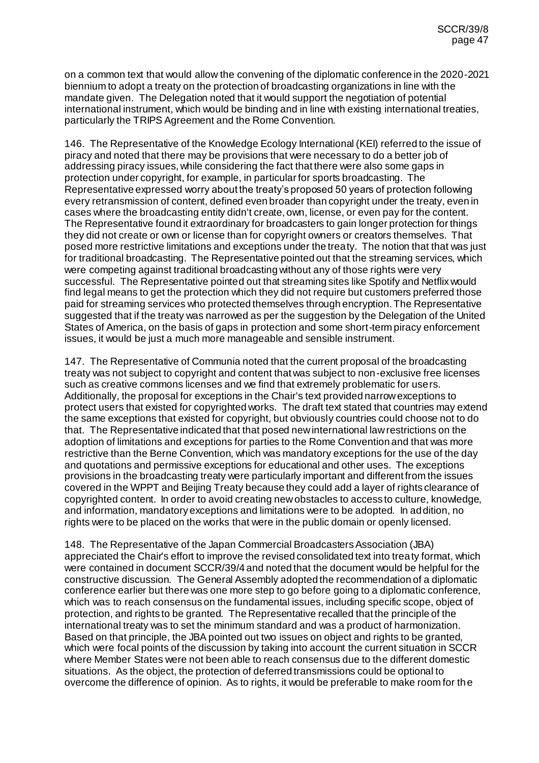on a common text that would allow the convening of the diplomatic conference in the 2020-2021 biennium to adopt a treaty on the protection of broadcasting organizations in line with the mandate given. The Delegation noted that it would support the negotiation of potential international instrument, which would be binding and in line with existing international treaties, particularly the TRIPS Agreement and the Rome Convention.

146. The Representative of the Knowledge Ecology International (KEI) referred to the issue of piracy and noted that there may be provisions that were necessary to do a better job of addressing piracy issues, while considering the fact that there were also some gaps in protection under copyright, for example, in particular for sports broadcasting. The Representative expressed worry about the treaty's proposed 50 years of protection following every retransmission of content, defined even broader than copyright under the treaty, even in cases where the broadcasting entity didn't create, own, license, or even pay for the content. The Representative found it extraordinary for broadcasters to gain longer protection for things they did not create or own or license than for copyright owners or creators themselves. That posed more restrictive limitations and exceptions under the treaty. The notion that that was just for traditional broadcasting. The Representative pointed out that the streaming services, which were competing against traditional broadcasting without any of those rights were very successful. The Representative pointed out that streaming sites like Spotify and Netflix would find legal means to get the protection which they did not require but customers preferred those paid for streaming services who protected themselves through encryption. The Representative suggested that if the treaty was narrowed as per the suggestion by the Delegation of the United States of America, on the basis of gaps in protection and some short-term piracy enforcement issues, it would be just a much more manageable and sensible instrument.

147. The Representative of Communia noted that the current proposal of the broadcasting treaty was not subject to copyright and content that was subject to non-exclusive free licenses such as creative commons licenses and we find that extremely problematic for users. Additionally, the proposal for exceptions in the Chair's text provided narrow exceptions to protect users that existed for copyrighted works. The draft text stated that countries may extend the same exceptions that existed for copyright, but obviously countries could choose not to do that. The Representative indicated that that posed new international law restrictions on the adoption of limitations and exceptions for parties to the Rome Convention and that was more restrictive than the Berne Convention, which was mandatory exceptions for the use of the day and quotations and permissive exceptions for educational and other uses. The exceptions provisions in the broadcasting treaty were particularly important and different from the issues covered in the WPPT and Beijing Treaty because they could add a layer of rights clearance of copyrighted content. In order to avoid creating new obstacles to access to culture, knowledge, and information, mandatory exceptions and limitations were to be adopted. In addition, no rights were to be placed on the works that were in the public domain or openly licensed.

148. The Representative of the Japan Commercial Broadcasters Association (JBA) appreciated the Chair's effort to improve the revised consolidated text into treaty format, which were contained in document SCCR/39/4 and noted that the document would be helpful for the constructive discussion. The General Assembly adopted the recommendation of a diplomatic conference earlier but there was one more step to go before going to a diplomatic conference, which was to reach consensus on the fundamental issues, including specific scope, object of protection, and rights to be granted. The Representative recalled that the principle of the international treaty was to set the minimum standard and was a product of harmonization. Based on that principle, the JBA pointed out two issues on object and rights to be granted, which were focal points of the discussion by taking into account the current situation in SCCR where Member States were not been able to reach consensus due to the different domestic situations. As the object, the protection of deferred transmissions could be optional to overcome the difference of opinion. As to rights, it would be preferable to make room for the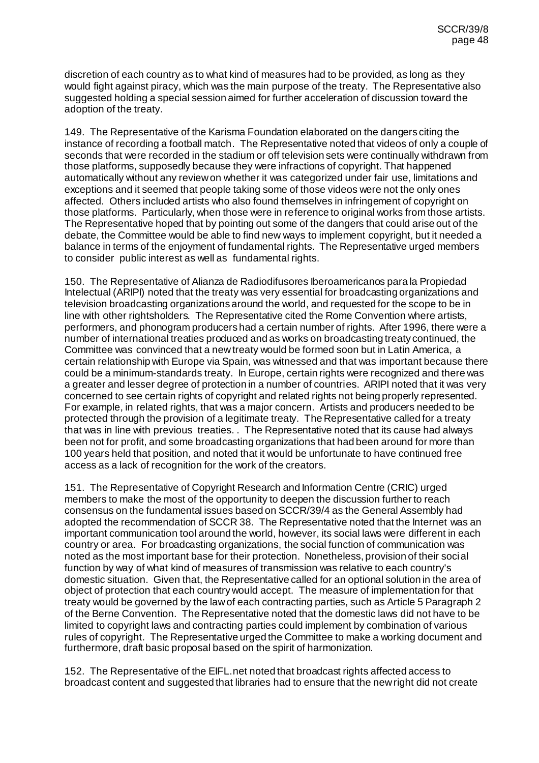discretion of each country as to what kind of measures had to be provided, as long as they would fight against piracy, which was the main purpose of the treaty. The Representative also suggested holding a special session aimed for further acceleration of discussion toward the adoption of the treaty.

149. The Representative of the Karisma Foundation elaborated on the dangers citing the instance of recording a football match. The Representative noted that videos of only a couple of seconds that were recorded in the stadium or off television sets were continually withdrawn from those platforms, supposedly because they were infractions of copyright. That happened automatically without any review on whether it was categorized under fair use, limitations and exceptions and it seemed that people taking some of those videos were not the only ones affected. Others included artists who also found themselves in infringement of copyright on those platforms. Particularly, when those were in reference to original works from those artists. The Representative hoped that by pointing out some of the dangers that could arise out of the debate, the Committee would be able to find new ways to implement copyright, but it needed a balance in terms of the enjoyment of fundamental rights. The Representative urged members to consider public interest as well as fundamental rights.

150. The Representative of Alianza de Radiodifusores Iberoamericanos para la Propiedad Intelectual (ARIPI) noted that the treaty was very essential for broadcasting organizations and television broadcasting organizations around the world, and requested for the scope to be in line with other rightsholders. The Representative cited the Rome Convention where artists, performers, and phonogram producers had a certain number of rights. After 1996, there were a number of international treaties produced and as works on broadcasting treaty continued, the Committee was convinced that a new treaty would be formed soon but in Latin America, a certain relationship with Europe via Spain, was witnessed and that was important because there could be a minimum-standards treaty. In Europe, certain rights were recognized and there was a greater and lesser degree of protection in a number of countries. ARIPI noted that it was very concerned to see certain rights of copyright and related rights not being properly represented. For example, in related rights, that was a major concern. Artists and producers needed to be protected through the provision of a legitimate treaty. The Representative called for a treaty that was in line with previous treaties. . The Representative noted that its cause had always been not for profit, and some broadcasting organizations that had been around for more than 100 years held that position, and noted that it would be unfortunate to have continued free access as a lack of recognition for the work of the creators.

151. The Representative of Copyright Research and Information Centre (CRIC) urged members to make the most of the opportunity to deepen the discussion further to reach consensus on the fundamental issues based on SCCR/39/4 as the General Assembly had adopted the recommendation of SCCR 38. The Representative noted that the Internet was an important communication tool around the world, however, its social laws were different in each country or area. For broadcasting organizations, the social function of communication was noted as the most important base for their protection. Nonetheless, provision of their social function by way of what kind of measures of transmission was relative to each country's domestic situation. Given that, the Representative called for an optional solution in the area of object of protection that each country would accept. The measure of implementation for that treaty would be governed by the law of each contracting parties, such as Article 5 Paragraph 2 of the Berne Convention. The Representative noted that the domestic laws did not have to be limited to copyright laws and contracting parties could implement by combination of various rules of copyright. The Representative urged the Committee to make a working document and furthermore, draft basic proposal based on the spirit of harmonization.

152. The Representative of the EIFL.net noted that broadcast rights affected access to broadcast content and suggested that libraries had to ensure that the new right did not create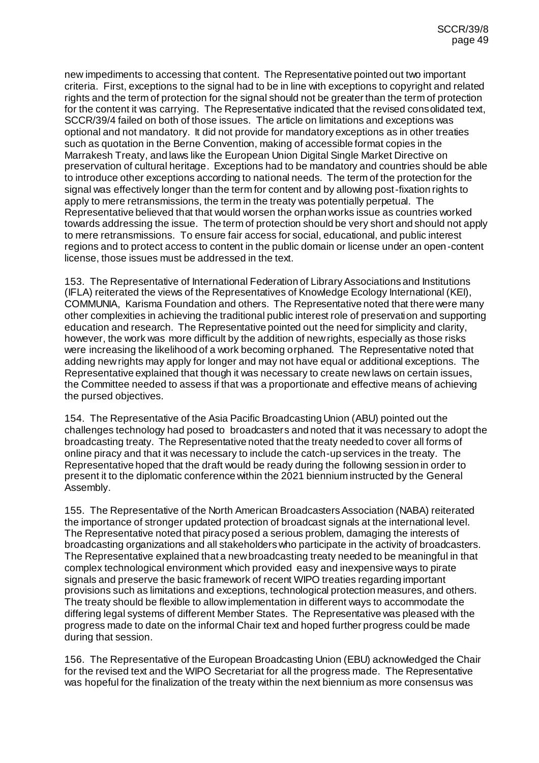new impediments to accessing that content. The Representative pointed out two important criteria. First, exceptions to the signal had to be in line with exceptions to copyright and related rights and the term of protection for the signal should not be greater than the term of protection for the content it was carrying. The Representative indicated that the revised consolidated text, SCCR/39/4 failed on both of those issues. The article on limitations and exceptions was optional and not mandatory. It did not provide for mandatory exceptions as in other treaties such as quotation in the Berne Convention, making of accessible format copies in the Marrakesh Treaty, and laws like the European Union Digital Single Market Directive on preservation of cultural heritage. Exceptions had to be mandatory and countries should be able to introduce other exceptions according to national needs. The term of the protection for the signal was effectively longer than the term for content and by allowing post-fixation rights to apply to mere retransmissions, the term in the treaty was potentially perpetual. The Representative believed that that would worsen the orphan works issue as countries worked towards addressing the issue. The term of protection should be very short and should not apply to mere retransmissions. To ensure fair access for social, educational, and public interest regions and to protect access to content in the public domain or license under an open-content license, those issues must be addressed in the text.

153. The Representative of International Federation of Library Associations and Institutions (IFLA) reiterated the views of the Representatives of Knowledge Ecology International (KEI), COMMUNIA, Karisma Foundation and others. The Representative noted that there were many other complexities in achieving the traditional public interest role of preservation and supporting education and research. The Representative pointed out the need for simplicity and clarity, however, the work was more difficult by the addition of new rights, especially as those risks were increasing the likelihood of a work becoming orphaned. The Representative noted that adding new rights may apply for longer and may not have equal or additional exceptions. The Representative explained that though it was necessary to create new laws on certain issues, the Committee needed to assess if that was a proportionate and effective means of achieving the pursed objectives.

154. The Representative of the Asia Pacific Broadcasting Union (ABU) pointed out the challenges technology had posed to broadcasters and noted that it was necessary to adopt the broadcasting treaty. The Representative noted that the treaty needed to cover all forms of online piracy and that it was necessary to include the catch-up services in the treaty. The Representative hoped that the draft would be ready during the following session in order to present it to the diplomatic conference within the 2021 biennium instructed by the General Assembly.

155. The Representative of the North American Broadcasters Association (NABA) reiterated the importance of stronger updated protection of broadcast signals at the international level. The Representative noted that piracy posed a serious problem, damaging the interests of broadcasting organizations and all stakeholders who participate in the activity of broadcasters. The Representative explained that a new broadcasting treaty needed to be meaningful in that complex technological environment which provided easy and inexpensive ways to pirate signals and preserve the basic framework of recent WIPO treaties regarding important provisions such as limitations and exceptions, technological protection measures, and others. The treaty should be flexible to allow implementation in different ways to accommodate the differing legal systems of different Member States. The Representative was pleased with the progress made to date on the informal Chair text and hoped further progress could be made during that session.

156. The Representative of the European Broadcasting Union (EBU) acknowledged the Chair for the revised text and the WIPO Secretariat for all the progress made. The Representative was hopeful for the finalization of the treaty within the next biennium as more consensus was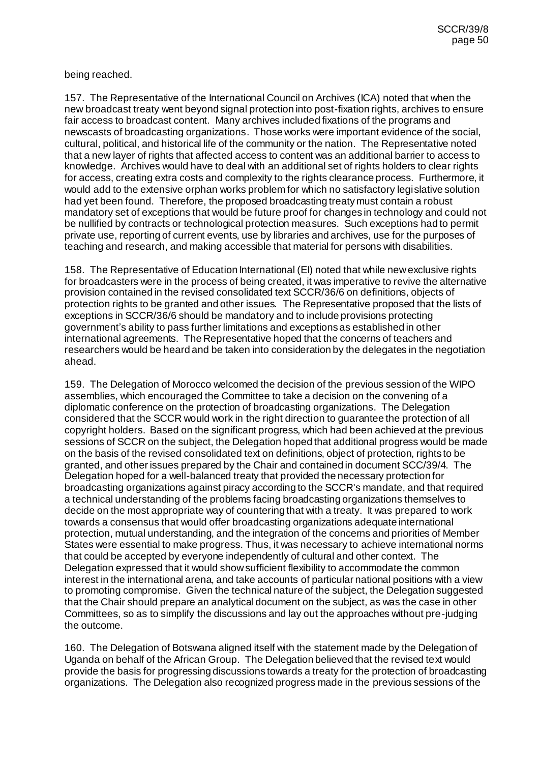#### being reached.

157. The Representative of the International Council on Archives (ICA) noted that when the new broadcast treaty went beyond signal protection into post-fixation rights, archives to ensure fair access to broadcast content. Many archives included fixations of the programs and newscasts of broadcasting organizations. Those works were important evidence of the social, cultural, political, and historical life of the community or the nation. The Representative noted that a new layer of rights that affected access to content was an additional barrier to access to knowledge. Archives would have to deal with an additional set of rights holders to clear rights for access, creating extra costs and complexity to the rights clearance process. Furthermore, it would add to the extensive orphan works problem for which no satisfactory legislative solution had yet been found. Therefore, the proposed broadcasting treaty must contain a robust mandatory set of exceptions that would be future proof for changes in technology and could not be nullified by contracts or technological protection measures. Such exceptions had to permit private use, reporting of current events, use by libraries and archives, use for the purposes of teaching and research, and making accessible that material for persons with disabilities.

158. The Representative of Education International (EI) noted that while new exclusive rights for broadcasters were in the process of being created, it was imperative to revive the alternative provision contained in the revised consolidated text SCCR/36/6 on definitions, objects of protection rights to be granted and other issues. The Representative proposed that the lists of exceptions in SCCR/36/6 should be mandatory and to include provisions protecting government's ability to pass further limitations and exceptions as established in other international agreements. The Representative hoped that the concerns of teachers and researchers would be heard and be taken into consideration by the delegates in the negotiation ahead.

159. The Delegation of Morocco welcomed the decision of the previous session of the WIPO assemblies, which encouraged the Committee to take a decision on the convening of a diplomatic conference on the protection of broadcasting organizations. The Delegation considered that the SCCR would work in the right direction to guarantee the protection of all copyright holders. Based on the significant progress, which had been achieved at the previous sessions of SCCR on the subject, the Delegation hoped that additional progress would be made on the basis of the revised consolidated text on definitions, object of protection, rights to be granted, and other issues prepared by the Chair and contained in document SCC/39/4. The Delegation hoped for a well-balanced treaty that provided the necessary protection for broadcasting organizations against piracy according to the SCCR's mandate, and that required a technical understanding of the problems facing broadcasting organizations themselves to decide on the most appropriate way of countering that with a treaty. It was prepared to work towards a consensus that would offer broadcasting organizations adequate international protection, mutual understanding, and the integration of the concerns and priorities of Member States were essential to make progress. Thus, it was necessary to achieve international norms that could be accepted by everyone independently of cultural and other context. The Delegation expressed that it would show sufficient flexibility to accommodate the common interest in the international arena, and take accounts of particular national positions with a view to promoting compromise. Given the technical nature of the subject, the Delegation suggested that the Chair should prepare an analytical document on the subject, as was the case in other Committees, so as to simplify the discussions and lay out the approaches without pre-judging the outcome.

160. The Delegation of Botswana aligned itself with the statement made by the Delegation of Uganda on behalf of the African Group. The Delegation believed that the revised text would provide the basis for progressing discussions towards a treaty for the protection of broadcasting organizations. The Delegation also recognized progress made in the previous sessions of the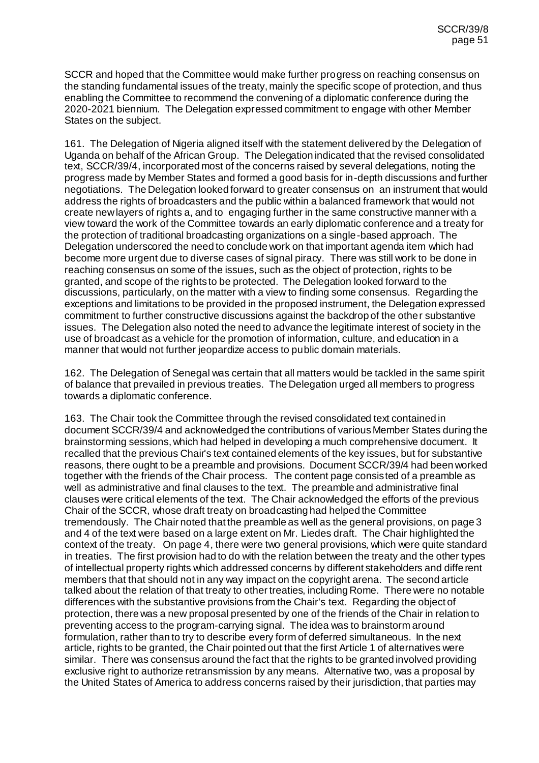SCCR and hoped that the Committee would make further progress on reaching consensus on the standing fundamental issues of the treaty, mainly the specific scope of protection, and thus enabling the Committee to recommend the convening of a diplomatic conference during the 2020-2021 biennium. The Delegation expressed commitment to engage with other Member States on the subject.

161. The Delegation of Nigeria aligned itself with the statement delivered by the Delegation of Uganda on behalf of the African Group. The Delegation indicated that the revised consolidated text, SCCR/39/4, incorporated most of the concerns raised by several delegations, noting the progress made by Member States and formed a good basis for in-depth discussions and further negotiations. The Delegation looked forward to greater consensus on an instrument that would address the rights of broadcasters and the public within a balanced framework that would not create new layers of rights a, and to engaging further in the same constructive manner with a view toward the work of the Committee towards an early diplomatic conference and a treaty for the protection of traditional broadcasting organizations on a single-based approach. The Delegation underscored the need to conclude work on that important agenda item which had become more urgent due to diverse cases of signal piracy. There was still work to be done in reaching consensus on some of the issues, such as the object of protection, rights to be granted, and scope of the rights to be protected. The Delegation looked forward to the discussions, particularly, on the matter with a view to finding some consensus. Regarding the exceptions and limitations to be provided in the proposed instrument, the Delegation expressed commitment to further constructive discussions against the backdrop of the other substantive issues. The Delegation also noted the need to advance the legitimate interest of society in the use of broadcast as a vehicle for the promotion of information, culture, and education in a manner that would not further jeopardize access to public domain materials.

162. The Delegation of Senegal was certain that all matters would be tackled in the same spirit of balance that prevailed in previous treaties. The Delegation urged all members to progress towards a diplomatic conference.

163. The Chair took the Committee through the revised consolidated text contained in document SCCR/39/4 and acknowledged the contributions of various Member States during the brainstorming sessions, which had helped in developing a much comprehensive document. It recalled that the previous Chair's text contained elements of the key issues, but for substantive reasons, there ought to be a preamble and provisions. Document SCCR/39/4 had been worked together with the friends of the Chair process. The content page consisted of a preamble as well as administrative and final clauses to the text. The preamble and administrative final clauses were critical elements of the text. The Chair acknowledged the efforts of the previous Chair of the SCCR, whose draft treaty on broadcasting had helped the Committee tremendously. The Chair noted that the preamble as well as the general provisions, on page 3 and 4 of the text were based on a large extent on Mr. Liedes draft. The Chair highlighted the context of the treaty. On page 4, there were two general provisions, which were quite standard in treaties. The first provision had to do with the relation between the treaty and the other types of intellectual property rights which addressed concerns by different stakeholders and different members that that should not in any way impact on the copyright arena. The second article talked about the relation of that treaty to other treaties, including Rome. There were no notable differences with the substantive provisions from the Chair's text. Regarding the object of protection, there was a new proposal presented by one of the friends of the Chair in relation to preventing access to the program-carrying signal. The idea was to brainstorm around formulation, rather than to try to describe every form of deferred simultaneous. In the next article, rights to be granted, the Chair pointed out that the first Article 1 of alternatives were similar. There was consensus around the fact that the rights to be granted involved providing exclusive right to authorize retransmission by any means. Alternative two, was a proposal by the United States of America to address concerns raised by their jurisdiction, that parties may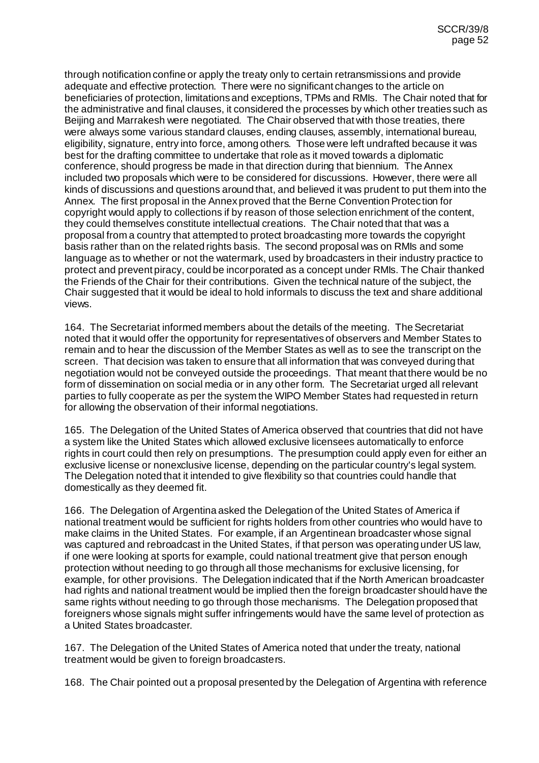through notification confine or apply the treaty only to certain retransmissions and provide adequate and effective protection. There were no significant changes to the article on beneficiaries of protection, limitations and exceptions, TPMs and RMIs. The Chair noted that for the administrative and final clauses, it considered the processes by which other treaties such as Beijing and Marrakesh were negotiated. The Chair observed that with those treaties, there were always some various standard clauses, ending clauses, assembly, international bureau, eligibility, signature, entry into force, among others. Those were left undrafted because it was best for the drafting committee to undertake that role as it moved towards a diplomatic conference, should progress be made in that direction during that biennium. The Annex included two proposals which were to be considered for discussions. However, there were all kinds of discussions and questions around that, and believed it was prudent to put them into the Annex. The first proposal in the Annex proved that the Berne Convention Protection for copyright would apply to collections if by reason of those selection enrichment of the content, they could themselves constitute intellectual creations. The Chair noted that that was a proposal from a country that attempted to protect broadcasting more towards the copyright basis rather than on the related rights basis. The second proposal was on RMIs and some language as to whether or not the watermark, used by broadcasters in their industry practice to protect and prevent piracy, could be incorporated as a concept under RMIs. The Chair thanked the Friends of the Chair for their contributions. Given the technical nature of the subject, the Chair suggested that it would be ideal to hold informals to discuss the text and share additional views.

164. The Secretariat informed members about the details of the meeting. The Secretariat noted that it would offer the opportunity for representatives of observers and Member States to remain and to hear the discussion of the Member States as well as to see the transcript on the screen. That decision was taken to ensure that all information that was conveyed during that negotiation would not be conveyed outside the proceedings. That meant that there would be no form of dissemination on social media or in any other form. The Secretariat urged all relevant parties to fully cooperate as per the system the WIPO Member States had requested in return for allowing the observation of their informal negotiations.

165. The Delegation of the United States of America observed that countries that did not have a system like the United States which allowed exclusive licensees automatically to enforce rights in court could then rely on presumptions. The presumption could apply even for either an exclusive license or nonexclusive license, depending on the particular country's legal system. The Delegation noted that it intended to give flexibility so that countries could handle that domestically as they deemed fit.

166. The Delegation of Argentina asked the Delegation of the United States of America if national treatment would be sufficient for rights holders from other countries who would have to make claims in the United States. For example, if an Argentinean broadcaster whose signal was captured and rebroadcast in the United States, if that person was operating under US law, if one were looking at sports for example, could national treatment give that person enough protection without needing to go through all those mechanisms for exclusive licensing, for example, for other provisions. The Delegation indicated that if the North American broadcaster had rights and national treatment would be implied then the foreign broadcaster should have the same rights without needing to go through those mechanisms. The Delegation proposed that foreigners whose signals might suffer infringements would have the same level of protection as a United States broadcaster.

167. The Delegation of the United States of America noted that under the treaty, national treatment would be given to foreign broadcasters.

168. The Chair pointed out a proposal presented by the Delegation of Argentina with reference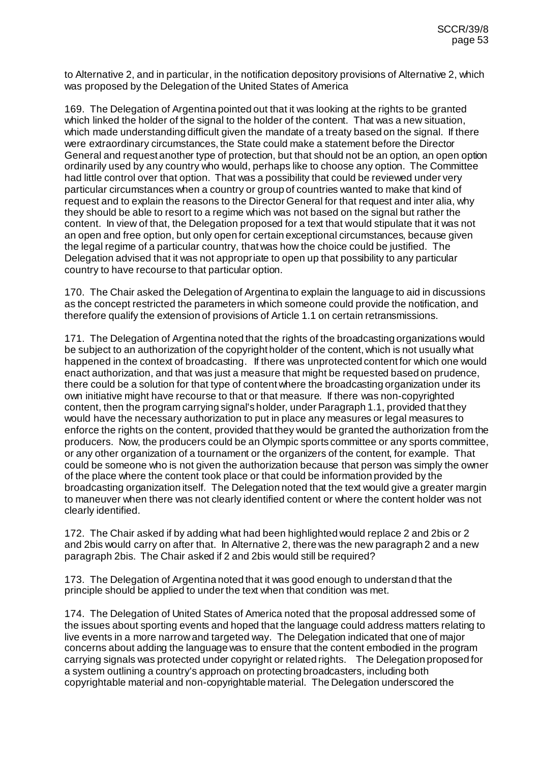to Alternative 2, and in particular, in the notification depository provisions of Alternative 2, which was proposed by the Delegation of the United States of America

169. The Delegation of Argentina pointed out that it was looking at the rights to be granted which linked the holder of the signal to the holder of the content. That was a new situation, which made understanding difficult given the mandate of a treaty based on the signal. If there were extraordinary circumstances, the State could make a statement before the Director General and request another type of protection, but that should not be an option, an open option ordinarily used by any country who would, perhaps like to choose any option. The Committee had little control over that option. That was a possibility that could be reviewed under very particular circumstances when a country or group of countries wanted to make that kind of request and to explain the reasons to the Director General for that request and inter alia, why they should be able to resort to a regime which was not based on the signal but rather the content. In view of that, the Delegation proposed for a text that would stipulate that it was not an open and free option, but only open for certain exceptional circumstances, because given the legal regime of a particular country, that was how the choice could be justified. The Delegation advised that it was not appropriate to open up that possibility to any particular country to have recourse to that particular option.

170. The Chair asked the Delegation of Argentina to explain the language to aid in discussions as the concept restricted the parameters in which someone could provide the notification, and therefore qualify the extension of provisions of Article 1.1 on certain retransmissions.

171. The Delegation of Argentina noted that the rights of the broadcasting organizations would be subject to an authorization of the copyright holder of the content, which is not usually what happened in the context of broadcasting. If there was unprotected content for which one would enact authorization, and that was just a measure that might be requested based on prudence, there could be a solution for that type of content where the broadcasting organization under its own initiative might have recourse to that or that measure. If there was non-copyrighted content, then the program carrying signal's holder, under Paragraph 1.1, provided that they would have the necessary authorization to put in place any measures or legal measures to enforce the rights on the content, provided that they would be granted the authorization from the producers. Now, the producers could be an Olympic sports committee or any sports committee, or any other organization of a tournament or the organizers of the content, for example. That could be someone who is not given the authorization because that person was simply the owner of the place where the content took place or that could be information provided by the broadcasting organization itself. The Delegation noted that the text would give a greater margin to maneuver when there was not clearly identified content or where the content holder was not clearly identified.

172. The Chair asked if by adding what had been highlighted would replace 2 and 2bis or 2 and 2bis would carry on after that. In Alternative 2, there was the new paragraph 2 and a new paragraph 2bis. The Chair asked if 2 and 2bis would still be required?

173. The Delegation of Argentina noted that it was good enough to understand that the principle should be applied to under the text when that condition was met.

174. The Delegation of United States of America noted that the proposal addressed some of the issues about sporting events and hoped that the language could address matters relating to live events in a more narrow and targeted way. The Delegation indicated that one of major concerns about adding the language was to ensure that the content embodied in the program carrying signals was protected under copyright or related rights. The Delegation proposed for a system outlining a country's approach on protecting broadcasters, including both copyrightable material and non-copyrightable material. The Delegation underscored the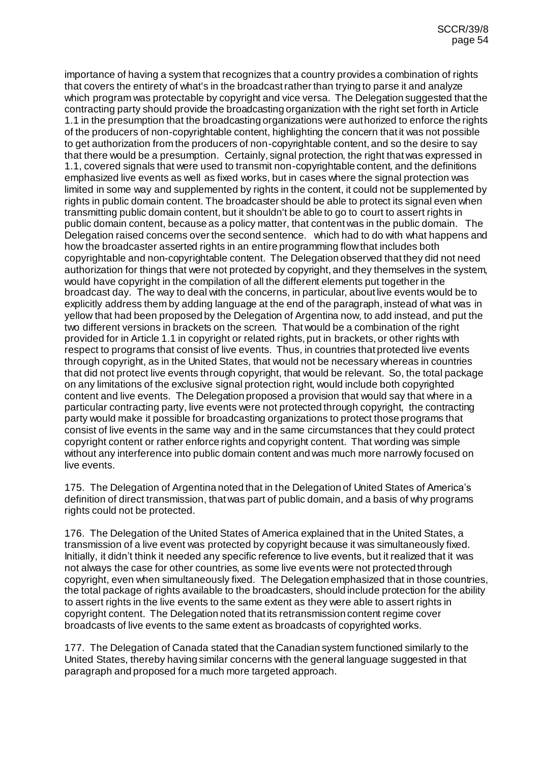importance of having a system that recognizes that a country provides a combination of rights that covers the entirety of what's in the broadcast rather than trying to parse it and analyze which program was protectable by copyright and vice versa. The Delegation suggested that the contracting party should provide the broadcasting organization with the right set forth in Article 1.1 in the presumption that the broadcasting organizations were authorized to enforce the rights of the producers of non-copyrightable content, highlighting the concern that it was not possible to get authorization from the producers of non-copyrightable content, and so the desire to say that there would be a presumption. Certainly, signal protection, the right that was expressed in 1.1, covered signals that were used to transmit non-copyrightable content, and the definitions emphasized live events as well as fixed works, but in cases where the signal protection was limited in some way and supplemented by rights in the content, it could not be supplemented by rights in public domain content. The broadcaster should be able to protect its signal even when transmitting public domain content, but it shouldn't be able to go to court to assert rights in public domain content, because as a policy matter, that content was in the public domain. The Delegation raised concerns over the second sentence. which had to do with what happens and how the broadcaster asserted rights in an entire programming flow that includes both copyrightable and non-copyrightable content. The Delegation observed that they did not need authorization for things that were not protected by copyright, and they themselves in the system, would have copyright in the compilation of all the different elements put together in the broadcast day. The way to deal with the concerns, in particular, about live events would be to explicitly address them by adding language at the end of the paragraph, instead of what was in yellow that had been proposed by the Delegation of Argentina now, to add instead, and put the two different versions in brackets on the screen. That would be a combination of the right provided for in Article 1.1 in copyright or related rights, put in brackets, or other rights with respect to programs that consist of live events. Thus, in countries that protected live events through copyright, as in the United States, that would not be necessary whereas in countries that did not protect live events through copyright, that would be relevant. So, the total package on any limitations of the exclusive signal protection right, would include both copyrighted content and live events. The Delegation proposed a provision that would say that where in a particular contracting party, live events were not protected through copyright, the contracting party would make it possible for broadcasting organizations to protect those programs that consist of live events in the same way and in the same circumstances that they could protect copyright content or rather enforce rights and copyright content. That wording was simple without any interference into public domain content and was much more narrowly focused on live events.

175. The Delegation of Argentina noted that in the Delegation of United States of America's definition of direct transmission, that was part of public domain, and a basis of why programs rights could not be protected.

176. The Delegation of the United States of America explained that in the United States, a transmission of a live event was protected by copyright because it was simultaneously fixed. Initially, it didn't think it needed any specific reference to live events, but it realized that it was not always the case for other countries, as some live events were not protected through copyright, even when simultaneously fixed. The Delegation emphasized that in those countries, the total package of rights available to the broadcasters, should include protection for the ability to assert rights in the live events to the same extent as they were able to assert rights in copyright content. The Delegation noted that its retransmission content regime cover broadcasts of live events to the same extent as broadcasts of copyrighted works.

177. The Delegation of Canada stated that the Canadian system functioned similarly to the United States, thereby having similar concerns with the general language suggested in that paragraph and proposed for a much more targeted approach.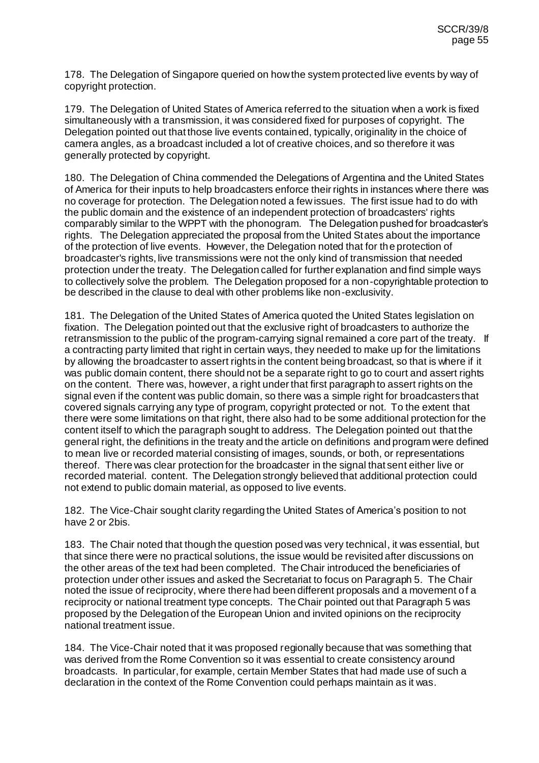178. The Delegation of Singapore queried on how the system protected live events by way of copyright protection.

179. The Delegation of United States of America referred to the situation when a work is fixed simultaneously with a transmission, it was considered fixed for purposes of copyright. The Delegation pointed out that those live events contained, typically, originality in the choice of camera angles, as a broadcast included a lot of creative choices, and so therefore it was generally protected by copyright.

180. The Delegation of China commended the Delegations of Argentina and the United States of America for their inputs to help broadcasters enforce their rights in instances where there was no coverage for protection. The Delegation noted a few issues. The first issue had to do with the public domain and the existence of an independent protection of broadcasters' rights comparably similar to the WPPT with the phonogram. The Delegation pushed for broadcaster's rights. The Delegation appreciated the proposal from the United States about the importance of the protection of live events. However, the Delegation noted that for the protection of broadcaster's rights, live transmissions were not the only kind of transmission that needed protection under the treaty. The Delegation called for further explanation and find simple ways to collectively solve the problem. The Delegation proposed for a non-copyrightable protection to be described in the clause to deal with other problems like non-exclusivity.

181. The Delegation of the United States of America quoted the United States legislation on fixation. The Delegation pointed out that the exclusive right of broadcasters to authorize the retransmission to the public of the program-carrying signal remained a core part of the treaty. If a contracting party limited that right in certain ways, they needed to make up for the limitations by allowing the broadcaster to assert rights in the content being broadcast, so that is where if it was public domain content, there should not be a separate right to go to court and assert rights on the content. There was, however, a right under that first paragraph to assert rights on the signal even if the content was public domain, so there was a simple right for broadcasters that covered signals carrying any type of program, copyright protected or not. To the extent that there were some limitations on that right, there also had to be some additional protection for the content itself to which the paragraph sought to address. The Delegation pointed out that the general right, the definitions in the treaty and the article on definitions and program were defined to mean live or recorded material consisting of images, sounds, or both, or representations thereof. There was clear protection for the broadcaster in the signal that sent either live or recorded material. content. The Delegation strongly believed that additional protection could not extend to public domain material, as opposed to live events.

182. The Vice-Chair sought clarity regarding the United States of America's position to not have 2 or 2bis.

183. The Chair noted that though the question posed was very technical, it was essential, but that since there were no practical solutions, the issue would be revisited after discussions on the other areas of the text had been completed. The Chair introduced the beneficiaries of protection under other issues and asked the Secretariat to focus on Paragraph 5. The Chair noted the issue of reciprocity, where there had been different proposals and a movement of a reciprocity or national treatment type concepts. The Chair pointed out that Paragraph 5 was proposed by the Delegation of the European Union and invited opinions on the reciprocity national treatment issue.

184. The Vice-Chair noted that it was proposed regionally because that was something that was derived from the Rome Convention so it was essential to create consistency around broadcasts. In particular, for example, certain Member States that had made use of such a declaration in the context of the Rome Convention could perhaps maintain as it was.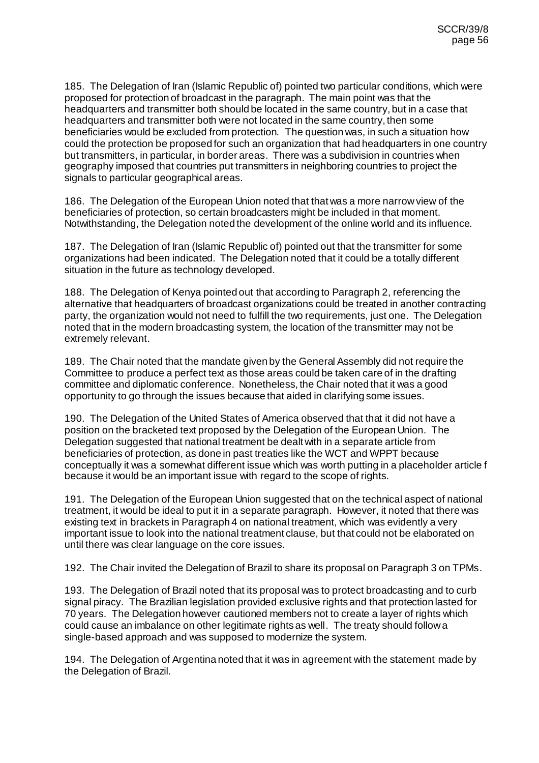185. The Delegation of Iran (Islamic Republic of) pointed two particular conditions, which were proposed for protection of broadcast in the paragraph. The main point was that the headquarters and transmitter both should be located in the same country, but in a case that headquarters and transmitter both were not located in the same country, then some beneficiaries would be excluded from protection. The question was, in such a situation how could the protection be proposed for such an organization that had headquarters in one country but transmitters, in particular, in border areas. There was a subdivision in countries when geography imposed that countries put transmitters in neighboring countries to project the signals to particular geographical areas.

186. The Delegation of the European Union noted that that was a more narrow view of the beneficiaries of protection, so certain broadcasters might be included in that moment. Notwithstanding, the Delegation noted the development of the online world and its influence.

187. The Delegation of Iran (Islamic Republic of) pointed out that the transmitter for some organizations had been indicated. The Delegation noted that it could be a totally different situation in the future as technology developed.

188. The Delegation of Kenya pointed out that according to Paragraph 2, referencing the alternative that headquarters of broadcast organizations could be treated in another contracting party, the organization would not need to fulfill the two requirements, just one. The Delegation noted that in the modern broadcasting system, the location of the transmitter may not be extremely relevant.

189. The Chair noted that the mandate given by the General Assembly did not require the Committee to produce a perfect text as those areas could be taken care of in the drafting committee and diplomatic conference. Nonetheless, the Chair noted that it was a good opportunity to go through the issues because that aided in clarifying some issues.

190. The Delegation of the United States of America observed that that it did not have a position on the bracketed text proposed by the Delegation of the European Union. The Delegation suggested that national treatment be dealt with in a separate article from beneficiaries of protection, as done in past treaties like the WCT and WPPT because conceptually it was a somewhat different issue which was worth putting in a placeholder article f because it would be an important issue with regard to the scope of rights.

191. The Delegation of the European Union suggested that on the technical aspect of national treatment, it would be ideal to put it in a separate paragraph. However, it noted that there was existing text in brackets in Paragraph 4 on national treatment, which was evidently a very important issue to look into the national treatment clause, but that could not be elaborated on until there was clear language on the core issues.

192. The Chair invited the Delegation of Brazil to share its proposal on Paragraph 3 on TPMs.

193. The Delegation of Brazil noted that its proposal was to protect broadcasting and to curb signal piracy. The Brazilian legislation provided exclusive rights and that protection lasted for 70 years. The Delegation however cautioned members not to create a layer of rights which could cause an imbalance on other legitimate rights as well. The treaty should follow a single-based approach and was supposed to modernize the system.

194. The Delegation of Argentina noted that it was in agreement with the statement made by the Delegation of Brazil.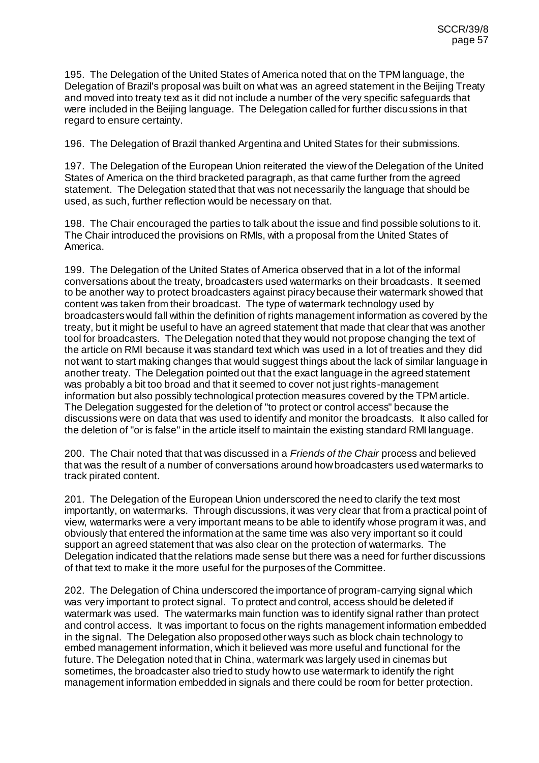195. The Delegation of the United States of America noted that on the TPM language, the Delegation of Brazil's proposal was built on what was an agreed statement in the Beijing Treaty and moved into treaty text as it did not include a number of the very specific safeguards that were included in the Beijing language. The Delegation called for further discussions in that regard to ensure certainty.

196. The Delegation of Brazil thanked Argentina and United States for their submissions.

197. The Delegation of the European Union reiterated the view of the Delegation of the United States of America on the third bracketed paragraph, as that came further from the agreed statement. The Delegation stated that that was not necessarily the language that should be used, as such, further reflection would be necessary on that.

198. The Chair encouraged the parties to talk about the issue and find possible solutions to it. The Chair introduced the provisions on RMIs, with a proposal from the United States of America.

199. The Delegation of the United States of America observed that in a lot of the informal conversations about the treaty, broadcasters used watermarks on their broadcasts. It seemed to be another way to protect broadcasters against piracy because their watermark showed that content was taken from their broadcast. The type of watermark technology used by broadcasters would fall within the definition of rights management information as covered by the treaty, but it might be useful to have an agreed statement that made that clear that was another tool for broadcasters. The Delegation noted that they would not propose changing the text of the article on RMI because it was standard text which was used in a lot of treaties and they did not want to start making changes that would suggest things about the lack of similar language in another treaty. The Delegation pointed out that the exact language in the agreed statement was probably a bit too broad and that it seemed to cover not just rights-management information but also possibly technological protection measures covered by the TPM article. The Delegation suggested for the deletion of "to protect or control access" because the discussions were on data that was used to identify and monitor the broadcasts. It also called for the deletion of "or is false" in the article itself to maintain the existing standard RMI language.

200. The Chair noted that that was discussed in a *Friends of the Chair* process and believed that was the result of a number of conversations around how broadcasters used watermarks to track pirated content.

201. The Delegation of the European Union underscored the need to clarify the text most importantly, on watermarks. Through discussions, it was very clear that from a practical point of view, watermarks were a very important means to be able to identify whose program it was, and obviously that entered the information at the same time was also very important so it could support an agreed statement that was also clear on the protection of watermarks. The Delegation indicated that the relations made sense but there was a need for further discussions of that text to make it the more useful for the purposes of the Committee.

202. The Delegation of China underscored the importance of program-carrying signal which was very important to protect signal. To protect and control, access should be deleted if watermark was used. The watermarks main function was to identify signal rather than protect and control access. It was important to focus on the rights management information embedded in the signal. The Delegation also proposed other ways such as block chain technology to embed management information, which it believed was more useful and functional for the future. The Delegation noted that in China, watermark was largely used in cinemas but sometimes, the broadcaster also tried to study how to use watermark to identify the right management information embedded in signals and there could be room for better protection.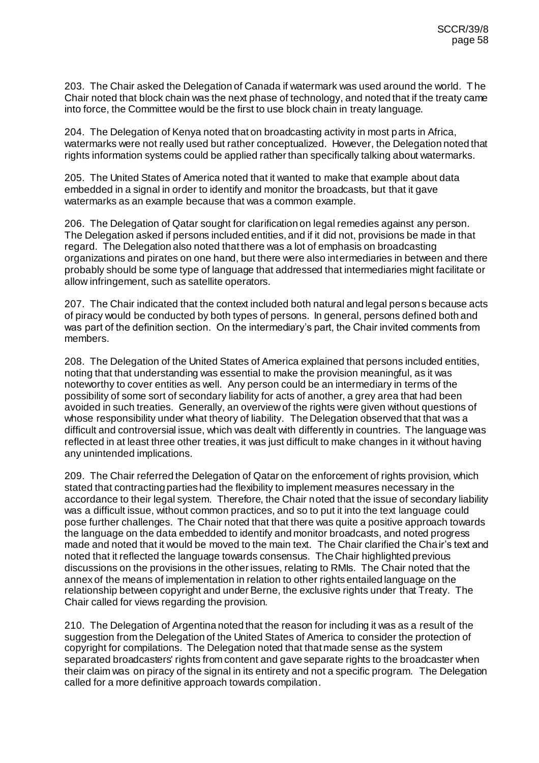203. The Chair asked the Delegation of Canada if watermark was used around the world. The Chair noted that block chain was the next phase of technology, and noted that if the treaty came into force, the Committee would be the first to use block chain in treaty language.

204. The Delegation of Kenya noted that on broadcasting activity in most parts in Africa, watermarks were not really used but rather conceptualized. However, the Delegation noted that rights information systems could be applied rather than specifically talking about watermarks.

205. The United States of America noted that it wanted to make that example about data embedded in a signal in order to identify and monitor the broadcasts, but that it gave watermarks as an example because that was a common example.

206. The Delegation of Qatar sought for clarification on legal remedies against any person. The Delegation asked if persons included entities, and if it did not, provisions be made in that regard. The Delegation also noted that there was a lot of emphasis on broadcasting organizations and pirates on one hand, but there were also intermediaries in between and there probably should be some type of language that addressed that intermediaries might facilitate or allow infringement, such as satellite operators.

207. The Chair indicated that the context included both natural and legal persons because acts of piracy would be conducted by both types of persons. In general, persons defined both and was part of the definition section. On the intermediary's part, the Chair invited comments from members.

208. The Delegation of the United States of America explained that persons included entities, noting that that understanding was essential to make the provision meaningful, as it was noteworthy to cover entities as well. Any person could be an intermediary in terms of the possibility of some sort of secondary liability for acts of another, a grey area that had been avoided in such treaties. Generally, an overview of the rights were given without questions of whose responsibility under what theory of liability. The Delegation observed that that was a difficult and controversial issue, which was dealt with differently in countries. The language was reflected in at least three other treaties, it was just difficult to make changes in it without having any unintended implications.

209. The Chair referred the Delegation of Qatar on the enforcement of rights provision, which stated that contracting parties had the flexibility to implement measures necessary in the accordance to their legal system. Therefore, the Chair noted that the issue of secondary liability was a difficult issue, without common practices, and so to put it into the text language could pose further challenges. The Chair noted that that there was quite a positive approach towards the language on the data embedded to identify and monitor broadcasts, and noted progress made and noted that it would be moved to the main text. The Chair clarified the Chair's text and noted that it reflected the language towards consensus. The Chair highlighted previous discussions on the provisions in the other issues, relating to RMIs. The Chair noted that the annex of the means of implementation in relation to other rights entailed language on the relationship between copyright and under Berne, the exclusive rights under that Treaty. The Chair called for views regarding the provision.

210. The Delegation of Argentina noted that the reason for including it was as a result of the suggestion from the Delegation of the United States of America to consider the protection of copyright for compilations. The Delegation noted that that made sense as the system separated broadcasters' rights from content and gave separate rights to the broadcaster when their claim was on piracy of the signal in its entirety and not a specific program. The Delegation called for a more definitive approach towards compilation.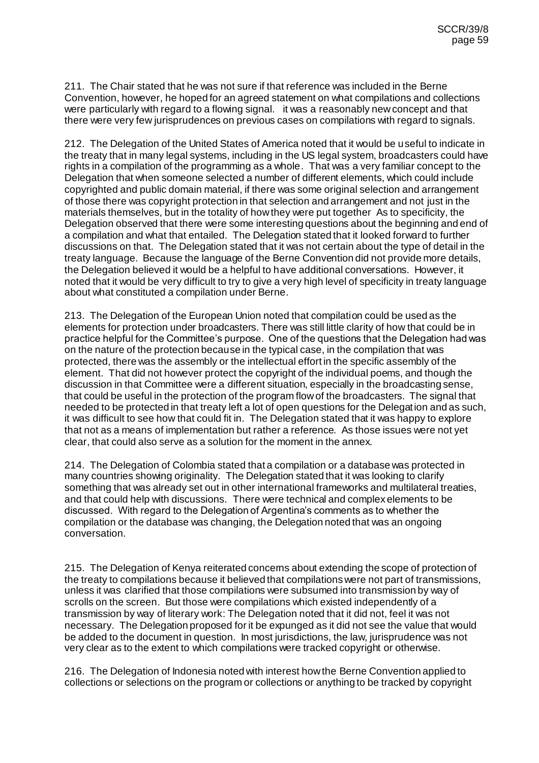211. The Chair stated that he was not sure if that reference was included in the Berne Convention, however, he hoped for an agreed statement on what compilations and collections were particularly with regard to a flowing signal. it was a reasonably new concept and that there were very few jurisprudences on previous cases on compilations with regard to signals.

212. The Delegation of the United States of America noted that it would be useful to indicate in the treaty that in many legal systems, including in the US legal system, broadcasters could have rights in a compilation of the programming as a whole. That was a very familiar concept to the Delegation that when someone selected a number of different elements, which could include copyrighted and public domain material, if there was some original selection and arrangement of those there was copyright protection in that selection and arrangement and not just in the materials themselves, but in the totality of how they were put together As to specificity, the Delegation observed that there were some interesting questions about the beginning and end of a compilation and what that entailed. The Delegation stated that it looked forward to further discussions on that. The Delegation stated that it was not certain about the type of detail in the treaty language. Because the language of the Berne Convention did not provide more details, the Delegation believed it would be a helpful to have additional conversations. However, it noted that it would be very difficult to try to give a very high level of specificity in treaty language about what constituted a compilation under Berne.

213. The Delegation of the European Union noted that compilation could be used as the elements for protection under broadcasters. There was still little clarity of how that could be in practice helpful for the Committee's purpose. One of the questions that the Delegation had was on the nature of the protection because in the typical case, in the compilation that was protected, there was the assembly or the intellectual effort in the specific assembly of the element. That did not however protect the copyright of the individual poems, and though the discussion in that Committee were a different situation, especially in the broadcasting sense, that could be useful in the protection of the program flow of the broadcasters. The signal that needed to be protected in that treaty left a lot of open questions for the Delegation and as such, it was difficult to see how that could fit in. The Delegation stated that it was happy to explore that not as a means of implementation but rather a reference. As those issues were not yet clear, that could also serve as a solution for the moment in the annex.

214. The Delegation of Colombia stated that a compilation or a database was protected in many countries showing originality. The Delegation stated that it was looking to clarify something that was already set out in other international frameworks and multilateral treaties, and that could help with discussions. There were technical and complex elements to be discussed. With regard to the Delegation of Argentina's comments as to whether the compilation or the database was changing, the Delegation noted that was an ongoing conversation.

215. The Delegation of Kenya reiterated concerns about extending the scope of protection of the treaty to compilations because it believed that compilations were not part of transmissions, unless it was clarified that those compilations were subsumed into transmission by way of scrolls on the screen. But those were compilations which existed independently of a transmission by way of literary work: The Delegation noted that it did not, feel it was not necessary. The Delegation proposed for it be expunged as it did not see the value that would be added to the document in question. In most jurisdictions, the law, jurisprudence was not very clear as to the extent to which compilations were tracked copyright or otherwise.

216. The Delegation of Indonesia noted with interest how the Berne Convention applied to collections or selections on the program or collections or anything to be tracked by copyright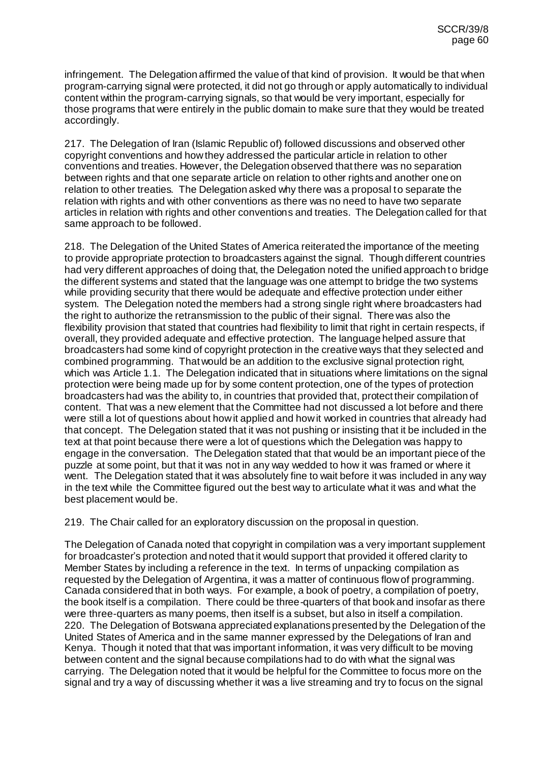infringement. The Delegation affirmed the value of that kind of provision. It would be that when program-carrying signal were protected, it did not go through or apply automatically to individual content within the program-carrying signals, so that would be very important, especially for those programs that were entirely in the public domain to make sure that they would be treated accordingly.

217. The Delegation of Iran (Islamic Republic of) followed discussions and observed other copyright conventions and how they addressed the particular article in relation to other conventions and treaties. However, the Delegation observed that there was no separation between rights and that one separate article on relation to other rights and another one on relation to other treaties. The Delegation asked why there was a proposal to separate the relation with rights and with other conventions as there was no need to have two separate articles in relation with rights and other conventions and treaties. The Delegation called for that same approach to be followed.

218. The Delegation of the United States of America reiterated the importance of the meeting to provide appropriate protection to broadcasters against the signal. Though different countries had very different approaches of doing that, the Delegation noted the unified approach to bridge the different systems and stated that the language was one attempt to bridge the two systems while providing security that there would be adequate and effective protection under either system. The Delegation noted the members had a strong single right where broadcasters had the right to authorize the retransmission to the public of their signal. There was also the flexibility provision that stated that countries had flexibility to limit that right in certain respects, if overall, they provided adequate and effective protection. The language helped assure that broadcasters had some kind of copyright protection in the creative ways that they selected and combined programming. That would be an addition to the exclusive signal protection right, which was Article 1.1. The Delegation indicated that in situations where limitations on the signal protection were being made up for by some content protection, one of the types of protection broadcasters had was the ability to, in countries that provided that, protect their compilation of content. That was a new element that the Committee had not discussed a lot before and there were still a lot of questions about how it applied and how it worked in countries that already had that concept. The Delegation stated that it was not pushing or insisting that it be included in the text at that point because there were a lot of questions which the Delegation was happy to engage in the conversation. The Delegation stated that that would be an important piece of the puzzle at some point, but that it was not in any way wedded to how it was framed or where it went. The Delegation stated that it was absolutely fine to wait before it was included in any way in the text while the Committee figured out the best way to articulate what it was and what the best placement would be.

219. The Chair called for an exploratory discussion on the proposal in question.

The Delegation of Canada noted that copyright in compilation was a very important supplement for broadcaster's protection and noted that it would support that provided it offered clarity to Member States by including a reference in the text. In terms of unpacking compilation as requested by the Delegation of Argentina, it was a matter of continuous flow of programming. Canada considered that in both ways. For example, a book of poetry, a compilation of poetry, the book itself is a compilation. There could be three-quarters of that book and insofar as there were three-quarters as many poems, then itself is a subset, but also in itself a compilation. 220. The Delegation of Botswana appreciated explanations presented by the Delegation of the United States of America and in the same manner expressed by the Delegations of Iran and Kenya. Though it noted that that was important information, it was very difficult to be moving between content and the signal because compilations had to do with what the signal was carrying. The Delegation noted that it would be helpful for the Committee to focus more on the signal and try a way of discussing whether it was a live streaming and try to focus on the signal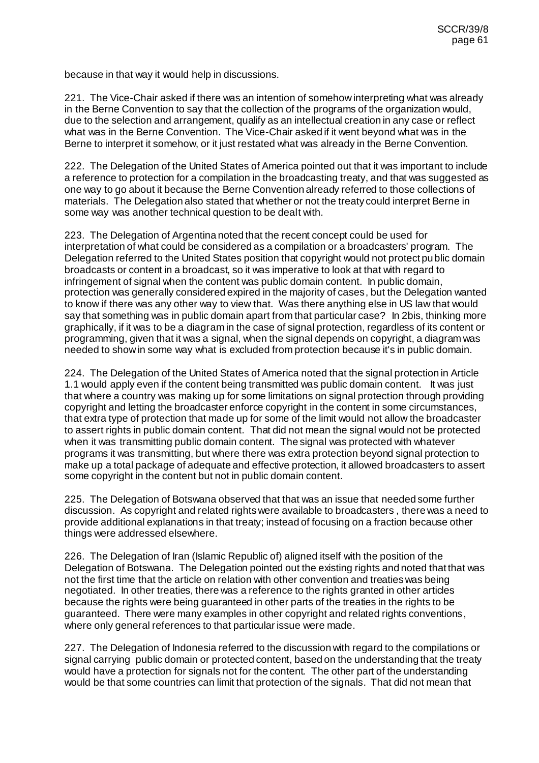because in that way it would help in discussions.

221. The Vice-Chair asked if there was an intention of somehow interpreting what was already in the Berne Convention to say that the collection of the programs of the organization would, due to the selection and arrangement, qualify as an intellectual creation in any case or reflect what was in the Berne Convention. The Vice-Chair asked if it went beyond what was in the Berne to interpret it somehow, or it just restated what was already in the Berne Convention.

222. The Delegation of the United States of America pointed out that it was important to include a reference to protection for a compilation in the broadcasting treaty, and that was suggested as one way to go about it because the Berne Convention already referred to those collections of materials. The Delegation also stated that whether or not the treaty could interpret Berne in some way was another technical question to be dealt with.

223. The Delegation of Argentina noted that the recent concept could be used for interpretation of what could be considered as a compilation or a broadcasters' program. The Delegation referred to the United States position that copyright would not protect public domain broadcasts or content in a broadcast, so it was imperative to look at that with regard to infringement of signal when the content was public domain content. In public domain, protection was generally considered expired in the majority of cases, but the Delegation wanted to know if there was any other way to view that. Was there anything else in US law that would say that something was in public domain apart from that particular case? In 2bis, thinking more graphically, if it was to be a diagram in the case of signal protection, regardless of its content or programming, given that it was a signal, when the signal depends on copyright, a diagram was needed to show in some way what is excluded from protection because it's in public domain.

224. The Delegation of the United States of America noted that the signal protection in Article 1.1 would apply even if the content being transmitted was public domain content. It was just that where a country was making up for some limitations on signal protection through providing copyright and letting the broadcaster enforce copyright in the content in some circumstances, that extra type of protection that made up for some of the limit would not allow the broadcaster to assert rights in public domain content. That did not mean the signal would not be protected when it was transmitting public domain content. The signal was protected with whatever programs it was transmitting, but where there was extra protection beyond signal protection to make up a total package of adequate and effective protection, it allowed broadcasters to assert some copyright in the content but not in public domain content.

225. The Delegation of Botswana observed that that was an issue that needed some further discussion. As copyright and related rights were available to broadcasters , there was a need to provide additional explanations in that treaty; instead of focusing on a fraction because other things were addressed elsewhere.

226. The Delegation of Iran (Islamic Republic of) aligned itself with the position of the Delegation of Botswana. The Delegation pointed out the existing rights and noted that that was not the first time that the article on relation with other convention and treaties was being negotiated. In other treaties, there was a reference to the rights granted in other articles because the rights were being guaranteed in other parts of the treaties in the rights to be guaranteed. There were many examples in other copyright and related rights conventions, where only general references to that particular issue were made.

227. The Delegation of Indonesia referred to the discussion with regard to the compilations or signal carrying public domain or protected content, based on the understanding that the treaty would have a protection for signals not for the content. The other part of the understanding would be that some countries can limit that protection of the signals. That did not mean that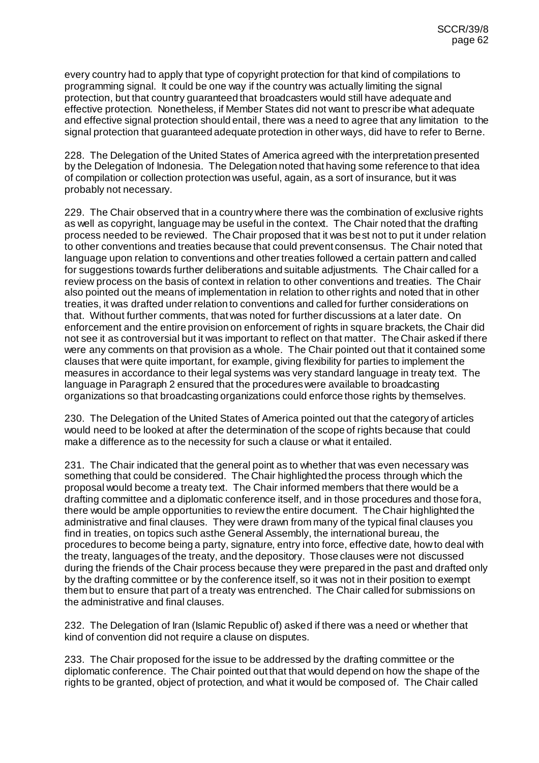every country had to apply that type of copyright protection for that kind of compilations to programming signal. It could be one way if the country was actually limiting the signal protection, but that country guaranteed that broadcasters would still have adequate and effective protection. Nonetheless, if Member States did not want to prescribe what adequate and effective signal protection should entail, there was a need to agree that any limitation to the signal protection that guaranteed adequate protection in other ways, did have to refer to Berne.

228. The Delegation of the United States of America agreed with the interpretation presented by the Delegation of Indonesia. The Delegation noted that having some reference to that idea of compilation or collection protection was useful, again, as a sort of insurance, but it was probably not necessary.

229. The Chair observed that in a country where there was the combination of exclusive rights as well as copyright, language may be useful in the context. The Chair noted that the drafting process needed to be reviewed. The Chair proposed that it was best not to put it under relation to other conventions and treaties because that could prevent consensus. The Chair noted that language upon relation to conventions and other treaties followed a certain pattern and called for suggestions towards further deliberations and suitable adjustments. The Chair called for a review process on the basis of context in relation to other conventions and treaties. The Chair also pointed out the means of implementation in relation to other rights and noted that in other treaties, it was drafted under relation to conventions and called for further considerations on that. Without further comments, that was noted for further discussions at a later date. On enforcement and the entire provision on enforcement of rights in square brackets, the Chair did not see it as controversial but it was important to reflect on that matter. The Chair asked if there were any comments on that provision as a whole. The Chair pointed out that it contained some clauses that were quite important, for example, giving flexibility for parties to implement the measures in accordance to their legal systems was very standard language in treaty text. The language in Paragraph 2 ensured that the procedures were available to broadcasting organizations so that broadcasting organizations could enforce those rights by themselves.

230. The Delegation of the United States of America pointed out that the category of articles would need to be looked at after the determination of the scope of rights because that could make a difference as to the necessity for such a clause or what it entailed.

231. The Chair indicated that the general point as to whether that was even necessary was something that could be considered. The Chair highlighted the process through which the proposal would become a treaty text. The Chair informed members that there would be a drafting committee and a diplomatic conference itself, and in those procedures and those fora, there would be ample opportunities to review the entire document. The Chair highlighted the administrative and final clauses. They were drawn from many of the typical final clauses you find in treaties, on topics such asthe General Assembly, the international bureau, the procedures to become being a party, signature, entry into force, effective date, how to deal with the treaty, languages of the treaty, and the depository. Those clauses were not discussed during the friends of the Chair process because they were prepared in the past and drafted only by the drafting committee or by the conference itself, so it was not in their position to exempt them but to ensure that part of a treaty was entrenched. The Chair called for submissions on the administrative and final clauses.

232. The Delegation of Iran (Islamic Republic of) asked if there was a need or whether that kind of convention did not require a clause on disputes.

233. The Chair proposed for the issue to be addressed by the drafting committee or the diplomatic conference. The Chair pointed out that that would depend on how the shape of the rights to be granted, object of protection, and what it would be composed of. The Chair called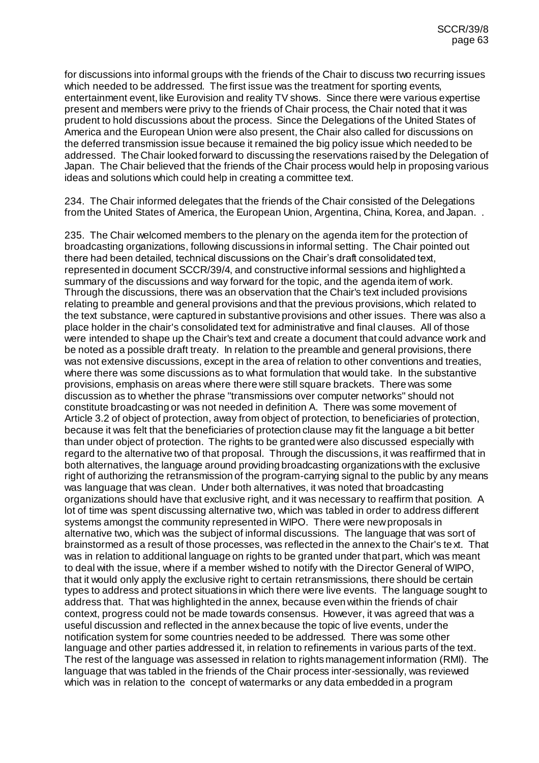for discussions into informal groups with the friends of the Chair to discuss two recurring issues which needed to be addressed. The first issue was the treatment for sporting events, entertainment event, like Eurovision and reality TV shows. Since there were various expertise present and members were privy to the friends of Chair process, the Chair noted that it was prudent to hold discussions about the process. Since the Delegations of the United States of America and the European Union were also present, the Chair also called for discussions on the deferred transmission issue because it remained the big policy issue which needed to be addressed. The Chair looked forward to discussing the reservations raised by the Delegation of Japan. The Chair believed that the friends of the Chair process would help in proposing various ideas and solutions which could help in creating a committee text.

234. The Chair informed delegates that the friends of the Chair consisted of the Delegations from the United States of America, the European Union, Argentina, China, Korea, and Japan. .

235. The Chair welcomed members to the plenary on the agenda item for the protection of broadcasting organizations, following discussions in informal setting. The Chair pointed out there had been detailed, technical discussions on the Chair's draft consolidated text, represented in document SCCR/39/4, and constructive informal sessions and highlighted a summary of the discussions and way forward for the topic, and the agenda item of work. Through the discussions, there was an observation that the Chair's text included provisions relating to preamble and general provisions and that the previous provisions, which related to the text substance, were captured in substantive provisions and other issues. There was also a place holder in the chair's consolidated text for administrative and final clauses. All of those were intended to shape up the Chair's text and create a document that could advance work and be noted as a possible draft treaty. In relation to the preamble and general provisions, there was not extensive discussions, except in the area of relation to other conventions and treaties, where there was some discussions as to what formulation that would take. In the substantive provisions, emphasis on areas where there were still square brackets. There was some discussion as to whether the phrase "transmissions over computer networks" should not constitute broadcasting or was not needed in definition A. There was some movement of Article 3.2 of object of protection, away from object of protection, to beneficiaries of protection, because it was felt that the beneficiaries of protection clause may fit the language a bit better than under object of protection. The rights to be granted were also discussed especially with regard to the alternative two of that proposal. Through the discussions, it was reaffirmed that in both alternatives, the language around providing broadcasting organizations with the exclusive right of authorizing the retransmission of the program-carrying signal to the public by any means was language that was clean. Under both alternatives, it was noted that broadcasting organizations should have that exclusive right, and it was necessary to reaffirm that position. A lot of time was spent discussing alternative two, which was tabled in order to address different systems amongst the community represented in WIPO. There were new proposals in alternative two, which was the subject of informal discussions. The language that was sort of brainstormed as a result of those processes, was reflected in the annex to the Chair's text. That was in relation to additional language on rights to be granted under that part, which was meant to deal with the issue, where if a member wished to notify with the Director General of WIPO, that it would only apply the exclusive right to certain retransmissions, there should be certain types to address and protect situations in which there were live events. The language sought to address that. That was highlighted in the annex, because even within the friends of chair context, progress could not be made towards consensus. However, it was agreed that was a useful discussion and reflected in the annex because the topic of live events, under the notification system for some countries needed to be addressed. There was some other language and other parties addressed it, in relation to refinements in various parts of the text. The rest of the language was assessed in relation to rights management information (RMI). The language that was tabled in the friends of the Chair process inter-sessionally, was reviewed which was in relation to the concept of watermarks or any data embedded in a program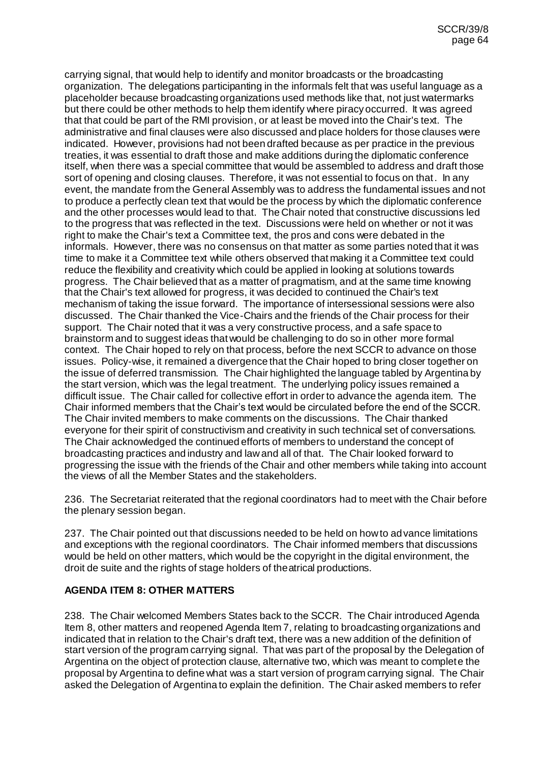carrying signal, that would help to identify and monitor broadcasts or the broadcasting organization. The delegations participanting in the informals felt that was useful language as a placeholder because broadcasting organizations used methods like that, not just watermarks but there could be other methods to help them identify where piracy occurred. It was agreed that that could be part of the RMI provision, or at least be moved into the Chair's text. The administrative and final clauses were also discussed and place holders for those clauses were indicated. However, provisions had not been drafted because as per practice in the previous treaties, it was essential to draft those and make additions during the diplomatic conference itself, when there was a special committee that would be assembled to address and draft those sort of opening and closing clauses. Therefore, it was not essential to focus on that. In any event, the mandate from the General Assembly was to address the fundamental issues and not to produce a perfectly clean text that would be the process by which the diplomatic conference and the other processes would lead to that. The Chair noted that constructive discussions led to the progress that was reflected in the text. Discussions were held on whether or not it was right to make the Chair's text a Committee text, the pros and cons were debated in the informals. However, there was no consensus on that matter as some parties noted that it was time to make it a Committee text while others observed that making it a Committee text could reduce the flexibility and creativity which could be applied in looking at solutions towards progress. The Chair believed that as a matter of pragmatism, and at the same time knowing that the Chair's text allowed for progress, it was decided to continued the Chair's text mechanism of taking the issue forward. The importance of intersessional sessions were also discussed. The Chair thanked the Vice-Chairs and the friends of the Chair process for their support. The Chair noted that it was a very constructive process, and a safe space to brainstorm and to suggest ideas that would be challenging to do so in other more formal context. The Chair hoped to rely on that process, before the next SCCR to advance on those issues. Policy-wise, it remained a divergence that the Chair hoped to bring closer together on the issue of deferred transmission. The Chair highlighted the language tabled by Argentina by the start version, which was the legal treatment. The underlying policy issues remained a difficult issue. The Chair called for collective effort in order to advance the agenda item. The Chair informed members that the Chair's text would be circulated before the end of the SCCR. The Chair invited members to make comments on the discussions. The Chair thanked everyone for their spirit of constructivism and creativity in such technical set of conversations. The Chair acknowledged the continued efforts of members to understand the concept of broadcasting practices and industry and law and all of that. The Chair looked forward to progressing the issue with the friends of the Chair and other members while taking into account the views of all the Member States and the stakeholders.

236. The Secretariat reiterated that the regional coordinators had to meet with the Chair before the plenary session began.

237. The Chair pointed out that discussions needed to be held on how to advance limitations and exceptions with the regional coordinators. The Chair informed members that discussions would be held on other matters, which would be the copyright in the digital environment, the droit de suite and the rights of stage holders of theatrical productions.

## **AGENDA ITEM 8: OTHER MATTERS**

238. The Chair welcomed Members States back to the SCCR. The Chair introduced Agenda Item 8, other matters and reopened Agenda Item 7, relating to broadcasting organizations and indicated that in relation to the Chair's draft text, there was a new addition of the definition of start version of the program carrying signal. That was part of the proposal by the Delegation of Argentina on the object of protection clause, alternative two, which was meant to complete the proposal by Argentina to define what was a start version of program carrying signal. The Chair asked the Delegation of Argentina to explain the definition. The Chair asked members to refer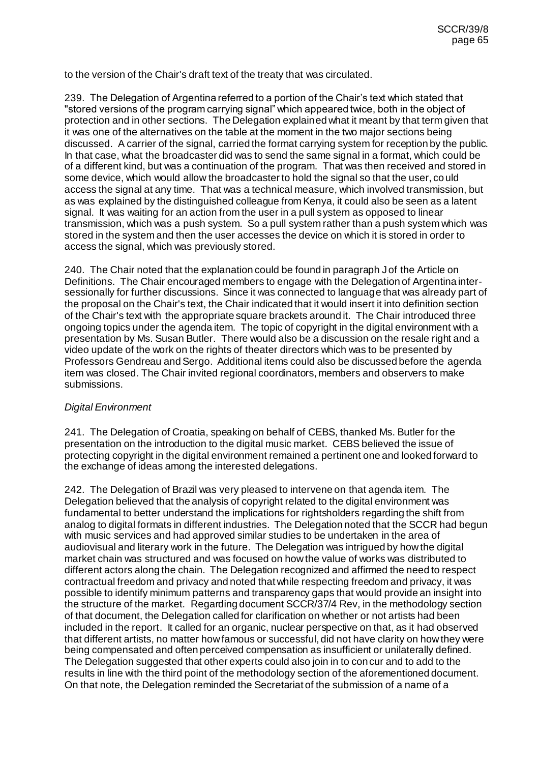to the version of the Chair's draft text of the treaty that was circulated.

239. The Delegation of Argentina referred to a portion of the Chair's text which stated that "stored versions of the program carrying signal" which appeared twice, both in the object of protection and in other sections. The Delegation explained what it meant by that term given that it was one of the alternatives on the table at the moment in the two major sections being discussed. A carrier of the signal, carried the format carrying system for reception by the public. In that case, what the broadcaster did was to send the same signal in a format, which could be of a different kind, but was a continuation of the program. That was then received and stored in some device, which would allow the broadcaster to hold the signal so that the user, could access the signal at any time. That was a technical measure, which involved transmission, but as was explained by the distinguished colleague from Kenya, it could also be seen as a latent signal. It was waiting for an action from the user in a pull system as opposed to linear transmission, which was a push system. So a pull system rather than a push system which was stored in the system and then the user accesses the device on which it is stored in order to access the signal, which was previously stored.

240. The Chair noted that the explanation could be found in paragraph J of the Article on Definitions. The Chair encouraged members to engage with the Delegation of Argentina intersessionally for further discussions. Since it was connected to language that was already part of the proposal on the Chair's text, the Chair indicated that it would insert it into definition section of the Chair's text with the appropriate square brackets around it. The Chair introduced three ongoing topics under the agenda item. The topic of copyright in the digital environment with a presentation by Ms. Susan Butler. There would also be a discussion on the resale right and a video update of the work on the rights of theater directors which was to be presented by Professors Gendreau and Sergo. Additional items could also be discussed before the agenda item was closed. The Chair invited regional coordinators, members and observers to make submissions.

### *Digital Environment*

241. The Delegation of Croatia, speaking on behalf of CEBS, thanked Ms. Butler for the presentation on the introduction to the digital music market. CEBS believed the issue of protecting copyright in the digital environment remained a pertinent one and looked forward to the exchange of ideas among the interested delegations.

242. The Delegation of Brazil was very pleased to intervene on that agenda item. The Delegation believed that the analysis of copyright related to the digital environment was fundamental to better understand the implications for rightsholders regarding the shift from analog to digital formats in different industries. The Delegation noted that the SCCR had begun with music services and had approved similar studies to be undertaken in the area of audiovisual and literary work in the future. The Delegation was intrigued by how the digital market chain was structured and was focused on how the value of works was distributed to different actors along the chain. The Delegation recognized and affirmed the need to respect contractual freedom and privacy and noted that while respecting freedom and privacy, it was possible to identify minimum patterns and transparency gaps that would provide an insight into the structure of the market. Regarding document SCCR/37/4 Rev, in the methodology section of that document, the Delegation called for clarification on whether or not artists had been included in the report. It called for an organic, nuclear perspective on that, as it had observed that different artists, no matter how famous or successful, did not have clarity on how they were being compensated and often perceived compensation as insufficient or unilaterally defined. The Delegation suggested that other experts could also join in to concur and to add to the results in line with the third point of the methodology section of the aforementioned document. On that note, the Delegation reminded the Secretariat of the submission of a name of a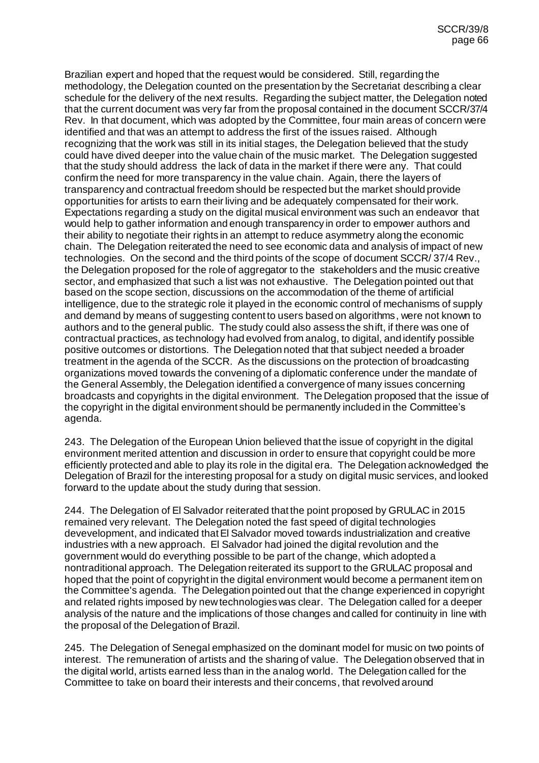Brazilian expert and hoped that the request would be considered. Still, regarding the methodology, the Delegation counted on the presentation by the Secretariat describing a clear schedule for the delivery of the next results. Regarding the subject matter, the Delegation noted that the current document was very far from the proposal contained in the document SCCR/37/4 Rev. In that document, which was adopted by the Committee, four main areas of concern were identified and that was an attempt to address the first of the issues raised. Although recognizing that the work was still in its initial stages, the Delegation believed that the study could have dived deeper into the value chain of the music market. The Delegation suggested that the study should address the lack of data in the market if there were any. That could confirm the need for more transparency in the value chain. Again, there the layers of transparency and contractual freedom should be respected but the market should provide opportunities for artists to earn their living and be adequately compensated for their work. Expectations regarding a study on the digital musical environment was such an endeavor that would help to gather information and enough transparency in order to empower authors and their ability to negotiate their rights in an attempt to reduce asymmetry along the economic chain. The Delegation reiterated the need to see economic data and analysis of impact of new technologies. On the second and the third points of the scope of document SCCR/ 37/4 Rev., the Delegation proposed for the role of aggregator to the stakeholders and the music creative sector, and emphasized that such a list was not exhaustive. The Delegation pointed out that based on the scope section, discussions on the accommodation of the theme of artificial intelligence, due to the strategic role it played in the economic control of mechanisms of supply and demand by means of suggesting content to users based on algorithms, were not known to authors and to the general public. The study could also assess the shift, if there was one of contractual practices, as technology had evolved from analog, to digital, and identify possible positive outcomes or distortions. The Delegation noted that that subject needed a broader treatment in the agenda of the SCCR. As the discussions on the protection of broadcasting organizations moved towards the convening of a diplomatic conference under the mandate of the General Assembly, the Delegation identified a convergence of many issues concerning broadcasts and copyrights in the digital environment. The Delegation proposed that the issue of the copyright in the digital environment should be permanently included in the Committee's agenda.

243. The Delegation of the European Union believed that the issue of copyright in the digital environment merited attention and discussion in order to ensure that copyright could be more efficiently protected and able to play its role in the digital era. The Delegation acknowledged the Delegation of Brazil for the interesting proposal for a study on digital music services, and looked forward to the update about the study during that session.

244. The Delegation of El Salvador reiterated that the point proposed by GRULAC in 2015 remained very relevant. The Delegation noted the fast speed of digital technologies devevelopment, and indicated that El Salvador moved towards industrialization and creative industries with a new approach. El Salvador had joined the digital revolution and the government would do everything possible to be part of the change, which adopted a nontraditional approach. The Delegation reiterated its support to the GRULAC proposal and hoped that the point of copyright in the digital environment would become a permanent item on the Committee's agenda. The Delegation pointed out that the change experienced in copyright and related rights imposed by new technologies was clear. The Delegation called for a deeper analysis of the nature and the implications of those changes and called for continuity in line with the proposal of the Delegation of Brazil.

245. The Delegation of Senegal emphasized on the dominant model for music on two points of interest. The remuneration of artists and the sharing of value. The Delegation observed that in the digital world, artists earned less than in the analog world. The Delegation called for the Committee to take on board their interests and their concerns, that revolved around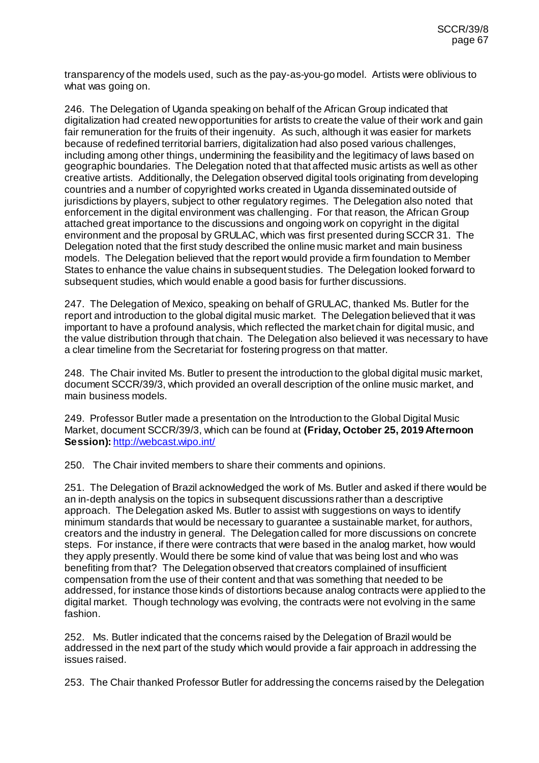transparency of the models used, such as the pay-as-you-go model. Artists were oblivious to what was going on.

246. The Delegation of Uganda speaking on behalf of the African Group indicated that digitalization had created new opportunities for artists to create the value of their work and gain fair remuneration for the fruits of their ingenuity. As such, although it was easier for markets because of redefined territorial barriers, digitalization had also posed various challenges, including among other things, undermining the feasibility and the legitimacy of laws based on geographic boundaries. The Delegation noted that that affected music artists as well as other creative artists. Additionally, the Delegation observed digital tools originating from developing countries and a number of copyrighted works created in Uganda disseminated outside of jurisdictions by players, subject to other regulatory regimes. The Delegation also noted that enforcement in the digital environment was challenging. For that reason, the African Group attached great importance to the discussions and ongoing work on copyright in the digital environment and the proposal by GRULAC, which was first presented during SCCR 31. The Delegation noted that the first study described the online music market and main business models. The Delegation believed that the report would provide a firm foundation to Member States to enhance the value chains in subsequent studies. The Delegation looked forward to subsequent studies, which would enable a good basis for further discussions.

247. The Delegation of Mexico, speaking on behalf of GRULAC, thanked Ms. Butler for the report and introduction to the global digital music market. The Delegation believed that it was important to have a profound analysis, which reflected the market chain for digital music, and the value distribution through that chain. The Delegation also believed it was necessary to have a clear timeline from the Secretariat for fostering progress on that matter.

248. The Chair invited Ms. Butler to present the introduction to the global digital music market, document SCCR/39/3, which provided an overall description of the online music market, and main business models.

249. Professor Butler made a presentation on the Introduction to the Global Digital Music Market, document SCCR/39/3, which can be found at **(Friday, October 25, 2019 Afternoon Session):** <http://webcast.wipo.int/>

250. The Chair invited members to share their comments and opinions.

251. The Delegation of Brazil acknowledged the work of Ms. Butler and asked if there would be an in-depth analysis on the topics in subsequent discussions rather than a descriptive approach. The Delegation asked Ms. Butler to assist with suggestions on ways to identify minimum standards that would be necessary to guarantee a sustainable market, for authors, creators and the industry in general. The Delegation called for more discussions on concrete steps. For instance, if there were contracts that were based in the analog market, how would they apply presently. Would there be some kind of value that was being lost and who was benefiting from that? The Delegation observed that creators complained of insufficient compensation from the use of their content and that was something that needed to be addressed, for instance those kinds of distortions because analog contracts were applied to the digital market. Though technology was evolving, the contracts were not evolving in the same fashion.

252. Ms. Butler indicated that the concerns raised by the Delegation of Brazil would be addressed in the next part of the study which would provide a fair approach in addressing the issues raised.

253. The Chair thanked Professor Butler for addressing the concerns raised by the Delegation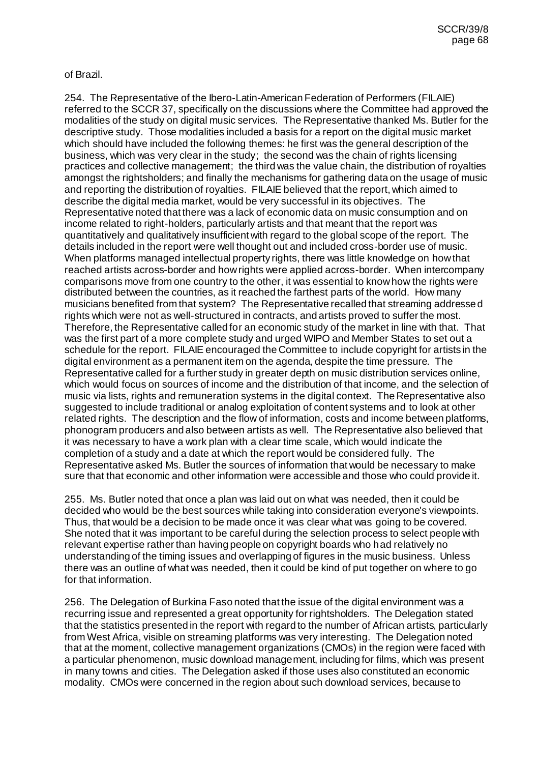of Brazil.

254. The Representative of the Ibero-Latin-American Federation of Performers (FILAIE) referred to the SCCR 37, specifically on the discussions where the Committee had approved the modalities of the study on digital music services. The Representative thanked Ms. Butler for the descriptive study. Those modalities included a basis for a report on the digital music market which should have included the following themes: he first was the general description of the business, which was very clear in the study; the second was the chain of rights licensing practices and collective management; the third was the value chain, the distribution of royalties amongst the rightsholders; and finally the mechanisms for gathering data on the usage of music and reporting the distribution of royalties. FILAIE believed that the report, which aimed to describe the digital media market, would be very successful in its objectives. The Representative noted that there was a lack of economic data on music consumption and on income related to right-holders, particularly artists and that meant that the report was quantitatively and qualitatively insufficient with regard to the global scope of the report. The details included in the report were well thought out and included cross-border use of music. When platforms managed intellectual property rights, there was little knowledge on how that reached artists across-border and how rights were applied across-border. When intercompany comparisons move from one country to the other, it was essential to know how the rights were distributed between the countries, as it reached the farthest parts of the world. How many musicians benefited from that system? The Representative recalled that streaming addressed rights which were not as well-structured in contracts, and artists proved to suffer the most. Therefore, the Representative called for an economic study of the market in line with that. That was the first part of a more complete study and urged WIPO and Member States to set out a schedule for the report. FILAIE encouraged the Committee to include copyright for artists in the digital environment as a permanent item on the agenda, despite the time pressure. The Representative called for a further study in greater depth on music distribution services online, which would focus on sources of income and the distribution of that income, and the selection of music via lists, rights and remuneration systems in the digital context. The Representative also suggested to include traditional or analog exploitation of content systems and to look at other related rights. The description and the flow of information, costs and income between platforms, phonogram producers and also between artists as well. The Representative also believed that it was necessary to have a work plan with a clear time scale, which would indicate the completion of a study and a date at which the report would be considered fully. The Representative asked Ms. Butler the sources of information that would be necessary to make sure that that economic and other information were accessible and those who could provide it.

255. Ms. Butler noted that once a plan was laid out on what was needed, then it could be decided who would be the best sources while taking into consideration everyone's viewpoints. Thus, that would be a decision to be made once it was clear what was going to be covered. She noted that it was important to be careful during the selection process to select people with relevant expertise rather than having people on copyright boards who had relatively no understanding of the timing issues and overlapping of figures in the music business. Unless there was an outline of what was needed, then it could be kind of put together on where to go for that information.

256. The Delegation of Burkina Faso noted that the issue of the digital environment was a recurring issue and represented a great opportunity for rightsholders. The Delegation stated that the statistics presented in the report with regard to the number of African artists, particularly from West Africa, visible on streaming platforms was very interesting. The Delegation noted that at the moment, collective management organizations (CMOs) in the region were faced with a particular phenomenon, music download management, including for films, which was present in many towns and cities. The Delegation asked if those uses also constituted an economic modality. CMOs were concerned in the region about such download services, because to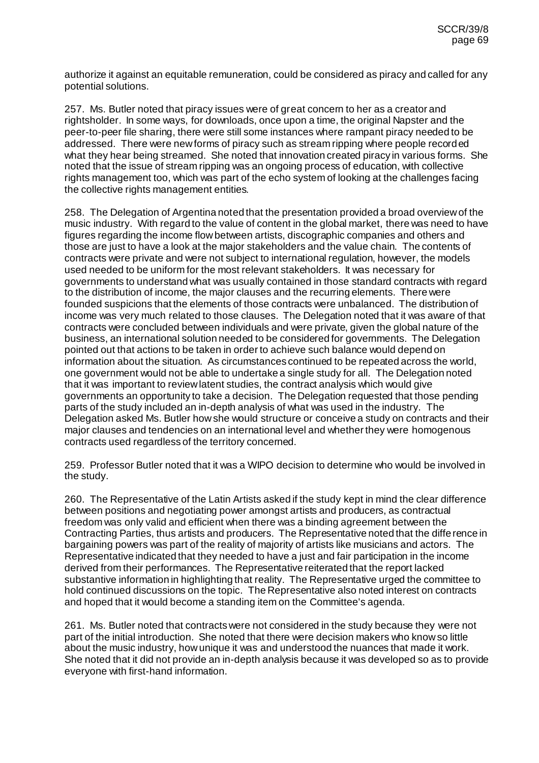authorize it against an equitable remuneration, could be considered as piracy and called for any potential solutions.

257. Ms. Butler noted that piracy issues were of great concern to her as a creator and rightsholder. In some ways, for downloads, once upon a time, the original Napster and the peer-to-peer file sharing, there were still some instances where rampant piracy needed to be addressed. There were new forms of piracy such as stream ripping where people recorded what they hear being streamed. She noted that innovation created piracy in various forms. She noted that the issue of stream ripping was an ongoing process of education, with collective rights management too, which was part of the echo system of looking at the challenges facing the collective rights management entities.

258. The Delegation of Argentina noted that the presentation provided a broad overview of the music industry. With regard to the value of content in the global market, there was need to have figures regarding the income flow between artists, discographic companies and others and those are just to have a look at the major stakeholders and the value chain. The contents of contracts were private and were not subject to international regulation, however, the models used needed to be uniform for the most relevant stakeholders. It was necessary for governments to understand what was usually contained in those standard contracts with regard to the distribution of income, the major clauses and the recurring elements. There were founded suspicions that the elements of those contracts were unbalanced. The distribution of income was very much related to those clauses. The Delegation noted that it was aware of that contracts were concluded between individuals and were private, given the global nature of the business, an international solution needed to be considered for governments. The Delegation pointed out that actions to be taken in order to achieve such balance would depend on information about the situation. As circumstances continued to be repeated across the world, one government would not be able to undertake a single study for all. The Delegation noted that it was important to review latent studies, the contract analysis which would give governments an opportunity to take a decision. The Delegation requested that those pending parts of the study included an in-depth analysis of what was used in the industry. The Delegation asked Ms. Butler how she would structure or conceive a study on contracts and their major clauses and tendencies on an international level and whether they were homogenous contracts used regardless of the territory concerned.

259. Professor Butler noted that it was a WIPO decision to determine who would be involved in the study.

260. The Representative of the Latin Artists asked if the study kept in mind the clear difference between positions and negotiating power amongst artists and producers, as contractual freedom was only valid and efficient when there was a binding agreement between the Contracting Parties, thus artists and producers. The Representative noted that the difference in bargaining powers was part of the reality of majority of artists like musicians and actors. The Representative indicated that they needed to have a just and fair participation in the income derived from their performances. The Representative reiterated that the report lacked substantive information in highlighting that reality. The Representative urged the committee to hold continued discussions on the topic. The Representative also noted interest on contracts and hoped that it would become a standing item on the Committee's agenda.

261. Ms. Butler noted that contracts were not considered in the study because they were not part of the initial introduction. She noted that there were decision makers who know so little about the music industry, how unique it was and understood the nuances that made it work. She noted that it did not provide an in-depth analysis because it was developed so as to provide everyone with first-hand information.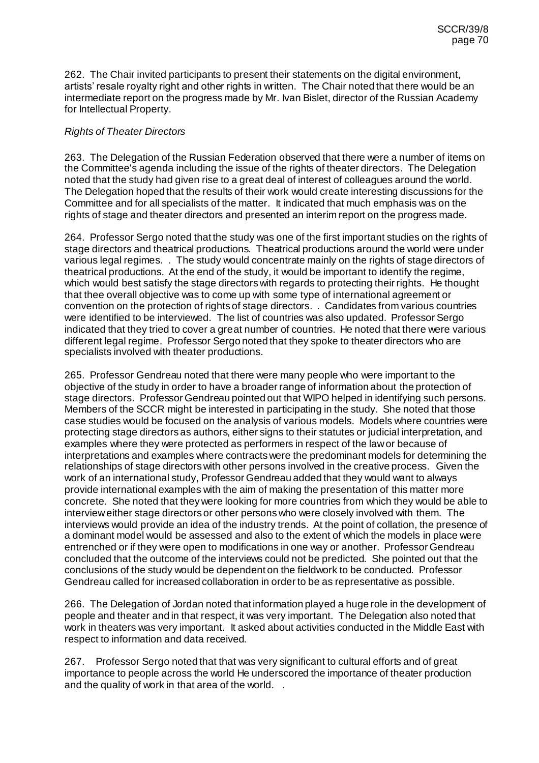262. The Chair invited participants to present their statements on the digital environment, artists' resale royalty right and other rights in written. The Chair noted that there would be an intermediate report on the progress made by Mr. Ivan Bislet, director of the Russian Academy for Intellectual Property.

## *Rights of Theater Directors*

263. The Delegation of the Russian Federation observed that there were a number of items on the Committee's agenda including the issue of the rights of theater directors. The Delegation noted that the study had given rise to a great deal of interest of colleagues around the world. The Delegation hoped that the results of their work would create interesting discussions for the Committee and for all specialists of the matter. It indicated that much emphasis was on the rights of stage and theater directors and presented an interim report on the progress made.

264. Professor Sergo noted that the study was one of the first important studies on the rights of stage directors and theatrical productions. Theatrical productions around the world were under various legal regimes. . The study would concentrate mainly on the rights of stage directors of theatrical productions. At the end of the study, it would be important to identify the regime, which would best satisfy the stage directors with regards to protecting their rights. He thought that thee overall objective was to come up with some type of international agreement or convention on the protection of rights of stage directors. . Candidates from various countries were identified to be interviewed. The list of countries was also updated. Professor Sergo indicated that they tried to cover a great number of countries. He noted that there were various different legal regime. Professor Sergo noted that they spoke to theater directors who are specialists involved with theater productions.

265. Professor Gendreau noted that there were many people who were important to the objective of the study in order to have a broader range of information about the protection of stage directors. Professor Gendreau pointed out that WIPO helped in identifying such persons. Members of the SCCR might be interested in participating in the study. She noted that those case studies would be focused on the analysis of various models. Models where countries were protecting stage directors as authors, either signs to their statutes or judicial interpretation, and examples where they were protected as performers in respect of the law or because of interpretations and examples where contracts were the predominant models for determining the relationships of stage directors with other persons involved in the creative process. Given the work of an international study, Professor Gendreau added that they would want to always provide international examples with the aim of making the presentation of this matter more concrete. She noted that they were looking for more countries from which they would be able to interview either stage directors or other persons who were closely involved with them. The interviews would provide an idea of the industry trends. At the point of collation, the presence of a dominant model would be assessed and also to the extent of which the models in place were entrenched or if they were open to modifications in one way or another. Professor Gendreau concluded that the outcome of the interviews could not be predicted. She pointed out that the conclusions of the study would be dependent on the fieldwork to be conducted. Professor Gendreau called for increased collaboration in order to be as representative as possible.

266. The Delegation of Jordan noted that information played a huge role in the development of people and theater and in that respect, it was very important. The Delegation also noted that work in theaters was very important. It asked about activities conducted in the Middle East with respect to information and data received.

267. Professor Sergo noted that that was very significant to cultural efforts and of great importance to people across the world He underscored the importance of theater production and the quality of work in that area of the world. .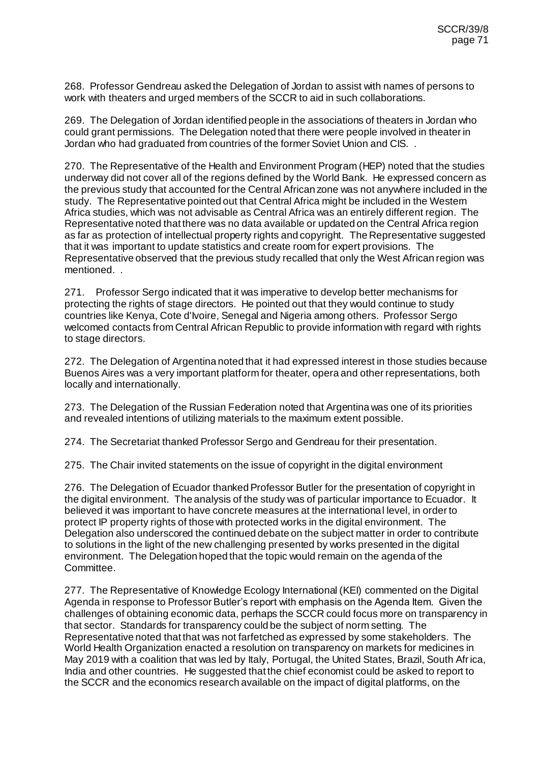268. Professor Gendreau asked the Delegation of Jordan to assist with names of persons to work with theaters and urged members of the SCCR to aid in such collaborations.

269. The Delegation of Jordan identified people in the associations of theaters in Jordan who could grant permissions. The Delegation noted that there were people involved in theater in Jordan who had graduated from countries of the former Soviet Union and CIS. .

270. The Representative of the Health and Environment Program (HEP) noted that the studies underway did not cover all of the regions defined by the World Bank. He expressed concern as the previous study that accounted for the Central African zone was not anywhere included in the study. The Representative pointed out that Central Africa might be included in the Western Africa studies, which was not advisable as Central Africa was an entirely different region. The Representative noted that there was no data available or updated on the Central Africa region as far as protection of intellectual property rights and copyright. The Representative suggested that it was important to update statistics and create room for expert provisions. The Representative observed that the previous study recalled that only the West African region was mentioned. .

271. Professor Sergo indicated that it was imperative to develop better mechanisms for protecting the rights of stage directors. He pointed out that they would continue to study countries like Kenya, Cote d'Ivoire, Senegal and Nigeria among others. Professor Sergo welcomed contacts from Central African Republic to provide information with regard with rights to stage directors.

272. The Delegation of Argentina noted that it had expressed interest in those studies because Buenos Aires was a very important platform for theater, opera and other representations, both locally and internationally.

273. The Delegation of the Russian Federation noted that Argentina was one of its priorities and revealed intentions of utilizing materials to the maximum extent possible.

274. The Secretariat thanked Professor Sergo and Gendreau for their presentation.

275. The Chair invited statements on the issue of copyright in the digital environment

276. The Delegation of Ecuador thanked Professor Butler for the presentation of copyright in the digital environment. The analysis of the study was of particular importance to Ecuador. It believed it was important to have concrete measures at the international level, in order to protect IP property rights of those with protected works in the digital environment. The Delegation also underscored the continued debate on the subject matter in order to contribute to solutions in the light of the new challenging presented by works presented in the digital environment. The Delegation hoped that the topic would remain on the agenda of the Committee.

277. The Representative of Knowledge Ecology International (KEI) commented on the Digital Agenda in response to Professor Butler's report with emphasis on the Agenda Item. Given the challenges of obtaining economic data, perhaps the SCCR could focus more on transparency in that sector. Standards for transparency could be the subject of norm setting. The Representative noted that that was not farfetched as expressed by some stakeholders. The World Health Organization enacted a resolution on transparency on markets for medicines in May 2019 with a coalition that was led by Italy, Portugal, the United States, Brazil, South Africa, India and other countries. He suggested that the chief economist could be asked to report to the SCCR and the economics research available on the impact of digital platforms, on the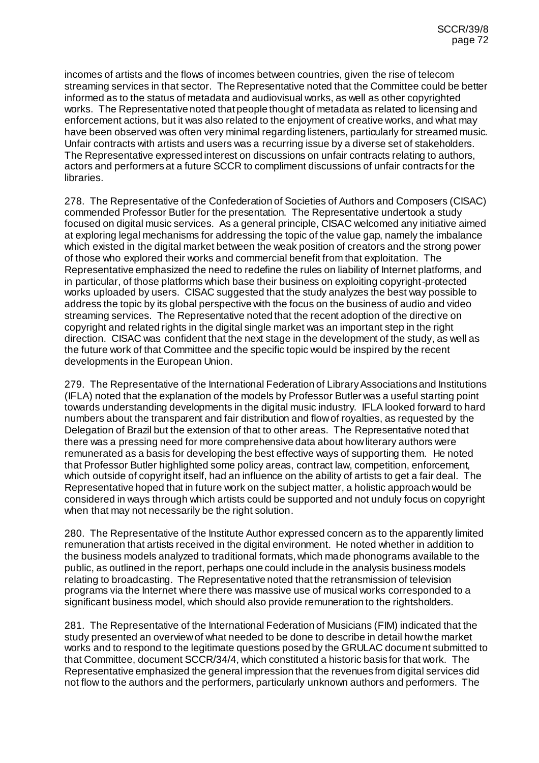incomes of artists and the flows of incomes between countries, given the rise of telecom streaming services in that sector. The Representative noted that the Committee could be better informed as to the status of metadata and audiovisual works, as well as other copyrighted works. The Representative noted that people thought of metadata as related to licensing and enforcement actions, but it was also related to the enjoyment of creative works, and what may have been observed was often very minimal regarding listeners, particularly for streamed music. Unfair contracts with artists and users was a recurring issue by a diverse set of stakeholders. The Representative expressed interest on discussions on unfair contracts relating to authors, actors and performers at a future SCCR to compliment discussions of unfair contracts for the libraries.

278. The Representative of the Confederation of Societies of Authors and Composers (CISAC) commended Professor Butler for the presentation. The Representative undertook a study focused on digital music services. As a general principle, CISAC welcomed any initiative aimed at exploring legal mechanisms for addressing the topic of the value gap, namely the imbalance which existed in the digital market between the weak position of creators and the strong power of those who explored their works and commercial benefit from that exploitation. The Representative emphasized the need to redefine the rules on liability of Internet platforms, and in particular, of those platforms which base their business on exploiting copyright-protected works uploaded by users. CISAC suggested that the study analyzes the best way possible to address the topic by its global perspective with the focus on the business of audio and video streaming services. The Representative noted that the recent adoption of the directive on copyright and related rights in the digital single market was an important step in the right direction. CISAC was confident that the next stage in the development of the study, as well as the future work of that Committee and the specific topic would be inspired by the recent developments in the European Union.

279. The Representative of the International Federation of Library Associations and Institutions (IFLA) noted that the explanation of the models by Professor Butler was a useful starting point towards understanding developments in the digital music industry. IFLA looked forward to hard numbers about the transparent and fair distribution and flow of royalties, as requested by the Delegation of Brazil but the extension of that to other areas. The Representative noted that there was a pressing need for more comprehensive data about how literary authors were remunerated as a basis for developing the best effective ways of supporting them. He noted that Professor Butler highlighted some policy areas, contract law, competition, enforcement, which outside of copyright itself, had an influence on the ability of artists to get a fair deal. The Representative hoped that in future work on the subject matter, a holistic approach would be considered in ways through which artists could be supported and not unduly focus on copyright when that may not necessarily be the right solution.

280. The Representative of the Institute Author expressed concern as to the apparently limited remuneration that artists received in the digital environment. He noted whether in addition to the business models analyzed to traditional formats, which made phonograms available to the public, as outlined in the report, perhaps one could include in the analysis business models relating to broadcasting. The Representative noted that the retransmission of television programs via the Internet where there was massive use of musical works corresponded to a significant business model, which should also provide remuneration to the rightsholders.

281. The Representative of the International Federation of Musicians (FIM) indicated that the study presented an overview of what needed to be done to describe in detail how the market works and to respond to the legitimate questions posed by the GRULAC document submitted to that Committee, document SCCR/34/4, which constituted a historic basis for that work. The Representative emphasized the general impression that the revenues from digital services did not flow to the authors and the performers, particularly unknown authors and performers. The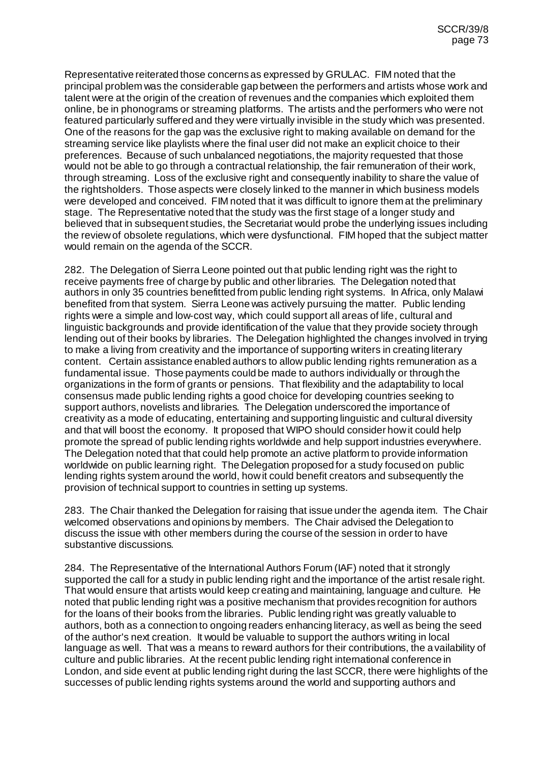Representative reiterated those concerns as expressed by GRULAC. FIM noted that the principal problem was the considerable gap between the performers and artists whose work and talent were at the origin of the creation of revenues and the companies which exploited them online, be in phonograms or streaming platforms. The artists and the performers who were not featured particularly suffered and they were virtually invisible in the study which was presented. One of the reasons for the gap was the exclusive right to making available on demand for the streaming service like playlists where the final user did not make an explicit choice to their preferences. Because of such unbalanced negotiations, the majority requested that those would not be able to go through a contractual relationship, the fair remuneration of their work, through streaming. Loss of the exclusive right and consequently inability to share the value of the rightsholders. Those aspects were closely linked to the manner in which business models were developed and conceived. FIM noted that it was difficult to ignore them at the preliminary stage. The Representative noted that the study was the first stage of a longer study and believed that in subsequent studies, the Secretariat would probe the underlying issues including the review of obsolete regulations, which were dysfunctional. FIM hoped that the subject matter would remain on the agenda of the SCCR.

282. The Delegation of Sierra Leone pointed out that public lending right was the right to receive payments free of charge by public and other libraries. The Delegation noted that authors in only 35 countries benefitted from public lending right systems. In Africa, only Malawi benefited from that system. Sierra Leone was actively pursuing the matter. Public lending rights were a simple and low-cost way, which could support all areas of life, cultural and linguistic backgrounds and provide identification of the value that they provide society through lending out of their books by libraries. The Delegation highlighted the changes involved in trying to make a living from creativity and the importance of supporting writers in creating literary content. Certain assistance enabled authors to allow public lending rights remuneration as a fundamental issue. Those payments could be made to authors individually or through the organizations in the form of grants or pensions. That flexibility and the adaptability to local consensus made public lending rights a good choice for developing countries seeking to support authors, novelists and libraries. The Delegation underscored the importance of creativity as a mode of educating, entertaining and supporting linguistic and cultural diversity and that will boost the economy. It proposed that WIPO should consider how it could help promote the spread of public lending rights worldwide and help support industries everywhere. The Delegation noted that that could help promote an active platform to provide information worldwide on public learning right. The Delegation proposed for a study focused on public lending rights system around the world, how it could benefit creators and subsequently the provision of technical support to countries in setting up systems.

283. The Chair thanked the Delegation for raising that issue under the agenda item. The Chair welcomed observations and opinions by members. The Chair advised the Delegation to discuss the issue with other members during the course of the session in order to have substantive discussions.

284. The Representative of the International Authors Forum (IAF) noted that it strongly supported the call for a study in public lending right and the importance of the artist resale right. That would ensure that artists would keep creating and maintaining, language and culture. He noted that public lending right was a positive mechanism that provides recognition for authors for the loans of their books from the libraries. Public lending right was greatly valuable to authors, both as a connection to ongoing readers enhancing literacy, as well as being the seed of the author's next creation. It would be valuable to support the authors writing in local language as well. That was a means to reward authors for their contributions, the availability of culture and public libraries. At the recent public lending right international conference in London, and side event at public lending right during the last SCCR, there were highlights of the successes of public lending rights systems around the world and supporting authors and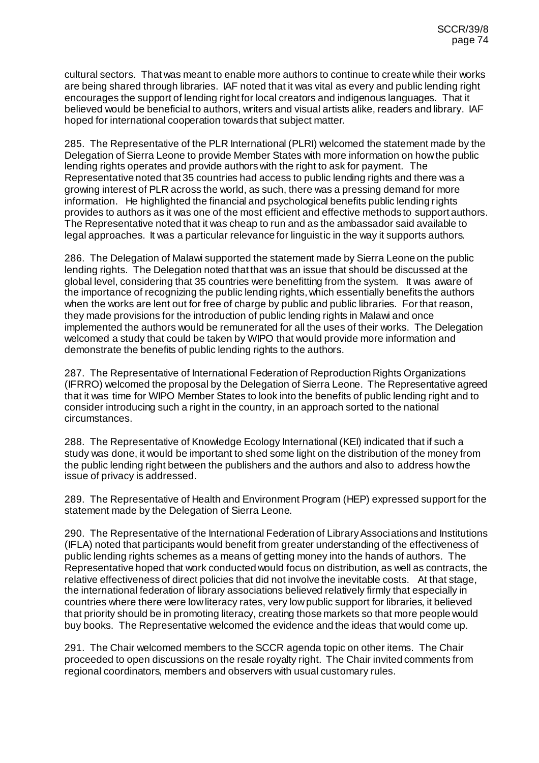cultural sectors. That was meant to enable more authors to continue to create while their works are being shared through libraries. IAF noted that it was vital as every and public lending right encourages the support of lending right for local creators and indigenous languages. That it believed would be beneficial to authors, writers and visual artists alike, readers and library. IAF hoped for international cooperation towards that subject matter.

285. The Representative of the PLR International (PLRI) welcomed the statement made by the Delegation of Sierra Leone to provide Member States with more information on how the public lending rights operates and provide authors with the right to ask for payment. The Representative noted that 35 countries had access to public lending rights and there was a growing interest of PLR across the world, as such, there was a pressing demand for more information. He highlighted the financial and psychological benefits public lending rights provides to authors as it was one of the most efficient and effective methods to support authors. The Representative noted that it was cheap to run and as the ambassador said available to legal approaches. It was a particular relevance for linguistic in the way it supports authors.

286. The Delegation of Malawi supported the statement made by Sierra Leone on the public lending rights. The Delegation noted that that was an issue that should be discussed at the global level, considering that 35 countries were benefitting from the system. It was aware of the importance of recognizing the public lending rights, which essentially benefits the authors when the works are lent out for free of charge by public and public libraries. For that reason, they made provisions for the introduction of public lending rights in Malawi and once implemented the authors would be remunerated for all the uses of their works. The Delegation welcomed a study that could be taken by WIPO that would provide more information and demonstrate the benefits of public lending rights to the authors.

287. The Representative of International Federation of Reproduction Rights Organizations (IFRRO) welcomed the proposal by the Delegation of Sierra Leone. The Representative agreed that it was time for WIPO Member States to look into the benefits of public lending right and to consider introducing such a right in the country, in an approach sorted to the national circumstances.

288. The Representative of Knowledge Ecology International (KEI) indicated that if such a study was done, it would be important to shed some light on the distribution of the money from the public lending right between the publishers and the authors and also to address how the issue of privacy is addressed.

289. The Representative of Health and Environment Program (HEP) expressed support for the statement made by the Delegation of Sierra Leone.

290. The Representative of the International Federation of Library Associations and Institutions (IFLA) noted that participants would benefit from greater understanding of the effectiveness of public lending rights schemes as a means of getting money into the hands of authors. The Representative hoped that work conducted would focus on distribution, as well as contracts, the relative effectiveness of direct policies that did not involve the inevitable costs. At that stage, the international federation of library associations believed relatively firmly that especially in countries where there were low literacy rates, very low public support for libraries, it believed that priority should be in promoting literacy, creating those markets so that more people would buy books. The Representative welcomed the evidence and the ideas that would come up.

291. The Chair welcomed members to the SCCR agenda topic on other items. The Chair proceeded to open discussions on the resale royalty right. The Chair invited comments from regional coordinators, members and observers with usual customary rules.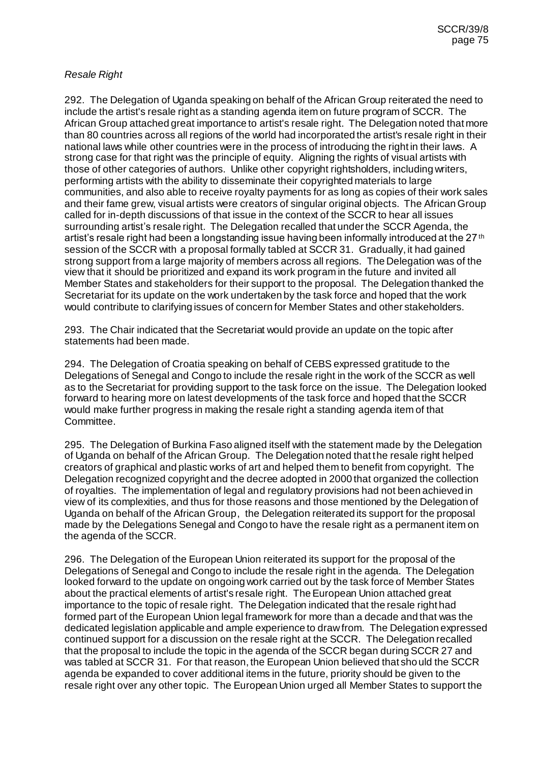## *Resale Right*

292. The Delegation of Uganda speaking on behalf of the African Group reiterated the need to include the artist's resale right as a standing agenda item on future program of SCCR. The African Group attached great importance to artist's resale right. The Delegation noted that more than 80 countries across all regions of the world had incorporated the artist's resale right in their national laws while other countries were in the process of introducing the right in their laws. A strong case for that right was the principle of equity. Aligning the rights of visual artists with those of other categories of authors. Unlike other copyright rightsholders, including writers, performing artists with the ability to disseminate their copyrighted materials to large communities, and also able to receive royalty payments for as long as copies of their work sales and their fame grew, visual artists were creators of singular original objects. The African Group called for in-depth discussions of that issue in the context of the SCCR to hear all issues surrounding artist's resale right. The Delegation recalled that under the SCCR Agenda, the artist's resale right had been a longstanding issue having been informally introduced at the 27<sup>th</sup> session of the SCCR with a proposal formally tabled at SCCR 31. Gradually, it had gained strong support from a large majority of members across all regions. The Delegation was of the view that it should be prioritized and expand its work program in the future and invited all Member States and stakeholders for their support to the proposal. The Delegation thanked the Secretariat for its update on the work undertaken by the task force and hoped that the work would contribute to clarifying issues of concern for Member States and other stakeholders.

293. The Chair indicated that the Secretariat would provide an update on the topic after statements had been made.

294. The Delegation of Croatia speaking on behalf of CEBS expressed gratitude to the Delegations of Senegal and Congo to include the resale right in the work of the SCCR as well as to the Secretariat for providing support to the task force on the issue. The Delegation looked forward to hearing more on latest developments of the task force and hoped that the SCCR would make further progress in making the resale right a standing agenda item of that Committee.

295. The Delegation of Burkina Faso aligned itself with the statement made by the Delegation of Uganda on behalf of the African Group. The Delegation noted that the resale right helped creators of graphical and plastic works of art and helped them to benefit from copyright. The Delegation recognized copyright and the decree adopted in 2000 that organized the collection of royalties. The implementation of legal and regulatory provisions had not been achieved in view of its complexities, and thus for those reasons and those mentioned by the Delegation of Uganda on behalf of the African Group, the Delegation reiterated its support for the proposal made by the Delegations Senegal and Congo to have the resale right as a permanent item on the agenda of the SCCR.

296. The Delegation of the European Union reiterated its support for the proposal of the Delegations of Senegal and Congo to include the resale right in the agenda. The Delegation looked forward to the update on ongoing work carried out by the task force of Member States about the practical elements of artist's resale right. The European Union attached great importance to the topic of resale right. The Delegation indicated that the resale right had formed part of the European Union legal framework for more than a decade and that was the dedicated legislation applicable and ample experience to draw from. The Delegation expressed continued support for a discussion on the resale right at the SCCR. The Delegation recalled that the proposal to include the topic in the agenda of the SCCR began during SCCR 27 and was tabled at SCCR 31. For that reason, the European Union believed that should the SCCR agenda be expanded to cover additional items in the future, priority should be given to the resale right over any other topic. The European Union urged all Member States to support the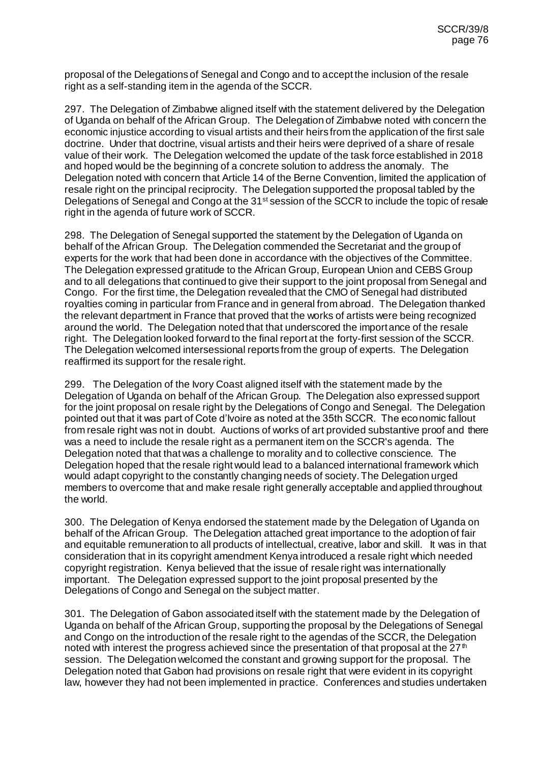proposal of the Delegations of Senegal and Congo and to accept the inclusion of the resale right as a self-standing item in the agenda of the SCCR.

297. The Delegation of Zimbabwe aligned itself with the statement delivered by the Delegation of Uganda on behalf of the African Group. The Delegation of Zimbabwe noted with concern the economic injustice according to visual artists and their heirs from the application of the first sale doctrine. Under that doctrine, visual artists and their heirs were deprived of a share of resale value of their work. The Delegation welcomed the update of the task force established in 2018 and hoped would be the beginning of a concrete solution to address the anomaly. The Delegation noted with concern that Article 14 of the Berne Convention, limited the application of resale right on the principal reciprocity. The Delegation supported the proposal tabled by the Delegations of Senegal and Congo at the 31<sup>st</sup> session of the SCCR to include the topic of resale right in the agenda of future work of SCCR.

298. The Delegation of Senegal supported the statement by the Delegation of Uganda on behalf of the African Group. The Delegation commended the Secretariat and the group of experts for the work that had been done in accordance with the objectives of the Committee. The Delegation expressed gratitude to the African Group, European Union and CEBS Group and to all delegations that continued to give their support to the joint proposal from Senegal and Congo. For the first time, the Delegation revealed that the CMO of Senegal had distributed royalties coming in particular from France and in general from abroad. The Delegation thanked the relevant department in France that proved that the works of artists were being recognized around the world. The Delegation noted that that underscored the importance of the resale right. The Delegation looked forward to the final report at the forty-first session of the SCCR. The Delegation welcomed intersessional reports from the group of experts. The Delegation reaffirmed its support for the resale right.

299. The Delegation of the Ivory Coast aligned itself with the statement made by the Delegation of Uganda on behalf of the African Group. The Delegation also expressed support for the joint proposal on resale right by the Delegations of Congo and Senegal. The Delegation pointed out that it was part of Cote d'Ivoire as noted at the 35th SCCR. The economic fallout from resale right was not in doubt. Auctions of works of art provided substantive proof and there was a need to include the resale right as a permanent item on the SCCR's agenda. The Delegation noted that that was a challenge to morality and to collective conscience. The Delegation hoped that the resale right would lead to a balanced international framework which would adapt copyright to the constantly changing needs of society. The Delegation urged members to overcome that and make resale right generally acceptable and applied throughout the world.

300. The Delegation of Kenya endorsed the statement made by the Delegation of Uganda on behalf of the African Group. The Delegation attached great importance to the adoption of fair and equitable remuneration to all products of intellectual, creative, labor and skill. It was in that consideration that in its copyright amendment Kenya introduced a resale right which needed copyright registration. Kenya believed that the issue of resale right was internationally important. The Delegation expressed support to the joint proposal presented by the Delegations of Congo and Senegal on the subject matter.

301. The Delegation of Gabon associated itself with the statement made by the Delegation of Uganda on behalf of the African Group, supporting the proposal by the Delegations of Senegal and Congo on the introduction of the resale right to the agendas of the SCCR, the Delegation noted with interest the progress achieved since the presentation of that proposal at the  $27<sup>th</sup>$ session. The Delegation welcomed the constant and growing support for the proposal. The Delegation noted that Gabon had provisions on resale right that were evident in its copyright law, however they had not been implemented in practice. Conferences and studies undertaken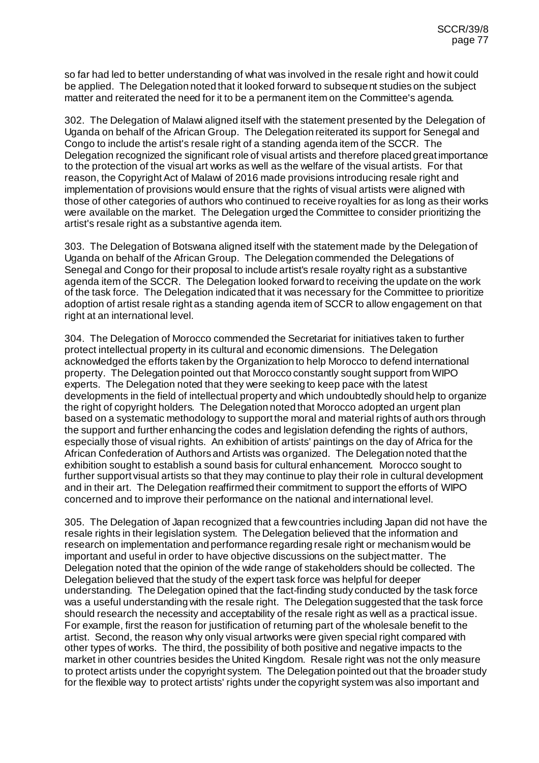so far had led to better understanding of what was involved in the resale right and how it could be applied. The Delegation noted that it looked forward to subsequent studies on the subject matter and reiterated the need for it to be a permanent item on the Committee's agenda.

302. The Delegation of Malawi aligned itself with the statement presented by the Delegation of Uganda on behalf of the African Group. The Delegation reiterated its support for Senegal and Congo to include the artist's resale right of a standing agenda item of the SCCR. The Delegation recognized the significant role of visual artists and therefore placed great importance to the protection of the visual art works as well as the welfare of the visual artists. For that reason, the Copyright Act of Malawi of 2016 made provisions introducing resale right and implementation of provisions would ensure that the rights of visual artists were aligned with those of other categories of authors who continued to receive royalties for as long as their works were available on the market. The Delegation urged the Committee to consider prioritizing the artist's resale right as a substantive agenda item.

303. The Delegation of Botswana aligned itself with the statement made by the Delegation of Uganda on behalf of the African Group. The Delegation commended the Delegations of Senegal and Congo for their proposal to include artist's resale royalty right as a substantive agenda item of the SCCR. The Delegation looked forward to receiving the update on the work of the task force. The Delegation indicated that it was necessary for the Committee to prioritize adoption of artist resale right as a standing agenda item of SCCR to allow engagement on that right at an international level.

304. The Delegation of Morocco commended the Secretariat for initiatives taken to further protect intellectual property in its cultural and economic dimensions. The Delegation acknowledged the efforts taken by the Organization to help Morocco to defend international property. The Delegation pointed out that Morocco constantly sought support from WIPO experts. The Delegation noted that they were seeking to keep pace with the latest developments in the field of intellectual property and which undoubtedly should help to organize the right of copyright holders. The Delegation noted that Morocco adopted an urgent plan based on a systematic methodology to support the moral and material rights of authors through the support and further enhancing the codes and legislation defending the rights of authors, especially those of visual rights. An exhibition of artists' paintings on the day of Africa for the African Confederation of Authors and Artists was organized. The Delegation noted that the exhibition sought to establish a sound basis for cultural enhancement. Morocco sought to further support visual artists so that they may continue to play their role in cultural development and in their art. The Delegation reaffirmed their commitment to support the efforts of WIPO concerned and to improve their performance on the national and international level.

305. The Delegation of Japan recognized that a few countries including Japan did not have the resale rights in their legislation system. The Delegation believed that the information and research on implementation and performance regarding resale right or mechanism would be important and useful in order to have objective discussions on the subject matter. The Delegation noted that the opinion of the wide range of stakeholders should be collected. The Delegation believed that the study of the expert task force was helpful for deeper understanding. The Delegation opined that the fact-finding study conducted by the task force was a useful understanding with the resale right. The Delegation suggested that the task force should research the necessity and acceptability of the resale right as well as a practical issue. For example, first the reason for justification of returning part of the wholesale benefit to the artist. Second, the reason why only visual artworks were given special right compared with other types of works. The third, the possibility of both positive and negative impacts to the market in other countries besides the United Kingdom. Resale right was not the only measure to protect artists under the copyright system. The Delegation pointed out that the broader study for the flexible way to protect artists' rights under the copyright system was also important and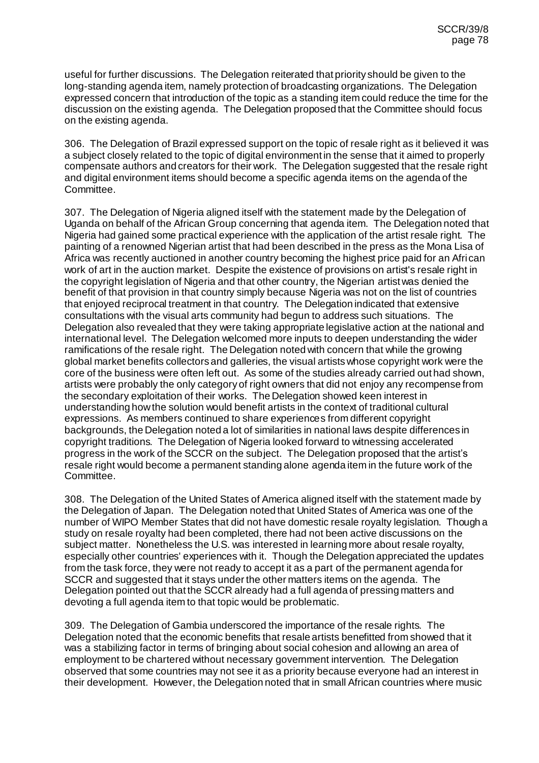useful for further discussions. The Delegation reiterated that priority should be given to the long-standing agenda item, namely protection of broadcasting organizations. The Delegation expressed concern that introduction of the topic as a standing item could reduce the time for the discussion on the existing agenda. The Delegation proposed that the Committee should focus on the existing agenda.

306. The Delegation of Brazil expressed support on the topic of resale right as it believed it was a subject closely related to the topic of digital environment in the sense that it aimed to properly compensate authors and creators for their work. The Delegation suggested that the resale right and digital environment items should become a specific agenda items on the agenda of the Committee.

307. The Delegation of Nigeria aligned itself with the statement made by the Delegation of Uganda on behalf of the African Group concerning that agenda item. The Delegation noted that Nigeria had gained some practical experience with the application of the artist resale right. The painting of a renowned Nigerian artist that had been described in the press as the Mona Lisa of Africa was recently auctioned in another country becoming the highest price paid for an African work of art in the auction market. Despite the existence of provisions on artist's resale right in the copyright legislation of Nigeria and that other country, the Nigerian artist was denied the benefit of that provision in that country simply because Nigeria was not on the list of countries that enjoyed reciprocal treatment in that country. The Delegation indicated that extensive consultations with the visual arts community had begun to address such situations. The Delegation also revealed that they were taking appropriate legislative action at the national and international level. The Delegation welcomed more inputs to deepen understanding the wider ramifications of the resale right. The Delegation noted with concern that while the growing global market benefits collectors and galleries, the visual artists whose copyright work were the core of the business were often left out. As some of the studies already carried out had shown, artists were probably the only category of right owners that did not enjoy any recompense from the secondary exploitation of their works. The Delegation showed keen interest in understanding how the solution would benefit artists in the context of traditional cultural expressions. As members continued to share experiences from different copyright backgrounds, the Delegation noted a lot of similarities in national laws despite differences in copyright traditions. The Delegation of Nigeria looked forward to witnessing accelerated progress in the work of the SCCR on the subject. The Delegation proposed that the artist's resale right would become a permanent standing alone agenda item in the future work of the Committee.

308. The Delegation of the United States of America aligned itself with the statement made by the Delegation of Japan. The Delegation noted that United States of America was one of the number of WIPO Member States that did not have domestic resale royalty legislation. Though a study on resale royalty had been completed, there had not been active discussions on the subject matter. Nonetheless the U.S. was interested in learning more about resale royalty, especially other countries' experiences with it. Though the Delegation appreciated the updates from the task force, they were not ready to accept it as a part of the permanent agenda for SCCR and suggested that it stays under the other matters items on the agenda. The Delegation pointed out that the SCCR already had a full agenda of pressing matters and devoting a full agenda item to that topic would be problematic.

309. The Delegation of Gambia underscored the importance of the resale rights. The Delegation noted that the economic benefits that resale artists benefitted from showed that it was a stabilizing factor in terms of bringing about social cohesion and allowing an area of employment to be chartered without necessary government intervention. The Delegation observed that some countries may not see it as a priority because everyone had an interest in their development. However, the Delegation noted that in small African countries where music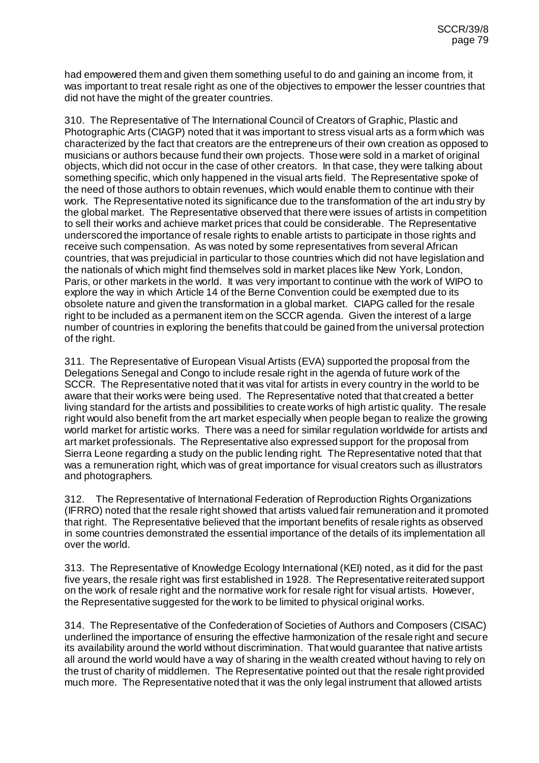had empowered them and given them something useful to do and gaining an income from, it was important to treat resale right as one of the objectives to empower the lesser countries that did not have the might of the greater countries.

310. The Representative of The International Council of Creators of Graphic, Plastic and Photographic Arts (CIAGP) noted that it was important to stress visual arts as a form which was characterized by the fact that creators are the entrepreneurs of their own creation as opposed to musicians or authors because fund their own projects. Those were sold in a market of original objects, which did not occur in the case of other creators. In that case, they were talking about something specific, which only happened in the visual arts field. The Representative spoke of the need of those authors to obtain revenues, which would enable them to continue with their work. The Representative noted its significance due to the transformation of the art industry by the global market. The Representative observed that there were issues of artists in competition to sell their works and achieve market prices that could be considerable. The Representative underscored the importance of resale rights to enable artists to participate in those rights and receive such compensation. As was noted by some representatives from several African countries, that was prejudicial in particular to those countries which did not have legislation and the nationals of which might find themselves sold in market places like New York, London, Paris, or other markets in the world. It was very important to continue with the work of WIPO to explore the way in which Article 14 of the Berne Convention could be exempted due to its obsolete nature and given the transformation in a global market. CIAPG called for the resale right to be included as a permanent item on the SCCR agenda. Given the interest of a large number of countries in exploring the benefits that could be gained from the universal protection of the right.

311. The Representative of European Visual Artists (EVA) supported the proposal from the Delegations Senegal and Congo to include resale right in the agenda of future work of the SCCR. The Representative noted that it was vital for artists in every country in the world to be aware that their works were being used. The Representative noted that that created a better living standard for the artists and possibilities to create works of high artistic quality. The resale right would also benefit from the art market especially when people began to realize the growing world market for artistic works. There was a need for similar regulation worldwide for artists and art market professionals. The Representative also expressed support for the proposal from Sierra Leone regarding a study on the public lending right. The Representative noted that that was a remuneration right, which was of great importance for visual creators such as illustrators and photographers.

312. The Representative of International Federation of Reproduction Rights Organizations (IFRRO) noted that the resale right showed that artists valued fair remuneration and it promoted that right. The Representative believed that the important benefits of resale rights as observed in some countries demonstrated the essential importance of the details of its implementation all over the world.

313. The Representative of Knowledge Ecology International (KEI) noted, as it did for the past five years, the resale right was first established in 1928. The Representative reiterated support on the work of resale right and the normative work for resale right for visual artists. However, the Representative suggested for the work to be limited to physical original works.

314. The Representative of the Confederation of Societies of Authors and Composers (CISAC) underlined the importance of ensuring the effective harmonization of the resale right and secure its availability around the world without discrimination. That would guarantee that native artists all around the world would have a way of sharing in the wealth created without having to rely on the trust of charity of middlemen. The Representative pointed out that the resale right provided much more. The Representative noted that it was the only legal instrument that allowed artists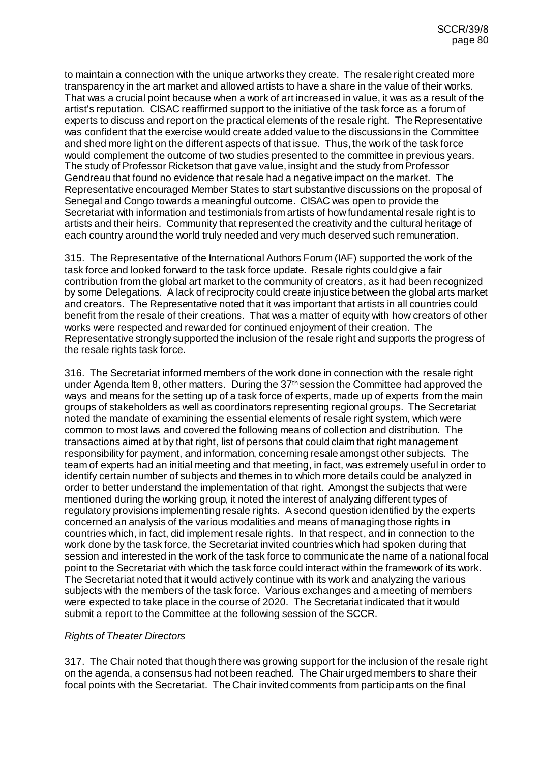to maintain a connection with the unique artworks they create. The resale right created more transparency in the art market and allowed artists to have a share in the value of their works. That was a crucial point because when a work of art increased in value, it was as a result of the artist's reputation. CISAC reaffirmed support to the initiative of the task force as a forum of experts to discuss and report on the practical elements of the resale right. The Representative was confident that the exercise would create added value to the discussions in the Committee and shed more light on the different aspects of that issue. Thus, the work of the task force would complement the outcome of two studies presented to the committee in previous years. The study of Professor Ricketson that gave value, insight and the study from Professor Gendreau that found no evidence that resale had a negative impact on the market. The Representative encouraged Member States to start substantive discussions on the proposal of Senegal and Congo towards a meaningful outcome. CISAC was open to provide the Secretariat with information and testimonials from artists of how fundamental resale right is to artists and their heirs. Community that represented the creativity and the cultural heritage of each country around the world truly needed and very much deserved such remuneration.

315. The Representative of the International Authors Forum (IAF) supported the work of the task force and looked forward to the task force update. Resale rights could give a fair contribution from the global art market to the community of creators, as it had been recognized by some Delegations. A lack of reciprocity could create injustice between the global arts market and creators. The Representative noted that it was important that artists in all countries could benefit from the resale of their creations. That was a matter of equity with how creators of other works were respected and rewarded for continued enjoyment of their creation. The Representative strongly supported the inclusion of the resale right and supports the progress of the resale rights task force.

316. The Secretariat informed members of the work done in connection with the resale right under Agenda Item 8, other matters. During the  $37<sup>th</sup>$  session the Committee had approved the ways and means for the setting up of a task force of experts, made up of experts from the main groups of stakeholders as well as coordinators representing regional groups. The Secretariat noted the mandate of examining the essential elements of resale right system, which were common to most laws and covered the following means of collection and distribution. The transactions aimed at by that right, list of persons that could claim that right management responsibility for payment, and information, concerning resale amongst other subjects. The team of experts had an initial meeting and that meeting, in fact, was extremely useful in order to identify certain number of subjects and themes in to which more details could be analyzed in order to better understand the implementation of that right. Amongst the subjects that were mentioned during the working group, it noted the interest of analyzing different types of regulatory provisions implementing resale rights. A second question identified by the experts concerned an analysis of the various modalities and means of managing those rights in countries which, in fact, did implement resale rights. In that respect, and in connection to the work done by the task force, the Secretariat invited countries which had spoken during that session and interested in the work of the task force to communicate the name of a national focal point to the Secretariat with which the task force could interact within the framework of its work. The Secretariat noted that it would actively continue with its work and analyzing the various subjects with the members of the task force. Various exchanges and a meeting of members were expected to take place in the course of 2020. The Secretariat indicated that it would submit a report to the Committee at the following session of the SCCR.

## *Rights of Theater Directors*

317. The Chair noted that though there was growing support for the inclusion of the resale right on the agenda, a consensus had not been reached. The Chair urged members to share their focal points with the Secretariat. The Chair invited comments from participants on the final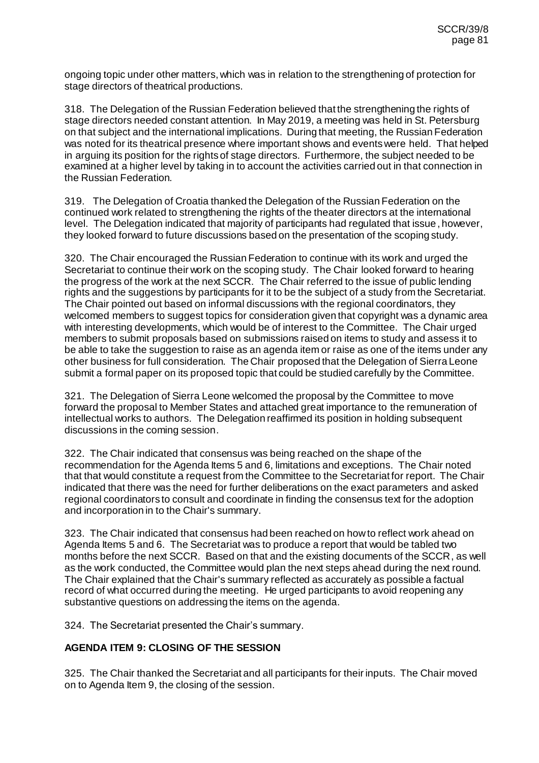ongoing topic under other matters, which was in relation to the strengthening of protection for stage directors of theatrical productions.

318. The Delegation of the Russian Federation believed that the strengthening the rights of stage directors needed constant attention. In May 2019, a meeting was held in St. Petersburg on that subject and the international implications. During that meeting, the Russian Federation was noted for its theatrical presence where important shows and events were held. That helped in arguing its position for the rights of stage directors. Furthermore, the subject needed to be examined at a higher level by taking in to account the activities carried out in that connection in the Russian Federation.

319. The Delegation of Croatia thanked the Delegation of the Russian Federation on the continued work related to strengthening the rights of the theater directors at the international level. The Delegation indicated that majority of participants had regulated that issue, however, they looked forward to future discussions based on the presentation of the scoping study.

320. The Chair encouraged the Russian Federation to continue with its work and urged the Secretariat to continue their work on the scoping study. The Chair looked forward to hearing the progress of the work at the next SCCR. The Chair referred to the issue of public lending rights and the suggestions by participants for it to be the subject of a study from the Secretariat. The Chair pointed out based on informal discussions with the regional coordinators, they welcomed members to suggest topics for consideration given that copyright was a dynamic area with interesting developments, which would be of interest to the Committee. The Chair urged members to submit proposals based on submissions raised on items to study and assess it to be able to take the suggestion to raise as an agenda item or raise as one of the items under any other business for full consideration. The Chair proposed that the Delegation of Sierra Leone submit a formal paper on its proposed topic that could be studied carefully by the Committee.

321. The Delegation of Sierra Leone welcomed the proposal by the Committee to move forward the proposal to Member States and attached great importance to the remuneration of intellectual works to authors. The Delegation reaffirmed its position in holding subsequent discussions in the coming session.

322. The Chair indicated that consensus was being reached on the shape of the recommendation for the Agenda Items 5 and 6, limitations and exceptions. The Chair noted that that would constitute a request from the Committee to the Secretariat for report. The Chair indicated that there was the need for further deliberations on the exact parameters and asked regional coordinators to consult and coordinate in finding the consensus text for the adoption and incorporation in to the Chair's summary.

323. The Chair indicated that consensus had been reached on how to reflect work ahead on Agenda Items 5 and 6. The Secretariat was to produce a report that would be tabled two months before the next SCCR. Based on that and the existing documents of the SCCR, as well as the work conducted, the Committee would plan the next steps ahead during the next round. The Chair explained that the Chair's summary reflected as accurately as possible a factual record of what occurred during the meeting. He urged participants to avoid reopening any substantive questions on addressing the items on the agenda.

324. The Secretariat presented the Chair's summary.

# **AGENDA ITEM 9: CLOSING OF THE SESSION**

325. The Chair thanked the Secretariat and all participants for their inputs. The Chair moved on to Agenda Item 9, the closing of the session.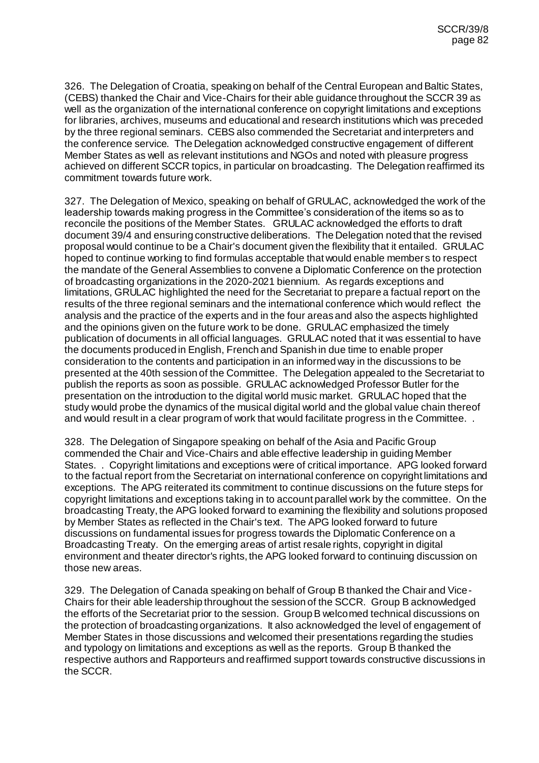326. The Delegation of Croatia, speaking on behalf of the Central European and Baltic States, (CEBS) thanked the Chair and Vice-Chairs for their able guidance throughout the SCCR 39 as well as the organization of the international conference on copyright limitations and exceptions for libraries, archives, museums and educational and research institutions which was preceded by the three regional seminars. CEBS also commended the Secretariat and interpreters and the conference service. The Delegation acknowledged constructive engagement of different Member States as well as relevant institutions and NGOs and noted with pleasure progress achieved on different SCCR topics, in particular on broadcasting. The Delegation reaffirmed its commitment towards future work.

327. The Delegation of Mexico, speaking on behalf of GRULAC, acknowledged the work of the leadership towards making progress in the Committee's consideration of the items so as to reconcile the positions of the Member States. GRULAC acknowledged the efforts to draft document 39/4 and ensuring constructive deliberations. The Delegation noted that the revised proposal would continue to be a Chair's document given the flexibility that it entailed. GRULAC hoped to continue working to find formulas acceptable that would enable member s to respect the mandate of the General Assemblies to convene a Diplomatic Conference on the protection of broadcasting organizations in the 2020-2021 biennium. As regards exceptions and limitations, GRULAC highlighted the need for the Secretariat to prepare a factual report on the results of the three regional seminars and the international conference which would reflect the analysis and the practice of the experts and in the four areas and also the aspects highlighted and the opinions given on the future work to be done. GRULAC emphasized the timely publication of documents in all official languages. GRULAC noted that it was essential to have the documents produced in English, French and Spanish in due time to enable proper consideration to the contents and participation in an informed way in the discussions to be presented at the 40th session of the Committee. The Delegation appealed to the Secretariat to publish the reports as soon as possible. GRULAC acknowledged Professor Butler for the presentation on the introduction to the digital world music market. GRULAC hoped that the study would probe the dynamics of the musical digital world and the global value chain thereof and would result in a clear program of work that would facilitate progress in the Committee. .

328. The Delegation of Singapore speaking on behalf of the Asia and Pacific Group commended the Chair and Vice-Chairs and able effective leadership in guiding Member States. . Copyright limitations and exceptions were of critical importance. APG looked forward to the factual report from the Secretariat on international conference on copyright limitations and exceptions. The APG reiterated its commitment to continue discussions on the future steps for copyright limitations and exceptions taking in to account parallel work by the committee. On the broadcasting Treaty, the APG looked forward to examining the flexibility and solutions proposed by Member States as reflected in the Chair's text. The APG looked forward to future discussions on fundamental issues for progress towards the Diplomatic Conference on a Broadcasting Treaty. On the emerging areas of artist resale rights, copyright in digital environment and theater director's rights, the APG looked forward to continuing discussion on those new areas.

329. The Delegation of Canada speaking on behalf of Group B thanked the Chair and Vice-Chairs for their able leadership throughout the session of the SCCR. Group B acknowledged the efforts of the Secretariat prior to the session. Group B welcomed technical discussions on the protection of broadcasting organizations. It also acknowledged the level of engagement of Member States in those discussions and welcomed their presentations regarding the studies and typology on limitations and exceptions as well as the reports. Group B thanked the respective authors and Rapporteurs and reaffirmed support towards constructive discussions in the SCCR.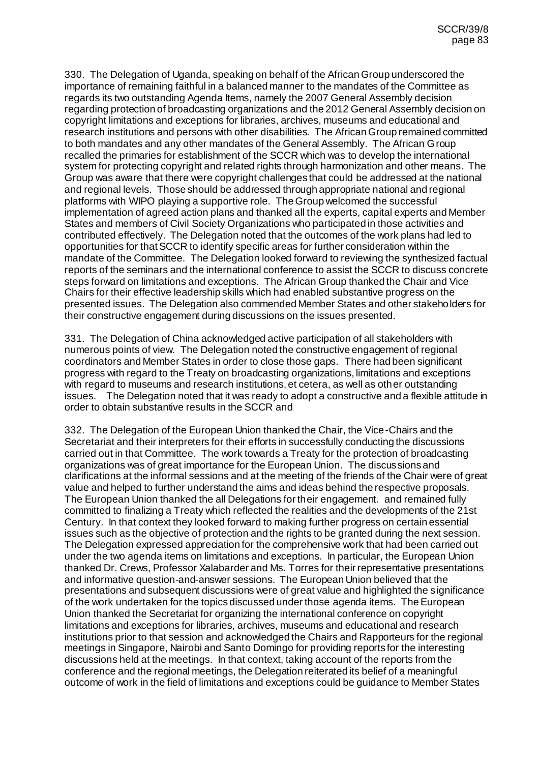330. The Delegation of Uganda, speaking on behalf of the African Group underscored the importance of remaining faithful in a balanced manner to the mandates of the Committee as regards its two outstanding Agenda Items, namely the 2007 General Assembly decision regarding protection of broadcasting organizations and the 2012 General Assembly decision on copyright limitations and exceptions for libraries, archives, museums and educational and research institutions and persons with other disabilities. The African Group remained committed to both mandates and any other mandates of the General Assembly. The African Group recalled the primaries for establishment of the SCCR which was to develop the international system for protecting copyright and related rights through harmonization and other means. The Group was aware that there were copyright challenges that could be addressed at the national and regional levels. Those should be addressed through appropriate national and regional platforms with WIPO playing a supportive role. The Group welcomed the successful implementation of agreed action plans and thanked all the experts, capital experts and Member States and members of Civil Society Organizations who participated in those activities and contributed effectively. The Delegation noted that the outcomes of the work plans had led to opportunities for that SCCR to identify specific areas for further consideration within the mandate of the Committee. The Delegation looked forward to reviewing the synthesized factual reports of the seminars and the international conference to assist the SCCR to discuss concrete steps forward on limitations and exceptions. The African Group thanked the Chair and Vice Chairs for their effective leadership skills which had enabled substantive progress on the presented issues. The Delegation also commended Member States and other stakeholders for their constructive engagement during discussions on the issues presented.

331. The Delegation of China acknowledged active participation of all stakeholders with numerous points of view. The Delegation noted the constructive engagement of regional coordinators and Member States in order to close those gaps. There had been significant progress with regard to the Treaty on broadcasting organizations, limitations and exceptions with regard to museums and research institutions, et cetera, as well as other outstanding issues. The Delegation noted that it was ready to adopt a constructive and a flexible attitude in order to obtain substantive results in the SCCR and

332. The Delegation of the European Union thanked the Chair, the Vice-Chairs and the Secretariat and their interpreters for their efforts in successfully conducting the discussions carried out in that Committee. The work towards a Treaty for the protection of broadcasting organizations was of great importance for the European Union. The discussions and clarifications at the informal sessions and at the meeting of the friends of the Chair were of great value and helped to further understand the aims and ideas behind the respective proposals. The European Union thanked the all Delegations for their engagement. and remained fully committed to finalizing a Treaty which reflected the realities and the developments of the 21st Century. In that context they looked forward to making further progress on certain essential issues such as the objective of protection and the rights to be granted during the next session. The Delegation expressed appreciation for the comprehensive work that had been carried out under the two agenda items on limitations and exceptions. In particular, the European Union thanked Dr. Crews, Professor Xalabarder and Ms. Torres for their representative presentations and informative question-and-answer sessions. The European Union believed that the presentations and subsequent discussions were of great value and highlighted the significance of the work undertaken for the topics discussed under those agenda items. The European Union thanked the Secretariat for organizing the international conference on copyright limitations and exceptions for libraries, archives, museums and educational and research institutions prior to that session and acknowledged the Chairs and Rapporteurs for the regional meetings in Singapore, Nairobi and Santo Domingo for providing reports for the interesting discussions held at the meetings. In that context, taking account of the reports from the conference and the regional meetings, the Delegation reiterated its belief of a meaningful outcome of work in the field of limitations and exceptions could be guidance to Member States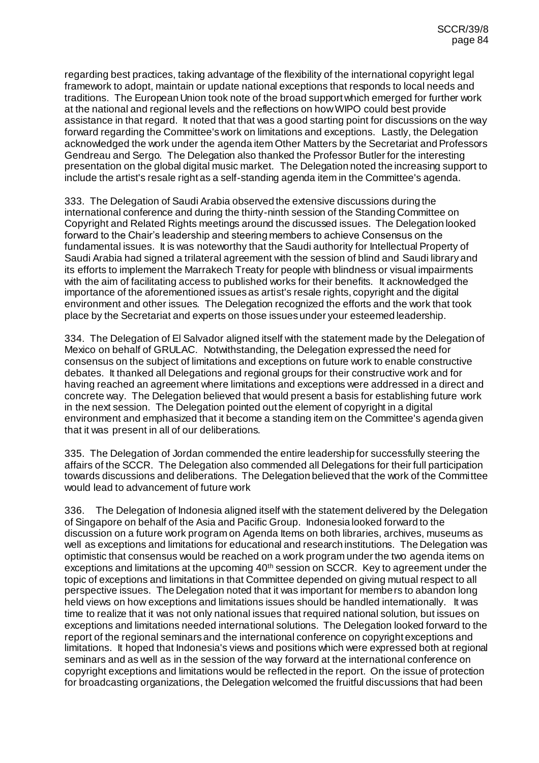regarding best practices, taking advantage of the flexibility of the international copyright legal framework to adopt, maintain or update national exceptions that responds to local needs and traditions. The European Union took note of the broad support which emerged for further work at the national and regional levels and the reflections on how WIPO could best provide assistance in that regard. It noted that that was a good starting point for discussions on the way forward regarding the Committee's work on limitations and exceptions. Lastly, the Delegation acknowledged the work under the agenda item Other Matters by the Secretariat and Professors Gendreau and Sergo. The Delegation also thanked the Professor Butler for the interesting presentation on the global digital music market. The Delegation noted the increasing support to include the artist's resale right as a self-standing agenda item in the Committee's agenda.

333. The Delegation of Saudi Arabia observed the extensive discussions during the international conference and during the thirty-ninth session of the Standing Committee on Copyright and Related Rights meetings around the discussed issues. The Delegation looked forward to the Chair's leadership and steering members to achieve Consensus on the fundamental issues. It is was noteworthy that the Saudi authority for Intellectual Property of Saudi Arabia had signed a trilateral agreement with the session of blind and Saudi library and its efforts to implement the Marrakech Treaty for people with blindness or visual impairments with the aim of facilitating access to published works for their benefits. It acknowledged the importance of the aforementioned issues as artist's resale rights, copyright and the digital environment and other issues. The Delegation recognized the efforts and the work that took place by the Secretariat and experts on those issues under your esteemed leadership.

334. The Delegation of El Salvador aligned itself with the statement made by the Delegation of Mexico on behalf of GRULAC. Notwithstanding, the Delegation expressed the need for consensus on the subject of limitations and exceptions on future work to enable constructive debates. It thanked all Delegations and regional groups for their constructive work and for having reached an agreement where limitations and exceptions were addressed in a direct and concrete way. The Delegation believed that would present a basis for establishing future work in the next session. The Delegation pointed out the element of copyright in a digital environment and emphasized that it become a standing item on the Committee's agenda given that it was present in all of our deliberations.

335. The Delegation of Jordan commended the entire leadership for successfully steering the affairs of the SCCR. The Delegation also commended all Delegations for their full participation towards discussions and deliberations. The Delegation believed that the work of the Committee would lead to advancement of future work

336. The Delegation of Indonesia aligned itself with the statement delivered by the Delegation of Singapore on behalf of the Asia and Pacific Group. Indonesia looked forward to the discussion on a future work program on Agenda Items on both libraries, archives, museums as well as exceptions and limitations for educational and research institutions. The Delegation was optimistic that consensus would be reached on a work program under the two agenda items on exceptions and limitations at the upcoming 40<sup>th</sup> session on SCCR. Key to agreement under the topic of exceptions and limitations in that Committee depended on giving mutual respect to all perspective issues. The Delegation noted that it was important for members to abandon long held views on how exceptions and limitations issues should be handled internationally. It was time to realize that it was not only national issues that required national solution, but issues on exceptions and limitations needed international solutions. The Delegation looked forward to the report of the regional seminars and the international conference on copyright exceptions and limitations. It hoped that Indonesia's views and positions which were expressed both at regional seminars and as well as in the session of the way forward at the international conference on copyright exceptions and limitations would be reflected in the report. On the issue of protection for broadcasting organizations, the Delegation welcomed the fruitful discussions that had been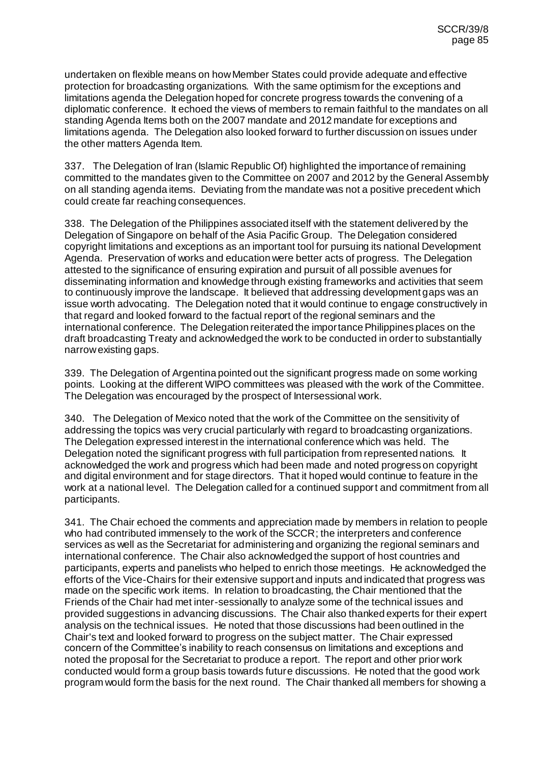undertaken on flexible means on how Member States could provide adequate and effective protection for broadcasting organizations. With the same optimism for the exceptions and limitations agenda the Delegation hoped for concrete progress towards the convening of a diplomatic conference. It echoed the views of members to remain faithful to the mandates on all standing Agenda Items both on the 2007 mandate and 2012 mandate for exceptions and limitations agenda. The Delegation also looked forward to further discussion on issues under the other matters Agenda Item.

337. The Delegation of Iran (Islamic Republic Of) highlighted the importance of remaining committed to the mandates given to the Committee on 2007 and 2012 by the General Assembly on all standing agenda items. Deviating from the mandate was not a positive precedent which could create far reaching consequences.

338. The Delegation of the Philippines associated itself with the statement delivered by the Delegation of Singapore on behalf of the Asia Pacific Group. The Delegation considered copyright limitations and exceptions as an important tool for pursuing its national Development Agenda. Preservation of works and education were better acts of progress. The Delegation attested to the significance of ensuring expiration and pursuit of all possible avenues for disseminating information and knowledge through existing frameworks and activities that seem to continuously improve the landscape. It believed that addressing development gaps was an issue worth advocating. The Delegation noted that it would continue to engage constructively in that regard and looked forward to the factual report of the regional seminars and the international conference. The Delegation reiterated the importance Philippines places on the draft broadcasting Treaty and acknowledged the work to be conducted in order to substantially narrow existing gaps.

339. The Delegation of Argentina pointed out the significant progress made on some working points. Looking at the different WIPO committees was pleased with the work of the Committee. The Delegation was encouraged by the prospect of Intersessional work.

340. The Delegation of Mexico noted that the work of the Committee on the sensitivity of addressing the topics was very crucial particularly with regard to broadcasting organizations. The Delegation expressed interest in the international conference which was held. The Delegation noted the significant progress with full participation from represented nations. It acknowledged the work and progress which had been made and noted progress on copyright and digital environment and for stage directors. That it hoped would continue to feature in the work at a national level. The Delegation called for a continued support and commitment from all participants.

341. The Chair echoed the comments and appreciation made by members in relation to people who had contributed immensely to the work of the SCCR; the interpreters and conference services as well as the Secretariat for administering and organizing the regional seminars and international conference. The Chair also acknowledged the support of host countries and participants, experts and panelists who helped to enrich those meetings. He acknowledged the efforts of the Vice-Chairs for their extensive support and inputs and indicated that progress was made on the specific work items. In relation to broadcasting, the Chair mentioned that the Friends of the Chair had met inter-sessionally to analyze some of the technical issues and provided suggestions in advancing discussions. The Chair also thanked experts for their expert analysis on the technical issues. He noted that those discussions had been outlined in the Chair's text and looked forward to progress on the subject matter. The Chair expressed concern of the Committee's inability to reach consensus on limitations and exceptions and noted the proposal for the Secretariat to produce a report. The report and other prior work conducted would form a group basis towards future discussions. He noted that the good work program would form the basis for the next round. The Chair thanked all members for showing a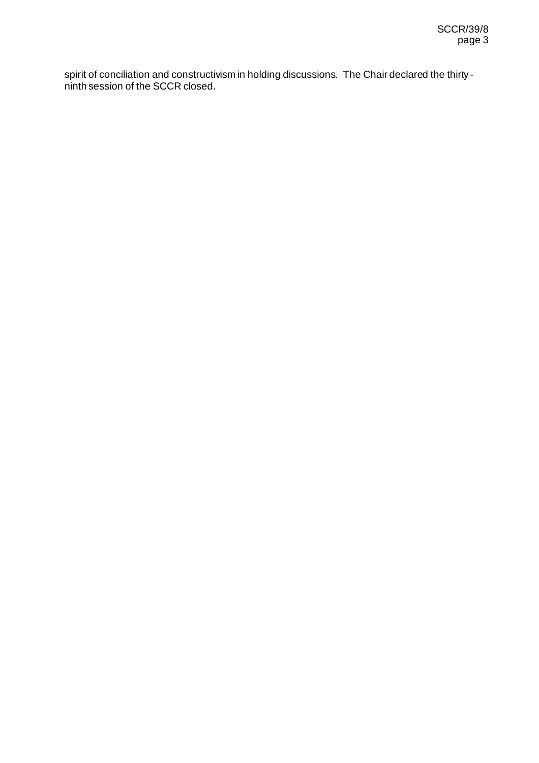spirit of conciliation and constructivism in holding discussions. The Chair declared the thirtyninth session of the SCCR closed.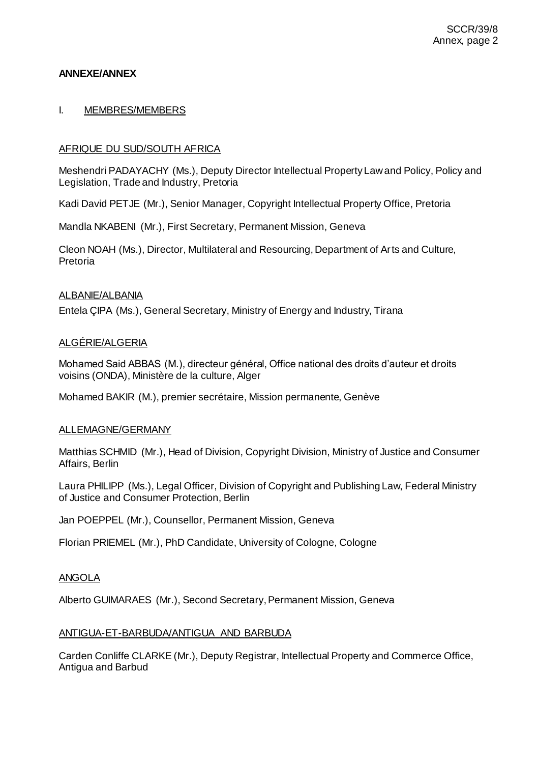## **ANNEXE/ANNEX**

## I. MEMBRES/MEMBERS

# AFRIQUE DU SUD/SOUTH AFRICA

Meshendri PADAYACHY (Ms.), Deputy Director Intellectual Property Law and Policy, Policy and Legislation, Trade and Industry, Pretoria

Kadi David PETJE (Mr.), Senior Manager, Copyright Intellectual Property Office, Pretoria

Mandla NKABENI (Mr.), First Secretary, Permanent Mission, Geneva

Cleon NOAH (Ms.), Director, Multilateral and Resourcing, Department of Arts and Culture, Pretoria

## ALBANIE/ALBANIA

Entela ÇIPA (Ms.), General Secretary, Ministry of Energy and Industry, Tirana

## ALGÉRIE/ALGERIA

Mohamed Said ABBAS (M.), directeur général, Office national des droits d'auteur et droits voisins (ONDA), Ministère de la culture, Alger

Mohamed BAKIR (M.), premier secrétaire, Mission permanente, Genève

## ALLEMAGNE/GERMANY

Matthias SCHMID (Mr.), Head of Division, Copyright Division, Ministry of Justice and Consumer Affairs, Berlin

Laura PHILIPP (Ms.), Legal Officer, Division of Copyright and Publishing Law, Federal Ministry of Justice and Consumer Protection, Berlin

Jan POEPPEL (Mr.), Counsellor, Permanent Mission, Geneva

Florian PRIEMEL (Mr.), PhD Candidate, University of Cologne, Cologne

## ANGOLA

Alberto GUIMARAES (Mr.), Second Secretary, Permanent Mission, Geneva

## ANTIGUA-ET-BARBUDA/ANTIGUA AND BARBUDA

Carden Conliffe CLARKE (Mr.), Deputy Registrar, Intellectual Property and Commerce Office, Antigua and Barbud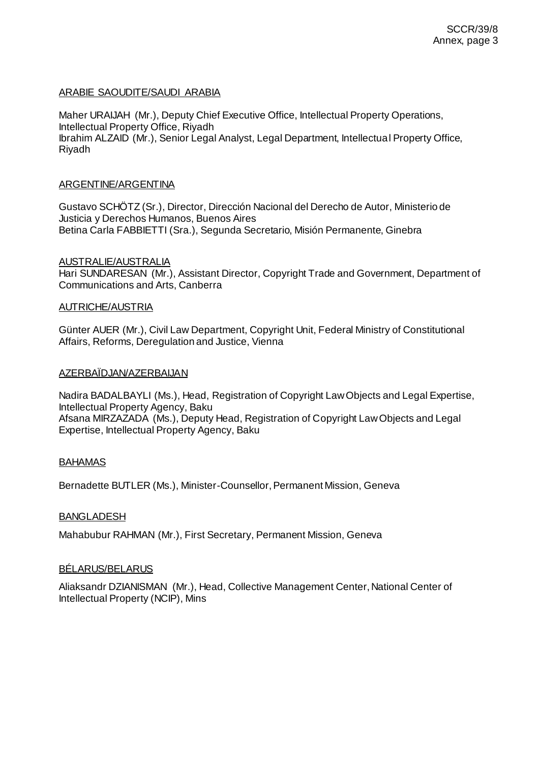## ARABIE SAOUDITE/SAUDI ARABIA

Maher URAIJAH (Mr.), Deputy Chief Executive Office, Intellectual Property Operations, Intellectual Property Office, Riyadh Ibrahim ALZAID (Mr.), Senior Legal Analyst, Legal Department, Intellectual Property Office, Riyadh

### ARGENTINE/ARGENTINA

Gustavo SCHÖTZ (Sr.), Director, Dirección Nacional del Derecho de Autor, Ministerio de Justicia y Derechos Humanos, Buenos Aires Betina Carla FABBIETTI (Sra.), Segunda Secretario, Misión Permanente, Ginebra

### AUSTRALIE/AUSTRALIA

Hari SUNDARESAN (Mr.), Assistant Director, Copyright Trade and Government, Department of Communications and Arts, Canberra

### AUTRICHE/AUSTRIA

Günter AUER (Mr.), Civil Law Department, Copyright Unit, Federal Ministry of Constitutional Affairs, Reforms, Deregulation and Justice, Vienna

### AZERBAÏDJAN/AZERBAIJAN

Nadira BADALBAYLI (Ms.), Head, Registration of Copyright Law Objects and Legal Expertise, Intellectual Property Agency, Baku Afsana MIRZAZADA (Ms.), Deputy Head, Registration of Copyright Law Objects and Legal Expertise, Intellectual Property Agency, Baku

## BAHAMAS

Bernadette BUTLER (Ms.), Minister-Counsellor, Permanent Mission, Geneva

## BANGLADESH

Mahabubur RAHMAN (Mr.), First Secretary, Permanent Mission, Geneva

## BÉLARUS/BELARUS

Aliaksandr DZIANISMAN (Mr.), Head, Collective Management Center, National Center of Intellectual Property (NCIP), Mins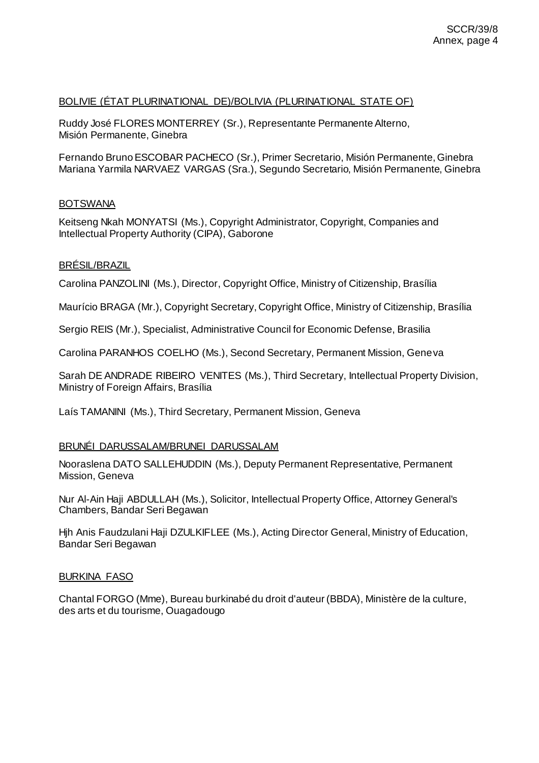# BOLIVIE (ÉTAT PLURINATIONAL DE)/BOLIVIA (PLURINATIONAL STATE OF)

Ruddy José FLORES MONTERREY (Sr.), Representante Permanente Alterno, Misión Permanente, Ginebra

Fernando Bruno ESCOBAR PACHECO (Sr.), Primer Secretario, Misión Permanente, Ginebra Mariana Yarmila NARVAEZ VARGAS (Sra.), Segundo Secretario, Misión Permanente, Ginebra

## **BOTSWANA**

Keitseng Nkah MONYATSI (Ms.), Copyright Administrator, Copyright, Companies and Intellectual Property Authority (CIPA), Gaborone

## BRÉSIL/BRAZIL

Carolina PANZOLINI (Ms.), Director, Copyright Office, Ministry of Citizenship, Brasília

Maurício BRAGA (Mr.), Copyright Secretary, Copyright Office, Ministry of Citizenship, Brasília

Sergio REIS (Mr.), Specialist, Administrative Council for Economic Defense, Brasilia

Carolina PARANHOS COELHO (Ms.), Second Secretary, Permanent Mission, Geneva

Sarah DE ANDRADE RIBEIRO VENITES (Ms.), Third Secretary, Intellectual Property Division, Ministry of Foreign Affairs, Brasília

Laís TAMANINI (Ms.), Third Secretary, Permanent Mission, Geneva

## BRUNÉI DARUSSALAM/BRUNEI DARUSSALAM

Nooraslena DATO SALLEHUDDIN (Ms.), Deputy Permanent Representative, Permanent Mission, Geneva

Nur Al-Ain Haji ABDULLAH (Ms.), Solicitor, Intellectual Property Office, Attorney General's Chambers, Bandar Seri Begawan

Hjh Anis Faudzulani Haji DZULKIFLEE (Ms.), Acting Director General, Ministry of Education, Bandar Seri Begawan

## BURKINA FASO

Chantal FORGO (Mme), Bureau burkinabé du droit d'auteur (BBDA), Ministère de la culture, des arts et du tourisme, Ouagadougo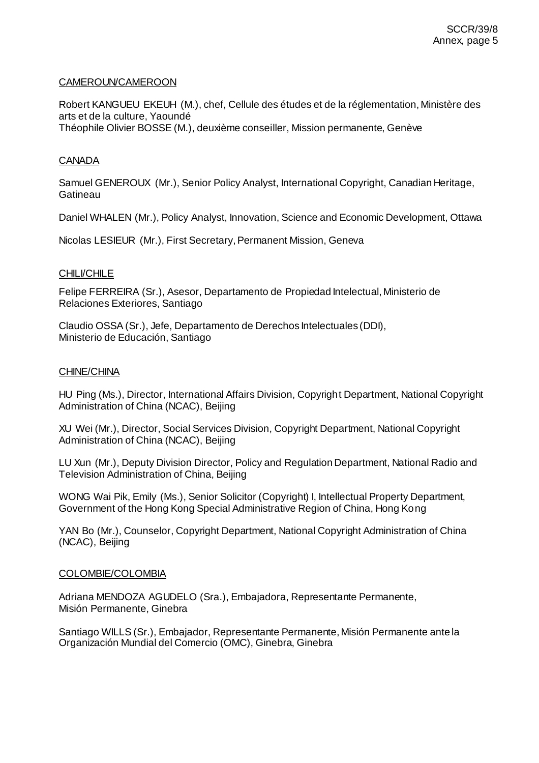### CAMEROUN/CAMEROON

Robert KANGUEU EKEUH (M.), chef, Cellule des études et de la réglementation, Ministère des arts et de la culture, Yaoundé Théophile Olivier BOSSE (M.), deuxième conseiller, Mission permanente, Genève

## CANADA

Samuel GENEROUX (Mr.), Senior Policy Analyst, International Copyright, Canadian Heritage, **Gatineau** 

Daniel WHALEN (Mr.), Policy Analyst, Innovation, Science and Economic Development, Ottawa

Nicolas LESIEUR (Mr.), First Secretary, Permanent Mission, Geneva

### **CHILI/CHILE**

Felipe FERREIRA (Sr.), Asesor, Departamento de Propiedad Intelectual, Ministerio de Relaciones Exteriores, Santiago

Claudio OSSA (Sr.), Jefe, Departamento de Derechos Intelectuales (DDI), Ministerio de Educación, Santiago

#### CHINE/CHINA

HU Ping (Ms.), Director, International Affairs Division, Copyright Department, National Copyright Administration of China (NCAC), Beijing

XU Wei (Mr.), Director, Social Services Division, Copyright Department, National Copyright Administration of China (NCAC), Beijing

LU Xun (Mr.), Deputy Division Director, Policy and Regulation Department, National Radio and Television Administration of China, Beijing

WONG Wai Pik, Emily (Ms.), Senior Solicitor (Copyright) I, Intellectual Property Department, Government of the Hong Kong Special Administrative Region of China, Hong Kong

YAN Bo (Mr.), Counselor, Copyright Department, National Copyright Administration of China (NCAC), Beijing

#### COLOMBIE/COLOMBIA

Adriana MENDOZA AGUDELO (Sra.), Embajadora, Representante Permanente, Misión Permanente, Ginebra

Santiago WILLS (Sr.), Embajador, Representante Permanente, Misión Permanente ante la Organización Mundial del Comercio (OMC), Ginebra, Ginebra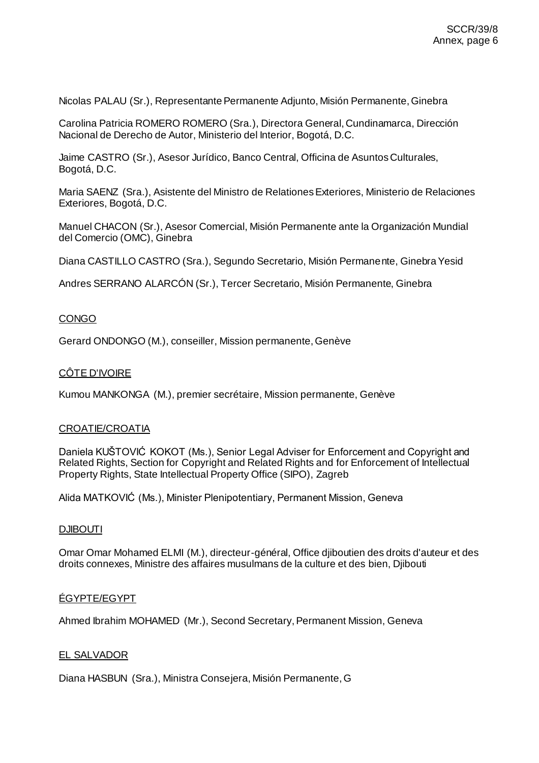Nicolas PALAU (Sr.), Representante Permanente Adjunto, Misión Permanente, Ginebra

Carolina Patricia ROMERO ROMERO (Sra.), Directora General, Cundinamarca, Dirección Nacional de Derecho de Autor, Ministerio del Interior, Bogotá, D.C.

Jaime CASTRO (Sr.), Asesor Jurídico, Banco Central, Officina de Asuntos Culturales, Bogotá, D.C.

Maria SAENZ (Sra.), Asistente del Ministro de Relationes Exteriores, Ministerio de Relaciones Exteriores, Bogotá, D.C.

Manuel CHACON (Sr.), Asesor Comercial, Misión Permanente ante la Organización Mundial del Comercio (OMC), Ginebra

Diana CASTILLO CASTRO (Sra.), Segundo Secretario, Misión Permanente, Ginebra Yesid

Andres SERRANO ALARCÓN (Sr.), Tercer Secretario, Misión Permanente, Ginebra

# **CONGO**

Gerard ONDONGO (M.), conseiller, Mission permanente, Genève

## CÔTE D'IVOIRE

Kumou MANKONGA (M.), premier secrétaire, Mission permanente, Genève

#### CROATIE/CROATIA

Daniela KUŠTOVIĆ KOKOT (Ms.), Senior Legal Adviser for Enforcement and Copyright and Related Rights, Section for Copyright and Related Rights and for Enforcement of Intellectual Property Rights, State Intellectual Property Office (SIPO), Zagreb

Alida MATKOVIĆ (Ms.), Minister Plenipotentiary, Permanent Mission, Geneva

#### **DJIBOUTI**

Omar Omar Mohamed ELMI (M.), directeur-général, Office djiboutien des droits d'auteur et des droits connexes, Ministre des affaires musulmans de la culture et des bien, Djibouti

#### ÉGYPTE/EGYPT

Ahmed Ibrahim MOHAMED (Mr.), Second Secretary, Permanent Mission, Geneva

## EL SALVADOR

Diana HASBUN (Sra.), Ministra Consejera, Misión Permanente, G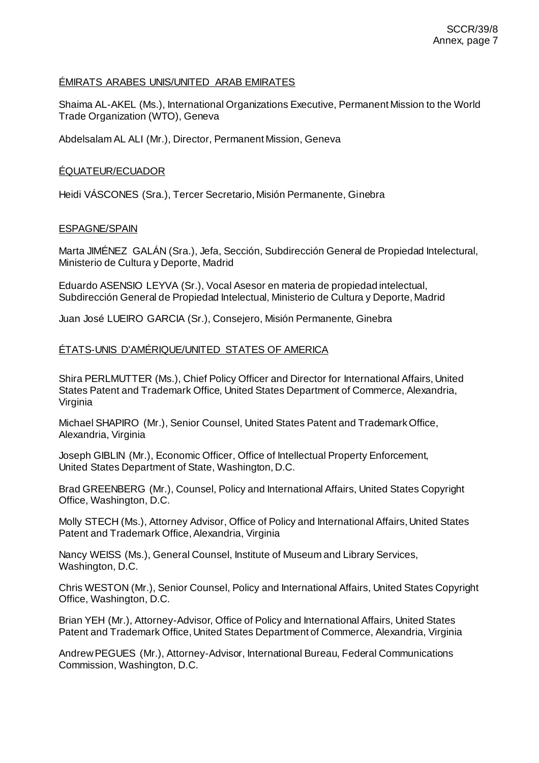## ÉMIRATS ARABES UNIS/UNITED ARAB EMIRATES

Shaima AL-AKEL (Ms.), International Organizations Executive, Permanent Mission to the World Trade Organization (WTO), Geneva

Abdelsalam AL ALI (Mr.), Director, Permanent Mission, Geneva

## ÉQUATEUR/ECUADOR

Heidi VÁSCONES (Sra.), Tercer Secretario, Misión Permanente, Ginebra

## ESPAGNE/SPAIN

Marta JIMÉNEZ GALÁN (Sra.), Jefa, Sección, Subdirección General de Propiedad Intelectural, Ministerio de Cultura y Deporte, Madrid

Eduardo ASENSIO LEYVA (Sr.), Vocal Asesor en materia de propiedad intelectual, Subdirección General de Propiedad Intelectual, Ministerio de Cultura y Deporte, Madrid

Juan José LUEIRO GARCIA (Sr.), Consejero, Misión Permanente, Ginebra

## ÉTATS-UNIS D'AMÉRIQUE/UNITED STATES OF AMERICA

Shira PERLMUTTER (Ms.), Chief Policy Officer and Director for International Affairs, United States Patent and Trademark Office, United States Department of Commerce, Alexandria, Virginia

Michael SHAPIRO (Mr.), Senior Counsel, United States Patent and Trademark Office, Alexandria, Virginia

Joseph GIBLIN (Mr.), Economic Officer, Office of Intellectual Property Enforcement, United States Department of State, Washington, D.C.

Brad GREENBERG (Mr.), Counsel, Policy and International Affairs, United States Copyright Office, Washington, D.C.

Molly STECH (Ms.), Attorney Advisor, Office of Policy and International Affairs, United States Patent and Trademark Office, Alexandria, Virginia

Nancy WEISS (Ms.), General Counsel, Institute of Museum and Library Services, Washington, D.C.

Chris WESTON (Mr.), Senior Counsel, Policy and International Affairs, United States Copyright Office, Washington, D.C.

Brian YEH (Mr.), Attorney-Advisor, Office of Policy and International Affairs, United States Patent and Trademark Office, United States Department of Commerce, Alexandria, Virginia

Andrew PEGUES (Mr.), Attorney-Advisor, International Bureau, Federal Communications Commission, Washington, D.C.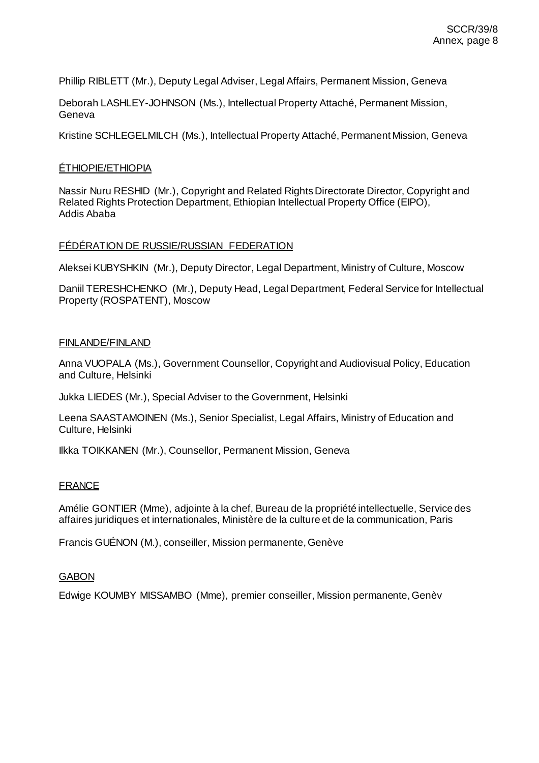Phillip RIBLETT (Mr.), Deputy Legal Adviser, Legal Affairs, Permanent Mission, Geneva

Deborah LASHLEY-JOHNSON (Ms.), Intellectual Property Attaché, Permanent Mission, Geneva

Kristine SCHLEGELMILCH (Ms.), Intellectual Property Attaché, Permanent Mission, Geneva

### ÉTHIOPIE/ETHIOPIA

Nassir Nuru RESHID (Mr.), Copyright and Related Rights Directorate Director, Copyright and Related Rights Protection Department, Ethiopian Intellectual Property Office (EIPO), Addis Ababa

### FÉDÉRATION DE RUSSIE/RUSSIAN FEDERATION

Aleksei KUBYSHKIN (Mr.), Deputy Director, Legal Department, Ministry of Culture, Moscow

Daniil TERESHCHENKO (Mr.), Deputy Head, Legal Department, Federal Service for Intellectual Property (ROSPATENT), Moscow

### FINLANDE/FINLAND

Anna VUOPALA (Ms.), Government Counsellor, Copyright and Audiovisual Policy, Education and Culture, Helsinki

Jukka LIEDES (Mr.), Special Adviser to the Government, Helsinki

Leena SAASTAMOINEN (Ms.), Senior Specialist, Legal Affairs, Ministry of Education and Culture, Helsinki

Ilkka TOIKKANEN (Mr.), Counsellor, Permanent Mission, Geneva

## **FRANCE**

Amélie GONTIER (Mme), adjointe à la chef, Bureau de la propriété intellectuelle, Service des affaires juridiques et internationales, Ministère de la culture et de la communication, Paris

Francis GUÉNON (M.), conseiller, Mission permanente, Genève

#### **GABON**

Edwige KOUMBY MISSAMBO (Mme), premier conseiller, Mission permanente, Genèv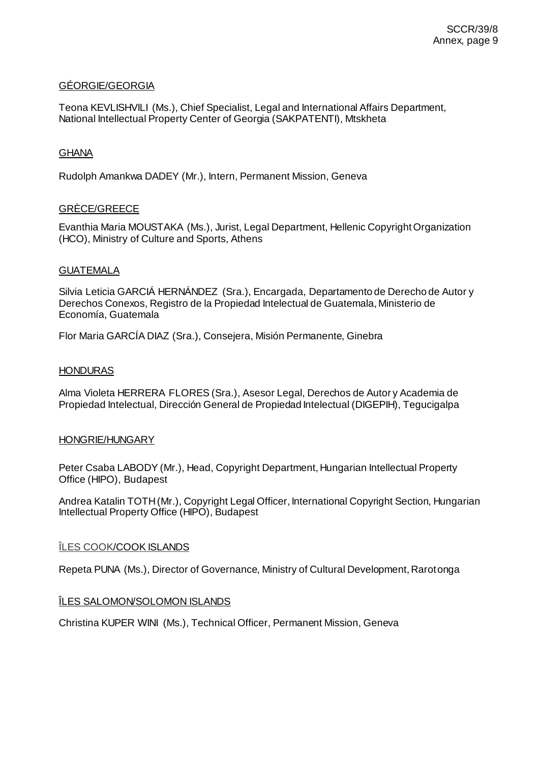## GÉORGIE/GEORGIA

Teona KEVLISHVILI (Ms.), Chief Specialist, Legal and International Affairs Department, National Intellectual Property Center of Georgia (SAKPATENTI), Mtskheta

## **GHANA**

Rudolph Amankwa DADEY (Mr.), Intern, Permanent Mission, Geneva

# GRÈCE/GREECE

Evanthia Maria MOUSTAKA (Ms.), Jurist, Legal Department, Hellenic Copyright Organization (HCO), Ministry of Culture and Sports, Athens

## GUATEMALA

Silvia Leticia GARCIÁ HERNÁNDEZ (Sra.), Encargada, Departamento de Derecho de Autor y Derechos Conexos, Registro de la Propiedad Intelectual de Guatemala, Ministerio de Economía, Guatemala

Flor Maria GARCÍA DIAZ (Sra.), Consejera, Misión Permanente, Ginebra

### **HONDURAS**

Alma Violeta HERRERA FLORES (Sra.), Asesor Legal, Derechos de Autor y Academia de Propiedad Intelectual, Dirección General de Propiedad Intelectual (DIGEPIH), Tegucigalpa

#### HONGRIE/HUNGARY

Peter Csaba LABODY (Mr.), Head, Copyright Department, Hungarian Intellectual Property Office (HIPO), Budapest

Andrea Katalin TOTH (Mr.), Copyright Legal Officer, International Copyright Section, Hungarian Intellectual Property Office (HIPO), Budapest

## ÎLES COOK/COOK ISLANDS

Repeta PUNA (Ms.), Director of Governance, Ministry of Cultural Development, Rarotonga

## ÎLES SALOMON/SOLOMON ISLANDS

Christina KUPER WINI (Ms.), Technical Officer, Permanent Mission, Geneva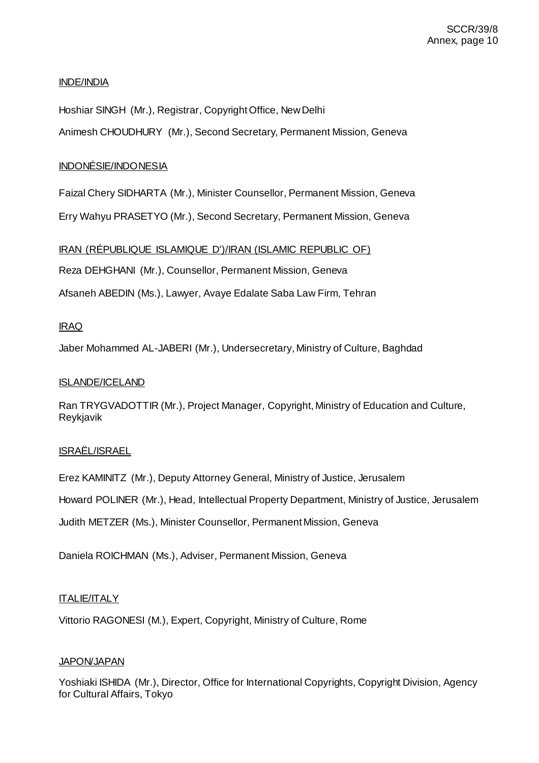# INDE/INDIA

Hoshiar SINGH (Mr.), Registrar, Copyright Office, New Delhi

Animesh CHOUDHURY (Mr.), Second Secretary, Permanent Mission, Geneva

# INDONÉSIE/INDONESIA

Faizal Chery SIDHARTA (Mr.), Minister Counsellor, Permanent Mission, Geneva

Erry Wahyu PRASETYO (Mr.), Second Secretary, Permanent Mission, Geneva

# IRAN (RÉPUBLIQUE ISLAMIQUE D')/IRAN (ISLAMIC REPUBLIC OF)

Reza DEHGHANI (Mr.), Counsellor, Permanent Mission, Geneva

Afsaneh ABEDIN (Ms.), Lawyer, Avaye Edalate Saba Law Firm, Tehran

# IRAQ

Jaber Mohammed AL-JABERI (Mr.), Undersecretary, Ministry of Culture, Baghdad

## ISLANDE/ICELAND

Ran TRYGVADOTTIR (Mr.), Project Manager, Copyright, Ministry of Education and Culture, Reykjavik

## ISRAËL/ISRAEL

Erez KAMINITZ (Mr.), Deputy Attorney General, Ministry of Justice, Jerusalem

Howard POLINER (Mr.), Head, Intellectual Property Department, Ministry of Justice, Jerusalem

Judith METZER (Ms.), Minister Counsellor, Permanent Mission, Geneva

Daniela ROICHMAN (Ms.), Adviser, Permanent Mission, Geneva

## ITALIE/ITALY

Vittorio RAGONESI (M.), Expert, Copyright, Ministry of Culture, Rome

## **JAPON/JAPAN**

Yoshiaki ISHIDA (Mr.), Director, Office for International Copyrights, Copyright Division, Agency for Cultural Affairs, Tokyo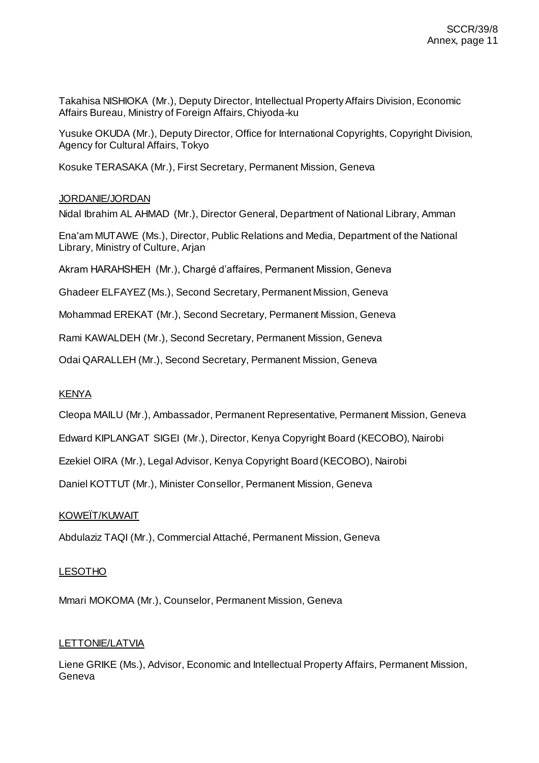Takahisa NISHIOKA (Mr.), Deputy Director, Intellectual Property Affairs Division, Economic Affairs Bureau, Ministry of Foreign Affairs, Chiyoda-ku

Yusuke OKUDA (Mr.), Deputy Director, Office for International Copyrights, Copyright Division, Agency for Cultural Affairs, Tokyo

Kosuke TERASAKA (Mr.), First Secretary, Permanent Mission, Geneva

# JORDANIE/JORDAN

Nidal Ibrahim AL AHMAD (Mr.), Director General, Department of National Library, Amman

Ena'am MUTAWE (Ms.), Director, Public Relations and Media, Department of the National Library, Ministry of Culture, Arjan

Akram HARAHSHEH (Mr.), Chargé d'affaires, Permanent Mission, Geneva

Ghadeer ELFAYEZ (Ms.), Second Secretary, Permanent Mission, Geneva

Mohammad EREKAT (Mr.), Second Secretary, Permanent Mission, Geneva

Rami KAWALDEH (Mr.), Second Secretary, Permanent Mission, Geneva

Odai QARALLEH (Mr.), Second Secretary, Permanent Mission, Geneva

## KENYA

Cleopa MAILU (Mr.), Ambassador, Permanent Representative, Permanent Mission, Geneva

Edward KIPLANGAT SIGEI (Mr.), Director, Kenya Copyright Board (KECOBO), Nairobi

Ezekiel OIRA (Mr.), Legal Advisor, Kenya Copyright Board (KECOBO), Nairobi

Daniel KOTTUT (Mr.), Minister Consellor, Permanent Mission, Geneva

# KOWEÏT/KUWAIT

Abdulaziz TAQI (Mr.), Commercial Attaché, Permanent Mission, Geneva

## LESOTHO

Mmari MOKOMA (Mr.), Counselor, Permanent Mission, Geneva

## LETTONIE/LATVIA

Liene GRIKE (Ms.), Advisor, Economic and Intellectual Property Affairs, Permanent Mission, Geneva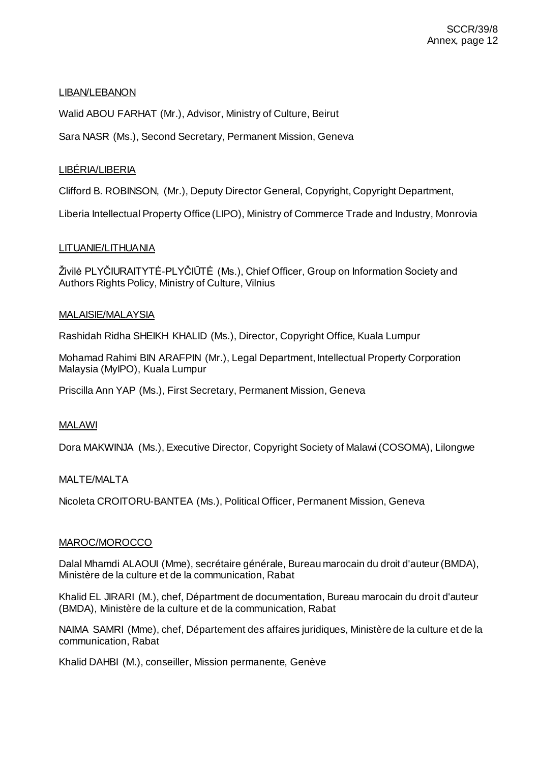# LIBAN/LEBANON

Walid ABOU FARHAT (Mr.), Advisor, Ministry of Culture, Beirut

Sara NASR (Ms.), Second Secretary, Permanent Mission, Geneva

# LIBÉRIA/LIBERIA

Clifford B. ROBINSON, (Mr.), Deputy Director General, Copyright, Copyright Department,

Liberia Intellectual Property Office (LIPO), Ministry of Commerce Trade and Industry, Monrovia

## LITUANIE/LITHUANIA

Živilė PLYČIURAITYTĖ-PLYČIŪTĖ (Ms.), Chief Officer, Group on Information Society and Authors Rights Policy, Ministry of Culture, Vilnius

## MALAISIE/MALAYSIA

Rashidah Ridha SHEIKH KHALID (Ms.), Director, Copyright Office, Kuala Lumpur

Mohamad Rahimi BIN ARAFPIN (Mr.), Legal Department, Intellectual Property Corporation Malaysia (MyIPO), Kuala Lumpur

Priscilla Ann YAP (Ms.), First Secretary, Permanent Mission, Geneva

## MALAWI

Dora MAKWINJA (Ms.), Executive Director, Copyright Society of Malawi (COSOMA), Lilongwe

## MALTE/MALTA

Nicoleta CROITORU-BANTEA (Ms.), Political Officer, Permanent Mission, Geneva

## MAROC/MOROCCO

Dalal Mhamdi ALAOUI (Mme), secrétaire générale, Bureau marocain du droit d'auteur (BMDA), Ministère de la culture et de la communication, Rabat

Khalid EL JIRARI (M.), chef, Départment de documentation, Bureau marocain du droit d'auteur (BMDA), Ministère de la culture et de la communication, Rabat

NAIMA SAMRI (Mme), chef, Département des affaires juridiques, Ministère de la culture et de la communication, Rabat

Khalid DAHBI (M.), conseiller, Mission permanente, Genève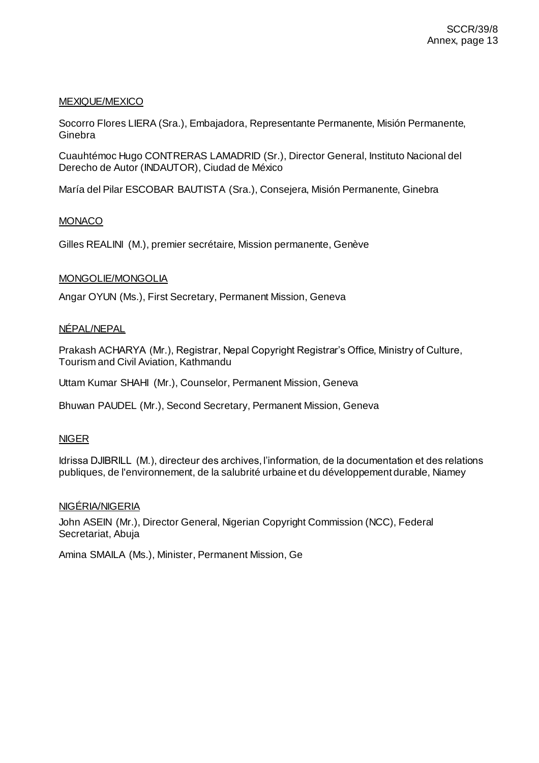## MEXIQUE/MEXICO

Socorro Flores LIERA (Sra.), Embajadora, Representante Permanente, Misión Permanente, Ginebra

Cuauhtémoc Hugo CONTRERAS LAMADRID (Sr.), Director General, Instituto Nacional del Derecho de Autor (INDAUTOR), Ciudad de México

María del Pilar ESCOBAR BAUTISTA (Sra.), Consejera, Misión Permanente, Ginebra

## **MONACO**

Gilles REALINI (M.), premier secrétaire, Mission permanente, Genève

### MONGOLIE/MONGOLIA

Angar OYUN (Ms.), First Secretary, Permanent Mission, Geneva

### NÉPAL/NEPAL

Prakash ACHARYA (Mr.), Registrar, Nepal Copyright Registrar's Office, Ministry of Culture, Tourism and Civil Aviation, Kathmandu

Uttam Kumar SHAHI (Mr.), Counselor, Permanent Mission, Geneva

Bhuwan PAUDEL (Mr.), Second Secretary, Permanent Mission, Geneva

## NIGER

Idrissa DJIBRILL (M.), directeur des archives, l'information, de la documentation et des relations publiques, de l'environnement, de la salubrité urbaine et du développement durable, Niamey

#### NIGÉRIA/NIGERIA

John ASEIN (Mr.), Director General, Nigerian Copyright Commission (NCC), Federal Secretariat, Abuja

Amina SMAILA (Ms.), Minister, Permanent Mission, Ge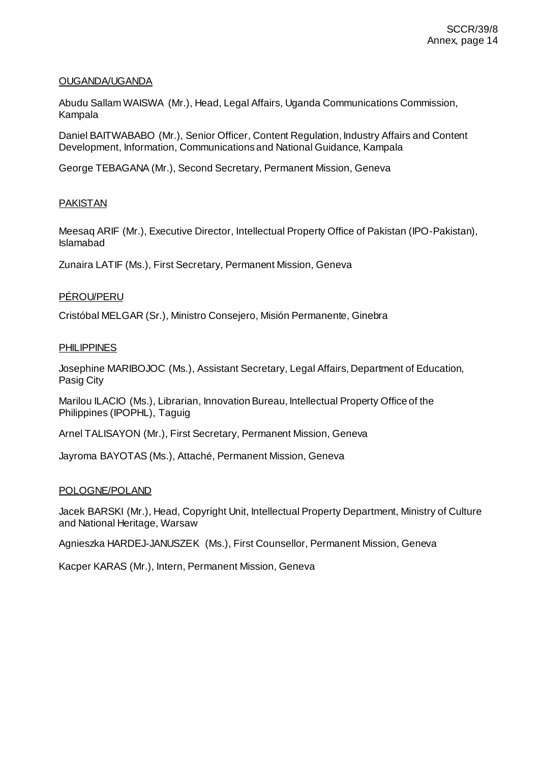## OUGANDA/UGANDA

Abudu Sallam WAISWA (Mr.), Head, Legal Affairs, Uganda Communications Commission, Kampala

Daniel BAITWABABO (Mr.), Senior Officer, Content Regulation, Industry Affairs and Content Development, Information, Communications and National Guidance, Kampala

George TEBAGANA (Mr.), Second Secretary, Permanent Mission, Geneva

# PAKISTAN

Meesaq ARIF (Mr.), Executive Director, Intellectual Property Office of Pakistan (IPO-Pakistan), Islamabad

Zunaira LATIF (Ms.), First Secretary, Permanent Mission, Geneva

# PÉROU/PERU

Cristóbal MELGAR (Sr.), Ministro Consejero, Misión Permanente, Ginebra

### PHILIPPINES

Josephine MARIBOJOC (Ms.), Assistant Secretary, Legal Affairs, Department of Education, Pasig City

Marilou ILACIO (Ms.), Librarian, Innovation Bureau, Intellectual Property Office of the Philippines (IPOPHL), Taguig

Arnel TALISAYON (Mr.), First Secretary, Permanent Mission, Geneva

Jayroma BAYOTAS (Ms.), Attaché, Permanent Mission, Geneva

## POLOGNE/POLAND

Jacek BARSKI (Mr.), Head, Copyright Unit, Intellectual Property Department, Ministry of Culture and National Heritage, Warsaw

Agnieszka HARDEJ-JANUSZEK (Ms.), First Counsellor, Permanent Mission, Geneva

Kacper KARAS (Mr.), Intern, Permanent Mission, Geneva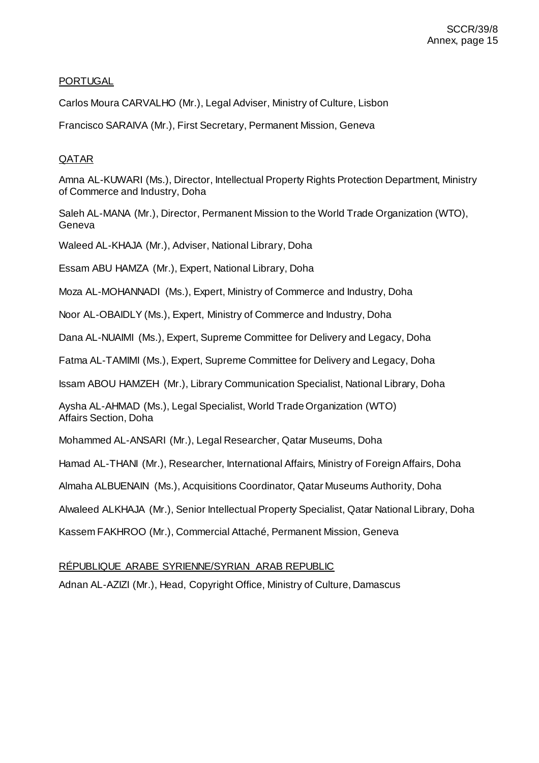# PORTUGAL

Carlos Moura CARVALHO (Mr.), Legal Adviser, Ministry of Culture, Lisbon

Francisco SARAIVA (Mr.), First Secretary, Permanent Mission, Geneva

# QATAR

Amna AL-KUWARI (Ms.), Director, Intellectual Property Rights Protection Department, Ministry of Commerce and Industry, Doha

Saleh AL-MANA (Mr.), Director, Permanent Mission to the World Trade Organization (WTO), Geneva

Waleed AL-KHAJA (Mr.), Adviser, National Library, Doha

Essam ABU HAMZA (Mr.), Expert, National Library, Doha

Moza AL-MOHANNADI (Ms.), Expert, Ministry of Commerce and Industry, Doha

Noor AL-OBAIDLY (Ms.), Expert, Ministry of Commerce and Industry, Doha

Dana AL-NUAIMI (Ms.), Expert, Supreme Committee for Delivery and Legacy, Doha

Fatma AL-TAMIMI (Ms.), Expert, Supreme Committee for Delivery and Legacy, Doha

Issam ABOU HAMZEH (Mr.), Library Communication Specialist, National Library, Doha

Aysha AL-AHMAD (Ms.), Legal Specialist, World Trade Organization (WTO) Affairs Section, Doha

Mohammed AL-ANSARI (Mr.), Legal Researcher, Qatar Museums, Doha

Hamad AL-THANI (Mr.), Researcher, International Affairs, Ministry of Foreign Affairs, Doha

Almaha ALBUENAIN (Ms.), Acquisitions Coordinator, Qatar Museums Authority, Doha

Alwaleed ALKHAJA (Mr.), Senior Intellectual Property Specialist, Qatar National Library, Doha

Kassem FAKHROO (Mr.), Commercial Attaché, Permanent Mission, Geneva

## RÉPUBLIQUE ARABE SYRIENNE/SYRIAN ARAB REPUBLIC

Adnan AL-AZIZI (Mr.), Head, Copyright Office, Ministry of Culture, Damascus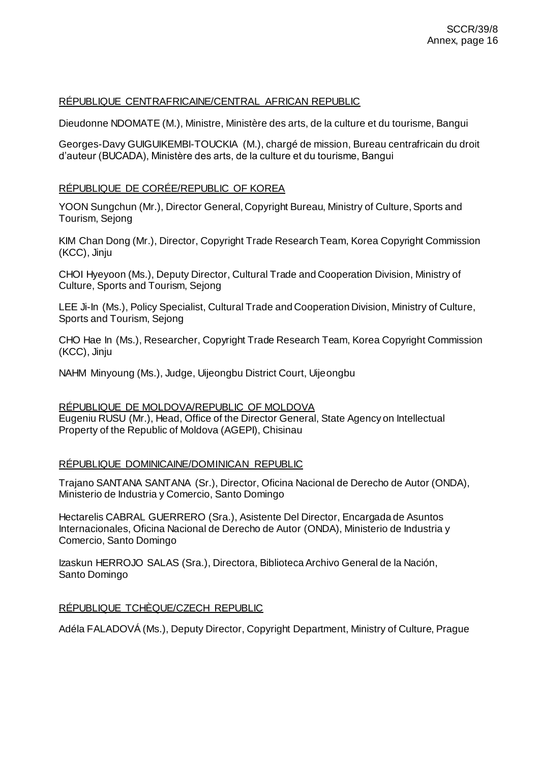# RÉPUBLIQUE CENTRAFRICAINE/CENTRAL AFRICAN REPUBLIC

Dieudonne NDOMATE (M.), Ministre, Ministère des arts, de la culture et du tourisme, Bangui

Georges-Davy GUIGUIKEMBI-TOUCKIA (M.), chargé de mission, Bureau centrafricain du droit d'auteur (BUCADA), Ministère des arts, de la culture et du tourisme, Bangui

## RÉPUBLIQUE DE CORÉE/REPUBLIC OF KOREA

YOON Sungchun (Mr.), Director General, Copyright Bureau, Ministry of Culture, Sports and Tourism, Sejong

KIM Chan Dong (Mr.), Director, Copyright Trade Research Team, Korea Copyright Commission (KCC), Jinju

CHOI Hyeyoon (Ms.), Deputy Director, Cultural Trade and Cooperation Division, Ministry of Culture, Sports and Tourism, Sejong

LEE Ji-In (Ms.), Policy Specialist, Cultural Trade and Cooperation Division, Ministry of Culture, Sports and Tourism, Sejong

CHO Hae In (Ms.), Researcher, Copyright Trade Research Team, Korea Copyright Commission (KCC), Jinju

NAHM Minyoung (Ms.), Judge, Uijeongbu District Court, Uijeongbu

RÉPUBLIQUE DE MOLDOVA/REPUBLIC OF MOLDOVA Eugeniu RUSU (Mr.), Head, Office of the Director General, State Agency on Intellectual Property of the Republic of Moldova (AGEPI), Chisinau

# RÉPUBLIQUE DOMINICAINE/DOMINICAN REPUBLIC

Trajano SANTANA SANTANA (Sr.), Director, Oficina Nacional de Derecho de Autor (ONDA), Ministerio de Industria y Comercio, Santo Domingo

Hectarelis CABRAL GUERRERO (Sra.), Asistente Del Director, Encargada de Asuntos Internacionales, Oficina Nacional de Derecho de Autor (ONDA), Ministerio de Industria y Comercio, Santo Domingo

Izaskun HERROJO SALAS (Sra.), Directora, Biblioteca Archivo General de la Nación, Santo Domingo

## RÉPUBLIQUE TCHÈQUE/CZECH REPUBLIC

Adéla FALADOVÁ (Ms.), Deputy Director, Copyright Department, Ministry of Culture, Prague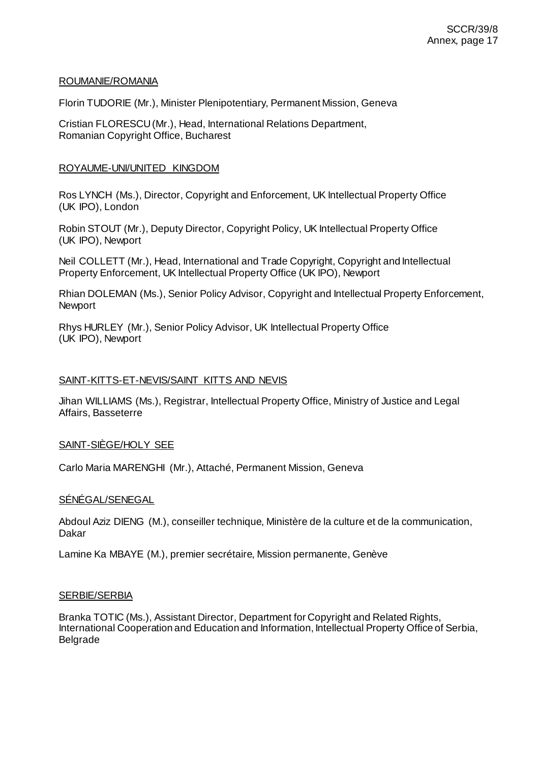### ROUMANIE/ROMANIA

Florin TUDORIE (Mr.), Minister Plenipotentiary, Permanent Mission, Geneva

Cristian FLORESCU (Mr.), Head, International Relations Department, Romanian Copyright Office, Bucharest

## ROYAUME-UNI/UNITED KINGDOM

Ros LYNCH (Ms.), Director, Copyright and Enforcement, UK Intellectual Property Office (UK IPO), London

Robin STOUT (Mr.), Deputy Director, Copyright Policy, UK Intellectual Property Office (UK IPO), Newport

Neil COLLETT (Mr.), Head, International and Trade Copyright, Copyright and Intellectual Property Enforcement, UK Intellectual Property Office (UK IPO), Newport

Rhian DOLEMAN (Ms.), Senior Policy Advisor, Copyright and Intellectual Property Enforcement, Newport

Rhys HURLEY (Mr.), Senior Policy Advisor, UK Intellectual Property Office (UK IPO), Newport

### SAINT-KITTS-ET-NEVIS/SAINT KITTS AND NEVIS

Jihan WILLIAMS (Ms.), Registrar, Intellectual Property Office, Ministry of Justice and Legal Affairs, Basseterre

## SAINT-SIÈGE/HOLY SEE

Carlo Maria MARENGHI (Mr.), Attaché, Permanent Mission, Geneva

#### SÉNÉGAL/SENEGAL

Abdoul Aziz DIENG (M.), conseiller technique, Ministère de la culture et de la communication, Dakar

Lamine Ka MBAYE (M.), premier secrétaire, Mission permanente, Genève

#### SERBIE/SERBIA

Branka TOTIC (Ms.), Assistant Director, Department for Copyright and Related Rights, International Cooperation and Education and Information, Intellectual Property Office of Serbia, Belgrade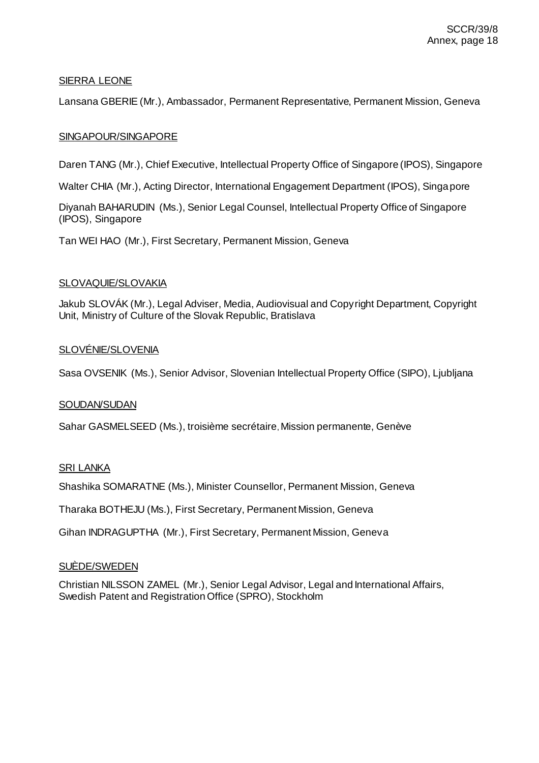# SIERRA LEONE

Lansana GBERIE (Mr.), Ambassador, Permanent Representative, Permanent Mission, Geneva

## SINGAPOUR/SINGAPORE

Daren TANG (Mr.), Chief Executive, Intellectual Property Office of Singapore (IPOS), Singapore

Walter CHIA (Mr.), Acting Director, International Engagement Department (IPOS), Singapore

Diyanah BAHARUDIN (Ms.), Senior Legal Counsel, Intellectual Property Office of Singapore (IPOS), Singapore

Tan WEI HAO (Mr.), First Secretary, Permanent Mission, Geneva

## SLOVAQUIE/SLOVAKIA

Jakub SLOVÁK (Mr.), Legal Adviser, Media, Audiovisual and Copyright Department, Copyright Unit, Ministry of Culture of the Slovak Republic, Bratislava

### SLOVÉNIE/SLOVENIA

Sasa OVSENIK (Ms.), Senior Advisor, Slovenian Intellectual Property Office (SIPO), Ljubljana

#### **SOUDAN/SUDAN**

Sahar GASMELSEED (Ms.), troisième secrétaire, Mission permanente, Genève

## SRI LANKA

Shashika SOMARATNE (Ms.), Minister Counsellor, Permanent Mission, Geneva

Tharaka BOTHEJU (Ms.), First Secretary, Permanent Mission, Geneva

Gihan INDRAGUPTHA (Mr.), First Secretary, Permanent Mission, Geneva

#### SUÈDE/SWEDEN

Christian NILSSON ZAMEL (Mr.), Senior Legal Advisor, Legal and International Affairs, Swedish Patent and Registration Office (SPRO), Stockholm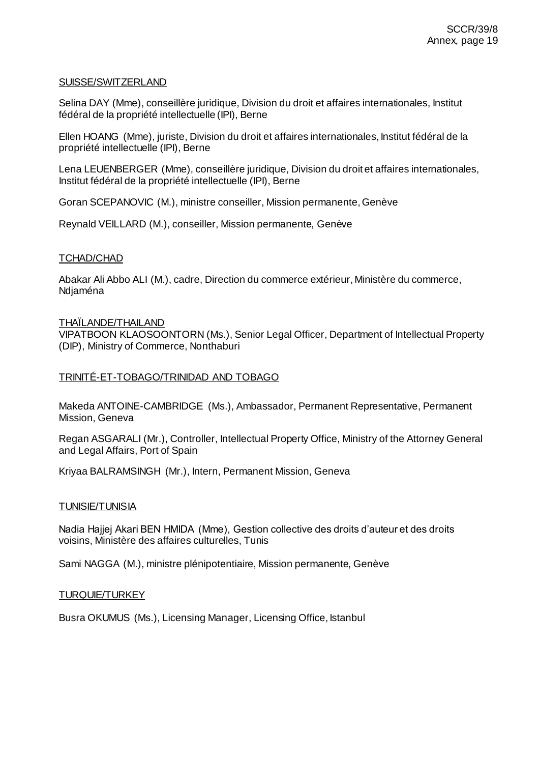### SUISSE/SWITZERLAND

Selina DAY (Mme), conseillère juridique, Division du droit et affaires internationales, Institut fédéral de la propriété intellectuelle (IPI), Berne

Ellen HOANG (Mme), juriste, Division du droit et affaires internationales, Institut fédéral de la propriété intellectuelle (IPI), Berne

Lena LEUENBERGER (Mme), conseillère juridique, Division du droit et affaires internationales, Institut fédéral de la propriété intellectuelle (IPI), Berne

Goran SCEPANOVIC (M.), ministre conseiller, Mission permanente, Genève

Reynald VEILLARD (M.), conseiller, Mission permanente, Genève

### TCHAD/CHAD

Abakar Ali Abbo ALI (M.), cadre, Direction du commerce extérieur, Ministère du commerce, Ndjaména

### THAÏLANDE/THAILAND

VIPATBOON KLAOSOONTORN (Ms.), Senior Legal Officer, Department of Intellectual Property (DIP), Ministry of Commerce, Nonthaburi

### TRINITÉ-ET-TOBAGO/TRINIDAD AND TOBAGO

Makeda ANTOINE-CAMBRIDGE (Ms.), Ambassador, Permanent Representative, Permanent Mission, Geneva

Regan ASGARALI (Mr.), Controller, Intellectual Property Office, Ministry of the Attorney General and Legal Affairs, Port of Spain

Kriyaa BALRAMSINGH (Mr.), Intern, Permanent Mission, Geneva

#### TUNISIE/TUNISIA

Nadia Hajjej Akari BEN HMIDA (Mme), Gestion collective des droits d'auteur et des droits voisins, Ministère des affaires culturelles, Tunis

Sami NAGGA (M.), ministre plénipotentiaire, Mission permanente, Genève

#### TURQUIE/TURKEY

Busra OKUMUS (Ms.), Licensing Manager, Licensing Office, Istanbul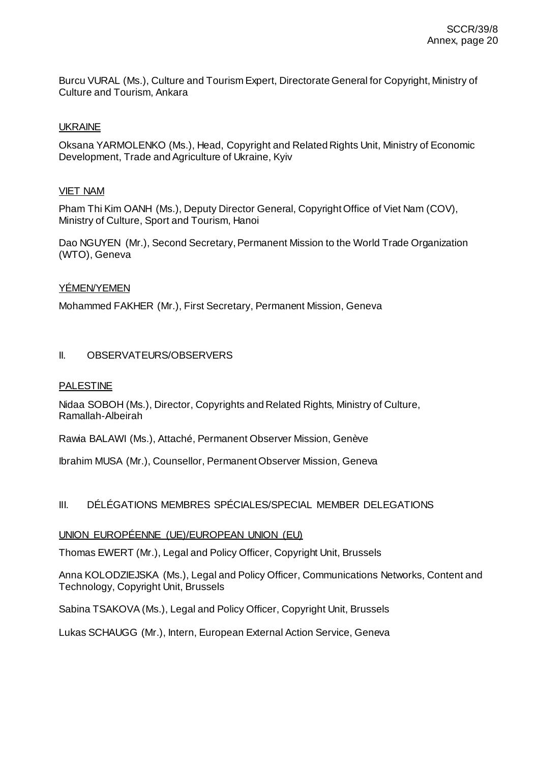Burcu VURAL (Ms.), Culture and Tourism Expert, Directorate General for Copyright, Ministry of Culture and Tourism, Ankara

## UKRAINE

Oksana YARMOLENKO (Ms.), Head, Copyright and Related Rights Unit, Ministry of Economic Development, Trade and Agriculture of Ukraine, Kyiv

### VIET NAM

Pham Thi Kim OANH (Ms.), Deputy Director General, Copyright Office of Viet Nam (COV), Ministry of Culture, Sport and Tourism, Hanoi

Dao NGUYEN (Mr.), Second Secretary, Permanent Mission to the World Trade Organization (WTO), Geneva

## YÉMEN/YEMEN

Mohammed FAKHER (Mr.), First Secretary, Permanent Mission, Geneva

## II. OBSERVATEURS/OBSERVERS

### PALESTINE

Nidaa SOBOH (Ms.), Director, Copyrights and Related Rights, Ministry of Culture, Ramallah-Albeirah

Rawia BALAWI (Ms.), Attaché, Permanent Observer Mission, Genève

Ibrahim MUSA (Mr.), Counsellor, Permanent Observer Mission, Geneva

# III. DÉLÉGATIONS MEMBRES SPÉCIALES/SPECIAL MEMBER DELEGATIONS

## UNION EUROPÉENNE (UE)/EUROPEAN UNION (EU)

Thomas EWERT (Mr.), Legal and Policy Officer, Copyright Unit, Brussels

Anna KOLODZIEJSKA (Ms.), Legal and Policy Officer, Communications Networks, Content and Technology, Copyright Unit, Brussels

Sabina TSAKOVA (Ms.), Legal and Policy Officer, Copyright Unit, Brussels

Lukas SCHAUGG (Mr.), Intern, European External Action Service, Geneva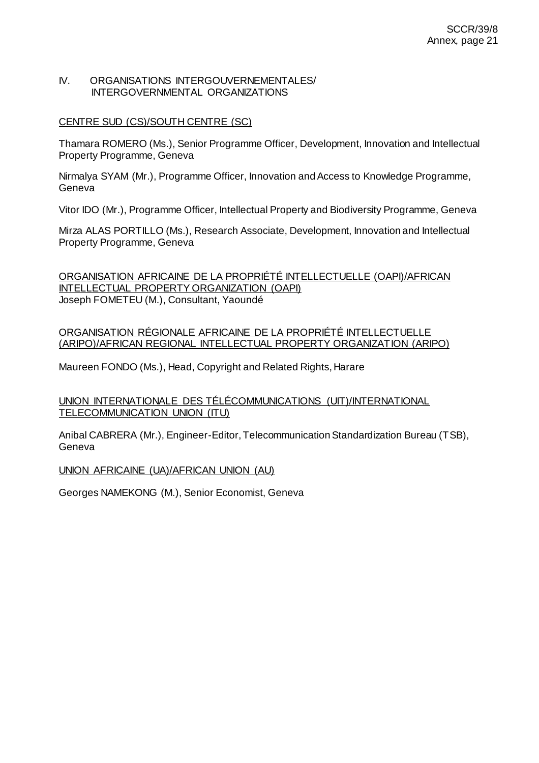### IV. ORGANISATIONS INTERGOUVERNEMENTALES/ INTERGOVERNMENTAL ORGANIZATIONS

## CENTRE SUD (CS)/SOUTH CENTRE (SC)

Thamara ROMERO (Ms.), Senior Programme Officer, Development, Innovation and Intellectual Property Programme, Geneva

Nirmalya SYAM (Mr.), Programme Officer, Innovation and Access to Knowledge Programme, Geneva

Vitor IDO (Mr.), Programme Officer, Intellectual Property and Biodiversity Programme, Geneva

Mirza ALAS PORTILLO (Ms.), Research Associate, Development, Innovation and Intellectual Property Programme, Geneva

ORGANISATION AFRICAINE DE LA PROPRIÉTÉ INTELLECTUELLE (OAPI)/AFRICAN INTELLECTUAL PROPERTY ORGANIZATION (OAPI) Joseph FOMETEU (M.), Consultant, Yaoundé

ORGANISATION RÉGIONALE AFRICAINE DE LA PROPRIÉTÉ INTELLECTUELLE (ARIPO)/AFRICAN REGIONAL INTELLECTUAL PROPERTY ORGANIZATION (ARIPO)

Maureen FONDO (Ms.), Head, Copyright and Related Rights, Harare

UNION INTERNATIONALE DES TÉLÉCOMMUNICATIONS (UIT)/INTERNATIONAL TELECOMMUNICATION UNION (ITU)

Anibal CABRERA (Mr.), Engineer-Editor, Telecommunication Standardization Bureau (TSB), Geneva

UNION AFRICAINE (UA)/AFRICAN UNION (AU)

Georges NAMEKONG (M.), Senior Economist, Geneva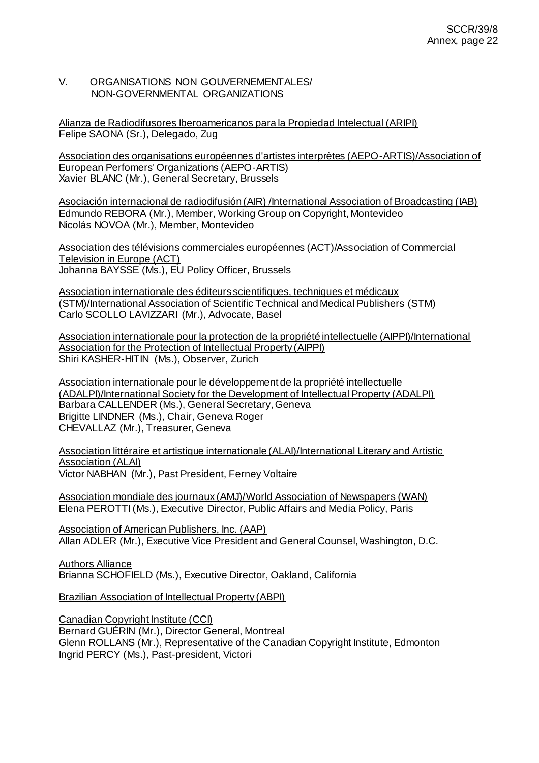## V. ORGANISATIONS NON GOUVERNEMENTALES/ NON-GOVERNMENTAL ORGANIZATIONS

Alianza de Radiodifusores Iberoamericanos para la Propiedad Intelectual (ARIPI) Felipe SAONA (Sr.), Delegado, Zug

Association des organisations européennes d'artistes interprètes (AEPO-ARTIS)/Association of European Perfomers' Organizations (AEPO-ARTIS) Xavier BLANC (Mr.), General Secretary, Brussels

Asociación internacional de radiodifusión (AIR) /International Association of Broadcasting (IAB) Edmundo REBORA (Mr.), Member, Working Group on Copyright, Montevideo Nicolás NOVOA (Mr.), Member, Montevideo

Association des télévisions commerciales européennes (ACT)/Association of Commercial Television in Europe (ACT) Johanna BAYSSE (Ms.), EU Policy Officer, Brussels

Association internationale des éditeurs scientifiques, techniques et médicaux (STM)/International Association of Scientific Technical and Medical Publishers (STM) Carlo SCOLLO LAVIZZARI (Mr.), Advocate, Basel

Association internationale pour la protection de la propriété intellectuelle (AIPPI)/International Association for the Protection of Intellectual Property (AIPPI) Shiri KASHER-HITIN (Ms.), Observer, Zurich

Association internationale pour le développement de la propriété intellectuelle (ADALPI)/International Society for the Development of Intellectual Property (ADALPI) Barbara CALLENDER (Ms.), General Secretary, Geneva Brigitte LINDNER (Ms.), Chair, Geneva Roger CHEVALLAZ (Mr.), Treasurer, Geneva

Association littéraire et artistique internationale (ALAI)/International Literary and Artistic **Association (ALAI)** Victor NABHAN (Mr.), Past President, Ferney Voltaire

Association mondiale des journaux (AMJ)/World Association of Newspapers (WAN) Elena PEROTTI (Ms.), Executive Director, Public Affairs and Media Policy, Paris

Association of American Publishers, Inc. (AAP) Allan ADLER (Mr.), Executive Vice President and General Counsel, Washington, D.C.

Authors Alliance Brianna SCHOFIELD (Ms.), Executive Director, Oakland, California

Brazilian Association of Intellectual Property (ABPI)

Canadian Copyright Institute (CCI) Bernard GUÉRIN (Mr.), Director General, Montreal Glenn ROLLANS (Mr.), Representative of the Canadian Copyright Institute, Edmonton Ingrid PERCY (Ms.), Past-president, Victori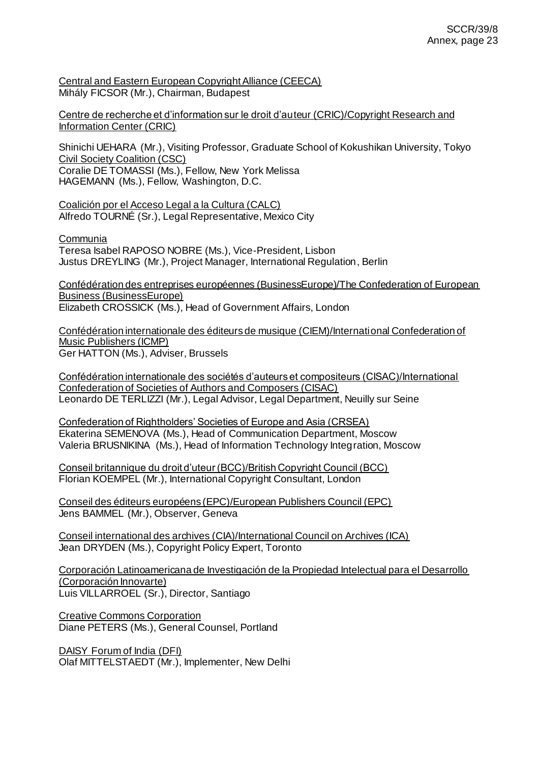Central and Eastern European Copyright Alliance (CEECA) Mihály FICSOR (Mr.), Chairman, Budapest

Centre de recherche et d'information sur le droit d'auteur (CRIC)/Copyright Research and Information Center (CRIC)

Shinichi UEHARA (Mr.), Visiting Professor, Graduate School of Kokushikan University, Tokyo Civil Society Coalition (CSC) Coralie DE TOMASSI (Ms.), Fellow, New York Melissa

HAGEMANN (Ms.), Fellow, Washington, D.C.

Coalición por el Acceso Legal a la Cultura (CALC) Alfredo TOURNÉ (Sr.), Legal Representative, Mexico City

Communia

Teresa Isabel RAPOSO NOBRE (Ms.), Vice-President, Lisbon Justus DREYLING (Mr.), Project Manager, International Regulation, Berlin

Confédération des entreprises européennes (BusinessEurope)/The Confederation of European Business (BusinessEurope) Elizabeth CROSSICK (Ms.), Head of Government Affairs, London

Confédération internationale des éditeurs de musique (CIEM)/International Confederation of Music Publishers (ICMP) Ger HATTON (Ms.), Adviser, Brussels

Confédération internationale des sociétés d'auteurs et compositeurs (CISAC)/International Confederation of Societies of Authors and Composers (CISAC) Leonardo DE TERLIZZI (Mr.), Legal Advisor, Legal Department, Neuilly sur Seine

Confederation of Rightholders' Societies of Europe and Asia (CRSEA) Ekaterina SEMENOVA (Ms.), Head of Communication Department, Moscow Valeria BRUSNIKINA (Ms.), Head of Information Technology Integration, Moscow

Conseil britannique du droit d'uteur (BCC)/British Copyright Council (BCC) Florian KOEMPEL (Mr.), International Copyright Consultant, London

Conseil des éditeurs européens (EPC)/European Publishers Council (EPC) Jens BAMMEL (Mr.), Observer, Geneva

Conseil international des archives (CIA)/International Council on Archives (ICA) Jean DRYDEN (Ms.), Copyright Policy Expert, Toronto

Corporación Latinoamericana de Investigación de la Propiedad Intelectual para el Desarrollo (Corporación Innovarte) Luis VILLARROEL (Sr.), Director, Santiago

Creative Commons Corporation Diane PETERS (Ms.), General Counsel, Portland

DAISY Forum of India (DFI) Olaf MITTELSTAEDT (Mr.), Implementer, New Delhi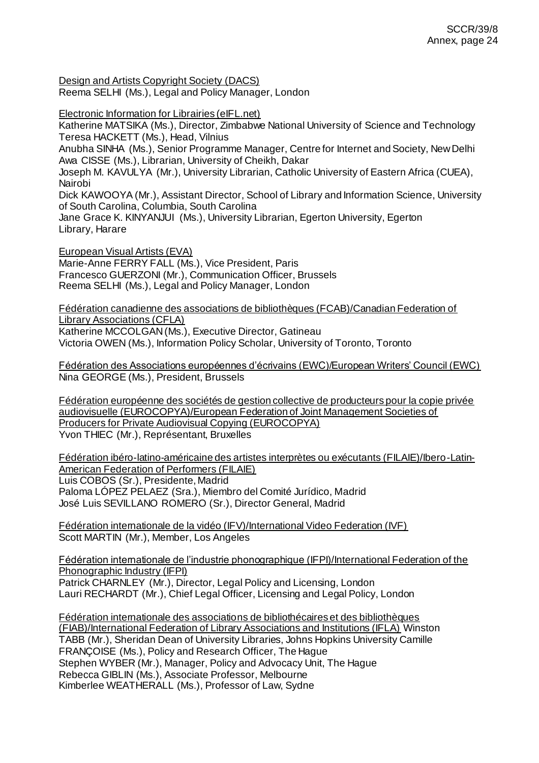Design and Artists Copyright Society (DACS)

Reema SELHI (Ms.), Legal and Policy Manager, London

Electronic Information for Librairies (eIFL.net)

Katherine MATSIKA (Ms.), Director, Zimbabwe National University of Science and Technology Teresa HACKETT (Ms.), Head, Vilnius

Anubha SINHA (Ms.), Senior Programme Manager, Centre for Internet and Society, New Delhi Awa CISSE (Ms.), Librarian, University of Cheikh, Dakar

Joseph M. KAVULYA (Mr.), University Librarian, Catholic University of Eastern Africa (CUEA), Nairobi

Dick KAWOOYA (Mr.), Assistant Director, School of Library and Information Science, University of South Carolina, Columbia, South Carolina

Jane Grace K. KINYANJUI (Ms.), University Librarian, Egerton University, Egerton Library, Harare

European Visual Artists (EVA)

Marie-Anne FERRY FALL (Ms.), Vice President, Paris Francesco GUERZONI (Mr.), Communication Officer, Brussels Reema SELHI (Ms.), Legal and Policy Manager, London

Fédération canadienne des associations de bibliothèques (FCAB)/Canadian Federation of Library Associations (CFLA) Katherine MCCOLGAN (Ms.), Executive Director, Gatineau Victoria OWEN (Ms.), Information Policy Scholar, University of Toronto, Toronto

Fédération des Associations européennes d'écrivains (EWC)/European Writers' Council (EWC) Nina GEORGE (Ms.), President, Brussels

Fédération européenne des sociétés de gestion collective de producteurs pour la copie privée audiovisuelle (EUROCOPYA)/European Federation of Joint Management Societies of Producers for Private Audiovisual Copying (EUROCOPYA) Yvon THIEC (Mr.), Représentant, Bruxelles

Fédération ibéro-latino-américaine des artistes interprètes ou exécutants (FILAIE)/Ibero-Latin-American Federation of Performers (FILAIE) Luis COBOS (Sr.), Presidente, Madrid Paloma LÓPEZ PELAEZ (Sra.), Miembro del Comité Jurídico, Madrid José Luis SEVILLANO ROMERO (Sr.), Director General, Madrid

Fédération internationale de la vidéo (IFV)/International Video Federation (IVF) Scott MARTIN (Mr.), Member, Los Angeles

Fédération internationale de l'industrie phonographique (IFPI)/International Federation of the Phonographic Industry (IFPI) Patrick CHARNLEY (Mr.), Director, Legal Policy and Licensing, London

Lauri RECHARDT (Mr.), Chief Legal Officer, Licensing and Legal Policy, London

Fédération internationale des associations de bibliothécaires et des bibliothèques (FIAB)/International Federation of Library Associations and Institutions (IFLA) Winston TABB (Mr.), Sheridan Dean of University Libraries, Johns Hopkins University Camille FRANÇOISE (Ms.), Policy and Research Officer, The Hague Stephen WYBER (Mr.), Manager, Policy and Advocacy Unit, The Hague Rebecca GIBLIN (Ms.), Associate Professor, Melbourne Kimberlee WEATHERALL (Ms.), Professor of Law, Sydne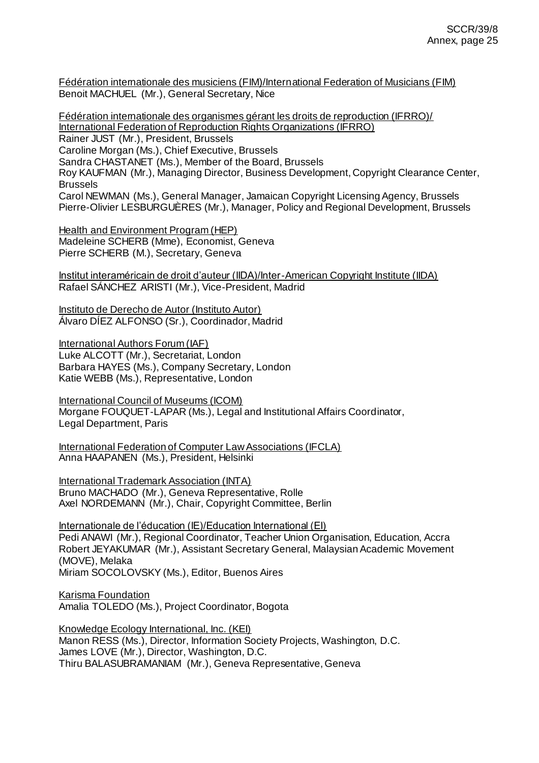Fédération internationale des musiciens (FIM)/International Federation of Musicians (FIM) Benoit MACHUEL (Mr.), General Secretary, Nice

Fédération internationale des organismes gérant les droits de reproduction (IFRRO)/ International Federation of Reproduction Rights Organizations (IFRRO) Rainer JUST (Mr.), President, Brussels Caroline Morgan (Ms.), Chief Executive, Brussels Sandra CHASTANET (Ms.), Member of the Board, Brussels Roy KAUFMAN (Mr.), Managing Director, Business Development, Copyright Clearance Center, Brussels Carol NEWMAN (Ms.), General Manager, Jamaican Copyright Licensing Agency, Brussels Pierre-Olivier LESBURGUÈRES (Mr.), Manager, Policy and Regional Development, Brussels

Health and Environment Program (HEP) Madeleine SCHERB (Mme), Economist, Geneva Pierre SCHERB (M.), Secretary, Geneva

Institut interaméricain de droit d'auteur (IIDA)/Inter-American Copyright Institute (IIDA) Rafael SÁNCHEZ ARISTI (Mr.), Vice-President, Madrid

Instituto de Derecho de Autor (Instituto Autor) Álvaro DÍEZ ALFONSO (Sr.), Coordinador, Madrid

International Authors Forum (IAF) Luke ALCOTT (Mr.), Secretariat, London Barbara HAYES (Ms.), Company Secretary, London Katie WEBB (Ms.), Representative, London

International Council of Museums (ICOM) Morgane FOUQUET-LAPAR (Ms.), Legal and Institutional Affairs Coordinator, Legal Department, Paris

International Federation of Computer Law Associations (IFCLA) Anna HAAPANEN (Ms.), President, Helsinki

International Trademark Association (INTA) Bruno MACHADO (Mr.), Geneva Representative, Rolle Axel NORDEMANN (Mr.), Chair, Copyright Committee, Berlin

Internationale de l'éducation (IE)/Education International (EI) Pedi ANAWI (Mr.), Regional Coordinator, Teacher Union Organisation, Education, Accra Robert JEYAKUMAR (Mr.), Assistant Secretary General, Malaysian Academic Movement (MOVE), Melaka Miriam SOCOLOVSKY (Ms.), Editor, Buenos Aires

Karisma Foundation Amalia TOLEDO (Ms.), Project Coordinator, Bogota

Knowledge Ecology International, Inc. (KEI) Manon RESS (Ms.), Director, Information Society Projects, Washington, D.C. James LOVE (Mr.), Director, Washington, D.C. Thiru BALASUBRAMANIAM (Mr.), Geneva Representative, Geneva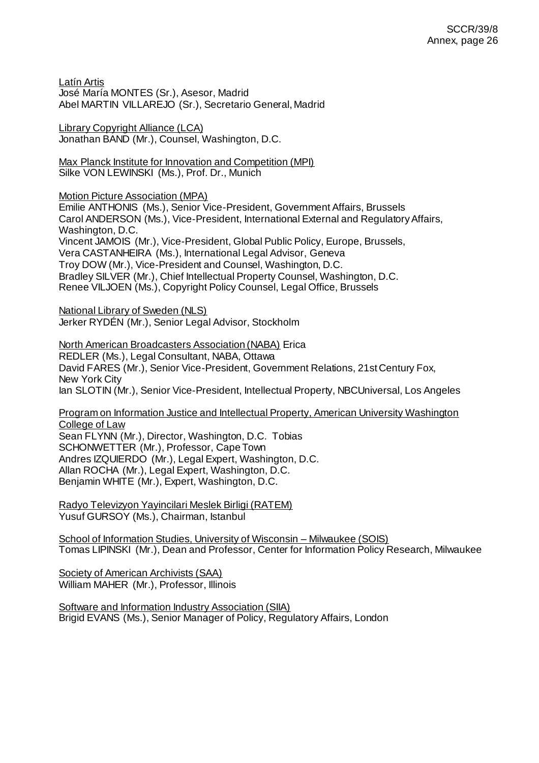Latín Artis José María MONTES (Sr.), Asesor, Madrid Abel MARTIN VILLAREJO (Sr.), Secretario General, Madrid

Library Copyright Alliance (LCA) Jonathan BAND (Mr.), Counsel, Washington, D.C.

Max Planck Institute for Innovation and Competition (MPI) Silke VON LEWINSKI (Ms.), Prof. Dr., Munich

Motion Picture Association (MPA)

Emilie ANTHONIS (Ms.), Senior Vice-President, Government Affairs, Brussels Carol ANDERSON (Ms.), Vice-President, International External and Regulatory Affairs, Washington, D.C. Vincent JAMOIS (Mr.), Vice-President, Global Public Policy, Europe, Brussels, Vera CASTANHEIRA (Ms.), International Legal Advisor, Geneva Troy DOW (Mr.), Vice-President and Counsel, Washington, D.C. Bradley SILVER (Mr.), Chief Intellectual Property Counsel, Washington, D.C. Renee VILJOEN (Ms.), Copyright Policy Counsel, Legal Office, Brussels

**National Library of Sweden (NLS)** Jerker RYDÉN (Mr.), Senior Legal Advisor, Stockholm

North American Broadcasters Association (NABA) Erica REDLER (Ms.), Legal Consultant, NABA, Ottawa David FARES (Mr.), Senior Vice-President, Government Relations, 21st Century Fox, New York City Ian SLOTIN (Mr.), Senior Vice-President, Intellectual Property, NBCUniversal, Los Angeles

Program on Information Justice and Intellectual Property, American University Washington College of Law

Sean FLYNN (Mr.), Director, Washington, D.C. Tobias SCHONWETTER (Mr.), Professor, Cape Town Andres IZQUIERDO (Mr.), Legal Expert, Washington, D.C. Allan ROCHA (Mr.), Legal Expert, Washington, D.C. Benjamin WHITE (Mr.), Expert, Washington, D.C.

Radyo Televizyon Yayincilari Meslek Birligi (RATEM) Yusuf GURSOY (Ms.), Chairman, Istanbul

School of Information Studies, University of Wisconsin – Milwaukee (SOIS) Tomas LIPINSKI (Mr.), Dean and Professor, Center for Information Policy Research, Milwaukee

Society of American Archivists (SAA) William MAHER (Mr.), Professor, Illinois

Software and Information Industry Association (SIIA) Brigid EVANS (Ms.), Senior Manager of Policy, Regulatory Affairs, London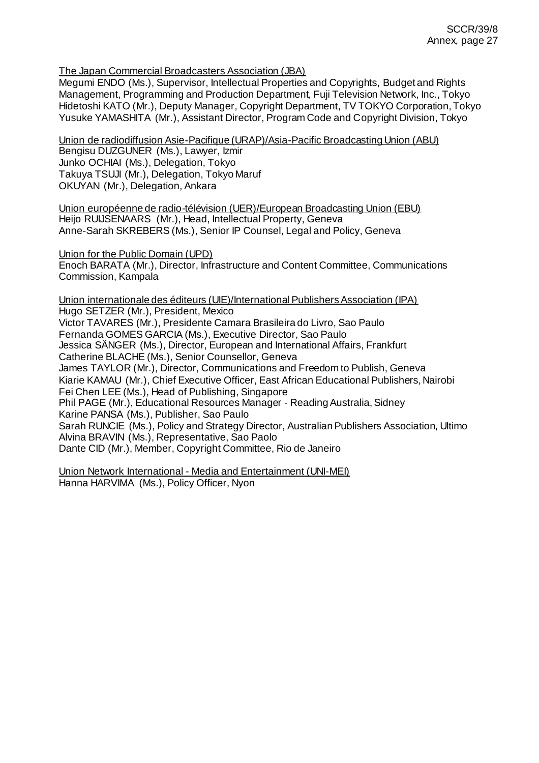The Japan Commercial Broadcasters Association (JBA)

Megumi ENDO (Ms.), Supervisor, Intellectual Properties and Copyrights, Budget and Rights Management, Programming and Production Department, Fuji Television Network, Inc., Tokyo Hidetoshi KATO (Mr.), Deputy Manager, Copyright Department, TV TOKYO Corporation, Tokyo Yusuke YAMASHITA (Mr.), Assistant Director, Program Code and Copyright Division, Tokyo

Union de radiodiffusion Asie-Pacifique (URAP)/Asia-Pacific Broadcasting Union (ABU) Bengisu DUZGUNER (Ms.), Lawyer, Izmir Junko OCHIAI (Ms.), Delegation, Tokyo Takuya TSUJI (Mr.), Delegation, Tokyo Maruf OKUYAN (Mr.), Delegation, Ankara

Union européenne de radio-télévision (UER)/European Broadcasting Union (EBU) Heijo RUIJSENAARS (Mr.), Head, Intellectual Property, Geneva Anne-Sarah SKREBERS (Ms.), Senior IP Counsel, Legal and Policy, Geneva

Union for the Public Domain (UPD)

Enoch BARATA (Mr.), Director, Infrastructure and Content Committee, Communications Commission, Kampala

Union internationale des éditeurs (UIE)/International Publishers Association (IPA) Hugo SETZER (Mr.), President, Mexico Victor TAVARES (Mr.), Presidente Camara Brasileira do Livro, Sao Paulo Fernanda GOMES GARCIA (Ms.), Executive Director, Sao Paulo Jessica SÄNGER (Ms.), Director, European and International Affairs, Frankfurt Catherine BLACHE (Ms.), Senior Counsellor, Geneva James TAYLOR (Mr.), Director, Communications and Freedom to Publish, Geneva Kiarie KAMAU (Mr.), Chief Executive Officer, East African Educational Publishers, Nairobi Fei Chen LEE (Ms.), Head of Publishing, Singapore Phil PAGE (Mr.), Educational Resources Manager - Reading Australia, Sidney Karine PANSA (Ms.), Publisher, Sao Paulo Sarah RUNCIE (Ms.), Policy and Strategy Director, Australian Publishers Association, Ultimo Alvina BRAVIN (Ms.), Representative, Sao Paolo Dante CID (Mr.), Member, Copyright Committee, Rio de Janeiro

Union Network International - Media and Entertainment (UNI-MEI) Hanna HARVIMA (Ms.), Policy Officer, Nyon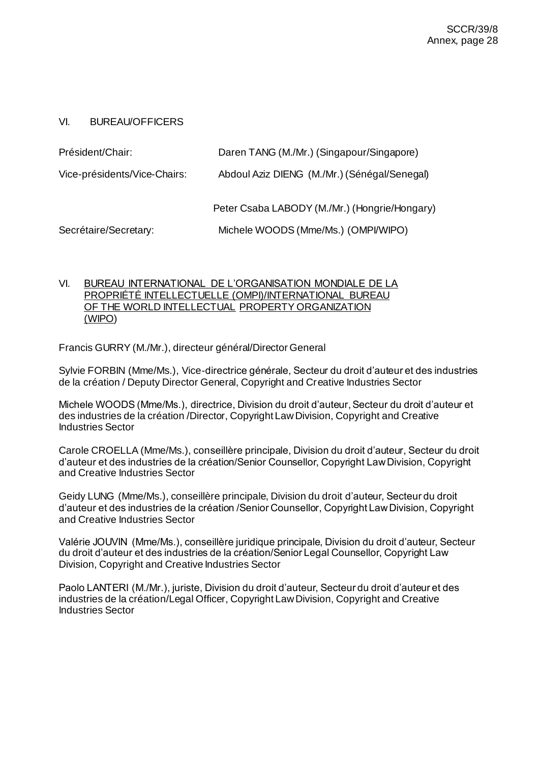## VI. BUREAU/OFFICERS

| Président/Chair:             | Daren TANG (M./Mr.) (Singapour/Singapore)     |
|------------------------------|-----------------------------------------------|
| Vice-présidents/Vice-Chairs: | Abdoul Aziz DIENG (M./Mr.) (Sénégal/Senegal)  |
|                              | Peter Csaba LABODY (M./Mr.) (Hongrie/Hongary) |
| Secrétaire/Secretary:        | Michele WOODS (Mme/Ms.) (OMPI/WIPO)           |

## VI. BUREAU INTERNATIONAL DE L'ORGANISATION MONDIALE DE LA PROPRIÉTÉ INTELLECTUELLE (OMPI)/INTERNATIONAL BUREAU OF THE WORLD INTELLECTUAL PROPERTY ORGANIZATION (WIPO)

Francis GURRY (M./Mr.), directeur général/Director General

Sylvie FORBIN (Mme/Ms.), Vice-directrice générale, Secteur du droit d'auteur et des industries de la création / Deputy Director General, Copyright and Creative Industries Sector

Michele WOODS (Mme/Ms.), directrice, Division du droit d'auteur, Secteur du droit d'auteur et des industries de la création /Director, Copyright Law Division, Copyright and Creative Industries Sector

Carole CROELLA (Mme/Ms.), conseillère principale, Division du droit d'auteur, Secteur du droit d'auteur et des industries de la création/Senior Counsellor, Copyright Law Division, Copyright and Creative Industries Sector

Geidy LUNG (Mme/Ms.), conseillère principale, Division du droit d'auteur, Secteur du droit d'auteur et des industries de la création /Senior Counsellor, Copyright Law Division, Copyright and Creative Industries Sector

Valérie JOUVIN (Mme/Ms.), conseillère juridique principale, Division du droit d'auteur, Secteur du droit d'auteur et des industries de la création/Senior Legal Counsellor, Copyright Law Division, Copyright and Creative Industries Sector

Paolo LANTERI (M./Mr.), juriste, Division du droit d'auteur, Secteur du droit d'auteur et des industries de la création/Legal Officer, Copyright Law Division, Copyright and Creative Industries Sector